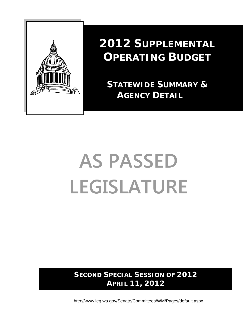

# **2012 SUPPLEMENTAL OPERATING BUDGET**

 **STATEWIDE SUMMARY & AGENCY DETAIL**

# **AS PASSED LEGISLATURE**

**SECOND SPECIAL SESSION OF 2012 APRIL 11, 2012** 

http://www.leg.wa.gov/Senate/Committees/WM/Pages/default.aspx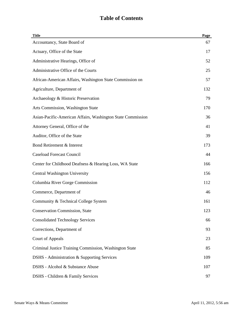| <b>Title</b>                                                | Page |
|-------------------------------------------------------------|------|
| Accountancy, State Board of                                 | 67   |
| Actuary, Office of the State                                | 17   |
| Administrative Hearings, Office of                          | 52   |
| Administrative Office of the Courts                         | 25   |
| African-American Affairs, Washington State Commission on    | 57   |
| Agriculture, Department of                                  | 132  |
| Archaeology & Historic Preservation                         | 79   |
| Arts Commission, Washington State                           | 170  |
| Asian-Pacific-American Affairs, Washington State Commission | 36   |
| Attorney General, Office of the                             | 41   |
| Auditor, Office of the State                                | 39   |
| Bond Retirement & Interest                                  | 173  |
| <b>Caseload Forecast Council</b>                            | 44   |
| Center for Childhood Deafness & Hearing Loss, WA State      | 166  |
| Central Washington University                               | 156  |
| Columbia River Gorge Commission                             | 112  |
| Commerce, Department of                                     | 46   |
| Community & Technical College System                        | 161  |
| <b>Conservation Commission, State</b>                       | 123  |
| <b>Consolidated Technology Services</b>                     | 66   |
| Corrections, Department of                                  | 93   |
| <b>Court of Appeals</b>                                     | 23   |
| Criminal Justice Training Commission, Washington State      | 85   |
| DSHS - Administration & Supporting Services                 | 109  |
| DSHS - Alcohol & Substance Abuse                            | 107  |
| DSHS - Children & Family Services                           | 97   |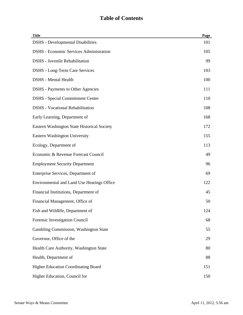| <b>Title</b>                                   | Page |
|------------------------------------------------|------|
| <b>DSHS</b> - Developmental Disabilities       | 101  |
| <b>DSHS</b> - Economic Services Administration | 105  |
| <b>DSHS</b> - Juvenile Rehabilitation          | 99   |
| <b>DSHS</b> - Long-Term Care Services          | 103  |
| <b>DSHS</b> - Mental Health                    | 100  |
| <b>DSHS</b> - Payments to Other Agencies       | 111  |
| <b>DSHS</b> - Special Commitment Center        | 110  |
| <b>DSHS</b> - Vocational Rehabilitation        | 108  |
| Early Learning, Department of                  | 168  |
| Eastern Washington State Historical Society    | 172  |
| <b>Eastern Washington University</b>           | 155  |
| Ecology, Department of                         | 113  |
| Economic & Revenue Forecast Council            | 49   |
| <b>Employment Security Department</b>          | 96   |
| Enterprise Services, Department of             | 69   |
| Environmental and Land Use Hearings Office     | 122  |
| Financial Institutions, Department of          | 45   |
| Financial Management, Office of                | 50   |
| Fish and Wildlife, Department of               | 124  |
| Forensic Investigation Council                 | 68   |
| Gambling Commission, Washington State          | 55   |
| Governor, Office of the                        | 29   |
| Health Care Authority, Washington State        | 80   |
| Health, Department of                          | 88   |
| <b>Higher Education Coordinating Board</b>     | 151  |
| Higher Education, Council for                  | 150  |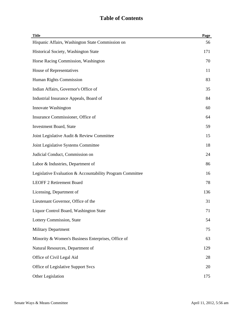| <b>Title</b>                                              | Page |
|-----------------------------------------------------------|------|
| Hispanic Affairs, Washington State Commission on          | 56   |
| Historical Society, Washington State                      | 171  |
| Horse Racing Commission, Washington                       | 70   |
| House of Representatives                                  | 11   |
| Human Rights Commission                                   | 83   |
| Indian Affairs, Governor's Office of                      | 35   |
| Industrial Insurance Appeals, Board of                    | 84   |
| Innovate Washington                                       | 60   |
| Insurance Commissioner, Office of                         | 64   |
| <b>Investment Board, State</b>                            | 59   |
| Joint Legislative Audit & Review Committee                | 15   |
| Joint Legislative Systems Committee                       | 18   |
| Judicial Conduct, Commission on                           | 24   |
| Labor & Industries, Department of                         | 86   |
| Legislative Evaluation & Accountability Program Committee | 16   |
| <b>LEOFF 2 Retirement Board</b>                           | 78   |
| Licensing, Department of                                  | 136  |
| Lieutenant Governor, Office of the                        | 31   |
| Liquor Control Board, Washington State                    | 71   |
| Lottery Commission, State                                 | 54   |
| <b>Military Department</b>                                | 75   |
| Minority & Women's Business Enterprises, Office of        | 63   |
| Natural Resources, Department of                          | 129  |
| Office of Civil Legal Aid                                 | 28   |
| Office of Legislative Support Svcs                        | 20   |
| Other Legislation                                         | 175  |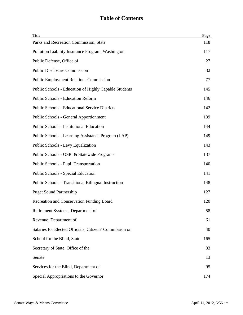| <b>Title</b>                                            | Page |
|---------------------------------------------------------|------|
| Parks and Recreation Commission, State                  | 118  |
| Pollution Liability Insurance Program, Washington       | 117  |
| Public Defense, Office of                               | 27   |
| <b>Public Disclosure Commission</b>                     | 32   |
| <b>Public Employment Relations Commission</b>           | 77   |
| Public Schools - Education of Highly Capable Students   | 145  |
| <b>Public Schools - Education Reform</b>                | 146  |
| <b>Public Schools - Educational Service Districts</b>   | 142  |
| <b>Public Schools - General Apportionment</b>           | 139  |
| <b>Public Schools - Institutional Education</b>         | 144  |
| Public Schools - Learning Assistance Program (LAP)      | 149  |
| Public Schools - Levy Equalization                      | 143  |
| Public Schools - OSPI & Statewide Programs              | 137  |
| <b>Public Schools - Pupil Transportation</b>            | 140  |
| Public Schools - Special Education                      | 141  |
| Public Schools - Transitional Bilingual Instruction     | 148  |
| <b>Puget Sound Partnership</b>                          | 127  |
| Recreation and Conservation Funding Board               | 120  |
| Retirement Systems, Department of                       | 58   |
| Revenue, Department of                                  | 61   |
| Salaries for Elected Officials, Citizens' Commission on | 40   |
| School for the Blind, State                             | 165  |
| Secretary of State, Office of the                       | 33   |
| Senate                                                  | 13   |
| Services for the Blind, Department of                   | 95   |
| Special Appropriations to the Governor                  | 174  |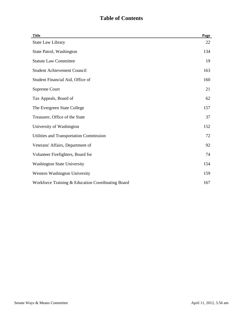| <b>Title</b>                                      | Page |
|---------------------------------------------------|------|
| <b>State Law Library</b>                          | 22   |
| State Patrol, Washington                          | 134  |
| <b>Statute Law Committee</b>                      | 19   |
| <b>Student Achievement Council</b>                | 163  |
| Student Financial Aid, Office of                  | 160  |
| Supreme Court                                     | 21   |
| Tax Appeals, Board of                             | 62   |
| The Evergreen State College                       | 157  |
| Treasurer, Office of the State                    | 37   |
| University of Washington                          | 152  |
| Utilities and Transportation Commission           | 72   |
| Veterans' Affairs, Department of                  | 92   |
| Volunteer Firefighters, Board for                 | 74   |
| <b>Washington State University</b>                | 154  |
| Western Washington University                     | 159  |
| Workforce Training & Education Coordinating Board | 167  |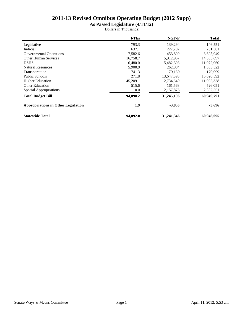**As Passed Legislature (4/11/12)**

|                                            | <b>FTEs</b> | NGF-P      | <b>Total</b> |
|--------------------------------------------|-------------|------------|--------------|
| Legislative                                | 793.3       | 139.294    | 146,551      |
| Judicial                                   | 637.1       | 222,202    | 281,381      |
| Governmental Operations                    | 7,582.6     | 453,899    | 3,695,949    |
| <b>Other Human Services</b>                | 16,758.7    | 5,912,967  | 14,505,697   |
| <b>DSHS</b>                                | 16,480.0    | 5,482,393  | 11,072,060   |
| <b>Natural Resources</b>                   | 5,900.9     | 262,804    | 1,503,522    |
| Transportation                             | 741.3       | 70.160     | 170,099      |
| <b>Public Schools</b>                      | 271.8       | 13,647,398 | 15,620,592   |
| <b>Higher Education</b>                    | 45,209.1    | 2,734,640  | 11,095,338   |
| <b>Other Education</b>                     | 515.6       | 161,563    | 526,051      |
| Special Appropriations                     | 0.0         | 2,157,876  | 2,332,551    |
| <b>Total Budget Bill</b>                   | 94,890.2    | 31,245,196 | 60,949,791   |
| <b>Appropriations in Other Legislation</b> | 1.9         | $-3,850$   | $-3,696$     |
| <b>Statewide Total</b>                     | 94,892.0    | 31,241,346 | 60,946,095   |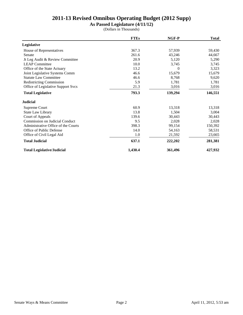**As Passed Legislature (4/11/12)**

|                                     | <b>FTEs</b> | NGF-P    | <b>Total</b> |
|-------------------------------------|-------------|----------|--------------|
| Legislative                         |             |          |              |
| House of Representatives            | 367.3       | 57,939   | 59,430       |
| Senate                              | 261.6       | 43,246   | 44,667       |
| Jt Leg Audit & Review Committee     | 20.9        | 5,120    | 5,290        |
| <b>LEAP</b> Committee               | 10.0        | 3,745    | 3,745        |
| Office of the State Actuary         | 13.2        | $\Omega$ | 3,323        |
| Joint Legislative Systems Comm      | 46.6        | 15,679   | 15,679       |
| <b>Statute Law Committee</b>        | 46.6        | 8,768    | 9,620        |
| <b>Redistricting Commission</b>     | 5.9         | 1,781    | 1,781        |
| Office of Legislative Support Svcs  | 21.3        | 3,016    | 3,016        |
| <b>Total Legislative</b>            | 793.3       | 139,294  | 146,551      |
| <b>Judicial</b>                     |             |          |              |
| Supreme Court                       | 60.9        | 13,318   | 13,318       |
| State Law Library                   | 13.8        | 1,504    | 3,004        |
| Court of Appeals                    | 139.6       | 30,443   | 30,443       |
| Commission on Judicial Conduct      | 9.5         | 2,028    | 2,028        |
| Administrative Office of the Courts | 398.3       | 99,154   | 150,392      |
| Office of Public Defense            | 14.0        | 54,163   | 58,531       |
| Office of Civil Legal Aid           | 1.0         | 21,592   | 23,665       |
| <b>Total Judicial</b>               | 637.1       | 222,202  | 281,381      |
| <b>Total Legislative/Judicial</b>   | 1,430.4     | 361,496  | 427,932      |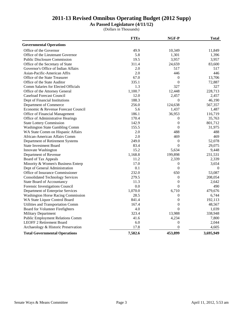**As Passed Legislature (4/11/12)**

|                                           | <b>FTEs</b> | NGF-P            | <b>Total</b> |
|-------------------------------------------|-------------|------------------|--------------|
| <b>Governmental Operations</b>            |             |                  |              |
| Office of the Governor                    | 49.9        | 10,349           | 11,849       |
| Office of the Lieutenant Governor         | 5.8         | 1,301            | 1,396        |
| <b>Public Disclosure Commission</b>       | 19.5        | 3,957            | 3,957        |
| Office of the Secretary of State          | 311.4       | 24,659           | 83,600       |
| Governor's Office of Indian Affairs       | 2.0         | 517              | 517          |
| Asian-Pacific-American Affrs              | 2.0         | 446              | 446          |
| Office of the State Treasurer             | 67.0        | $\boldsymbol{0}$ | 13,706       |
| Office of the State Auditor               | 335.1       | $\boldsymbol{0}$ | 72,887       |
| Comm Salaries for Elected Officials       | 1.3         | 327              | 327          |
| Office of the Attorney General            | 1,100.7     | 12,448           | 228,713      |
| <b>Caseload Forecast Council</b>          | 12.0        | 2,457            | 2,457        |
| Dept of Financial Institutions            | 188.3       | $\overline{0}$   | 46,190       |
| Department of Commerce                    | 256.0       | 124,638          | 567,357      |
| Economic & Revenue Forecast Council       | 5.6         | 1,437            | 1,487        |
| Office of Financial Management            | 186.1       | 36,953           | 116,719      |
| Office of Administrative Hearings         | 170.4       | $\theta$         | 35,763       |
| <b>State Lottery Commission</b>           | 142.9       | $\boldsymbol{0}$ | 801,712      |
| Washington State Gambling Comm            | 155.5       | $\boldsymbol{0}$ | 31,975       |
| WA State Comm on Hispanic Affairs         | 2.0         | 488              | 488          |
| African-American Affairs Comm             | 2.0         | 469              | 469          |
| Department of Retirement Systems          | 249.0       | $\overline{0}$   | 52,078       |
| <b>State Investment Board</b>             | 83.4        | $\mathbf{0}$     | 29,075       |
| Innovate Washington                       | 15.2        | 5,634            | 9,448        |
| Department of Revenue                     | 1,168.8     | 199,898          | 231,531      |
| Board of Tax Appeals                      | 11.2        | 2,339            | 2,339        |
| Minority & Women's Business Enterp        | 17.0        | 0                | 3,654        |
| Dept of General Administration            | 0.1         | $\boldsymbol{0}$ | $\mathbf{0}$ |
| Office of Insurance Commissioner          | 232.0       | 650              | 53,087       |
| <b>Consolidated Technology Services</b>   | 279.5       | $\boldsymbol{0}$ | 208,054      |
| <b>State Board of Accountancy</b>         | 11.3        | $\boldsymbol{0}$ | 2,642        |
| Forensic Investigations Council           | 0.0         | $\overline{0}$   | 490          |
| Department of Enterprise Services         | 1,070.0     | 6,710            | 479,676      |
| <b>Washington Horse Racing Commission</b> | 28.5        | 0                | 6,744        |
| WA State Liquor Control Board             | 841.4       | $\boldsymbol{0}$ | 192,113      |
| Utilities and Transportation Comm         | 167.4       | $\overline{0}$   | 48,567       |
| Board for Volunteer Firefighters          | 4.0         | $\boldsymbol{0}$ | 1,039        |
| <b>Military Department</b>                | 323.4       | 13,988           | 338,948      |
| <b>Public Employment Relations Comm</b>   | 41.6        | 4,234            | 7,800        |
| <b>LEOFF 2 Retirement Board</b>           | 6.0         | $\boldsymbol{0}$ | 2,044        |
| Archaeology & Historic Preservation       | 17.8        | $\mathbf{0}$     | 4,605        |
| <b>Total Governmental Operations</b>      | 7,582.6     | 453,899          | 3,695,949    |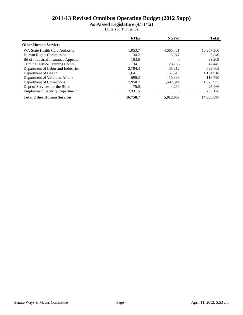**As Passed Legislature (4/11/12)**

|                                           | <b>FTEs</b> | NGF-P     | <b>Total</b> |
|-------------------------------------------|-------------|-----------|--------------|
| <b>Other Human Services</b>               |             |           |              |
| WA State Health Care Authority            | 1,053.7     | 4,065,481 | 10,207,360   |
| Human Rights Commission                   | 34.2        | 3.947     | 5,840        |
| <b>Bd of Industrial Insurance Appeals</b> | 163.8       | $\Omega$  | 39,209       |
| Criminal Justice Training Comm            | 34.1        | 28.736    | 42,445       |
| Department of Labor and Industries        | 2,784.4     | 35.312    | 632,608      |
| Department of Health                      | 1,641.1     | 157,518   | 1,104,918    |
| Department of Veterans' Affairs           | 690.3       | 15.339    | 116,790      |
| Department of Corrections                 | 7,950.7     | 1,602,344 | 1,625,935    |
| Dept of Services for the Blind            | 75.0        | 4.290     | 25,466       |
| <b>Employment Security Department</b>     | 2,331.5     |           | 705,126      |
| <b>Total Other Human Services</b>         | 16,758.7    | 5,912,967 | 14,505,697   |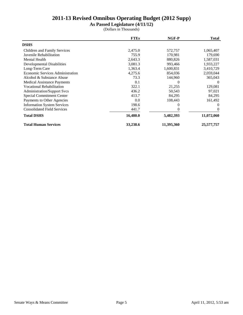**As Passed Legislature (4/11/12)**

|                                         | <b>FTEs</b> | NGF-P      | <b>Total</b> |
|-----------------------------------------|-------------|------------|--------------|
| <b>DSHS</b>                             |             |            |              |
| Children and Family Services            | 2,475.0     | 572,757    | 1,065,407    |
| Juvenile Rehabilitation                 | 755.9       | 170,981    | 179,690      |
| <b>Mental Health</b>                    | 2,643.3     | 880,826    | 1,587,031    |
| <b>Developmental Disabilities</b>       | 3,081.3     | 993,466    | 1,933,227    |
| Long-Term Care                          | 1,363.4     | 1,600,831  | 3,410,729    |
| <b>Economic Services Administration</b> | 4,275.6     | 854,036    | 2,059,044    |
| Alcohol & Substance Abuse               | 73.3        | 144,960    | 365,043      |
| <b>Medical Assistance Payments</b>      | 0.1         | $\Omega$   | $\Omega$     |
| <b>Vocational Rehabilitation</b>        | 322.1       | 21,255     | 129,081      |
| Administration/Support Svcs             | 436.2       | 50,543     | 97,021       |
| <b>Special Commitment Center</b>        | 413.7       | 84,295     | 84,295       |
| Payments to Other Agencies              | 0.0         | 108,443    | 161,492      |
| <b>Information System Services</b>      | 198.6       | 0          | $\Omega$     |
| <b>Consolidated Field Services</b>      | 441.7       |            | 0            |
| <b>Total DSHS</b>                       | 16,480.0    | 5,482,393  | 11,072,060   |
| <b>Total Human Services</b>             | 33,238.6    | 11,395,360 | 25,577,757   |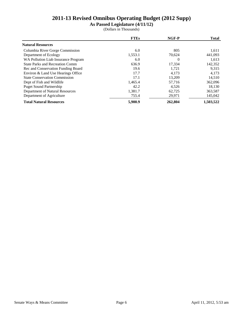**As Passed Legislature (4/11/12)**

|                                        | <b>FTEs</b> | NGF-P    | <b>Total</b> |
|----------------------------------------|-------------|----------|--------------|
| <b>Natural Resources</b>               |             |          |              |
| Columbia River Gorge Commission        | 6.0         | 805      | 1,611        |
| Department of Ecology                  | 1,553.1     | 70.624   | 441,093      |
| WA Pollution Liab Insurance Program    | 6.0         | $\theta$ | 1,613        |
| <b>State Parks and Recreation Comm</b> | 636.9       | 17,334   | 142,352      |
| Rec and Conservation Funding Board     | 19.6        | 1,721    | 9,315        |
| Environ & Land Use Hearings Office     | 17.7        | 4.173    | 4,173        |
| <b>State Conservation Commission</b>   | 17.1        | 13.209   | 14,510       |
| Dept of Fish and Wildlife              | 1,465.4     | 57,716   | 362,096      |
| <b>Puget Sound Partnership</b>         | 42.2        | 4,526    | 18,130       |
| Department of Natural Resources        | 1,381.7     | 62,725   | 363,587      |
| Department of Agriculture              | 755.4       | 29,971   | 145,042      |
| <b>Total Natural Resources</b>         | 5,900.9     | 262,804  | 1,503,522    |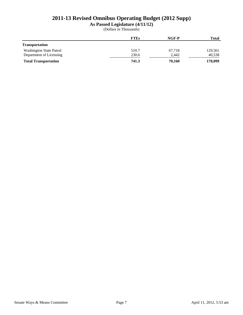**As Passed Legislature (4/11/12)**

|                                | <b>FTEs</b> | $NGF-P$ | <b>Total</b> |
|--------------------------------|-------------|---------|--------------|
| <b>Transportation</b>          |             |         |              |
| <b>Washington State Patrol</b> | 510.7       | 67,718  | 129,561      |
| Department of Licensing        | 230.6       | 2,442   | 40,538       |
| <b>Total Transportation</b>    | 741.3       | 70,160  | 170,099      |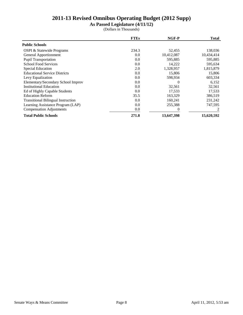**As Passed Legislature (4/11/12)**

|                                           | <b>FTEs</b> | NGF-P      | <b>Total</b> |
|-------------------------------------------|-------------|------------|--------------|
| <b>Public Schools</b>                     |             |            |              |
| OSPI & Statewide Programs                 | 234.3       | 52,455     | 138,036      |
| General Apportionment                     | 0.0         | 10,412,087 | 10,434,414   |
| Pupil Transportation                      | 0.0         | 595.885    | 595,885      |
| <b>School Food Services</b>               | 0.0         | 14,222     | 595,634      |
| <b>Special Education</b>                  | 2.0         | 1,328,957  | 1,815,879    |
| <b>Educational Service Districts</b>      | 0.0         | 15,806     | 15,806       |
| Levy Equalization                         | 0.0         | 598,934    | 603,334      |
| Elementary/Secondary School Improv        | 0.0         | $\Omega$   | 6,152        |
| <b>Institutional Education</b>            | 0.0         | 32,561     | 32,561       |
| Ed of Highly Capable Students             | 0.0         | 17,533     | 17,533       |
| <b>Education Reform</b>                   | 35.5        | 163,329    | 386,519      |
| <b>Transitional Bilingual Instruction</b> | 0.0         | 160,241    | 231,242      |
| Learning Assistance Program (LAP)         | 0.0         | 255,388    | 747,595      |
| <b>Compensation Adjustments</b>           | 0.0         | $\Omega$   |              |
| <b>Total Public Schools</b>               | 271.8       | 13,647,398 | 15,620,592   |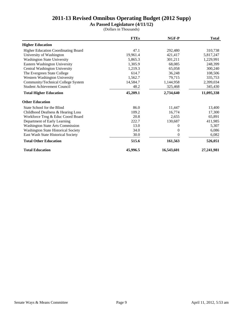**As Passed Legislature (4/11/12)**

|                                            | <b>FTEs</b> | NGF-P      | <b>Total</b> |
|--------------------------------------------|-------------|------------|--------------|
| <b>Higher Education</b>                    |             |            |              |
| <b>Higher Education Coordinating Board</b> | 47.1        | 292,480    | 310,738      |
| University of Washington                   | 19,961.4    | 421,417    | 5,817,247    |
| <b>Washington State University</b>         | 5,865.3     | 301,211    | 1,229,991    |
| Eastern Washington University              | 1,305.9     | 68,085     | 248,399      |
| Central Washington University              | 1,219.3     | 65,058     | 300,240      |
| The Evergreen State College                | 614.7       | 36,248     | 108,506      |
| Western Washington University              | 1,562.7     | 79,715     | 335,753      |
| Community/Technical College System         | 14,584.7    | 1,144,958  | 2,399,034    |
| <b>Student Achievement Council</b>         | 48.2        | 325,468    | 345,430      |
| <b>Total Higher Education</b>              | 45,209.1    | 2,734,640  | 11,095,338   |
| <b>Other Education</b>                     |             |            |              |
| State School for the Blind                 | 86.0        | 11,447     | 13,400       |
| Childhood Deafness & Hearing Loss          | 109.2       | 16,774     | 17,300       |
| Workforce Trng & Educ Coord Board          | 20.8        | 2,655      | 65,891       |
| Department of Early Learning               | 222.7       | 130,687    | 411,985      |
| <b>Washington State Arts Commission</b>    | 13.0        | $_{0}$     | 5,307        |
| <b>Washington State Historical Society</b> | 34.0        | 0          | 6,086        |
| East Wash State Historical Society         | 30.0        | 0          | 6,082        |
| <b>Total Other Education</b>               | 515.6       | 161,563    | 526,051      |
| <b>Total Education</b>                     | 45,996.5    | 16,543,601 | 27,241,981   |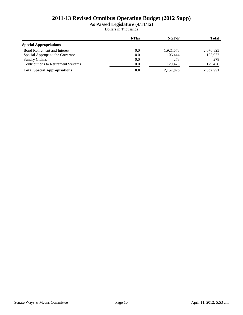**As Passed Legislature (4/11/12)**

|                                     | <b>FTEs</b> | NGF-P     | <b>Total</b> |
|-------------------------------------|-------------|-----------|--------------|
| <b>Special Appropriations</b>       |             |           |              |
| <b>Bond Retirement and Interest</b> | 0.0         | 1,921,678 | 2,076,825    |
| Special Approps to the Governor     | 0.0         | 106.444   | 125,972      |
| <b>Sundry Claims</b>                | 0.0         | 278       | 278          |
| Contributions to Retirement Systems | 0.0         | 129,476   | 129,476      |
| <b>Total Special Appropriations</b> | 0.0         | 2,157,876 | 2,332,551    |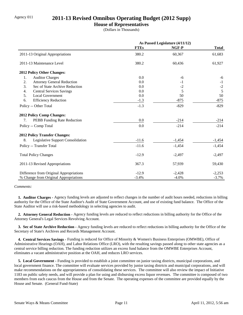## Agency 011 **2011-13 Revised Omnibus Operating Budget (2012 Supp)**

#### **House of Representatives**

(Dollars in Thousands)

|                                         | As Passed Legislature (4/11/12) |          |              |
|-----------------------------------------|---------------------------------|----------|--------------|
|                                         | <b>FTEs</b>                     | NGF-P    | <b>Total</b> |
| 2011-13 Original Appropriations         | 380.2                           | 60,367   | 61,683       |
| 2011-13 Maintenance Level               | 380.2                           | 60,436   | 61,927       |
| 2012 Policy Other Changes:              |                                 |          |              |
| <b>Auditor Charges</b><br>1.            | 0.0                             | -6       | -6           |
| 2.<br><b>Attorney General Reduction</b> | 0.0                             | $-1$     | $-1$         |
| 3.<br>Sec of State Archive Reduction    | 0.0                             | $-2$     | $-2$         |
| 4.<br><b>Central Services Savings</b>   | 0.0                             | 5        | 5            |
| 5.<br><b>Local Government</b>           | 0.0                             | 50       | 50           |
| 6.<br><b>Efficiency Reduction</b>       | $-1.3$                          | $-875$   | $-875$       |
| Policy -- Other Total                   | $-1.3$                          | $-829$   | $-829$       |
| 2012 Policy Comp Changes:               |                                 |          |              |
| PEBB Funding Rate Reduction<br>7.       | 0.0                             | $-214$   | $-214$       |
| Policy -- Comp Total                    | 0.0                             | $-214$   | $-214$       |
| <b>2012 Policy Transfer Changes:</b>    |                                 |          |              |
| Legislative Support Consolidation<br>8. | $-11.6$                         | $-1,454$ | $-1,454$     |
| Policy -- Transfer Total                | $-11.6$                         | $-1,454$ | $-1,454$     |
| <b>Total Policy Changes</b>             | $-12.9$                         | $-2,497$ | $-2,497$     |
| 2011-13 Revised Appropriations          | 367.3                           | 57,939   | 59,430       |
| Difference from Original Appropriations | $-12.9$                         | $-2,428$ | $-2,253$     |
| % Change from Original Appropriations   | $-3.4%$                         | $-4.0%$  | $-3.7%$      |

#### *Comments:*

 **1. Auditor Charges -** Agency funding levels are adjusted to reflect changes in the number of audit hours needed, reductions in billing authority for the Office of the State Auditor's Audit of State Government Account, and use of existing fund balance. The Office of the State Auditor will use a risk-based methodology in selecting agencies to audit.

 **2. Attorney General Reduction -** Agency funding levels are reduced to reflect reductions in billing authority for the Office of the Attorney General's Legal Services Revolving Account.

 **3. Sec of State Archive Reduction -** Agency funding levels are reduced to reflect reductions in billing authority for the Office of the Secretary of State's Archives and Records Management Account.

 **4. Central Services Savings -** Funding is reduced for Office of Minority & Women's Business Enterprises (OMWBE), Office of Administrative Hearings (OAH), and Labor Relations Office (LRO), with the resulting savings passed along to other state agencies as a central service billing reduction. The funding reduction utilizes an excess fund balance from the OMWBE Enterprises Account, eliminates a vacant administrative position at the OAH, and reduces LRO services.

 **5. Local Government -** Funding is provided to establish a joint committee on junior taxing districts, municipal corporations, and local government finance. The committee will evaluate services provided by junior taxing districts and municipal corporations, and will make recommendations on the appropriateness of consolidating these services. The committee will also review the impact of Initiative 1183 on public safety needs, and will provide a plan for using and disbursing excess liquor revenues. The committee is composed of two members from each caucus from the House and from the Senate. The operating expenses of the committee are provided equally by the House and Senate. (General Fund-State)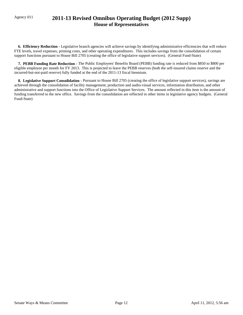## Agency 011 **2011-13 Revised Omnibus Operating Budget (2012 Supp) House of Representatives**

 **6. Efficiency Reduction -** Legislative branch agencies will achieve savings by identifying administrative efficiencies that will reduce FTE levels, travel expenses, printing costs, and other operating expenditures. This includes savings from the consolidation of certain support functions pursuant to House Bill 2705 (creating the office of legislative support services). (General Fund-State)

 **7. PEBB Funding Rate Reduction -** The Public Employees' Benefits Board (PEBB) funding rate is reduced from \$850 to \$800 per eligible employee per month for FY 2013. This is projected to leave the PEBB reserves (both the self-insured claims reserve and the incurred-but-not-paid reserve) fully funded at the end of the 2011-13 fiscal biennium.

 **8. Legislative Support Consolidation -** Pursuant to House Bill 2705 (creating the office of legislative support services), savings are achieved through the consolidation of facility management, production and audio-visual services, information distribution, and other administrative and support functions into the Office of Legislative Support Services. The amount reflected in this item is the amount of funding transferred to the new office. Savings from the consolidation are reflected in other items in legislative agency budgets. (General Fund-State)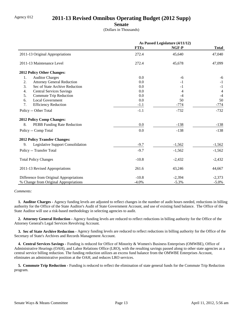## Agency 012 **2011-13 Revised Omnibus Operating Budget (2012 Supp)**

**Senate**

(Dollars in Thousands)

|                                         | As Passed Legislature (4/11/12) |          |              |
|-----------------------------------------|---------------------------------|----------|--------------|
|                                         | <b>FTEs</b>                     | NGF-P    | <b>Total</b> |
| 2011-13 Original Appropriations         | 272.4                           | 45,640   | 47,040       |
| 2011-13 Maintenance Level               | 272.4                           | 45,678   | 47,099       |
| 2012 Policy Other Changes:              |                                 |          |              |
| 1.<br><b>Auditor Charges</b>            | 0.0                             | -6       | $-6$         |
| 2.<br><b>Attorney General Reduction</b> | 0.0                             | $-1$     | $-1$         |
| 3.<br>Sec of State Archive Reduction    | 0.0                             | $-1$     | $-1$         |
| <b>Central Services Savings</b><br>4.   | 0.0                             | 4        | 4            |
| 5.<br>Commute Trip Reduction            | 0.0                             | -4       | $-4$         |
| 6.<br><b>Local Government</b>           | 0.0                             | 50       | 50           |
| 7.<br><b>Efficiency Reduction</b>       | $-1.1$                          | $-774$   | $-774$       |
| Policy -- Other Total                   | $-1.1$                          | $-732$   | $-732$       |
| <b>2012 Policy Comp Changes:</b>        |                                 |          |              |
| PEBB Funding Rate Reduction<br>8.       | 0.0                             | $-138$   | $-138$       |
| Policy -- Comp Total                    | 0.0                             | $-138$   | $-138$       |
| <b>2012 Policy Transfer Changes:</b>    |                                 |          |              |
| Legislative Support Consolidation<br>9. | $-9.7$                          | $-1,562$ | $-1,562$     |
| Policy -- Transfer Total                | $-9.7$                          | $-1,562$ | $-1,562$     |
| <b>Total Policy Changes</b>             | $-10.8$                         | $-2,432$ | $-2,432$     |
| 2011-13 Revised Appropriations          | 261.6                           | 43,246   | 44,667       |
| Difference from Original Appropriations | $-10.8$                         | $-2,394$ | $-2,373$     |
| % Change from Original Appropriations   | $-4.0%$                         | $-5.3%$  | $-5.0\%$     |

#### *Comments:*

 **1. Auditor Charges -** Agency funding levels are adjusted to reflect changes in the number of audit hours needed, reductions in billing authority for the Office of the State Auditor's Audit of State Government Account, and use of existing fund balance. The Office of the State Auditor will use a risk-based methodology in selecting agencies to audit.

 **2. Attorney General Reduction -** Agency funding levels are reduced to reflect reductions in billing authority for the Office of the Attorney General's Legal Services Revolving Account.

 **3. Sec of State Archive Reduction -** Agency funding levels are reduced to reflect reductions in billing authority for the Office of the Secretary of State's Archives and Records Management Account.

 **4. Central Services Savings -** Funding is reduced for Office of Minority & Women's Business Enterprises (OMWBE), Office of Administrative Hearings (OAH), and Labor Relations Office (LRO), with the resulting savings passed along to other state agencies as a central service billing reduction. The funding reduction utilizes an excess fund balance from the OMWBE Enterprises Account, eliminates an administrative position at the OAH, and reduces LRO services.

**5. Commute Trip Reduction -** Funding is reduced to reflect the elimination of state general funds for the Commute Trip Reduction program.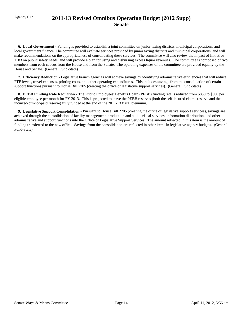## Agency 012 **2011-13 Revised Omnibus Operating Budget (2012 Supp) Senate**

 **6. Local Government -** Funding is provided to establish a joint committee on junior taxing districts, municipal corporations, and local government finance. The committee will evaluate services provided by junior taxing districts and municipal corporations, and will make recommendations on the appropriateness of consolidating these services. The committee will also review the impact of Initiative 1183 on public safety needs, and will provide a plan for using and disbursing excess liquor revenues. The committee is composed of two members from each caucus from the House and from the Senate. The operating expenses of the committee are provided equally by the House and Senate. (General Fund-State)

 **7. Efficiency Reduction -** Legislative branch agencies will achieve savings by identifying administrative efficiencies that will reduce FTE levels, travel expenses, printing costs, and other operating expenditures. This includes savings from the consolidation of certain support functions pursuant to House Bill 2705 (creating the office of legislative support services). (General Fund-State)

 **8. PEBB Funding Rate Reduction -** The Public Employees' Benefits Board (PEBB) funding rate is reduced from \$850 to \$800 per eligible employee per month for FY 2013. This is projected to leave the PEBB reserves (both the self-insured claims reserve and the incurred-but-not-paid reserve) fully funded at the end of the 2011-13 fiscal biennium.

 **9. Legislative Support Consolidation -** Pursuant to House Bill 2705 (creating the office of legislative support services), savings are achieved through the consolidation of facility management, production and audio-visual services, information distribution, and other administrative and support functions into the Office of Legislative Support Services. The amount reflected in this item is the amount of funding transferred to the new office. Savings from the consolidation are reflected in other items in legislative agency budgets. (General Fund-State)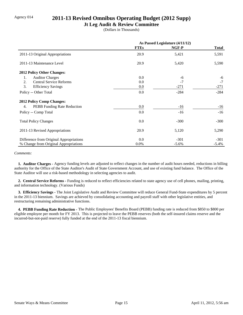#### Agency 014 **2011-13 Revised Omnibus Operating Budget (2012 Supp)**

#### **Jt Leg Audit & Review Committee**

(Dollars in Thousands)

|                                          | As Passed Legislature (4/11/12) |         |              |
|------------------------------------------|---------------------------------|---------|--------------|
|                                          | <b>FTEs</b>                     | NGF-P   | <b>Total</b> |
| 2011-13 Original Appropriations          | 20.9                            | 5,421   | 5,591        |
| 2011-13 Maintenance Level                | 20.9                            | 5,420   | 5,590        |
| 2012 Policy Other Changes:               |                                 |         |              |
| <b>Auditor Charges</b><br>1.             | 0.0                             | -6      | -6           |
| 2.<br><b>Central Service Reforms</b>     | 0.0                             | $-7$    | $-7$         |
| 3.<br><b>Efficiency Savings</b>          | $0.0\,$                         | $-271$  | $-271$       |
| Policy -- Other Total                    | 0.0                             | $-284$  | $-284$       |
| <b>2012 Policy Comp Changes:</b>         |                                 |         |              |
| <b>PEBB</b> Funding Rate Reduction<br>4. | 0.0                             | $-16$   | $-16$        |
| Policy -- Comp Total                     | 0.0                             | $-16$   | $-16$        |
| <b>Total Policy Changes</b>              | 0.0                             | $-300$  | $-300$       |
| 2011-13 Revised Appropriations           | 20.9                            | 5,120   | 5,290        |
| Difference from Original Appropriations  | 0.0                             | $-301$  | $-301$       |
| % Change from Original Appropriations    | $0.0\%$                         | $-5.6%$ | $-5.4\%$     |

#### *Comments:*

 **1. Auditor Charges -** Agency funding levels are adjusted to reflect changes in the number of audit hours needed, reductions in billing authority for the Office of the State Auditor's Audit of State Government Account, and use of existing fund balance. The Office of the State Auditor will use a risk-based methodology in selecting agencies to audit.

 **2. Central Service Reforms -** Funding is reduced to reflect efficiencies related to state agency use of cell phones, mailing, printing, and information technology. (Various Funds)

 **3. Efficiency Savings -** The Joint Legislative Audit and Review Committee will reduce General Fund-State expenditures by 5 percent in the 2011-13 biennium. Savings are achieved by consolidating accounting and payroll staff with other legislative entities, and restructuring remaining administrative functions.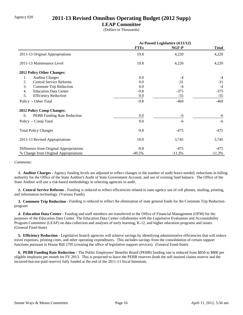## Agency 020 **2011-13 Revised Omnibus Operating Budget (2012 Supp)**

#### **LEAP Committee**

(Dollars in Thousands)

|                                         | As Passed Legislature (4/11/12) |          |              |
|-----------------------------------------|---------------------------------|----------|--------------|
|                                         | <b>FTEs</b>                     | NGF-P    | <b>Total</b> |
| 2011-13 Original Appropriations         | 19.8                            | 4,220    | 4,220        |
| 2011-13 Maintenance Level               | 19.8                            | 4,220    | 4,220        |
| <b>2012 Policy Other Changes:</b>       |                                 |          |              |
| <b>Auditor Charges</b><br>1.            | 0.0                             | $-4$     | $-4$         |
| <b>Central Service Reforms</b><br>2.    | 0.0                             | $-31$    | $-31$        |
| 3.<br>Commute Trip Reduction            | 0.0                             | $-4$     | $-4$         |
| 4.<br><b>Education Data Center</b>      | $-9.8$                          | $-375$   | $-375$       |
| 5.<br><b>Efficiency Reduction</b>       | 0.0                             | $-55$    | $-55$        |
| Policy -- Other Total                   | $-9.8$                          | $-469$   | $-469$       |
| <b>2012 Policy Comp Changes:</b>        |                                 |          |              |
| PEBB Funding Rate Reduction<br>6.       | 0.0                             | -6       | -6           |
| Policy -- Comp Total                    | 0.0                             | $-6$     | $-6$         |
| <b>Total Policy Changes</b>             | $-9.8$                          | $-475$   | $-475$       |
| 2011-13 Revised Appropriations          | 10.0                            | 3,745    | 3,745        |
| Difference from Original Appropriations | $-9.8$                          | $-475$   | $-475$       |
| % Change from Original Appropriations   | $-49.5%$                        | $-11.3%$ | $-11.3%$     |

#### *Comments:*

 **1. Auditor Charges -** Agency funding levels are adjusted to reflect changes in the number of audit hours needed, reductions in billing authority for the Office of the State Auditor's Audit of State Government Account, and use of existing fund balance. The Office of the State Auditor will use a risk-based methodology in selecting agencies to audit.

 **2. Central Service Reforms -** Funding is reduced to reflect efficiencies related to state agency use of cell phones, mailing, printing, and information technology. (Various Funds)

**3. Commute Trip Reduction -** Funding is reduced to reflect the elimination of state general funds for the Commute Trip Reduction program.

 **4. Education Data Center -** Funding and staff members are transferred to the Office of Financial Management (OFM) for the purposes of the Education Data Center. The Education Data Center collaborates with the Legislative Evaluation and Accountability Program Committee (LEAP) on data collection and analyses of early learning, K-12, and higher education programs and issues. (General Fund-State)

**5. Efficiency Reduction -** Legislative branch agencies will achieve savings by identifying administrative efficiencies that will reduce travel expenses, printing costs, and other operating expenditures. This includes savings from the consolidation of certain support functions pursuant to House Bill 2705 (creating the office of legislative support services). (General Fund-State)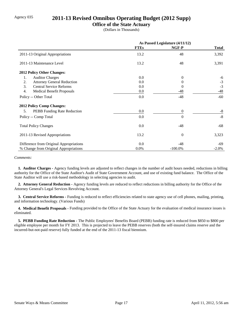## Agency 035 **2011-13 Revised Omnibus Operating Budget (2012 Supp)**

#### **Office of the State Actuary**

(Dollars in Thousands)

|                                         | As Passed Legislature (4/11/12) |                |              |
|-----------------------------------------|---------------------------------|----------------|--------------|
|                                         | <b>FTEs</b>                     | NGF-P          | <b>Total</b> |
| 2011-13 Original Appropriations         | 13.2                            | 48             | 3,392        |
| 2011-13 Maintenance Level               | 13.2                            | 48             | 3,391        |
| 2012 Policy Other Changes:              |                                 |                |              |
| <b>Auditor Charges</b><br>1.            | 0.0                             | $\theta$       | -6           |
| <b>Attorney General Reduction</b><br>2. | 0.0                             | 0              | $-3$         |
| 3.<br><b>Central Service Reforms</b>    | 0.0                             | $\theta$       | $-3$         |
| 4.<br><b>Medical Benefit Proposals</b>  | 0.0                             | -48            | $-48$        |
| Policy -- Other Total                   | 0.0                             | $-48$          | $-60$        |
| 2012 Policy Comp Changes:               |                                 |                |              |
| PEBB Funding Rate Reduction<br>5.       | 0.0                             | $\Omega$       | $-8$         |
| Policy -- Comp Total                    | 0.0                             | $\theta$       | $-8$         |
| <b>Total Policy Changes</b>             | 0.0                             | -48            | $-68$        |
| 2011-13 Revised Appropriations          | 13.2                            | $\overline{0}$ | 3,323        |
| Difference from Original Appropriations | 0.0                             | $-48$          | -69          |
| % Change from Original Appropriations   | 0.0%                            | $-100.0\%$     | $-2.0%$      |

#### *Comments:*

 **1. Auditor Charges -** Agency funding levels are adjusted to reflect changes in the number of audit hours needed, reductions in billing authority for the Office of the State Auditor's Audit of State Government Account, and use of existing fund balance. The Office of the State Auditor will use a risk-based methodology in selecting agencies to audit.

 **2. Attorney General Reduction -** Agency funding levels are reduced to reflect reductions in billing authority for the Office of the Attorney General's Legal Services Revolving Account.

 **3. Central Service Reforms -** Funding is reduced to reflect efficiencies related to state agency use of cell phones, mailing, printing, and information technology. (Various Funds)

 **4. Medical Benefit Proposals -** Funding provided to the Office of the State Actuary for the evaluation of medical insurance issues is eliminated.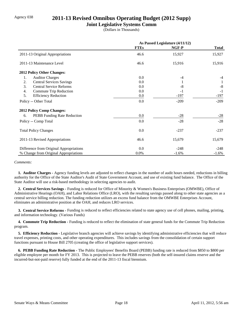## Agency 038 **2011-13 Revised Omnibus Operating Budget (2012 Supp)**

#### **Joint Legislative Systems Comm**

(Dollars in Thousands)

|                                         | As Passed Legislature (4/11/12) |         |              |
|-----------------------------------------|---------------------------------|---------|--------------|
|                                         | <b>FTEs</b>                     | NGF-P   | <b>Total</b> |
| 2011-13 Original Appropriations         | 46.6                            | 15,927  | 15,927       |
| 2011-13 Maintenance Level               | 46.6                            | 15,916  | 15,916       |
| 2012 Policy Other Changes:              |                                 |         |              |
| <b>Auditor Charges</b><br>1.            | 0.0                             | $-4$    | $-4$         |
| 2.<br><b>Central Services Savings</b>   | 0.0                             |         |              |
| 3.<br><b>Central Service Reforms</b>    | 0.0                             | $-8$    | $-8$         |
| Commute Trip Reduction<br>4.            | 0.0                             | $-1$    | $-1$         |
| 5.<br><b>Efficiency Reduction</b>       | 0.0                             | -197    | $-197$       |
| Policy -- Other Total                   | 0.0                             | $-209$  | $-209$       |
| <b>2012 Policy Comp Changes:</b>        |                                 |         |              |
| PEBB Funding Rate Reduction<br>6.       | 0.0                             | $-28$   | $-28$        |
| Policy -- Comp Total                    | 0.0                             | $-28$   | $-28$        |
| <b>Total Policy Changes</b>             | 0.0                             | $-237$  | $-237$       |
| 2011-13 Revised Appropriations          | 46.6                            | 15,679  | 15,679       |
| Difference from Original Appropriations | 0.0                             | $-248$  | $-248$       |
| % Change from Original Appropriations   | 0.0%                            | $-1.6%$ | $-1.6%$      |

#### *Comments:*

 **1. Auditor Charges -** Agency funding levels are adjusted to reflect changes in the number of audit hours needed, reductions in billing authority for the Office of the State Auditor's Audit of State Government Account, and use of existing fund balance. The Office of the State Auditor will use a risk-based methodology in selecting agencies to audit.

 **2. Central Services Savings -** Funding is reduced for Office of Minority & Women's Business Enterprises (OMWBE), Office of Administrative Hearings (OAH), and Labor Relations Office (LRO), with the resulting savings passed along to other state agencies as a central service billing reduction. The funding reduction utilizes an excess fund balance from the OMWBE Enterprises Account, eliminates an administrative position at the OAH, and reduces LRO services.

 **3. Central Service Reforms -** Funding is reduced to reflect efficiencies related to state agency use of cell phones, mailing, printing, and information technology. (Various Funds)

**4. Commute Trip Reduction - Funding is reduced to reflect the elimination of state general funds for the Commute Trip Reduction** program.

**5. Efficiency Reduction -** Legislative branch agencies will achieve savings by identifying administrative efficiencies that will reduce travel expenses, printing costs, and other operating expenditures. This includes savings from the consolidation of certain support functions pursuant to House Bill 2705 (creating the office of legislative support services).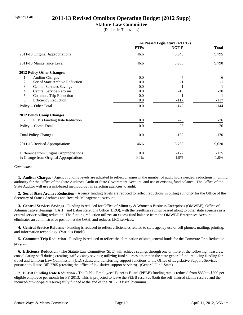#### Agency 040 **2011-13 Revised Omnibus Operating Budget (2012 Supp)**

#### **Statute Law Committee**

(Dollars in Thousands)

|                                         | As Passed Legislature (4/11/12) |         |              |
|-----------------------------------------|---------------------------------|---------|--------------|
|                                         | <b>FTEs</b>                     | NGF-P   | <b>Total</b> |
| 2011-13 Original Appropriations         | 46.6                            | 8,940   | 9,795        |
| 2011-13 Maintenance Level               | 46.6                            | 8,936   | 9,790        |
| <b>2012 Policy Other Changes:</b>       |                                 |         |              |
| <b>Auditor Charges</b><br>1.            | 0.0                             | $-5$    | -6           |
| Sec of State Archive Reduction<br>2.    | 0.0                             | $-1$    | $-1$         |
| 3.<br><b>Central Services Savings</b>   | 0.0                             |         | $\perp$      |
| <b>Central Service Reforms</b><br>4.    | 0.0                             | $-19$   | $-20$        |
| 5.<br>Commute Trip Reduction            | 0.0                             | $-1$    | $-1$         |
| 6.<br><b>Efficiency Reduction</b>       | 0.0                             | $-117$  | $-117$       |
| Policy -- Other Total                   | 0.0                             | $-142$  | $-144$       |
| 2012 Policy Comp Changes:               |                                 |         |              |
| PEBB Funding Rate Reduction<br>7.       | 0.0                             | $-26$   | $-26$        |
| Policy -- Comp Total                    | 0.0                             | $-26$   | $-26$        |
| <b>Total Policy Changes</b>             | 0.0                             | $-168$  | $-170$       |
| 2011-13 Revised Appropriations          | 46.6                            | 8,768   | 9,620        |
| Difference from Original Appropriations | 0.0                             | $-172$  | $-175$       |
| % Change from Original Appropriations   | 0.0%                            | $-1.9%$ | $-1.8%$      |

*Comments:*

 **1. Auditor Charges -** Agency funding levels are adjusted to reflect changes in the number of audit hours needed, reductions in billing authority for the Office of the State Auditor's Audit of State Government Account, and use of existing fund balance. The Office of the State Auditor will use a risk-based methodology in selecting agencies to audit.

 **2. Sec of State Archive Reduction -** Agency funding levels are reduced to reflect reductions in billing authority for the Office of the Secretary of State's Archives and Records Management Account.

 **3. Central Services Savings -** Funding is reduced for Office of Minority & Women's Business Enterprises (OMWBE), Office of Administrative Hearings (OAH), and Labor Relations Office (LRO), with the resulting savings passed along to other state agencies as a central service billing reduction. The funding reduction utilizes an excess fund balance from the OMWBE Enterprises Account, eliminates an administrative position at the OAH, and reduces LRO services.

 **4. Central Service Reforms -** Funding is reduced to reflect efficiencies related to state agency use of cell phones, mailing, printing, and information technology. (Various Funds)

**5. Commute Trip Reduction -** Funding is reduced to reflect the elimination of state general funds for the Commute Trip Reduction program.

 **6. Efficiency Reduction -** The Statute Law Committee (SLC) will achieve savings through one or more of the following measures: consolidating staff duties; creating staff vacancy savings; utilizing fund sources other than the state general fund; reducing funding for travel and Uniform Law Commission (ULC) dues; and transferring support functions to the Office of Legislative Support Services pursuant to House Bill 2705 (creating the office of legislative support services). (General Fund-State)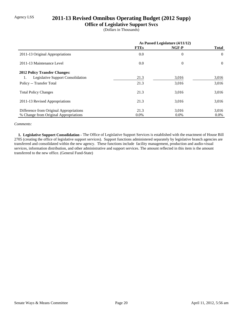## Agency LSS **2011-13 Revised Omnibus Operating Budget (2012 Supp)**

#### **Office of Legislative Support Svcs**

(Dollars in Thousands)

|                                                | As Passed Legislature (4/11/12) |                |              |
|------------------------------------------------|---------------------------------|----------------|--------------|
|                                                | <b>FTEs</b>                     | NGF-P          | <b>Total</b> |
| 2011-13 Original Appropriations                | 0.0                             | $\overline{0}$ | $\theta$     |
| 2011-13 Maintenance Level                      | 0.0                             | $\theta$       | $\Omega$     |
| <b>2012 Policy Transfer Changes:</b>           |                                 |                |              |
| <b>Legislative Support Consolidation</b><br>1. | 21.3                            | 3,016          | 3,016        |
| Policy -- Transfer Total                       | 21.3                            | 3,016          | 3,016        |
| <b>Total Policy Changes</b>                    | 21.3                            | 3,016          | 3,016        |
| 2011-13 Revised Appropriations                 | 21.3                            | 3,016          | 3,016        |
| Difference from Original Appropriations        | 21.3                            | 3,016          | 3,016        |
| % Change from Original Appropriations          | $0.0\%$                         | $0.0\%$        | $0.0\%$      |

#### *Comments:*

 **1. Legislative Support Consolidation -** The Office of Legislative Support Services is established with the enactment of House Bill 2705 (creating the office of legislative support services). Support functions administered separately by legislative branch agencies are transferred and consolidated within the new agency. These functions include facility management, production and audio-visual services, information distribution, and other administrative and support services. The amount reflected in this item is the amount transferred to the new office. (General Fund-State)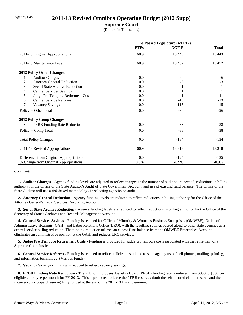## Agency 045 **2011-13 Revised Omnibus Operating Budget (2012 Supp)**

#### **Supreme Court**

(Dollars in Thousands)

|                                          | As Passed Legislature (4/11/12) |         |              |
|------------------------------------------|---------------------------------|---------|--------------|
|                                          | <b>FTEs</b>                     | NGF-P   | <b>Total</b> |
| 2011-13 Original Appropriations          | 60.9                            | 13,443  | 13,443       |
| 2011-13 Maintenance Level                | 60.9                            | 13,452  | 13,452       |
| 2012 Policy Other Changes:               |                                 |         |              |
| 1.<br><b>Auditor Charges</b>             | 0.0                             | $-6$    | -6           |
| 2.<br><b>Attorney General Reduction</b>  | 0.0                             | $-3$    | $-3$         |
| 3.<br>Sec of State Archive Reduction     | 0.0                             | $-1$    | $-1$         |
| <b>Central Services Savings</b><br>4.    | 0.0                             | -1      |              |
| 5.<br>Judge Pro Tempore Retirement Costs | 0.0                             | 41      | 41           |
| <b>Central Service Reforms</b><br>6.     | 0.0                             | $-13$   | $-13$        |
| 7.<br><b>Vacancy Savings</b>             | 0.0                             | $-115$  | $-115$       |
| Policy -- Other Total                    | 0.0                             | $-96$   | $-96$        |
| 2012 Policy Comp Changes:                |                                 |         |              |
| 8.<br>PEBB Funding Rate Reduction        | 0.0                             | $-38$   | $-38$        |
| Policy -- Comp Total                     | 0.0                             | $-38$   | $-38$        |
| <b>Total Policy Changes</b>              | 0.0                             | $-134$  | $-134$       |
| 2011-13 Revised Appropriations           | 60.9                            | 13,318  | 13,318       |
| Difference from Original Appropriations  | 0.0                             | $-125$  | $-125$       |
| % Change from Original Appropriations    | 0.0%                            | $-0.9%$ | $-0.9\%$     |

#### *Comments:*

 **1. Auditor Charges -** Agency funding levels are adjusted to reflect changes in the number of audit hours needed, reductions in billing authority for the Office of the State Auditor's Audit of State Government Account, and use of existing fund balance. The Office of the State Auditor will use a risk-based methodology in selecting agencies to audit.

 **2. Attorney General Reduction -** Agency funding levels are reduced to reflect reductions in billing authority for the Office of the Attorney General's Legal Services Revolving Account.

 **3. Sec of State Archive Reduction -** Agency funding levels are reduced to reflect reductions in billing authority for the Office of the Secretary of State's Archives and Records Management Account.

 **4. Central Services Savings -** Funding is reduced for Office of Minority & Women's Business Enterprises (OMWBE), Office of Administrative Hearings (OAH), and Labor Relations Office (LRO), with the resulting savings passed along to other state agencies as a central service billing reduction. The funding reduction utilizes an excess fund balance from the OMWBE Enterprises Account, eliminates an administrative position at the OAH, and reduces LRO services.

 **5. Judge Pro Tempore Retirement Costs -** Funding is provided for judge pro tempore costs associated with the retirement of a Supreme Court Justice.

 **6. Central Service Reforms -** Funding is reduced to reflect efficiencies related to state agency use of cell phones, mailing, printing, and information technology. (Various Funds)

 **7. Vacancy Savings -** Funding is reduced to reflect vacancy savings.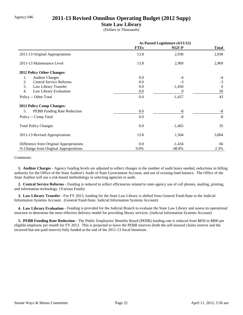### Agency 046 **2011-13 Revised Omnibus Operating Budget (2012 Supp)**

#### **State Law Library**

(Dollars in Thousands)

|                                          | As Passed Legislature (4/11/12) |          |                |
|------------------------------------------|---------------------------------|----------|----------------|
|                                          | <b>FTEs</b>                     | NGF-P    | <b>Total</b>   |
| 2011-13 Original Appropriations          | 13.8                            | 2,938    | 2,938          |
| 2011-13 Maintenance Level                | 13.8                            | 2,969    | 2,969          |
| 2012 Policy Other Changes:               |                                 |          |                |
| <b>Auditor Charges</b><br>1.             | $0.0\,$                         | $-4$     | -4             |
| <b>Central Service Reforms</b><br>2.     | 0.0                             | $-3$     | $-3$           |
| 3.<br>Law Library Transfer               | 0.0                             | $-1,450$ | $\overline{0}$ |
| 4.<br>Law Library Evaluation             | $0.0\,$                         | 0        | 50             |
| Policy -- Other Total                    | 0.0                             | $-1,457$ | 43             |
| 2012 Policy Comp Changes:                |                                 |          |                |
| <b>PEBB</b> Funding Rate Reduction<br>5. | 0.0                             | -8       | $-8$           |
| Policy -- Comp Total                     | 0.0                             | $-8$     | $-8$           |
| <b>Total Policy Changes</b>              | 0.0                             | $-1,465$ | 35             |
| 2011-13 Revised Appropriations           | 13.8                            | 1,504    | 3,004          |
| Difference from Original Appropriations  | 0.0                             | $-1,434$ | 66             |
| % Change from Original Appropriations    | 0.0%                            | $-48.8%$ | 2.3%           |

*Comments:*

 **1. Auditor Charges -** Agency funding levels are adjusted to reflect changes in the number of audit hours needed, reductions in billing authority for the Office of the State Auditor's Audit of State Government Account, and use of existing fund balance. The Office of the State Auditor will use a risk-based methodology in selecting agencies to audit.

 **2. Central Service Reforms -** Funding is reduced to reflect efficiencies related to state agency use of cell phones, mailing, printing, and information technology. (Various Funds)

 **3. Law Library Transfer -** For FY 2013, funding for the State Law Library is shifted from General Fund-State to the Judicial Information Systems Account. (General Fund-State, Judicial Information Systems Account)

 **4. Law Library Evaluation -** Funding is provided for the Judicial Branch to evaluate the State Law Library and assess its operational structure to determine the most effective delivery model for providing library services. (Judicial Information Systems Account)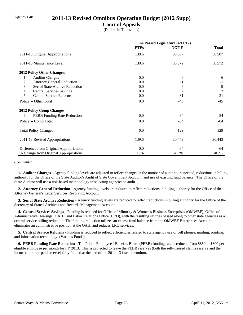## Agency 048 **2011-13 Revised Omnibus Operating Budget (2012 Supp)**

#### **Court of Appeals**

(Dollars in Thousands)

|                                         | As Passed Legislature (4/11/12) |         |                |
|-----------------------------------------|---------------------------------|---------|----------------|
|                                         | <b>FTEs</b>                     | NGF-P   | <b>Total</b>   |
| 2011-13 Original Appropriations         | 139.6                           | 30,507  | 30,507         |
| 2011-13 Maintenance Level               | 139.6                           | 30,572  | 30,572         |
| 2012 Policy Other Changes:              |                                 |         |                |
| 1.<br><b>Auditor Charges</b>            | 0.0                             | -6      | -6             |
| 2.<br><b>Attorney General Reduction</b> | 0.0                             | $-1$    | $-1$           |
| 3.<br>Sec of State Archive Reduction    | 0.0                             | -9      | $-9$           |
| <b>Central Services Savings</b><br>4.   | 0.0                             | 2       | $\overline{2}$ |
| <b>Central Service Reforms</b><br>5.    | 0.0                             | $-31$   | $-31$          |
| Policy -- Other Total                   | 0.0                             | $-45$   | $-45$          |
| <b>2012 Policy Comp Changes:</b>        |                                 |         |                |
| PEBB Funding Rate Reduction<br>6.       | 0.0                             | $-84$   | -84            |
| Policy -- Comp Total                    | 0.0                             | $-84$   | $-84$          |
| <b>Total Policy Changes</b>             | 0.0                             | $-129$  | $-129$         |
| 2011-13 Revised Appropriations          | 139.6                           | 30,443  | 30,443         |
| Difference from Original Appropriations | 0.0                             | -64     | -64            |
| % Change from Original Appropriations   | 0.0%                            | $-0.2%$ | $-0.2%$        |

#### *Comments:*

 **1. Auditor Charges -** Agency funding levels are adjusted to reflect changes in the number of audit hours needed, reductions in billing authority for the Office of the State Auditor's Audit of State Government Account, and use of existing fund balance. The Office of the State Auditor will use a risk-based methodology in selecting agencies to audit.

 **2. Attorney General Reduction -** Agency funding levels are reduced to reflect reductions in billing authority for the Office of the Attorney General's Legal Services Revolving Account.

 **3. Sec of State Archive Reduction -** Agency funding levels are reduced to reflect reductions in billing authority for the Office of the Secretary of State's Archives and Records Management Account.

 **4. Central Services Savings -** Funding is reduced for Office of Minority & Women's Business Enterprises (OMWBE), Office of Administrative Hearings (OAH), and Labor Relations Office (LRO), with the resulting savings passed along to other state agencies as a central service billing reduction. The funding reduction utilizes an excess fund balance from the OMWBE Enterprises Account, eliminates an administrative position at the OAH, and reduces LRO services.

 **5. Central Service Reforms -** Funding is reduced to reflect efficiencies related to state agency use of cell phones, mailing, printing, and information technology. (Various Funds)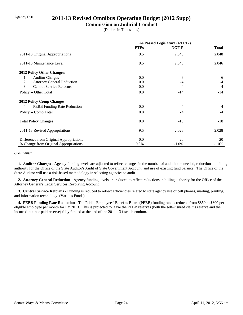## Agency 050 **2011-13 Revised Omnibus Operating Budget (2012 Supp)**

#### **Commission on Judicial Conduct**

(Dollars in Thousands)

|                                         | As Passed Legislature (4/11/12) |          |              |
|-----------------------------------------|---------------------------------|----------|--------------|
|                                         | <b>FTEs</b>                     | NGF-P    | <b>Total</b> |
| 2011-13 Original Appropriations         | 9.5                             | 2,048    | 2,048        |
| 2011-13 Maintenance Level               | 9.5                             | 2,046    | 2,046        |
| 2012 Policy Other Changes:              |                                 |          |              |
| <b>Auditor Charges</b><br>1.            | 0.0                             | -6       | -6           |
| 2.<br><b>Attorney General Reduction</b> | 0.0                             | -4       | $-4$         |
| 3.<br><b>Central Service Reforms</b>    | 0.0                             | $-4$     | $-4$         |
| Policy -- Other Total                   | 0.0                             | $-14$    | $-14$        |
| 2012 Policy Comp Changes:               |                                 |          |              |
| PEBB Funding Rate Reduction<br>4.       | 0.0                             | $-4$     | $-4$         |
| Policy -- Comp Total                    | 0.0                             | $-4$     | $-4$         |
| <b>Total Policy Changes</b>             | 0.0                             | $-18$    | $-18$        |
| 2011-13 Revised Appropriations          | 9.5                             | 2,028    | 2,028        |
| Difference from Original Appropriations | 0.0                             | $-20$    | $-20$        |
| % Change from Original Appropriations   | $0.0\%$                         | $-1.0\%$ | $-1.0\%$     |

#### *Comments:*

 **1. Auditor Charges -** Agency funding levels are adjusted to reflect changes in the number of audit hours needed, reductions in billing authority for the Office of the State Auditor's Audit of State Government Account, and use of existing fund balance. The Office of the State Auditor will use a risk-based methodology in selecting agencies to audit.

 **2. Attorney General Reduction -** Agency funding levels are reduced to reflect reductions in billing authority for the Office of the Attorney General's Legal Services Revolving Account.

 **3. Central Service Reforms -** Funding is reduced to reflect efficiencies related to state agency use of cell phones, mailing, printing, and information technology. (Various Funds)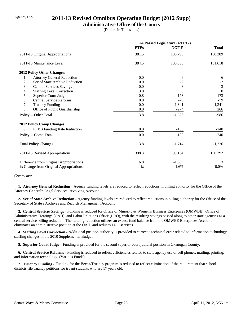## Agency 055 **2011-13 Revised Omnibus Operating Budget (2012 Supp)**

#### **Administrative Office of the Courts**

(Dollars in Thousands)

|                                         | As Passed Legislature (4/11/12) |          |                |
|-----------------------------------------|---------------------------------|----------|----------------|
|                                         | <b>FTEs</b>                     | NGF-P    | <b>Total</b>   |
| 2011-13 Original Appropriations         | 381.5                           | 100,793  | 150,389        |
| 2011-13 Maintenance Level               | 384.5                           | 100,868  | 151,618        |
| <b>2012 Policy Other Changes:</b>       |                                 |          |                |
| 1.<br><b>Attorney General Reduction</b> | 0.0                             | -6       | -6             |
| 2.<br>Sec of State Archive Reduction    | 0.0                             | $-2$     | $-2$           |
| 3.<br><b>Central Services Savings</b>   | 0.0                             | 3        | $\overline{3}$ |
| <b>Staffing Level Correction</b><br>4.  | 13.0                            | $\Omega$ | $\Omega$       |
| 5.<br><b>Superior Court Judge</b>       | 0.8                             | 173      | 173            |
| <b>Central Service Reforms</b><br>6.    | 0.0                             | $-79$    | $-79$          |
| 7.<br><b>Truancy Funding</b>            | 0.0                             | $-1,341$ | $-1,341$       |
| 8.<br>Office of Public Guardianship     | 0.0                             | $-274$   | 266            |
| Policy -- Other Total                   | 13.8                            | $-1,526$ | $-986$         |
| <b>2012 Policy Comp Changes:</b>        |                                 |          |                |
| 9.<br>PEBB Funding Rate Reduction       | 0.0                             | $-188$   | $-240$         |
| Policy -- Comp Total                    | 0.0                             | $-188$   | $-240$         |
| <b>Total Policy Changes</b>             | 13.8                            | $-1,714$ | $-1,226$       |
| 2011-13 Revised Appropriations          | 398.3                           | 99,154   | 150,392        |
| Difference from Original Appropriations | 16.8                            | $-1,639$ | 3              |
| % Change from Original Appropriations   | 4.4%                            | $-1.6%$  | 0.0%           |

#### *Comments:*

 **1. Attorney General Reduction -** Agency funding levels are reduced to reflect reductions in billing authority for the Office of the Attorney General's Legal Services Revolving Account.

 **2. Sec of State Archive Reduction -** Agency funding levels are reduced to reflect reductions in billing authority for the Office of the Secretary of State's Archives and Records Management Account.

 **3. Central Services Savings -** Funding is reduced for Office of Minority & Women's Business Enterprises (OMWBE), Office of Administrative Hearings (OAH), and Labor Relations Office (LRO), with the resulting savings passed along to other state agencies as a central service billing reduction. The funding reduction utilizes an excess fund balance from the OMWBE Enterprises Account, eliminates an administrative position at the OAH, and reduces LRO services.

 **4. Staffing Level Correction -** Additional position authority is provided to correct a technical error related to information technology staffing changes in the 2010 Supplemental Budget.

 **5. Superior Court Judge -** Funding is provided for the second superior court judicial position in Okanogan County.

 **6. Central Service Reforms -** Funding is reduced to reflect efficiencies related to state agency use of cell phones, mailing, printing, and information technology. (Various Funds)

 **7. Truancy Funding -** Funding for the Becca/Truancy program is reduced to reflect elimination of the requirement that school districts file truancy petitions for truant students who are 17 years old.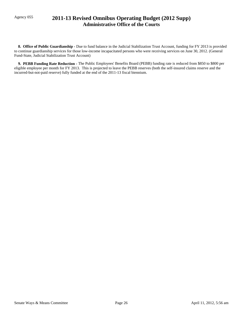## Agency 055 **2011-13 Revised Omnibus Operating Budget (2012 Supp) Administrative Office of the Courts**

 **8. Office of Public Guardianship -** Due to fund balance in the Judicial Stabilization Trust Account, funding for FY 2013 is provided to continue guardianship services for those low-income incapacitated persons who were receiving services on June 30, 2012. (General Fund-State, Judicial Stabilization Trust Account)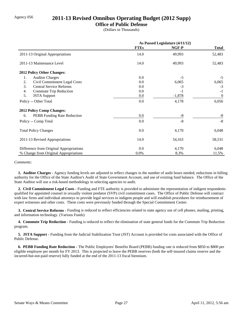#### Agency 056 **2011-13 Revised Omnibus Operating Budget (2012 Supp)**

#### **Office of Public Defense**

(Dollars in Thousands)

|                                         | As Passed Legislature (4/11/12) |          |                  |
|-----------------------------------------|---------------------------------|----------|------------------|
|                                         | <b>FTEs</b>                     | NGF-P    | <b>Total</b>     |
| 2011-13 Original Appropriations         | 14.0                            | 49,993   | 52,483           |
| 2011-13 Maintenance Level               | 14.0                            | 49,993   | 52,483           |
| 2012 Policy Other Changes:              |                                 |          |                  |
| <b>Auditor Charges</b><br>1.            | 0.0                             | $-5$     | $-5$             |
| Civil Commitment Legal Costs<br>2.      | 0.0                             | 6,065    | 6,065            |
| 3.<br><b>Central Service Reforms</b>    | 0.0                             | $-3$     | $-3$             |
| Commute Trip Reduction<br>4.            | 0.0                             | $-1$     | $-1$             |
| 5.<br><b>JSTA</b> Support               | 0.0                             | $-1,878$ | $\boldsymbol{0}$ |
| Policy -- Other Total                   | 0.0                             | 4,178    | 6,056            |
| <b>2012 Policy Comp Changes:</b>        |                                 |          |                  |
| PEBB Funding Rate Reduction<br>6.       | 0.0                             | $-8$     | $-8$             |
| Policy -- Comp Total                    | 0.0                             | $-8$     | $-8$             |
| <b>Total Policy Changes</b>             | 0.0                             | 4,170    | 6,048            |
| 2011-13 Revised Appropriations          | 14.0                            | 54,163   | 58,531           |
| Difference from Original Appropriations | 0.0                             | 4,170    | 6,048            |
| % Change from Original Appropriations   | 0.0%                            | 8.3%     | 11.5%            |

#### *Comments:*

 **1. Auditor Charges -** Agency funding levels are adjusted to reflect changes in the number of audit hours needed, reductions in billing authority for the Office of the State Auditor's Audit of State Government Account, and use of existing fund balance. The Office of the State Auditor will use a risk-based methodology in selecting agencies to audit.

 **2. Civil Commitment Legal Costs -** Funding and FTE authority is provided to administer the representation of indigent respondents qualified for appointed counsel in sexually violent predator (SVP) civil commitment cases. The Office of Public Defense will contract with law firms and individual attorneys to provide legal services to indigent people and will establish procedures for reimbursement of expert witnesses and other costs. These costs were previously funded through the Special Commitment Center.

 **3. Central Service Reforms -** Funding is reduced to reflect efficiencies related to state agency use of cell phones, mailing, printing, and information technology. (Various Funds)

**4. Commute Trip Reduction - Funding is reduced to reflect the elimination of state general funds for the Commute Trip Reduction** program.

 **5. JSTA Support -** Funding from the Judicial Stabilization Trust (JST) Account is provided for costs associated with the Office of Public Defense.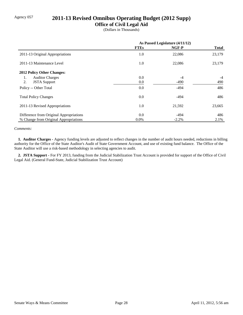## Agency 057 **2011-13 Revised Omnibus Operating Budget (2012 Supp)**

#### **Office of Civil Legal Aid**

(Dollars in Thousands)

|                                         | As Passed Legislature (4/11/12) |         |              |
|-----------------------------------------|---------------------------------|---------|--------------|
|                                         | <b>FTEs</b>                     | NGF-P   | <b>Total</b> |
| 2011-13 Original Appropriations         | 1.0                             | 22,086  | 23,179       |
| 2011-13 Maintenance Level               | 1.0                             | 22,086  | 23,179       |
| 2012 Policy Other Changes:              |                                 |         |              |
| <b>Auditor Charges</b><br>1.            | 0.0                             | $-4$    | $-4$         |
| 2.<br><b>JSTA</b> Support               | 0.0                             | $-490$  | 490          |
| Policy -- Other Total                   | 0.0                             | $-494$  | 486          |
| <b>Total Policy Changes</b>             | 0.0                             | $-494$  | 486          |
| 2011-13 Revised Appropriations          | 1.0                             | 21,592  | 23,665       |
| Difference from Original Appropriations | 0.0                             | $-494$  | 486          |
| % Change from Original Appropriations   | $0.0\%$                         | $-2.2%$ | 2.1%         |

#### *Comments:*

 **1. Auditor Charges -** Agency funding levels are adjusted to reflect changes in the number of audit hours needed, reductions in billing authority for the Office of the State Auditor's Audit of State Government Account, and use of existing fund balance. The Office of the State Auditor will use a risk-based methodology in selecting agencies to audit.

 **2. JSTA Support -** For FY 2013, funding from the Judicial Stabilization Trust Account is provided for support of the Office of Civil Legal Aid. (General Fund-State, Judicial Stabilization Trust Account)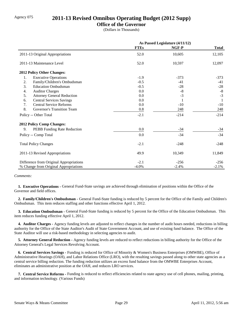## Agency 075 **2011-13 Revised Omnibus Operating Budget (2012 Supp)**

#### **Office of the Governor**

(Dollars in Thousands)

|                                         | As Passed Legislature (4/11/12) |         |              |
|-----------------------------------------|---------------------------------|---------|--------------|
|                                         | <b>FTEs</b>                     | NGF-P   | <b>Total</b> |
| 2011-13 Original Appropriations         | 52.0                            | 10,605  | 12,105       |
| 2011-13 Maintenance Level               | 52.0                            | 10,597  | 12,097       |
| 2012 Policy Other Changes:              |                                 |         |              |
| 1.<br><b>Executive Operations</b>       | $-1.9$                          | $-373$  | $-373$       |
| 2.<br>Family/Children's Ombudsman       | $-0.5$                          | $-41$   | $-41$        |
| 3.<br><b>Education Ombudsman</b>        | $-0.5$                          | $-28$   | $-28$        |
| <b>Auditor Charges</b><br>4.            | 0.0                             | $-8$    | $\mbox{-}8$  |
| 5.<br><b>Attorney General Reduction</b> | 0.0                             | $-3$    | $-3$         |
| <b>Central Services Savings</b><br>6.   | 0.0                             | 1       |              |
| 7.<br><b>Central Service Reforms</b>    | 0.0                             | $-10$   | $-10$        |
| 8.<br>Governor's Transition Team        | 0.8                             | 248     | 248          |
| Policy -- Other Total                   | $-2.1$                          | $-214$  | $-214$       |
| 2012 Policy Comp Changes:               |                                 |         |              |
| 9.<br>PEBB Funding Rate Reduction       | 0.0                             | $-34$   | $-34$        |
| Policy -- Comp Total                    | 0.0                             | $-34$   | $-34$        |
| <b>Total Policy Changes</b>             | $-2.1$                          | $-248$  | $-248$       |
| 2011-13 Revised Appropriations          | 49.9                            | 10,349  | 11,849       |
| Difference from Original Appropriations | $-2.1$                          | $-256$  | $-256$       |
| % Change from Original Appropriations   | $-4.0\%$                        | $-2.4%$ | $-2.1%$      |

#### *Comments:*

 **1. Executive Operations -** General Fund-State savings are achieved through elimination of positions within the Office of the Governor and field offices.

 **2. Family/Children's Ombudsman -** General Fund-State funding is reduced by 5 percent for the Office of the Family and Children's Ombudsman. This item reduces staffing and other functions effective April 1, 2012.

 **3. Education Ombudsman -** General Fund-State funding is reduced by 5 percent for the Office of the Education Ombudsman. This item reduces funding effective April 1, 2012.

 **4. Auditor Charges -** Agency funding levels are adjusted to reflect changes in the number of audit hours needed, reductions in billing authority for the Office of the State Auditor's Audit of State Government Account, and use of existing fund balance. The Office of the State Auditor will use a risk-based methodology in selecting agencies to audit.

 **5. Attorney General Reduction -** Agency funding levels are reduced to reflect reductions in billing authority for the Office of the Attorney General's Legal Services Revolving Account.

 **6. Central Services Savings -** Funding is reduced for Office of Minority & Women's Business Enterprises (OMWBE), Office of Administrative Hearings (OAH), and Labor Relations Office (LRO), with the resulting savings passed along to other state agencies as a central service billing reduction. The funding reduction utilizes an excess fund balance from the OMWBE Enterprises Account, eliminates an administrative position at the OAH, and reduces LRO services.

 **7. Central Service Reforms -** Funding is reduced to reflect efficiencies related to state agency use of cell phones, mailing, printing, and information technology. (Various Funds)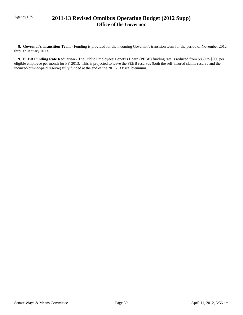## Agency 075 **2011-13 Revised Omnibus Operating Budget (2012 Supp) Office of the Governor**

 **8. Governor's Transition Team -** Funding is provided for the incoming Governor's transition team for the period of November 2012 through January 2013.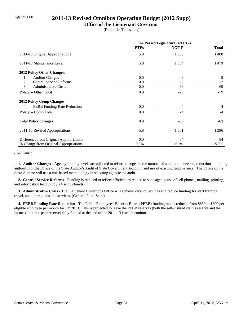## Agency 080 **2011-13 Revised Omnibus Operating Budget (2012 Supp)**

### **Office of the Lieutenant Governor**

(Dollars in Thousands)

|                                         | As Passed Legislature (4/11/12) |         |              |
|-----------------------------------------|---------------------------------|---------|--------------|
|                                         | <b>FTEs</b>                     | NGF-P   | <b>Total</b> |
| 2011-13 Original Appropriations         | 5.8                             | 1,385   | 1,480        |
| 2011-13 Maintenance Level               | 5.8                             | 1,384   | 1,479        |
| 2012 Policy Other Changes:              |                                 |         |              |
| <b>Auditor Charges</b><br>1.            | 0.0                             | $-8$    | $-8$         |
| <b>Central Service Reforms</b><br>2.    | 0.0                             | $-2$    | $-2$         |
| 3.<br><b>Administrative Costs</b>       | 0.0                             | -69     | -69          |
| Policy -- Other Total                   | 0.0                             | $-79$   | $-79$        |
| 2012 Policy Comp Changes:               |                                 |         |              |
| PEBB Funding Rate Reduction<br>4.       | 0.0                             | $-4$    | $-4$         |
| Policy -- Comp Total                    | 0.0                             | $-4$    | $-4$         |
| <b>Total Policy Changes</b>             | 0.0                             | $-83$   | $-83$        |
| 2011-13 Revised Appropriations          | 5.8                             | 1,301   | 1,396        |
| Difference from Original Appropriations | 0.0                             | -84     | -84          |
| % Change from Original Appropriations   | $0.0\%$                         | $-6.1%$ | $-5.7\%$     |

*Comments:*

 **1. Auditor Charges -** Agency funding levels are adjusted to reflect changes in the number of audit hours needed, reductions in billing authority for the Office of the State Auditor's Audit of State Government Account, and use of existing fund balance. The Office of the State Auditor will use a risk-based methodology in selecting agencies to audit.

 **2. Central Service Reforms -** Funding is reduced to reflect efficiencies related to state agency use of cell phones, mailing, printing, and information technology. (Various Funds)

 **3. Administrative Costs -** The Lieutenant Governor's Office will achieve vacancy savings and reduce funding for staff training, travel, and other goods and services. (General Fund-State)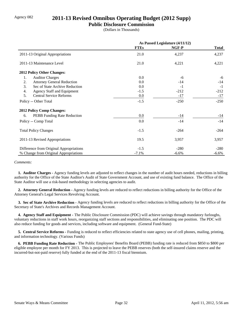## Agency 082 **2011-13 Revised Omnibus Operating Budget (2012 Supp)**

#### **Public Disclosure Commission**

(Dollars in Thousands)

|                                         | As Passed Legislature (4/11/12) |         |              |
|-----------------------------------------|---------------------------------|---------|--------------|
|                                         | <b>FTEs</b>                     | NGF-P   | <b>Total</b> |
| 2011-13 Original Appropriations         | 21.0                            | 4,237   | 4,237        |
| 2011-13 Maintenance Level               | 21.0                            | 4,221   | 4,221        |
| <b>2012 Policy Other Changes:</b>       |                                 |         |              |
| <b>Auditor Charges</b><br>1.            | 0.0                             | $-6$    | -6           |
| 2.<br><b>Attorney General Reduction</b> | 0.0                             | $-14$   | $-14$        |
| 3.<br>Sec of State Archive Reduction    | 0.0                             | $-1$    | $-1$         |
| 4.<br><b>Agency Staff and Equipment</b> | $-1.5$                          | $-212$  | $-212$       |
| 5.<br><b>Central Service Reforms</b>    | 0.0                             | $-17$   | $-17$        |
| Policy -- Other Total                   | $-1.5$                          | $-250$  | $-250$       |
| <b>2012 Policy Comp Changes:</b>        |                                 |         |              |
| PEBB Funding Rate Reduction<br>6.       | 0.0                             | $-14$   | $-14$        |
| Policy -- Comp Total                    | 0.0                             | $-14$   | $-14$        |
| <b>Total Policy Changes</b>             | $-1.5$                          | $-264$  | $-264$       |
| 2011-13 Revised Appropriations          | 19.5                            | 3,957   | 3,957        |
| Difference from Original Appropriations | $-1.5$                          | $-280$  | $-280$       |
| % Change from Original Appropriations   | $-7.1%$                         | $-6.6%$ | $-6.6%$      |

#### *Comments:*

 **1. Auditor Charges -** Agency funding levels are adjusted to reflect changes in the number of audit hours needed, reductions in billing authority for the Office of the State Auditor's Audit of State Government Account, and use of existing fund balance. The Office of the State Auditor will use a risk-based methodology in selecting agencies to audit.

 **2. Attorney General Reduction -** Agency funding levels are reduced to reflect reductions in billing authority for the Office of the Attorney General's Legal Services Revolving Account.

 **3. Sec of State Archive Reduction -** Agency funding levels are reduced to reflect reductions in billing authority for the Office of the Secretary of State's Archives and Records Management Account.

 **4. Agency Staff and Equipment -** The Public Disclosure Commission (PDC) will achieve savings through mandatory furloughs, voluntary reductions in staff work hours, reorganizing staff sections and responsibilities, and eliminating one position. The PDC will also reduce funding for goods and services, including software and equipment. (General Fund-State)

 **5. Central Service Reforms -** Funding is reduced to reflect efficiencies related to state agency use of cell phones, mailing, printing, and information technology. (Various Funds)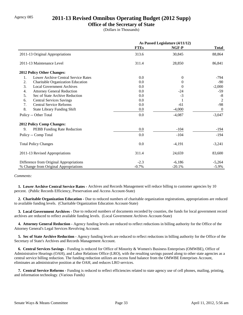## Agency 085 **2011-13 Revised Omnibus Operating Budget (2012 Supp)**

### **Office of the Secretary of State**

(Dollars in Thousands)

|                                           | As Passed Legislature (4/11/12) |          |                  |
|-------------------------------------------|---------------------------------|----------|------------------|
|                                           | <b>FTEs</b>                     | NGF-P    | <b>Total</b>     |
| 2011-13 Original Appropriations           | 313.6                           | 30,845   | 88,864           |
| 2011-13 Maintenance Level                 | 311.4                           | 28,850   | 86,841           |
| 2012 Policy Other Changes:                |                                 |          |                  |
| Lower Archive Central Service Rates<br>1. | 0.0                             | $\theta$ | -794             |
| 2.<br>Charitable Organization Education   | 0.0                             | 0        | $-90$            |
| 3.<br><b>Local Government Archives</b>    | 0.0                             | $\Omega$ | $-2,000$         |
| <b>Attorney General Reduction</b><br>4.   | 0.0                             | -24      | $-59$            |
| 5.<br>Sec of State Archive Reduction      | 0.0                             | $-3$     | $-8$             |
| <b>Central Services Savings</b><br>6.     | 0.0                             |          | $\overline{2}$   |
| 7.<br><b>Central Service Reforms</b>      | 0.0                             | $-61$    | $-98$            |
| 8.<br><b>State Library Funding Shift</b>  | 0.0                             | $-4,000$ | $\boldsymbol{0}$ |
| Policy -- Other Total                     | 0.0                             | $-4,087$ | $-3,047$         |
| <b>2012 Policy Comp Changes:</b>          |                                 |          |                  |
| 9.<br>PEBB Funding Rate Reduction         | 0.0                             | $-104$   | $-194$           |
| Policy -- Comp Total                      | 0.0                             | $-104$   | $-194$           |
| <b>Total Policy Changes</b>               | 0.0                             | $-4,191$ | $-3,241$         |
| 2011-13 Revised Appropriations            | 311.4                           | 24,659   | 83,600           |
| Difference from Original Appropriations   | $-2.3$                          | $-6,186$ | $-5,264$         |
| % Change from Original Appropriations     | $-0.7%$                         | $-20.1%$ | $-5.9\%$         |

#### *Comments:*

 **1. Lower Archive Central Service Rates -** Archives and Records Management will reduce billing to customer agencies by 10 percent. (Public Records Efficiency, Preservation and Access Account-State)

 **2. Charitable Organization Education -** Due to reduced numbers of charitable organization registrations, appropriations are reduced to available funding levels. (Charitable Organization Education Account-State)

 **3. Local Government Archives -** Due to reduced numbers of documents recorded by counties, the funds for local government record archives are reduced to reflect available funding levels. (Local Government Archives Account-State)

 **4. Attorney General Reduction -** Agency funding levels are reduced to reflect reductions in billing authority for the Office of the Attorney General's Legal Services Revolving Account.

 **5. Sec of State Archive Reduction -** Agency funding levels are reduced to reflect reductions in billing authority for the Office of the Secretary of State's Archives and Records Management Account.

 **6. Central Services Savings -** Funding is reduced for Office of Minority & Women's Business Enterprises (OMWBE), Office of Administrative Hearings (OAH), and Labor Relations Office (LRO), with the resulting savings passed along to other state agencies as a central service billing reduction. The funding reduction utilizes an excess fund balance from the OMWBE Enterprises Account, eliminates an administrative position at the OAH, and reduces LRO services.

 **7. Central Service Reforms -** Funding is reduced to reflect efficiencies related to state agency use of cell phones, mailing, printing, and information technology. (Various Funds)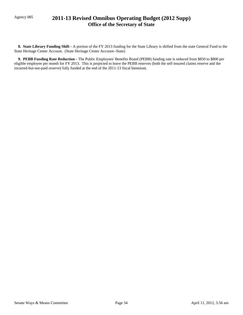## Agency 085 **2011-13 Revised Omnibus Operating Budget (2012 Supp) Office of the Secretary of State**

 **8. State Library Funding Shift -** A portion of the FY 2013 funding for the State Library is shifted from the state General Fund to the State Heritage Center Account. (State Heritage Center Account--State)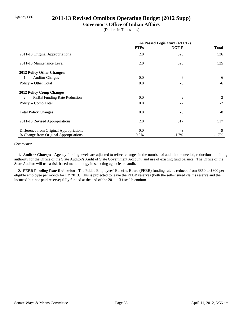## Agency 086 **2011-13 Revised Omnibus Operating Budget (2012 Supp)**

### **Governor's Office of Indian Affairs**

(Dollars in Thousands)

|                                         | As Passed Legislature (4/11/12) |          |              |
|-----------------------------------------|---------------------------------|----------|--------------|
|                                         | <b>FTEs</b>                     | NGF-P    | <b>Total</b> |
| 2011-13 Original Appropriations         | 2.0                             | 526      | 526          |
| 2011-13 Maintenance Level               | 2.0                             | 525      | 525          |
| 2012 Policy Other Changes:              |                                 |          |              |
| <b>Auditor Charges</b><br>1.            | $0.0\,$                         | -6       | -6           |
| Policy -- Other Total                   | 0.0                             | -6       | $-6$         |
| <b>2012 Policy Comp Changes:</b>        |                                 |          |              |
| PEBB Funding Rate Reduction<br>2.       | 0.0                             | $-2$     | $-2$         |
| Policy -- Comp Total                    | 0.0                             | $-2$     | $-2$         |
| <b>Total Policy Changes</b>             | 0.0                             | $-8$     | $-8$         |
| 2011-13 Revised Appropriations          | 2.0                             | 517      | 517          |
| Difference from Original Appropriations | 0.0                             | $-9$     | -9           |
| % Change from Original Appropriations   | 0.0%                            | $-1.7\%$ | $-1.7\%$     |

#### *Comments:*

 **1. Auditor Charges -** Agency funding levels are adjusted to reflect changes in the number of audit hours needed, reductions in billing authority for the Office of the State Auditor's Audit of State Government Account, and use of existing fund balance. The Office of the State Auditor will use a risk-based methodology in selecting agencies to audit.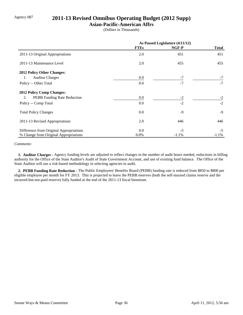## Agency 087 **2011-13 Revised Omnibus Operating Budget (2012 Supp)**

### **Asian-Pacific-American Affrs**

(Dollars in Thousands)

|                                         | As Passed Legislature (4/11/12) |         |          |
|-----------------------------------------|---------------------------------|---------|----------|
|                                         | <b>FTEs</b>                     | NGF-P   | Total    |
| 2011-13 Original Appropriations         | 2.0                             | 451     | 451      |
| 2011-13 Maintenance Level               | 2.0                             | 455     | 455      |
| 2012 Policy Other Changes:              |                                 |         |          |
| <b>Auditor Charges</b><br>1.            | 0.0                             | $-7$    | $-7$     |
| Policy -- Other Total                   | 0.0                             | $-7$    | $-7$     |
| <b>2012 Policy Comp Changes:</b>        |                                 |         |          |
| PEBB Funding Rate Reduction<br>2.       | 0.0                             | $-2$    | $-2$     |
| Policy -- Comp Total                    | 0.0                             | $-2$    | $-2$     |
| <b>Total Policy Changes</b>             | 0.0                             | $-9$    | $-9$     |
| 2011-13 Revised Appropriations          | 2.0                             | 446     | 446      |
| Difference from Original Appropriations | 0.0                             | $-5$    | $-5$     |
| % Change from Original Appropriations   | $0.0\%$                         | $-1.1%$ | $-1.1\%$ |

#### *Comments:*

 **1. Auditor Charges -** Agency funding levels are adjusted to reflect changes in the number of audit hours needed, reductions in billing authority for the Office of the State Auditor's Audit of State Government Account, and use of existing fund balance. The Office of the State Auditor will use a risk-based methodology in selecting agencies to audit.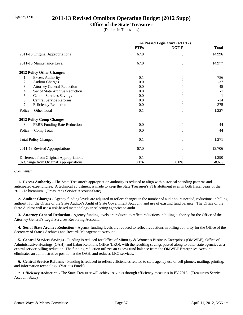## Agency 090 **2011-13 Revised Omnibus Operating Budget (2012 Supp)**

### **Office of the State Treasurer**

(Dollars in Thousands)

|                                          | As Passed Legislature (4/11/12) |                  |              |
|------------------------------------------|---------------------------------|------------------|--------------|
|                                          | <b>FTEs</b>                     | NGF-P            | <b>Total</b> |
| 2011-13 Original Appropriations          | 67.0                            | $\boldsymbol{0}$ | 14,996       |
| 2011-13 Maintenance Level                | 67.0                            | $\overline{0}$   | 14,977       |
| <b>2012 Policy Other Changes:</b>        |                                 |                  |              |
| 1.<br><b>Excess Authority</b>            | 0.1                             | $\Omega$         | $-756$       |
| <b>Auditor Charges</b><br>2.             | 0.0                             |                  | $-37$        |
| 3.<br><b>Attorney General Reduction</b>  | 0.0                             |                  | $-45$        |
| Sec of State Archive Reduction<br>4.     | 0.0                             |                  | $-1$         |
| 5.<br><b>Central Services Savings</b>    | 0.0                             |                  |              |
| <b>Central Service Reforms</b><br>6.     | 0.0                             | 0                | $-14$        |
| 7.<br><b>Efficiency Reduction</b>        | 0.0                             | 0                | $-375$       |
| Policy -- Other Total                    | 0.1                             | $\overline{0}$   | $-1,227$     |
| <b>2012 Policy Comp Changes:</b>         |                                 |                  |              |
| 8.<br><b>PEBB</b> Funding Rate Reduction | $0.0\,$                         | $\boldsymbol{0}$ | -44          |
| Policy -- Comp Total                     | 0.0                             | $\Omega$         | $-44$        |
| <b>Total Policy Changes</b>              | 0.1                             | $\overline{0}$   | $-1,271$     |
| 2011-13 Revised Appropriations           | 67.0                            | $\Omega$         | 13,706       |
| Difference from Original Appropriations  | 0.1                             | $\Omega$         | $-1,290$     |
| % Change from Original Appropriations    | 0.1%                            | 0.0%             | $-8.6\%$     |

#### *Comments:*

 **1. Excess Authority -** The State Treasurer's appropriation authority is reduced to align with historical spending patterns and anticipated expenditures. A technical adjustment is made to keep the State Treasurer's FTE alottment even in both fiscal years of the 2011-13 biennium. (Treasurer's Service Account-State)

 **2. Auditor Charges -** Agency funding levels are adjusted to reflect changes in the number of audit hours needed, reductions in billing authority for the Office of the State Auditor's Audit of State Government Account, and use of existing fund balance. The Office of the State Auditor will use a risk-based methodology in selecting agencies to audit.

 **3. Attorney General Reduction -** Agency funding levels are reduced to reflect reductions in billing authority for the Office of the Attorney General's Legal Services Revolving Account.

 **4. Sec of State Archive Reduction -** Agency funding levels are reduced to reflect reductions in billing authority for the Office of the Secretary of State's Archives and Records Management Account.

 **5. Central Services Savings -** Funding is reduced for Office of Minority & Women's Business Enterprises (OMWBE), Office of Administrative Hearings (OAH), and Labor Relations Office (LRO), with the resulting savings passed along to other state agencies as a central service billing reduction. The funding reduction utilizes an excess fund balance from the OMWBE Enterprises Account, eliminates an administrative position at the OAH, and reduces LRO services.

 **6. Central Service Reforms -** Funding is reduced to reflect efficiencies related to state agency use of cell phones, mailing, printing, and information technology. (Various Funds)

 **7. Efficiency Reduction -** The State Treasurer will achieve savings through efficiency measures in FY 2013. (Treasurer's Service Account-State)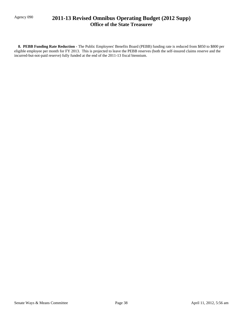## Agency 090 **2011-13 Revised Omnibus Operating Budget (2012 Supp) Office of the State Treasurer**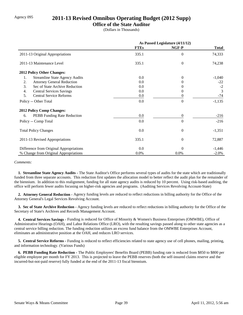## Agency 095 **2011-13 Revised Omnibus Operating Budget (2012 Supp)**

### **Office of the State Auditor**

(Dollars in Thousands)

|                                             | As Passed Legislature (4/11/12) |          |              |
|---------------------------------------------|---------------------------------|----------|--------------|
|                                             | <b>FTEs</b>                     | NGF-P    | <b>Total</b> |
| 2011-13 Original Appropriations             | 335.1                           | $\Omega$ | 74,333       |
| 2011-13 Maintenance Level                   | 335.1                           | $\theta$ | 74,238       |
| 2012 Policy Other Changes:                  |                                 |          |              |
| <b>Streamline State Agency Audits</b><br>1. | 0.0                             | $\Omega$ | $-1,040$     |
| 2.<br><b>Attorney General Reduction</b>     | 0.0                             |          | $-22$        |
| 3.<br>Sec of State Archive Reduction        | 0.0                             | 0        | $-2$         |
| <b>Central Services Savings</b><br>4.       | 0.0                             | $\theta$ | 3            |
| 5.<br><b>Central Service Reforms</b>        | 0.0                             | $\theta$ | $-74$        |
| Policy -- Other Total                       | 0.0                             | $\theta$ | $-1,135$     |
| <b>2012 Policy Comp Changes:</b>            |                                 |          |              |
| PEBB Funding Rate Reduction<br>6.           | 0.0                             | $\theta$ | $-216$       |
| Policy -- Comp Total                        | 0.0                             | $\theta$ | $-216$       |
| <b>Total Policy Changes</b>                 | 0.0                             | $\theta$ | $-1,351$     |
| 2011-13 Revised Appropriations              | 335.1                           | $\theta$ | 72,887       |
| Difference from Original Appropriations     | 0.0                             | $\Omega$ | $-1,446$     |
| % Change from Original Appropriations       | 0.0%                            | 0.0%     | $-2.0%$      |

#### *Comments:*

 **1. Streamline State Agency Audits -** The State Auditor's Office performs several types of audits for the state which are traditionally funded from three separate accounts. This reduction first updates the allocation model to better reflect the audit plan for the remainder of the biennium. In addition to this realignment, funding for all state agency audits is reduced by 10 percent. Using risk-based auditing, the office will perform fewer audits focusing on higher-risk agencies and programs. (Auditing Services Revolving Account-State)

 **2. Attorney General Reduction -** Agency funding levels are reduced to reflect reductions in billing authority for the Office of the Attorney General's Legal Services Revolving Account.

 **3. Sec of State Archive Reduction -** Agency funding levels are reduced to reflect reductions in billing authority for the Office of the Secretary of State's Archives and Records Management Account.

 **4. Central Services Savings -** Funding is reduced for Office of Minority & Women's Business Enterprises (OMWBE), Office of Administrative Hearings (OAH), and Labor Relations Office (LRO), with the resulting savings passed along to other state agencies as a central service billing reduction. The funding reduction utilizes an excess fund balance from the OMWBE Enterprises Account, eliminates an administrative position at the OAH, and reduces LRO services.

 **5. Central Service Reforms -** Funding is reduced to reflect efficiencies related to state agency use of cell phones, mailing, printing, and information technology. (Various Funds)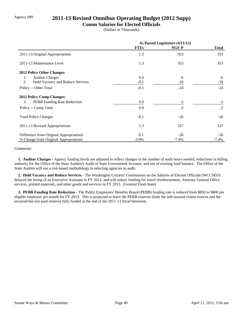## Agency 099 **2011-13 Revised Omnibus Operating Budget (2012 Supp)**

#### **Comm Salaries for Elected Officials**

(Dollars in Thousands)

|                                          | As Passed Legislature (4/11/12) |         |              |
|------------------------------------------|---------------------------------|---------|--------------|
|                                          | <b>FTEs</b>                     | NGF-P   | <b>Total</b> |
| 2011-13 Original Appropriations          | 1.3                             | 353     | 353          |
| 2011-13 Maintenance Level                | 1.3                             | 353     | 353          |
| <b>2012 Policy Other Changes:</b>        |                                 |         |              |
| <b>Auditor Charges</b><br>1.             | 0.0                             | -6      | -6           |
| Hold Vacancy and Reduce Services<br>2.   | $-0.1$                          | $-18$   | $-18$        |
| Policy -- Other Total                    | $-0.1$                          | $-24$   | $-24$        |
| <b>2012 Policy Comp Changes:</b>         |                                 |         |              |
| 3.<br><b>PEBB</b> Funding Rate Reduction | 0.0                             | $-2$    | $-2$         |
| Policy -- Comp Total                     | 0.0                             | $-2$    | $-2$         |
| <b>Total Policy Changes</b>              | $-0.1$                          | $-26$   | $-26$        |
| 2011-13 Revised Appropriations           | 1.3                             | 327     | 327          |
| Difference from Original Appropriations  | $-0.1$                          | $-26$   | $-26$        |
| % Change from Original Appropriations    | $-3.9\%$                        | $-7.4%$ | $-7.4\%$     |

#### *Comments:*

 **1. Auditor Charges -** Agency funding levels are adjusted to reflect changes in the number of audit hours needed, reductions in billing authority for the Office of the State Auditor's Audit of State Government Account, and use of existing fund balance. The Office of the State Auditor will use a risk-based methodology in selecting agencies to audit.

 **2. Hold Vacancy and Reduce Services -** The Washington Citizens' Commission on the Salaries of Elected Officials (WCCSEO) delayed the hiring of an Executive Assistant in FY 2012, and will reduce funding for travel reimbursement, Attorney General Office services, printed materials, and other goods and services in FY 2013. (General Fund-State)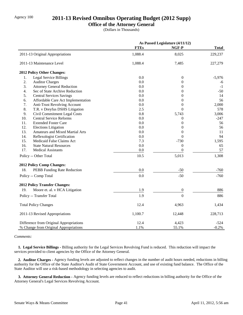## Agency 100 **2011-13 Revised Omnibus Operating Budget (2012 Supp)**

### **Office of the Attorney General**

(Dollars in Thousands)

|     |                                         |             | As Passed Legislature (4/11/12) |              |
|-----|-----------------------------------------|-------------|---------------------------------|--------------|
|     |                                         | <b>FTEs</b> | NGF-P                           | <b>Total</b> |
|     | 2011-13 Original Appropriations         | 1,088.4     | 8,025                           | 229,237      |
|     | 2011-13 Maintenance Level               | 1,088.4     | 7,485                           | 227,279      |
|     | 2012 Policy Other Changes:              |             |                                 |              |
| 1.  | <b>Legal Service Billings</b>           | 0.0         | $\boldsymbol{0}$                | $-5,976$     |
| 2.  | <b>Auditor Charges</b>                  | 0.0         | $\theta$                        | -6           |
| 3.  | <b>Attorney General Reduction</b>       | 0.0         | $\overline{0}$                  | $-1$         |
| 4.  | Sec of State Archive Reduction          | 0.0         | $\boldsymbol{0}$                | $-50$        |
| 5.  | <b>Central Services Savings</b>         | 0.0         | $\overline{0}$                  | 14           |
| 6.  | Affordable Care Act Implementation      | 0.0         | $\overline{0}$                  | 56           |
| 7.  | Anti-Trust Revolving Account            | 0.0         | $\theta$                        | 2,000        |
| 8.  | T.R. v Dreyfus DSHS Litigation          | 2.5         | $\theta$                        | 578          |
| 9.  | Civil Commitment Legal Costs            | 0.8         | 5,743                           | 3,006        |
| 10. | <b>Central Service Reforms</b>          | 0.0         | 0                               | $-247$       |
| 11. | <b>Extended Foster Care</b>             | 0.0         | $\overline{0}$                  | 56           |
| 12. | <b>Elections Litigation</b>             | 0.0         | $\theta$                        | 56           |
| 13. | <b>Amateurs and Mixed Martial Arts</b>  | 0.0         | $\theta$                        | 11           |
| 14. | Reflexologist Certification             | 0.0         | $\Omega$                        | 94           |
| 15. | Medicaid False Claims Act               | 7.3         | $-730$                          | 1,595        |
| 16. | <b>State Natural Resources</b>          | 0.0         | $\theta$                        | 65           |
| 17. | <b>Medical Assistants</b>               | 0.0         | $\theta$                        | 57           |
|     | Policy -- Other Total                   | 10.5        | 5,013                           | 1,308        |
|     | 2012 Policy Comp Changes:               |             |                                 |              |
| 18. | PEBB Funding Rate Reduction             | 0.0         | $-50$                           | $-760$       |
|     | Policy -- Comp Total                    | 0.0         | $-50$                           | $-760$       |
|     | <b>2012 Policy Transfer Changes:</b>    |             |                                 |              |
| 19. | Moore et. al. v HCA Litigation          | 1.9         | $\boldsymbol{0}$                | 886          |
|     | Policy -- Transfer Total                | 1.9         | $\theta$                        | 886          |
|     | <b>Total Policy Changes</b>             | 12.4        | 4,963                           | 1,434        |
|     | 2011-13 Revised Appropriations          | 1,100.7     | 12,448                          | 228,713      |
|     | Difference from Original Appropriations | 12.4        | 4,423                           | $-524$       |
|     | % Change from Original Appropriations   | 1.1%        | 55.1%                           | $-0.2%$      |

#### *Comments:*

 **1. Legal Service Billings -** Billing authority for the Legal Services Revolving Fund is reduced. This reduction will impact the services provided to client agencies by the Office of the Attorney General.

 **2. Auditor Charges -** Agency funding levels are adjusted to reflect changes in the number of audit hours needed, reductions in billing authority for the Office of the State Auditor's Audit of State Government Account, and use of existing fund balance. The Office of the State Auditor will use a risk-based methodology in selecting agencies to audit.

 **3. Attorney General Reduction -** Agency funding levels are reduced to reflect reductions in billing authority for the Office of the Attorney General's Legal Services Revolving Account.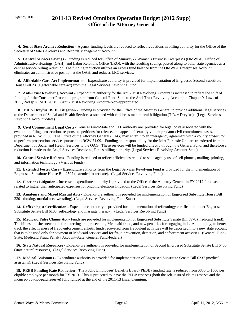## Agency 100 **2011-13 Revised Omnibus Operating Budget (2012 Supp) Office of the Attorney General**

 **4. Sec of State Archive Reduction -** Agency funding levels are reduced to reflect reductions in billing authority for the Office of the Secretary of State's Archives and Records Management Account.

 **5. Central Services Savings -** Funding is reduced for Office of Minority & Women's Business Enterprises (OMWBE), Office of Administrative Hearings (OAH), and Labor Relations Office (LRO), with the resulting savings passed along to other state agencies as a central service billing reduction. The funding reduction utilizes an excess fund balance from the OMWBE Enterprises Account, eliminates an administrative position at the OAH, and reduces LRO services.

 **6. Affordable Care Act Implementation -** Expenditure authority is provided for implementation of Engrossed Second Substitute House Bill 2319 (affordable care act) from the Legal Services Revolving Fund.

**7. Anti-Trust Revolving Account -** Expenditure authority for the Anti-Trust Revolving Account is increased to reflect the shift of funding for the Consumer Protection program from General Fund-State to the Anti-Trust Revolving Account in Chapter 9, Laws of 2011, 2nd sp.s. (SHB 2058). (Anti-Trust Revolving Account-Non-appropriated)

 **8. T.R. v Dreyfus DSHS Litigation -** Funding is provided for the Office of the Attorney General to provide additional legal services to the Department of Social and Health Services associated with children's mental health litigation (T.R. v Dreyfus). (Legal Services Revolving Account-State)

**9. Civil Commitment Legal Costs - General Fund-State and FTE authority are provided for legal costs associated with the** evaluation, filing, prosecution, response to petitions for release, and appeal of sexually violent predator civil commitment cases, as provided in RCW 71.09. The Office of the Attorney General (OAG) may enter into an interagency agreement with a county prosecutor to perform prosecution services pursuant to RCW 71.09. Funding and responsibility for the Joint Forensic Unit are transferred from the Department of Social and Health Services to the OAG. These services will be funded directly through the General Fund, and therefore a reduction is made to the Legal Services Revolving Fund's billing authority. (Legal Services Revolving Account-State)

 **10. Central Service Reforms -** Funding is reduced to reflect efficiencies related to state agency use of cell phones, mailing, printing, and information technology. (Various Funds)

 **11. Extended Foster Care -** Expenditure authority from the Legal Services Revolving Fund is provided for the implementation of Engrossed Substitute House Bill 2592 (extended foster care). (Legal Services Revolving Fund)

 **12. Elections Litigation -** Increased expenditure authority is provided to the Office of the Attorney General in FY 2012 for costs related to higher than anticipated expenses for ongoing elections litigation. (Legal Services Revolving Fund)

 **13. Amateurs and Mixed Martial Arts -** Expenditure authority is provided for implementation of Engrossed Substitute House Bill 2301 (boxing, martial arts, wrestling). (Legal Services Revolving Fund-State)

 **14. Reflexologist Certification -** Expenditure authority is provided for implementation of reflexology certification under Engrossed Substitute Senate Bill 6103 (reflexology and massage therapy). (Legal Services Revolving Fund)

**15. Medicaid False Claims Act - Funds are provided for implementation of Engrossed Substitute Senate Bill 5978 (medicaid fraud).** The bill establishes new tools for detecting and prosecuting Medicaid fraud, and new penalties for engaging in it. Additionally, to better track the effectiveness of fraud enforcement efforts, funds recovered from fraudulent activities will be deposited into a new state account that is to be used only for payment of Medicaid services and for fraud prevention, detection, and enforcement activities. (General Fund-State, Medicaid Fraud Penalty Account-State, General Fund-Federal)

 **16. State Natural Resources -** Expenditure authority is provided for implementation of Second Engrossed Substitute Senate Bill 6406 (state natural resources). (Legal Services Revolving Fund)

 **17. Medical Assistants -** Expenditure authority is provided for implementation of Engrossed Substitute Senate Bill 6237 (medical assistants). (Legal Services Revolving Fund)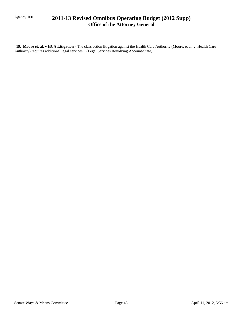## Agency 100 **2011-13 Revised Omnibus Operating Budget (2012 Supp) Office of the Attorney General**

 **19. Moore et. al. v HCA Litigation -** The class action litigation against the Health Care Authority (Moore, et al. v. Health Care Authority) requires additional legal services. (Legal Services Revolving Account-State)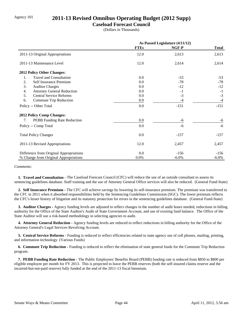## Agency 101 **2011-13 Revised Omnibus Operating Budget (2012 Supp)**

### **Caseload Forecast Council**

(Dollars in Thousands)

|                                         | As Passed Legislature (4/11/12) |          |              |
|-----------------------------------------|---------------------------------|----------|--------------|
|                                         | <b>FTEs</b>                     | NGF-P    | <b>Total</b> |
| 2011-13 Original Appropriations         | 12.0                            | 2,613    | 2,613        |
| 2011-13 Maintenance Level               | 12.0                            | 2,614    | 2,614        |
| <b>2012 Policy Other Changes:</b>       |                                 |          |              |
| <b>Travel and Consultation</b><br>1.    | 0.0                             | $-53$    | $-53$        |
| Self Insurance Premium<br>2.            | 0.0                             | $-78$    | $-78$        |
| 3.<br><b>Auditor Charges</b>            | 0.0                             | $-12$    | $-12$        |
| 4.<br><b>Attorney General Reduction</b> | 0.0                             | $-1$     | $-1$         |
| 5.<br><b>Central Service Reforms</b>    | 0.0                             | $-3$     | $-3$         |
| 6.<br>Commute Trip Reduction            | $0.0\,$                         | $-4$     | $-4$         |
| Policy -- Other Total                   | 0.0                             | $-151$   | $-151$       |
| <b>2012 Policy Comp Changes:</b>        |                                 |          |              |
| PEBB Funding Rate Reduction<br>7.       | 0.0                             | -6       | $-6$         |
| Policy -- Comp Total                    | 0.0                             | -6       | $-6$         |
| <b>Total Policy Changes</b>             | 0.0                             | $-157$   | $-157$       |
| 2011-13 Revised Appropriations          | 12.0                            | 2,457    | 2,457        |
| Difference from Original Appropriations | 0.0                             | $-156$   | $-156$       |
| % Change from Original Appropriations   | 0.0%                            | $-6.0\%$ | $-6.0\%$     |

*Comments:*

 **1. Travel and Consultation -** The Caseload Forecast Council (CFC) will reduce the use of an outside consultant to assess its sentencing guidelines database. Staff training and the use of Attorney General Office services will also be reduced. (General Fund-State)

 **2. Self Insurance Premium -** The CFC will achieve savings by lowering its self-insurance premium. The premium was transferred to the CFC in 2011 when it absorbed responsibilities held by the Sentencing Guidelines Commission (SGC). The lower premium reflects the CFC's lesser history of litigation and its statutory protection for errors in the sentencing guidelines database. (General Fund-State)

 **3. Auditor Charges -** Agency funding levels are adjusted to reflect changes in the number of audit hours needed, reductions in billing authority for the Office of the State Auditor's Audit of State Government Account, and use of existing fund balance. The Office of the State Auditor will use a risk-based methodology in selecting agencies to audit.

 **4. Attorney General Reduction -** Agency funding levels are reduced to reflect reductions in billing authority for the Office of the Attorney General's Legal Services Revolving Account.

 **5. Central Service Reforms -** Funding is reduced to reflect efficiencies related to state agency use of cell phones, mailing, printing, and information technology. (Various Funds)

**6. Commute Trip Reduction -** Funding is reduced to reflect the elimination of state general funds for the Commute Trip Reduction program.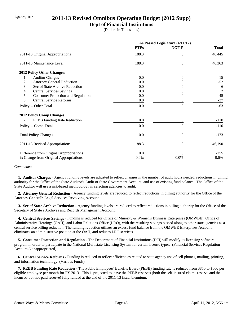## Agency 102 **2011-13 Revised Omnibus Operating Budget (2012 Supp)**

### **Dept of Financial Institutions**

(Dollars in Thousands)

|                                                 | As Passed Legislature (4/11/12) |                |              |
|-------------------------------------------------|---------------------------------|----------------|--------------|
|                                                 | <b>FTEs</b>                     | NGF-P          | <b>Total</b> |
| 2011-13 Original Appropriations                 | 188.3                           | $\overline{0}$ | 46,445       |
| 2011-13 Maintenance Level                       | 188.3                           | $\theta$       | 46,363       |
| <b>2012 Policy Other Changes:</b>               |                                 |                |              |
| <b>Auditor Charges</b><br>1.                    | 0.0                             | $\Omega$       | $-15$        |
| <b>Attorney General Reduction</b><br>2.         | 0.0                             | 0              | $-52$        |
| 3.<br>Sec of State Archive Reduction            | 0.0                             | $_{0}$         | -6           |
| <b>Central Services Savings</b><br>4.           | 0.0                             | $\theta$       | 2            |
| 5.<br><b>Consumer Protection and Regulation</b> | 0.0                             | $\Omega$       | 45           |
| <b>Central Service Reforms</b><br>6.            | 0.0                             | $\theta$       | $-37$        |
| Policy -- Other Total                           | 0.0                             | $\theta$       | $-63$        |
| <b>2012 Policy Comp Changes:</b>                |                                 |                |              |
| PEBB Funding Rate Reduction<br>7.               | 0.0                             | $\overline{0}$ | $-110$       |
| Policy -- Comp Total                            | 0.0                             | $\theta$       | $-110$       |
| <b>Total Policy Changes</b>                     | 0.0                             | $\theta$       | $-173$       |
| 2011-13 Revised Appropriations                  | 188.3                           | $\overline{0}$ | 46,190       |
| Difference from Original Appropriations         | 0.0                             | $\theta$       | $-255$       |
| % Change from Original Appropriations           | 0.0%                            | 0.0%           | $-0.6%$      |

*Comments:*

 **1. Auditor Charges -** Agency funding levels are adjusted to reflect changes in the number of audit hours needed, reductions in billing authority for the Office of the State Auditor's Audit of State Government Account, and use of existing fund balance. The Office of the State Auditor will use a risk-based methodology in selecting agencies to audit.

 **2. Attorney General Reduction -** Agency funding levels are reduced to reflect reductions in billing authority for the Office of the Attorney General's Legal Services Revolving Account.

 **3. Sec of State Archive Reduction -** Agency funding levels are reduced to reflect reductions in billing authority for the Office of the Secretary of State's Archives and Records Management Account.

 **4. Central Services Savings -** Funding is reduced for Office of Minority & Women's Business Enterprises (OMWBE), Office of Administrative Hearings (OAH), and Labor Relations Office (LRO), with the resulting savings passed along to other state agencies as a central service billing reduction. The funding reduction utilizes an excess fund balance from the OMWBE Enterprises Account, eliminates an administrative position at the OAH, and reduces LRO services.

 **5. Consumer Protection and Regulation -** The Department of Financial Institutions (DFI) will modify its licensing software program in order to participate in the National Multistate Licensing System for certain license types. (Financial Services Regulation Account-Nonappropriated)

 **6. Central Service Reforms -** Funding is reduced to reflect efficiencies related to state agency use of cell phones, mailing, printing, and information technology. (Various Funds)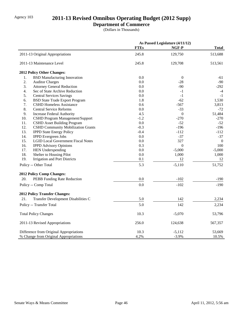# Agency 103 **2011-13 Revised Omnibus Operating Budget (2012 Supp)**

## **Department of Commerce**

(Dollars in Thousands)

|     |                                           |             | As Passed Legislature (4/11/12) |                  |
|-----|-------------------------------------------|-------------|---------------------------------|------------------|
|     |                                           | <b>FTEs</b> | NGF-P                           | <b>Total</b>     |
|     | 2011-13 Original Appropriations           | 245.8       | 129,750                         | 513,688          |
|     | 2011-13 Maintenance Level                 | 245.8       | 129,708                         | 513,561          |
|     | 2012 Policy Other Changes:                |             |                                 |                  |
| 1.  | <b>BSD Manufacturing Innovation</b>       | 0.0         | $\mathbf{0}$                    | -61              |
| 2.  | <b>Auditor Charges</b>                    | 0.0         | $-28$                           | $-90$            |
| 3.  | <b>Attorney General Reduction</b>         | 0.0         | -90                             | $-292$           |
| 4.  | Sec of State Archive Reduction            | 0.0         | $-1$                            | $-4$             |
| 5.  | <b>Central Services Savings</b>           | 0.0         | $-1$                            | $-1$             |
| 6.  | <b>BSD State Trade Export Program</b>     | 1.8         | $-62$                           | 1,530            |
| 7.  | <b>CSHD Homeless Assistance</b>           | 0.6         | $-567$                          | 3,813            |
| 8.  | <b>Central Service Reforms</b>            | 0.0         | $-33$                           | $-72$            |
| 9.  | <b>Increase Federal Authority</b>         | 4.5         | $\boldsymbol{0}$                | 51,484           |
| 10. | CSHD Program Management/Support           | $-1.2$      | $-270$                          | $-270$           |
| 11. | <b>CSHD Asset Building Program</b>        | 0.0         | $-52$                           | $-52$            |
| 12. | <b>CSHD Community Mobilization Grants</b> | $-0.3$      | $-196$                          | $-196$           |
| 13. | <b>IPPD State Energy Policy</b>           | $-0.4$      | $-112$                          | $-112$           |
| 14. | <b>IPPD</b> Evergreen Jobs                | 0.0         | $-37$                           | $-37$            |
| 15. | <b>LGID Local Government Fiscal Notes</b> | 0.0         | 327                             | $\boldsymbol{0}$ |
| 16. | <b>IPPD Advisory Opinions</b>             | 0.3         | $\boldsymbol{0}$                | 100              |
| 17. | <b>HEN Underspending</b>                  | 0.0         | $-5,000$                        | $-5,000$         |
| 18. | Shelter to Housing Pilot                  | 0.0         | 1,000                           | 1,000            |
| 19. | <b>Irrigation and Port Districts</b>      | 0.1         | 12                              | 12               |
|     | Policy -- Other Total                     | 5.3         | $-5,110$                        | 51,752           |
|     | 2012 Policy Comp Changes:                 |             |                                 |                  |
| 20. | PEBB Funding Rate Reduction               | 0.0         | $-102$                          | $-190$           |
|     | Policy -- Comp Total                      | 0.0         | $-102$                          | $-190$           |
|     | <b>2012 Policy Transfer Changes:</b>      |             |                                 |                  |
| 21. | Transfer Development Disabilities C       | 5.0         | 142                             | 2,234            |
|     | Policy -- Transfer Total                  | 5.0         | 142                             | 2,234            |
|     | <b>Total Policy Changes</b>               | 10.3        | $-5,070$                        | 53,796           |
|     | 2011-13 Revised Appropriations            | 256.0       | 124,638                         | 567,357          |
|     | Difference from Original Appropriations   | 10.3        | $-5,112$                        | 53,669           |
|     | % Change from Original Appropriations     | 4.2%        | $-3.9%$                         | 10.5%            |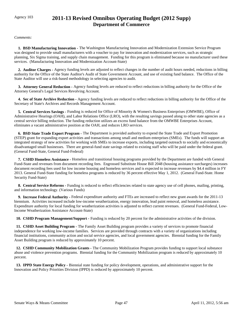## Agency 103 **2011-13 Revised Omnibus Operating Budget (2012 Supp) Department of Commerce**

*Comments:*

 **1. BSD Manufacturing Innovation -** The Washington Manufacturing Innovation and Modernization Extension Service Program was designed to provide small manufacturers with a voucher to pay for innovation and modernization services, such as strategic planning, Six Sigma training, and supply chain management. Funding for this program is eliminated because no manufacturer used these services. (Manufacturing Innovation and Modernization Account-State)

 **2. Auditor Charges -** Agency funding levels are adjusted to reflect changes in the number of audit hours needed, reductions in billing authority for the Office of the State Auditor's Audit of State Government Account, and use of existing fund balance. The Office of the State Auditor will use a risk-based methodology in selecting agencies to audit.

 **3. Attorney General Reduction -** Agency funding levels are reduced to reflect reductions in billing authority for the Office of the Attorney General's Legal Services Revolving Account.

 **4. Sec of State Archive Reduction -** Agency funding levels are reduced to reflect reductions in billing authority for the Office of the Secretary of State's Archives and Records Management Account.

 **5. Central Services Savings -** Funding is reduced for Office of Minority & Women's Business Enterprises (OMWBE), Office of Administrative Hearings (OAH), and Labor Relations Office (LRO), with the resulting savings passed along to other state agencies as a central service billing reduction. The funding reduction utilizes an excess fund balance from the OMWBE Enterprises Account, eliminates a vacant administrative position at the OAH, and reduces LRO services.

 **6. BSD State Trade Export Program -** The Department is provided authority to expend the State Trade and Export Promotion (STEP) grant for expanding export activities and transactions among small and medium enterprises (SMEs). The funds will support an integrated strategy of new activities for working with SMEs to increase exports, including targeted outreach to socially and economically disadvantaged small businesses. There are general-fund state savings related to existing staff who will be paid under the federal grant. (General Fund-State, General Fund-Federal)

 **7. CSHD Homeless Assistance -** Homeless and transitional housing programs provided by the Department are funded with General Fund-State and revenues from document recording fees. Engrossed Substitute House Bill 2048 (housing assistance surcharges) increases document recording fees used for low income housing and homeless services and is expected to increase revenues by \$4.4 million in FY 2013. General Fund-State funding for homeless programs is reduced by 36 percent effective May 1, 2012. (General Fund-State. Home Security Fund-State)

 **8. Central Service Reforms -** Funding is reduced to reflect efficiencies related to state agency use of cell phones, mailing, printing, and information technology. (Various Funds)

 **9. Increase Federal Authority -** Federal expenditure authority and FTEs are increased to reflect new grant awards for the 2011-13 biennium. Activities increased include low-income weatherization, energy innovation, lead paint removal, and homeless assistance. Expenditure authority for local funding for weatherization activities is adjusted to reflect current revenues. (General Fund-Federal, Low-Income Weatherization Assistance Account-State)

 **10. CSHD Program Management/Support -** Funding is reduced by 20 percent for the administrative activities of the division.

 **11. CSHD Asset Building Program -** The Family Asset Building program provides a variety of services to promote financial independence for working low-income families. Services are provided through contracts with a variety of organizations including financial institutions, community action and social service agencies, and local government agencies. Biennial funding for the Family Asset Building program is reduced by approximately 10 percent.

 **12. CSHD Community Mobilization Grants -** The Community Mobilization Program provides funding to support local substance abuse and violence prevention programs. Biennial funding for the Community Mobilization program is reduced by approximately 10 percent.

 **13. IPPD State Energy Policy -** Biennial state funding for policy development, operations, and administrative support for the Innovation and Policy Priorities Division (IPPD) is reduced by approximately 10 percent.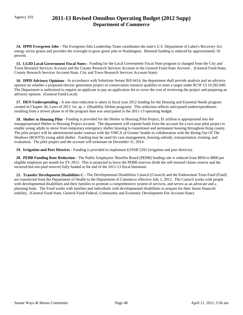## Agency 103 **2011-13 Revised Omnibus Operating Budget (2012 Supp) Department of Commerce**

 **14. IPPD Evergreen Jobs -** The Evergreen Jobs Leadership Team coordinates the state's U.S. Department of Labor's Recovery Act energy sector grants and provides the oversight to grow green jobs in Washington. Biennial funding is reduced by approximately 10 percent.

 **15. LGID Local Government Fiscal Notes -** Funding for the Local Government Fiscal Note program is changed from the City and Town Research Services Account and the County Research Services Account to the General Fund-State Account . (General Fund-State, County Research Services Account-State, City and Town Research Services Account-State)

 **16. IPPD Advisory Opinions -** In accordance with Substitute Senate Bill 6414, the department shall provide analysis and an advisory opinion on whether a proposed electric generation project or conservation resource qualifies to meet a target under RCW 13 19.285.040. The Department is authorized to require an applicant to pay an application fee to cover the cost of reviewing the project and preparing an advisory opinion. (General Fund-Local)

 **17. HEN Underspending -** A one time reduction is taken in fiscal year 2012 funding for the Housing and Essential Needs program created in Chapter 36, Laws of 2011 1st. sp. s (Disability lifeline program). This reduction reflects anticipated underexpenditures resulting from a slower phase in of the program than was anticipated in the 2011-13 operating budget.

 **18. Shelter to Housing Pilot -** Funding is provided for the Shelter to Housing Pilot Project; \$1 million is appropriated into the nonappropriated Shelter to Housing Project account. The department will expend funds from the account for a two-year pilot project to enable young adults to move from temporary emergency shelter housing to transitional and permanent housing throughout King county. The pilot project will be administered under contract with the YMCA of Greater Seattle in collaboration with the Rising Out Of The Shadows (ROOTS) young adult shelter. Funding may be used for case management, housing subsidy, transportation, training, and evaluation. The pilot project and the account will terminate on December 31, 2014.

 **19. Irrigation and Port Districts -** Funding is provided to implement E2SSB 5292 (irrigation and port districts).

 **20. PEBB Funding Rate Reduction -** The Public Employees' Benefits Board (PEBB) funding rate is reduced from \$850 to \$800 per eligible employee per month for FY 2013. This is projected to leave the PEBB reserves (both the self-insured claims reserve and the incurred-but-not-paid reserve) fully funded at the end of the 2011-13 fiscal biennium.

 **21. Transfer Development Disabilities C -** The Developmental Disabilities Council (Council) and the Endowment Trust Fund (Fund) are transferred from the Department of Health to the Department of Commerce effective July 1, 2012. The Council works with people with developmental disabilities and their families to promote a comprehensive system of services, and serves as an advocate and a planning body. The Fund works with families and individuals with developmental disabilities to prepare for their future financial stability. (General Fund-State, General Fund-Federal, Community and Economic Development Fee Account-State)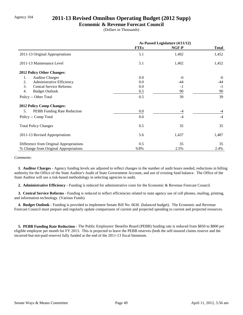## Agency 104 **2011-13 Revised Omnibus Operating Budget (2012 Supp)**

#### **Economic & Revenue Forecast Council**

(Dollars in Thousands)

|                                         | As Passed Legislature (4/11/12) |       |              |
|-----------------------------------------|---------------------------------|-------|--------------|
|                                         | <b>FTEs</b>                     | NGF-P | <b>Total</b> |
| 2011-13 Original Appropriations         | 5.1                             | 1,402 | 1,452        |
| 2011-13 Maintenance Level               | 5.1                             | 1,402 | 1,452        |
| 2012 Policy Other Changes:              |                                 |       |              |
| <b>Auditor Charges</b><br>1.            | 0.0                             | -6    | $-6$         |
| Administrative Efficiency<br>2.         | 0.0                             | -44   | -44          |
| 3.<br><b>Central Service Reforms</b>    | 0.0                             | $-1$  | $-1$         |
| 4.<br><b>Budget Outlook</b>             | 0.5                             | 90    | 90           |
| Policy -- Other Total                   | 0.5                             | 39    | 39           |
| <b>2012 Policy Comp Changes:</b>        |                                 |       |              |
| PEBB Funding Rate Reduction<br>5.       | 0.0                             | $-4$  | $-4$         |
| Policy -- Comp Total                    | 0.0                             | $-4$  | $-4$         |
| <b>Total Policy Changes</b>             | 0.5                             | 35    | 35           |
| 2011-13 Revised Appropriations          | 5.6                             | 1,437 | 1,487        |
| Difference from Original Appropriations | 0.5                             | 35    | 35           |
| % Change from Original Appropriations   | 9.8%                            | 2.5%  | 2.4%         |

#### *Comments:*

 **1. Auditor Charges -** Agency funding levels are adjusted to reflect changes in the number of audit hours needed, reductions in billing authority for the Office of the State Auditor's Audit of State Government Account, and use of existing fund balance. The Office of the State Auditor will use a risk-based methodology in selecting agencies to audit.

 **2. Administrative Efficiency -** Funding is reduced for administrative costs for the Economic & Revenue Forecast Council.

 **3. Central Service Reforms -** Funding is reduced to reflect efficiencies related to state agency use of cell phones, mailing, printing, and information technology. (Various Funds)

 **4. Budget Outlook -** Funding is provided to implement Senate Bill No. 6636 (balanced budget). The Economic and Revenue Forecast Council must prepare and regularly update comparisons of current and projected spending to current and projected resources.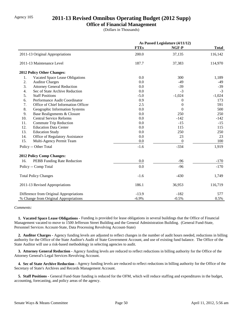## Agency 105 **2011-13 Revised Omnibus Operating Budget (2012 Supp)**

### **Office of Financial Management**

(Dollars in Thousands)

|     |                                         | As Passed Legislature (4/11/12) |                  |              |
|-----|-----------------------------------------|---------------------------------|------------------|--------------|
|     |                                         | <b>FTEs</b>                     | NGF-P            | <b>Total</b> |
|     | 2011-13 Original Appropriations         | 200.0                           | 37,135           | 116,142      |
|     | 2011-13 Maintenance Level               | 187.7                           | 37,383           | 114,970      |
|     | 2012 Policy Other Changes:              |                                 |                  |              |
| 1.  | Vacated Space Lease Obligations         | 0.0                             | 300              | 1,189        |
| 2.  | <b>Auditor Charges</b>                  | 0.0                             | $-49$            | -49          |
| 3.  | <b>Attorney General Reduction</b>       | 0.0                             | $-39$            | $-39$        |
| 4.  | Sec of State Archive Reduction          | 0.0                             | $-3$             | $-3$         |
| 5.  | <b>Staff Positions</b>                  | $-5.0$                          | $-1,024$         | $-1,024$     |
| 6.  | Performance Audit Coordinator           | 0.9                             | $\boldsymbol{0}$ | 173          |
| 7.  | Office of Chief Information Officer     | 2.5                             | $\overline{0}$   | 591          |
| 8.  | Geographic Information Systems          | 0.0                             | $\theta$         | 500          |
| 9.  | Base Realignments & Closure             | 0.0                             | 250              | 250          |
| 10. | <b>Central Service Reforms</b>          | 0.0                             | $-142$           | $-142$       |
| 11. | Commute Trip Reduction                  | 0.0                             | $-15$            | $-15$        |
| 12. | <b>Education Data Center</b>            | 0.0                             | 115              | 115          |
| 13. | <b>Education Study</b>                  | 0.0                             | 250              | 250          |
| 14. | Office of Regulatory Assistance         | 0.0                             | 23               | 23           |
| 15. | Multi-Agency Permit Team                | 0.0                             | $\theta$         | 100          |
|     | Policy -- Other Total                   | $-1.6$                          | $-334$           | 1,919        |
|     | 2012 Policy Comp Changes:               |                                 |                  |              |
| 16. | PEBB Funding Rate Reduction             | 0.0                             | $-96$            | $-170$       |
|     | Policy -- Comp Total                    | 0.0                             | $-96$            | $-170$       |
|     | <b>Total Policy Changes</b>             | $-1.6$                          | $-430$           | 1,749        |
|     | 2011-13 Revised Appropriations          | 186.1                           | 36,953           | 116,719      |
|     | Difference from Original Appropriations | $-13.9$                         | $-182$           | 577          |
|     | % Change from Original Appropriations   | $-6.9%$                         | $-0.5%$          | 0.5%         |

#### *Comments:*

 **1. Vacated Space Lease Obligations -** Funding is provided for lease obligations in several buildings that the Office of Financial Management vacated to move to 1500 Jefferson Street Building and the General Administration Building. (General Fund-State, Personnel Services Account-State, Data Processing Revolving Account-State)

 **2. Auditor Charges -** Agency funding levels are adjusted to reflect changes in the number of audit hours needed, reductions in billing authority for the Office of the State Auditor's Audit of State Government Account, and use of existing fund balance. The Office of the State Auditor will use a risk-based methodology in selecting agencies to audit.

 **3. Attorney General Reduction -** Agency funding levels are reduced to reflect reductions in billing authority for the Office of the Attorney General's Legal Services Revolving Account.

 **4. Sec of State Archive Reduction -** Agency funding levels are reduced to reflect reductions in billing authority for the Office of the Secretary of State's Archives and Records Management Account.

 **5. Staff Positions -** General Fund-State funding is reduced for the OFM, which will reduce staffing and expenditures in the budget, accounting, forecasting, and policy areas of the agency.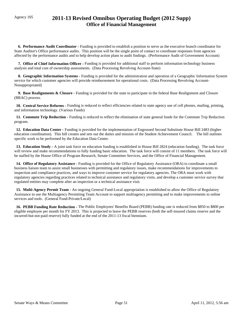## Agency 105 **2011-13 Revised Omnibus Operating Budget (2012 Supp) Office of Financial Management**

 **6. Performance Audit Coordinator -** Funding is provided to establish a position to serve as the executive branch coordinator for State Auditor's Office performance audits. This position will be the single point of contact to coordinate responses from agencies affected by the performance audits and to help develop action plans to audit findings. (Performance Audit of Government Account)

 **7. Office of Chief Information Officer -** Funding is provided for additional staff to perform information technology business analysis and total cost of ownership assessments. (Data Processing Revolving Account-State)

 **8. Geographic Information Systems -** Funding is provided for the administration and operation of a Geographic Information System service for which customer agencies will provide reimbursement for operational costs. (Data Processing Revolving Account-Nonappropriated)

 **9. Base Realignments & Closure -** Funding is provided for the state to participate in the federal Base Realignment and Closure (BRAC) process.

 **10. Central Service Reforms -** Funding is reduced to reflect efficiencies related to state agency use of cell phones, mailing, printing, and information technology. (Various Funds)

 **11. Commute Trip Reduction -** Funding is reduced to reflect the elimination of state general funds for the Commute Trip Reduction program.

 **12. Education Data Center -** Funding is provided for the implementation of Engrossed Second Substitute House Bill 2483 (higher education coordination). This bill creates and sets out the duties and mission of the Student Achievement Council. The bill outlines specific work to be performed by the Education Data Center.

 **13. Education Study -** A joint task force on education funding is established in House Bill 2824 (education funding). The task force will review and make recommendations to fully funding basic education. The task force will consist of 11 members. The task force will be staffed by the House Office of Program Research, Senate Committee Services, and the Office of Financial Management.

 **14. Office of Regulatory Assistance -** Funding is provided for the Office of Regulatory Assistance (ORA) to coordinate a small business liaison team to assist small businesses with permitting and regulatory issues, make recommendations for improvements to inspection and compliance practices, and ways to improve customer service for regulatory agencies. The ORA must work with regulatory agencies regarding practices related to technical assistance and regulatory visits, and develop a customer service survey that regulated entities may complete after an inspection or a technical assistance visit.

 **15. Multi-Agency Permit Team -** An ongoing General Fund-Local appropriation is established to allow the Office of Regulatory Assistance to use the Multiagency Permitting Team Account to support multiagency permitting and to make improvements to online services and tools. (General Fund-Private/Local)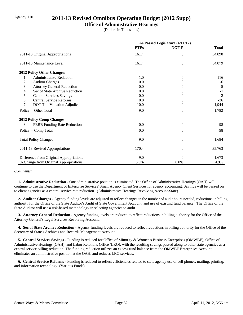## Agency 110 **2011-13 Revised Omnibus Operating Budget (2012 Supp)**

### **Office of Administrative Hearings**

(Dollars in Thousands)

|                                         | As Passed Legislature (4/11/12) |                  |                |
|-----------------------------------------|---------------------------------|------------------|----------------|
|                                         | <b>FTEs</b>                     | NGF-P            | <b>Total</b>   |
| 2011-13 Original Appropriations         | 161.4                           | $\boldsymbol{0}$ | 34,090         |
| 2011-13 Maintenance Level               | 161.4                           | $\overline{0}$   | 34,079         |
| 2012 Policy Other Changes:              |                                 |                  |                |
| <b>Administrative Reduction</b><br>1.   | $-1.0$                          | $\theta$         | $-116$         |
| 2.<br><b>Auditor Charges</b>            | 0.0                             | 0                | -6             |
| 3.<br><b>Attorney General Reduction</b> | 0.0                             | $\theta$         | $-5$           |
| Sec of State Archive Reduction<br>4.    | 0.0                             | $\Omega$         | $-1$           |
| 5.<br><b>Central Services Savings</b>   | 0.0                             | 0                | $\overline{2}$ |
| <b>Central Service Reforms</b><br>6.    | 0.0                             | 0                | $-36$          |
| 7.<br>DOT Toll Violation Adjudication   | 10.0                            | 0                | 1,944          |
| Policy -- Other Total                   | 9.0                             | $\overline{0}$   | 1,782          |
| <b>2012 Policy Comp Changes:</b>        |                                 |                  |                |
| 8.<br>PEBB Funding Rate Reduction       | 0.0                             | $\boldsymbol{0}$ | -98            |
| Policy -- Comp Total                    | 0.0                             | $\overline{0}$   | $-98$          |
| <b>Total Policy Changes</b>             | 9.0                             | $\overline{0}$   | 1,684          |
| 2011-13 Revised Appropriations          | 170.4                           | $\theta$         | 35,763         |
| Difference from Original Appropriations | 9.0                             | $\Omega$         | 1,673          |
| % Change from Original Appropriations   | 5.6%                            | 0.0%             | 4.9%           |

#### *Comments:*

 **1. Administrative Reduction -** One administrative position is eliminated. The Office of Administrative Hearings (OAH) will continue to use the Department of Enterprise Services' Small Agency Client Services for agency accounting. Savings will be passed on to client agencies as a central service rate reduction. (Administrative Hearings Revolving Account-State)

 **2. Auditor Charges -** Agency funding levels are adjusted to reflect changes in the number of audit hours needed, reductions in billing authority for the Office of the State Auditor's Audit of State Government Account, and use of existing fund balance. The Office of the State Auditor will use a risk-based methodology in selecting agencies to audit.

 **3. Attorney General Reduction -** Agency funding levels are reduced to reflect reductions in billing authority for the Office of the Attorney General's Legal Services Revolving Account.

 **4. Sec of State Archive Reduction -** Agency funding levels are reduced to reflect reductions in billing authority for the Office of the Secretary of State's Archives and Records Management Account.

 **5. Central Services Savings -** Funding is reduced for Office of Minority & Women's Business Enterprises (OMWBE), Office of Administrative Hearings (OAH), and Labor Relations Office (LRO), with the resulting savings passed along to other state agencies as a central service billing reduction. The funding reduction utilizes an excess fund balance from the OMWBE Enterprises Account, eliminates an administrative position at the OAH, and reduces LRO services.

 **6. Central Service Reforms -** Funding is reduced to reflect efficiencies related to state agency use of cell phones, mailing, printing, and information technology. (Various Funds)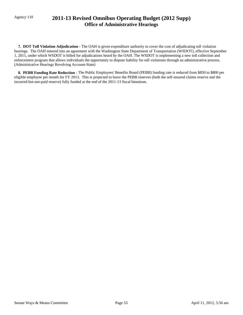## Agency 110 **2011-13 Revised Omnibus Operating Budget (2012 Supp) Office of Administrative Hearings**

 **7. DOT Toll Violation Adjudication -** The OAH is given expenditure authority to cover the cost of adjudicating toll violation hearings. The OAH entered into an agreement with the Washington State Department of Transportation (WSDOT), effective September 1, 2011, under which WSDOT is billed for adjudications heard by the OAH. The WSDOT is implementing a new toll collection and enforcement program that allows individuals the opportunity to dispute liability for toll violations through an administrative process. (Administrative Hearings Revolving Account-State)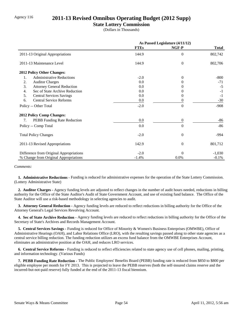## Agency 116 **2011-13 Revised Omnibus Operating Budget (2012 Supp)**

### **State Lottery Commission**

(Dollars in Thousands)

|                                         | As Passed Legislature (4/11/12) |                  |              |
|-----------------------------------------|---------------------------------|------------------|--------------|
|                                         | <b>FTEs</b>                     | NGF-P            | <b>Total</b> |
| 2011-13 Original Appropriations         | 144.9                           | $\Omega$         | 802,742      |
| 2011-13 Maintenance Level               | 144.9                           | $\boldsymbol{0}$ | 802,706      |
| 2012 Policy Other Changes:              |                                 |                  |              |
| 1.<br><b>Administrative Reductions</b>  | $-2.0$                          | $\Omega$         | $-800$       |
| <b>Auditor Charges</b><br>2.            | 0.0                             | 0                | $-71$        |
| 3.<br><b>Attorney General Reduction</b> | 0.0                             |                  | $-5$         |
| Sec of State Archive Reduction<br>4.    | 0.0                             |                  | $-1$         |
| 5.<br><b>Central Services Savings</b>   | 0.0                             | $\theta$         | $-1$         |
| <b>Central Service Reforms</b><br>6.    | 0.0                             | 0                | $-30$        |
| Policy -- Other Total                   | $-2.0$                          | $\theta$         | $-908$       |
| <b>2012 Policy Comp Changes:</b>        |                                 |                  |              |
| PEBB Funding Rate Reduction<br>7.       | 0.0                             | $\overline{0}$   | $-86$        |
| Policy -- Comp Total                    | 0.0                             | $\theta$         | $-86$        |
| <b>Total Policy Changes</b>             | $-2.0$                          | $\theta$         | $-994$       |
| 2011-13 Revised Appropriations          | 142.9                           | $\theta$         | 801,712      |
| Difference from Original Appropriations | $-2.0$                          | $\Omega$         | $-1,030$     |
| % Change from Original Appropriations   | $-1.4%$                         | 0.0%             | $-0.1%$      |

*Comments:*

 **1. Administrative Reductions -** Funding is reduced for administrative expenses for the operation of the State Lottery Commission. (Lottery Administrative State)

 **2. Auditor Charges -** Agency funding levels are adjusted to reflect changes in the number of audit hours needed, reductions in billing authority for the Office of the State Auditor's Audit of State Government Account, and use of existing fund balance. The Office of the State Auditor will use a risk-based methodology in selecting agencies to audit.

 **3. Attorney General Reduction -** Agency funding levels are reduced to reflect reductions in billing authority for the Office of the Attorney General's Legal Services Revolving Account.

 **4. Sec of State Archive Reduction -** Agency funding levels are reduced to reflect reductions in billing authority for the Office of the Secretary of State's Archives and Records Management Account.

 **5. Central Services Savings -** Funding is reduced for Office of Minority & Women's Business Enterprises (OMWBE), Office of Administrative Hearings (OAH), and Labor Relations Office (LRO), with the resulting savings passed along to other state agencies as a central service billing reduction. The funding reduction utilizes an excess fund balance from the OMWBE Enterprises Account, eliminates an administrative position at the OAH, and reduces LRO services.

 **6. Central Service Reforms -** Funding is reduced to reflect efficiencies related to state agency use of cell phones, mailing, printing, and information technology. (Various Funds)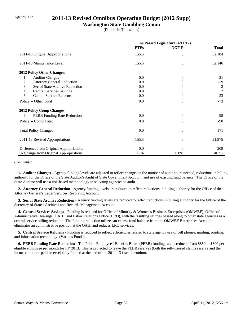## Agency 117 **2011-13 Revised Omnibus Operating Budget (2012 Supp)**

#### **Washington State Gambling Comm**

(Dollars in Thousands)

|                                         | As Passed Legislature (4/11/12) |                  |              |
|-----------------------------------------|---------------------------------|------------------|--------------|
|                                         | <b>FTEs</b>                     | NGF-P            | <b>Total</b> |
| 2011-13 Original Appropriations         | 155.5                           | $\Omega$         | 32,184       |
| 2011-13 Maintenance Level               | 155.5                           | $\theta$         | 32,146       |
| <b>2012 Policy Other Changes:</b>       |                                 |                  |              |
| <b>Auditor Charges</b><br>1.            | $0.0\,$                         | $\Omega$         | $-21$        |
| <b>Attorney General Reduction</b><br>2. | 0.0                             | $^{(1)}$         | $-19$        |
| 3.<br>Sec of State Archive Reduction    | 0.0                             | $^{(1)}$         | $-2$         |
| 4.<br><b>Central Services Savings</b>   | 0.0                             | 0                | 2            |
| <b>Central Service Reforms</b><br>5.    | 0.0                             | 0                | $-33$        |
| Policy -- Other Total                   | 0.0                             | $\theta$         | $-73$        |
| <b>2012 Policy Comp Changes:</b>        |                                 |                  |              |
| PEBB Funding Rate Reduction<br>6.       | 0.0                             | $\boldsymbol{0}$ | $-98$        |
| Policy -- Comp Total                    | 0.0                             | $\theta$         | $-98$        |
| <b>Total Policy Changes</b>             | 0.0                             | $\overline{0}$   | $-171$       |
| 2011-13 Revised Appropriations          | 155.5                           | $\overline{0}$   | 31,975       |
| Difference from Original Appropriations | 0.0                             | $\Omega$         | $-209$       |
| % Change from Original Appropriations   | 0.0%                            | 0.0%             | $-0.7%$      |

#### *Comments:*

 **1. Auditor Charges -** Agency funding levels are adjusted to reflect changes in the number of audit hours needed, reductions in billing authority for the Office of the State Auditor's Audit of State Government Account, and use of existing fund balance. The Office of the State Auditor will use a risk-based methodology in selecting agencies to audit.

 **2. Attorney General Reduction -** Agency funding levels are reduced to reflect reductions in billing authority for the Office of the Attorney General's Legal Services Revolving Account.

 **3. Sec of State Archive Reduction -** Agency funding levels are reduced to reflect reductions in billing authority for the Office of the Secretary of State's Archives and Records Management Account.

 **4. Central Services Savings -** Funding is reduced for Office of Minority & Women's Business Enterprises (OMWBE), Office of Administrative Hearings (OAH), and Labor Relations Office (LRO), with the resulting savings passed along to other state agencies as a central service billing reduction. The funding reduction utilizes an excess fund balance from the OMWBE Enterprises Account, eliminates an administrative position at the OAH, and reduces LRO services.

 **5. Central Service Reforms -** Funding is reduced to reflect efficiencies related to state agency use of cell phones, mailing, printing, and information technology. (Various Funds)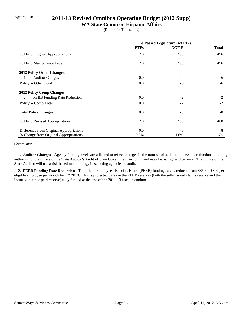## Agency 118 **2011-13 Revised Omnibus Operating Budget (2012 Supp)**

### **WA State Comm on Hispanic Affairs**

(Dollars in Thousands)

|                                         | As Passed Legislature (4/11/12) |         |          |
|-----------------------------------------|---------------------------------|---------|----------|
|                                         | <b>FTEs</b>                     | NGF-P   | Total    |
| 2011-13 Original Appropriations         | 2.0                             | 496     | 496      |
| 2011-13 Maintenance Level               | 2.0                             | 496     | 496      |
| 2012 Policy Other Changes:              |                                 |         |          |
| <b>Auditor Charges</b><br>1.            | 0.0                             | -6      | -6       |
| Policy -- Other Total                   | 0.0                             | -6      | $-6$     |
| <b>2012 Policy Comp Changes:</b>        |                                 |         |          |
| PEBB Funding Rate Reduction<br>2.       | 0.0                             | $-2$    | $-2$     |
| Policy -- Comp Total                    | 0.0                             | $-2$    | $-2$     |
| <b>Total Policy Changes</b>             | 0.0                             | $-8$    | $-8$     |
| 2011-13 Revised Appropriations          | 2.0                             | 488     | 488      |
| Difference from Original Appropriations | 0.0                             | -8      | -8       |
| % Change from Original Appropriations   | $0.0\%$                         | $-1.6%$ | $-1.6\%$ |

#### *Comments:*

 **1. Auditor Charges -** Agency funding levels are adjusted to reflect changes in the number of audit hours needed, reductions in billing authority for the Office of the State Auditor's Audit of State Government Account, and use of existing fund balance. The Office of the State Auditor will use a risk-based methodology in selecting agencies to audit.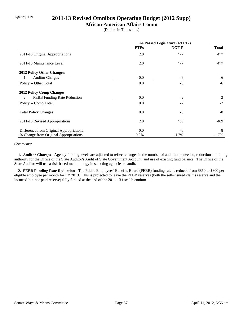## Agency 119 **2011-13 Revised Omnibus Operating Budget (2012 Supp)**

### **African-American Affairs Comm**

(Dollars in Thousands)

|                                         | As Passed Legislature (4/11/12) |          |              |
|-----------------------------------------|---------------------------------|----------|--------------|
|                                         | <b>FTEs</b>                     | NGF-P    | <b>Total</b> |
| 2011-13 Original Appropriations         | 2.0                             | 477      | 477          |
| 2011-13 Maintenance Level               | 2.0                             | 477      | 477          |
| 2012 Policy Other Changes:              |                                 |          |              |
| <b>Auditor Charges</b><br>1.            | $0.0\,$                         | -6       | -6           |
| Policy -- Other Total                   | 0.0                             | -6       | $-6$         |
| <b>2012 Policy Comp Changes:</b>        |                                 |          |              |
| PEBB Funding Rate Reduction<br>2.       | 0.0                             | $-2$     | $-2$         |
| Policy -- Comp Total                    | 0.0                             | $-2$     | $-2$         |
| <b>Total Policy Changes</b>             | 0.0                             | $-8$     | $-8$         |
| 2011-13 Revised Appropriations          | 2.0                             | 469      | 469          |
| Difference from Original Appropriations | 0.0                             | $-8$     | -8           |
| % Change from Original Appropriations   | $0.0\%$                         | $-1.7\%$ | $-1.7\%$     |

#### *Comments:*

 **1. Auditor Charges -** Agency funding levels are adjusted to reflect changes in the number of audit hours needed, reductions in billing authority for the Office of the State Auditor's Audit of State Government Account, and use of existing fund balance. The Office of the State Auditor will use a risk-based methodology in selecting agencies to audit.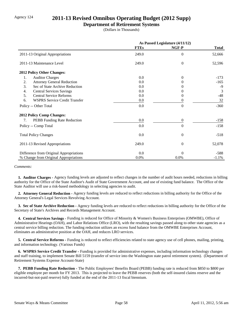## Agency 124 **2011-13 Revised Omnibus Operating Budget (2012 Supp)**

#### **Department of Retirement Systems**

(Dollars in Thousands)

|                                            | As Passed Legislature (4/11/12) |                |              |
|--------------------------------------------|---------------------------------|----------------|--------------|
|                                            | <b>FTEs</b>                     | NGF-P          | <b>Total</b> |
| 2011-13 Original Appropriations            | 249.0                           | $\overline{0}$ | 52,666       |
| 2011-13 Maintenance Level                  | 249.0                           | $\theta$       | 52,596       |
| 2012 Policy Other Changes:                 |                                 |                |              |
| 1.<br><b>Auditor Charges</b>               | 0.0                             | $\Omega$       | $-173$       |
| <b>Attorney General Reduction</b><br>2.    | 0.0                             | 0              | $-165$       |
| 3.<br>Sec of State Archive Reduction       | 0.0                             | 0              | -9           |
| 4.<br><b>Central Services Savings</b>      | 0.0                             | $^{(1)}$       | 3            |
| 5.<br><b>Central Service Reforms</b>       | 0.0                             | $\Omega$       | $-48$        |
| 6.<br><b>WSPRS Service Credit Transfer</b> | 0.0                             | 0              | 32           |
| Policy -- Other Total                      | 0.0                             | $\Omega$       | $-360$       |
| <b>2012 Policy Comp Changes:</b>           |                                 |                |              |
| PEBB Funding Rate Reduction<br>7.          | 0.0                             | $\theta$       | $-158$       |
| Policy -- Comp Total                       | 0.0                             | $\Omega$       | $-158$       |
| <b>Total Policy Changes</b>                | 0.0                             | $\theta$       | $-518$       |
| 2011-13 Revised Appropriations             | 249.0                           | $\overline{0}$ | 52,078       |
| Difference from Original Appropriations    | 0.0                             | $\theta$       | $-588$       |
| % Change from Original Appropriations      | 0.0%                            | 0.0%           | $-1.1%$      |

*Comments:*

 **1. Auditor Charges -** Agency funding levels are adjusted to reflect changes in the number of audit hours needed, reductions in billing authority for the Office of the State Auditor's Audit of State Government Account, and use of existing fund balance. The Office of the State Auditor will use a risk-based methodology in selecting agencies to audit.

 **2. Attorney General Reduction -** Agency funding levels are reduced to reflect reductions in billing authority for the Office of the Attorney General's Legal Services Revolving Account.

 **3. Sec of State Archive Reduction -** Agency funding levels are reduced to reflect reductions in billing authority for the Office of the Secretary of State's Archives and Records Management Account.

 **4. Central Services Savings -** Funding is reduced for Office of Minority & Women's Business Enterprises (OMWBE), Office of Administrative Hearings (OAH), and Labor Relations Office (LRO), with the resulting savings passed along to other state agencies as a central service billing reduction. The funding reduction utilizes an excess fund balance from the OMWBE Enterprises Account, eliminates an administrative position at the OAH, and reduces LRO services.

 **5. Central Service Reforms -** Funding is reduced to reflect efficiencies related to state agency use of cell phones, mailing, printing, and information technology. (Various Funds)

 **6. WSPRS Service Credit Transfer -** Funding is provided for administrative expenses, including information technology changes and staff training, to implement Senate Bill 5159 (transfer of service into the Washington state patrol retirement system). (Department of Retirement Systems Expense Account-State)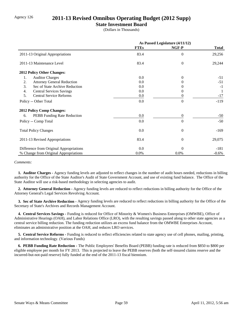## Agency 126 **2011-13 Revised Omnibus Operating Budget (2012 Supp)**

### **State Investment Board**

(Dollars in Thousands)

|                                         | As Passed Legislature (4/11/12) |                  |              |
|-----------------------------------------|---------------------------------|------------------|--------------|
|                                         | <b>FTEs</b>                     | NGF-P            | <b>Total</b> |
| 2011-13 Original Appropriations         | 83.4                            | $\overline{0}$   | 29,256       |
| 2011-13 Maintenance Level               | 83.4                            | $\boldsymbol{0}$ | 29,244       |
| 2012 Policy Other Changes:              |                                 |                  |              |
| <b>Auditor Charges</b><br>1.            | 0.0                             | $\Omega$         | $-51$        |
| 2.<br><b>Attorney General Reduction</b> | 0.0                             | $\theta$         | $-51$        |
| 3.<br>Sec of State Archive Reduction    | 0.0                             |                  | $-1$         |
| 4.<br><b>Central Services Savings</b>   | 0.0                             | 0                | -1           |
| 5.<br><b>Central Service Reforms</b>    | 0.0                             | 0                | $-17$        |
| Policy -- Other Total                   | 0.0                             | $\theta$         | $-119$       |
| <b>2012 Policy Comp Changes:</b>        |                                 |                  |              |
| PEBB Funding Rate Reduction<br>6.       | 0.0                             | $\theta$         | $-50$        |
| Policy -- Comp Total                    | 0.0                             | $\Omega$         | $-50$        |
| <b>Total Policy Changes</b>             | 0.0                             | $\overline{0}$   | $-169$       |
| 2011-13 Revised Appropriations          | 83.4                            | $\theta$         | 29,075       |
| Difference from Original Appropriations | 0.0                             | $\theta$         | $-181$       |
| % Change from Original Appropriations   | 0.0%                            | 0.0%             | $-0.6%$      |

#### *Comments:*

 **1. Auditor Charges -** Agency funding levels are adjusted to reflect changes in the number of audit hours needed, reductions in billing authority for the Office of the State Auditor's Audit of State Government Account, and use of existing fund balance. The Office of the State Auditor will use a risk-based methodology in selecting agencies to audit.

 **2. Attorney General Reduction -** Agency funding levels are reduced to reflect reductions in billing authority for the Office of the Attorney General's Legal Services Revolving Account.

 **3. Sec of State Archive Reduction -** Agency funding levels are reduced to reflect reductions in billing authority for the Office of the Secretary of State's Archives and Records Management Account.

 **4. Central Services Savings -** Funding is reduced for Office of Minority & Women's Business Enterprises (OMWBE), Office of Administrative Hearings (OAH), and Labor Relations Office (LRO), with the resulting savings passed along to other state agencies as a central service billing reduction. The funding reduction utilizes an excess fund balance from the OMWBE Enterprises Account, eliminates an administrative position at the OAH, and reduces LRO services.

 **5. Central Service Reforms -** Funding is reduced to reflect efficiencies related to state agency use of cell phones, mailing, printing, and information technology. (Various Funds)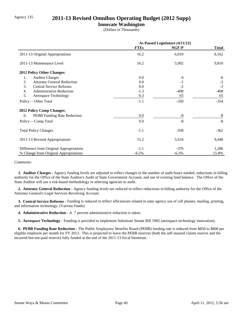## Agency 135 **2011-13 Revised Omnibus Operating Budget (2012 Supp)**

### **Innovate Washington**

(Dollars in Thousands)

|                                         | As Passed Legislature (4/11/12) |          |              |
|-----------------------------------------|---------------------------------|----------|--------------|
|                                         | <b>FTEs</b>                     | NGF-P    | <b>Total</b> |
| 2011-13 Original Appropriations         | 16.2                            | 6,010    | 8,162        |
| 2011-13 Maintenance Level               | 16.2                            | 5,992    | 9,810        |
| 2012 Policy Other Changes:              |                                 |          |              |
| <b>Auditor Charges</b><br>1.            | 0.0                             | -4       | -6           |
| 2.<br><b>Attorney General Reduction</b> | 0.0                             | $-1$     | $-2$         |
| 3.<br><b>Central Service Reforms</b>    | 0.0                             | $-2$     | $-3$         |
| 4.<br><b>Administrative Reduction</b>   | $-1.3$                          | $-408$   | $-408$       |
| 5.<br>Aerospace Technology              | 0.3                             | 65       | 65           |
| Policy -- Other Total                   | $-1.1$                          | $-350$   | $-354$       |
| <b>2012 Policy Comp Changes:</b>        |                                 |          |              |
| PEBB Funding Rate Reduction<br>6.       | 0.0                             | $-8$     | $-8$         |
| Policy -- Comp Total                    | 0.0                             | $-8$     | $-8$         |
| <b>Total Policy Changes</b>             | $-1.1$                          | $-358$   | $-362$       |
| 2011-13 Revised Appropriations          | 15.2                            | 5,634    | 9,448        |
| Difference from Original Appropriations | $-1.1$                          | $-376$   | 1,286        |
| % Change from Original Appropriations   | $-6.5\%$                        | $-6.3\%$ | 15.8%        |

#### *Comments:*

 **1. Auditor Charges -** Agency funding levels are adjusted to reflect changes in the number of audit hours needed, reductions in billing authority for the Office of the State Auditor's Audit of State Government Account, and use of existing fund balance. The Office of the State Auditor will use a risk-based methodology in selecting agencies to audit.

 **2. Attorney General Reduction -** Agency funding levels are reduced to reflect reductions in billing authority for the Office of the Attorney General's Legal Services Revolving Account.

 **3. Central Service Reforms -** Funding is reduced to reflect efficiencies related to state agency use of cell phones, mailing, printing, and information technology. (Various Funds)

 **4. Administrative Reduction -** A 7 percent administrative reduction is taken.

 **5. Aerospace Technology -** Funding is provided to implement Substitute Senate Bill 5982 (aerospace technology innovation).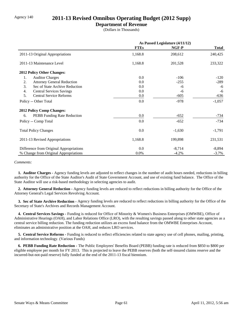## Agency 140 **2011-13 Revised Omnibus Operating Budget (2012 Supp)**

### **Department of Revenue**

(Dollars in Thousands)

|                                         | As Passed Legislature (4/11/12) |          |              |
|-----------------------------------------|---------------------------------|----------|--------------|
|                                         | <b>FTEs</b>                     | NGF-P    | <b>Total</b> |
| 2011-13 Original Appropriations         | 1,168.8                         | 208,612  | 240,425      |
| 2011-13 Maintenance Level               | 1,168.8                         | 201,528  | 233,322      |
| 2012 Policy Other Changes:              |                                 |          |              |
| <b>Auditor Charges</b><br>1.            | 0.0                             | $-106$   | $-120$       |
| 2.<br><b>Attorney General Reduction</b> | 0.0                             | $-255$   | $-289$       |
| 3.<br>Sec of State Archive Reduction    | 0.0                             | -6       | -6           |
| 4.<br><b>Central Services Savings</b>   | 0.0                             | -6       | -6           |
| 5.<br><b>Central Service Reforms</b>    | 0.0                             | $-605$   | $-636$       |
| Policy -- Other Total                   | 0.0                             | $-978$   | $-1,057$     |
| <b>2012 Policy Comp Changes:</b>        |                                 |          |              |
| PEBB Funding Rate Reduction<br>6.       | 0.0                             | $-652$   | -734         |
| Policy -- Comp Total                    | 0.0                             | $-652$   | $-734$       |
| <b>Total Policy Changes</b>             | 0.0                             | $-1,630$ | $-1,791$     |
| 2011-13 Revised Appropriations          | 1,168.8                         | 199,898  | 231,531      |
| Difference from Original Appropriations | 0.0                             | $-8,714$ | $-8,894$     |
| % Change from Original Appropriations   | 0.0%                            | $-4.2%$  | $-3.7\%$     |

#### *Comments:*

 **1. Auditor Charges -** Agency funding levels are adjusted to reflect changes in the number of audit hours needed, reductions in billing authority for the Office of the State Auditor's Audit of State Government Account, and use of existing fund balance. The Office of the State Auditor will use a risk-based methodology in selecting agencies to audit.

 **2. Attorney General Reduction -** Agency funding levels are reduced to reflect reductions in billing authority for the Office of the Attorney General's Legal Services Revolving Account.

 **3. Sec of State Archive Reduction -** Agency funding levels are reduced to reflect reductions in billing authority for the Office of the Secretary of State's Archives and Records Management Account.

 **4. Central Services Savings -** Funding is reduced for Office of Minority & Women's Business Enterprises (OMWBE), Office of Administrative Hearings (OAH), and Labor Relations Office (LRO), with the resulting savings passed along to other state agencies as a central service billing reduction. The funding reduction utilizes an excess fund balance from the OMWBE Enterprises Account, eliminates an administrative position at the OAH, and reduces LRO services.

 **5. Central Service Reforms -** Funding is reduced to reflect efficiencies related to state agency use of cell phones, mailing, printing, and information technology. (Various Funds)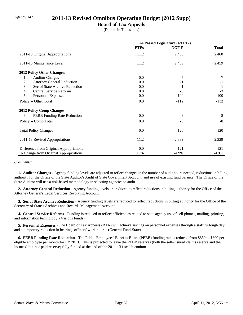## Agency 142 **2011-13 Revised Omnibus Operating Budget (2012 Supp)**

### **Board of Tax Appeals**

(Dollars in Thousands)

|                                         | As Passed Legislature (4/11/12) |          |              |
|-----------------------------------------|---------------------------------|----------|--------------|
|                                         | <b>FTEs</b>                     | NGF-P    | <b>Total</b> |
| 2011-13 Original Appropriations         | 11.2                            | 2,460    | 2,460        |
| 2011-13 Maintenance Level               | 11.2                            | 2,459    | 2,459        |
| 2012 Policy Other Changes:              |                                 |          |              |
| <b>Auditor Charges</b><br>1.            | 0.0                             | $-7$     | $-7$         |
| 2.<br><b>Attorney General Reduction</b> | 0.0                             | $-1$     | $-1$         |
| 3.<br>Sec of State Archive Reduction    | 0.0                             | $-1$     | $-1$         |
| 4.<br><b>Central Service Reforms</b>    | 0.0                             | $-3$     | $-3$         |
| 5.<br>Personnel Expenses                | 0.0                             | $-100$   | $-100$       |
| Policy -- Other Total                   | 0.0                             | $-112$   | $-112$       |
| <b>2012 Policy Comp Changes:</b>        |                                 |          |              |
| PEBB Funding Rate Reduction<br>6.       | 0.0                             | $-8$     | $-8$         |
| Policy -- Comp Total                    | 0.0                             | $-8$     | $-8$         |
| <b>Total Policy Changes</b>             | 0.0                             | $-120$   | $-120$       |
| 2011-13 Revised Appropriations          | 11.2                            | 2,339    | 2,339        |
| Difference from Original Appropriations | 0.0                             | $-121$   | $-121$       |
| % Change from Original Appropriations   | $0.0\%$                         | $-4.9\%$ | $-4.9\%$     |

#### *Comments:*

 **1. Auditor Charges -** Agency funding levels are adjusted to reflect changes in the number of audit hours needed, reductions in billing authority for the Office of the State Auditor's Audit of State Government Account, and use of existing fund balance. The Office of the State Auditor will use a risk-based methodology in selecting agencies to audit.

 **2. Attorney General Reduction -** Agency funding levels are reduced to reflect reductions in billing authority for the Office of the Attorney General's Legal Services Revolving Account.

 **3. Sec of State Archive Reduction -** Agency funding levels are reduced to reflect reductions in billing authority for the Office of the Secretary of State's Archives and Records Management Account.

 **4. Central Service Reforms -** Funding is reduced to reflect efficiencies related to state agency use of cell phones, mailing, printing, and information technology. (Various Funds)

 **5. Personnel Expenses -** The Board of Tax Appeals (BTA) will achieve savings on personnel expenses through a staff furlough day and a temporary reduction in hearings officers' work hours. (General Fund-State)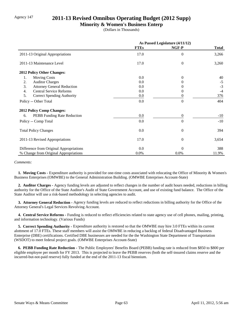## Agency 147 **2011-13 Revised Omnibus Operating Budget (2012 Supp)**

### **Minority & Women's Business Enterp**

(Dollars in Thousands)

|                                         | As Passed Legislature (4/11/12) |                  |              |
|-----------------------------------------|---------------------------------|------------------|--------------|
|                                         | <b>FTEs</b>                     | NGF-P            | <b>Total</b> |
| 2011-13 Original Appropriations         | 17.0                            | $\Omega$         | 3,266        |
| 2011-13 Maintenance Level               | 17.0                            | $\boldsymbol{0}$ | 3,260        |
| 2012 Policy Other Changes:              |                                 |                  |              |
| 1.<br><b>Moving Costs</b>               | 0.0                             | $\mathbf{0}$     | 40           |
| 2.<br><b>Auditor Charges</b>            | 0.0                             | $\theta$         | $-5$         |
| 3.<br><b>Attorney General Reduction</b> | 0.0                             | $\theta$         | $-3$         |
| <b>Central Service Reforms</b><br>4.    | 0.0                             | 0                | $-4$         |
| 5.<br><b>Correct Spending Authority</b> | 0.0                             | 0                | 376          |
| Policy -- Other Total                   | 0.0                             | $\theta$         | 404          |
| <b>2012 Policy Comp Changes:</b>        |                                 |                  |              |
| PEBB Funding Rate Reduction<br>6.       | 0.0                             | $\boldsymbol{0}$ | $-10$        |
| Policy -- Comp Total                    | 0.0                             | $\theta$         | $-10$        |
| <b>Total Policy Changes</b>             | 0.0                             | $\overline{0}$   | 394          |
| 2011-13 Revised Appropriations          | 17.0                            | $\overline{0}$   | 3,654        |
| Difference from Original Appropriations | 0.0                             | $\Omega$         | 388          |
| % Change from Original Appropriations   | 0.0%                            | $0.0\%$          | 11.9%        |

#### *Comments:*

 **1. Moving Costs -** Expenditure authority is provided for one-time costs associated with relocating the Office of Minority & Women's Business Enterprises (OMWBE) to the General Administration Building. (OMWBE Enterprises Account-State)

 **2. Auditor Charges -** Agency funding levels are adjusted to reflect changes in the number of audit hours needed, reductions in billing authority for the Office of the State Auditor's Audit of State Government Account, and use of existing fund balance. The Office of the State Auditor will use a risk-based methodology in selecting agencies to audit.

 **3. Attorney General Reduction -** Agency funding levels are reduced to reflect reductions in billing authority for the Office of the Attorney General's Legal Services Revolving Account.

 **4. Central Service Reforms -** Funding is reduced to reflect efficiencies related to state agency use of cell phones, mailing, printing, and information technology. (Various Funds)

 **5. Correct Spending Authority -** Expenditure authority is restored so that the OMWBE may hire 3.0 FTEs within its current alottment of 17.0 FTEs. These staff members will assist the OMWBE in reducing a backlog of federal Disadvantaged Business Enterprise (DBE) certifications. Certified DBE businesses are needed for the the Washington State Department of Transportation (WSDOT) to meet federal project goals. (OMWBE Enterprises Account-State)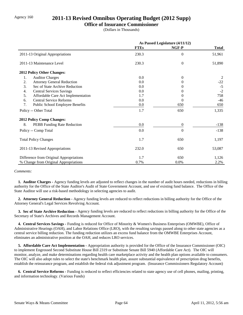## Agency 160 **2011-13 Revised Omnibus Operating Budget (2012 Supp)**

#### **Office of Insurance Commissioner**

(Dollars in Thousands)

|                                          | As Passed Legislature (4/11/12) |                  |              |
|------------------------------------------|---------------------------------|------------------|--------------|
|                                          | <b>FTEs</b>                     | NGF-P            | <b>Total</b> |
| 2011-13 Original Appropriations          | 230.3                           | $\theta$         | 51,961       |
| 2011-13 Maintenance Level                | 230.3                           | $\overline{0}$   | 51,890       |
| 2012 Policy Other Changes:               |                                 |                  |              |
| <b>Auditor Charges</b><br>1.             | 0.0                             | $\theta$         | 2            |
| 2.<br><b>Attorney General Reduction</b>  | 0.0                             | $\Omega$         | $-22$        |
| 3.<br>Sec of State Archive Reduction     | 0.0                             | 0                | $-5$         |
| <b>Central Services Savings</b><br>4.    | 0.0                             | $\Omega$         | $-2$         |
| 5.<br>Affordable Care Act Implementation | 1.7                             | $\theta$         | 758          |
| <b>Central Service Reforms</b><br>6.     | 0.0                             | 0                | $-46$        |
| 7.<br>Public School Employee Benefits    | 0.0                             | 650              | 650          |
| Policy -- Other Total                    | 1.7                             | 650              | 1,335        |
| 2012 Policy Comp Changes:                |                                 |                  |              |
| 8.<br>PEBB Funding Rate Reduction        | 0.0                             | $\boldsymbol{0}$ | $-138$       |
| Policy -- Comp Total                     | 0.0                             | $\boldsymbol{0}$ | $-138$       |
| <b>Total Policy Changes</b>              | 1.7                             | 650              | 1,197        |
| 2011-13 Revised Appropriations           | 232.0                           | 650              | 53,087       |
| Difference from Original Appropriations  | 1.7                             | 650              | 1,126        |
| % Change from Original Appropriations    | 0.7%                            | $0.0\%$          | 2.2%         |

#### *Comments:*

 **1. Auditor Charges -** Agency funding levels are adjusted to reflect changes in the number of audit hours needed, reductions in billing authority for the Office of the State Auditor's Audit of State Government Account, and use of existing fund balance. The Office of the State Auditor will use a risk-based methodology in selecting agencies to audit.

 **2. Attorney General Reduction -** Agency funding levels are reduced to reflect reductions in billing authority for the Office of the Attorney General's Legal Services Revolving Account.

 **3. Sec of State Archive Reduction -** Agency funding levels are reduced to reflect reductions in billing authority for the Office of the Secretary of State's Archives and Records Management Account.

 **4. Central Services Savings -** Funding is reduced for Office of Minority & Women's Business Enterprises (OMWBE), Office of Administrative Hearings (OAH), and Labor Relations Office (LRO), with the resulting savings passed along to other state agencies as a central service billing reduction. The funding reduction utilizes an excess fund balance from the OMWBE Enterprises Account, eliminates an administrative position at the OAH, and reduces LRO services.

 **5. Affordable Care Act Implementation -** Appropriation authority is provided for the Office of the Insurance Commissioner (OIC) to implement Engrossed Second Substitute House Bill 2319 or Substitute Senate Bill 5940 (Affordable Care Act). The OIC will monitor, analyze, and make determinations regarding health care marketplace activity and the health plan options available to consumers. The OIC will also adopt rules to select the state's benchmark health plan, assure substantial equivalence of prescription drug benefits, establish the reinsurance program, and establish the federal risk adjustment program. (Insurance Commissioners Regulatory Account)

 **6. Central Service Reforms -** Funding is reduced to reflect efficiencies related to state agency use of cell phones, mailing, printing, and information technology. (Various Funds)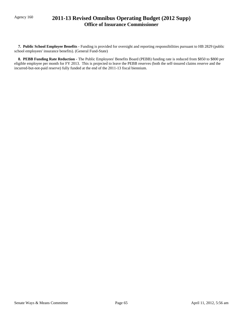## Agency 160 **2011-13 Revised Omnibus Operating Budget (2012 Supp) Office of Insurance Commissioner**

 **7. Public School Employee Benefits -** Funding is provided for oversight and reporting responsibilities pursuant to HB 2829 (public school employees' insurance benefits). (General Fund-State)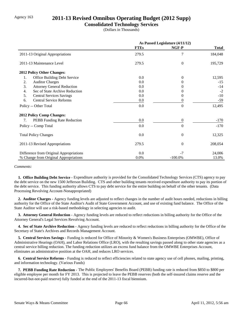## Agency 163 **2011-13 Revised Omnibus Operating Budget (2012 Supp)**

### **Consolidated Technology Services**

(Dollars in Thousands)

|                                                    |             | As Passed Legislature (4/11/12) |              |
|----------------------------------------------------|-------------|---------------------------------|--------------|
|                                                    | <b>FTEs</b> | NGF-P                           | <b>Total</b> |
| 2011-13 Original Appropriations                    | 279.5       | 7                               | 184,048      |
| 2011-13 Maintenance Level                          | 279.5       | $\overline{0}$                  | 195,729      |
| 2012 Policy Other Changes:                         |             |                                 |              |
| 1.<br>Office Building Debt Service                 | 0.0         | $\Omega$                        | 12,595       |
| 2.<br><b>Auditor Charges</b>                       | 0.0         | $\Omega$                        | $-15$        |
| 3.<br><b>Attorney General Reduction</b>            | 0.0         | $\theta$                        | $-14$        |
| Sec of State Archive Reduction<br>$\overline{4}$ . | 0.0         | 0                               | $-2$         |
| 5.<br><b>Central Services Savings</b>              | 0.0         | $\Omega$                        | $-10$        |
| <b>Central Service Reforms</b><br>6.               | 0.0         | $\theta$                        | $-59$        |
| Policy -- Other Total                              | 0.0         | $\overline{0}$                  | 12,495       |
| <b>2012 Policy Comp Changes:</b>                   |             |                                 |              |
| PEBB Funding Rate Reduction<br>7.                  | 0.0         | $\mathbf{0}$                    | $-170$       |
| Policy -- Comp Total                               | 0.0         | $\overline{0}$                  | $-170$       |
| <b>Total Policy Changes</b>                        | 0.0         | $\overline{0}$                  | 12,325       |
| 2011-13 Revised Appropriations                     | 279.5       | $\theta$                        | 208,054      |
| Difference from Original Appropriations            | 0.0         | $-7$                            | 24,006       |
| % Change from Original Appropriations              | 0.0%        | $-100.0\%$                      | 13.0%        |

#### *Comments:*

 **1. Office Building Debt Service -** Expenditure authority is provided for the Consolidated Technology Services (CTS) agency to pay the debt service on the new 1500 Jefferson Building. CTS and other building tenants received expenditure authority to pay its portion of the debt service. This funding authority allows CTS to pay debt service for the entire building on behalf of the other tenants. (Data Processing Revolving Account-Nonappropriated)

 **2. Auditor Charges -** Agency funding levels are adjusted to reflect changes in the number of audit hours needed, reductions in billing authority for the Office of the State Auditor's Audit of State Government Account, and use of existing fund balance. The Office of the State Auditor will use a risk-based methodology in selecting agencies to audit.

 **3. Attorney General Reduction -** Agency funding levels are reduced to reflect reductions in billing authority for the Office of the Attorney General's Legal Services Revolving Account.

 **4. Sec of State Archive Reduction -** Agency funding levels are reduced to reflect reductions in billing authority for the Office of the Secretary of State's Archives and Records Management Account.

 **5. Central Services Savings -** Funding is reduced for Office of Minority & Women's Business Enterprises (OMWBE), Office of Administrative Hearings (OAH), and Labor Relations Office (LRO), with the resulting savings passed along to other state agencies as a central service billing reduction. The funding reduction utilizes an excess fund balance from the OMWBE Enterprises Account, eliminates an administrative position at the OAH, and reduces LRO services.

 **6. Central Service Reforms -** Funding is reduced to reflect efficiencies related to state agency use of cell phones, mailing, printing, and information technology. (Various Funds)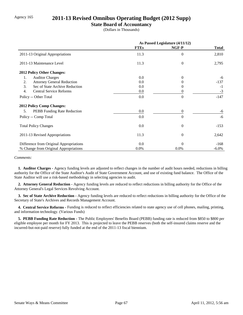## Agency 165 **2011-13 Revised Omnibus Operating Budget (2012 Supp)**

## **State Board of Accountancy**

(Dollars in Thousands)

|                                          | As Passed Legislature (4/11/12) |                |              |
|------------------------------------------|---------------------------------|----------------|--------------|
|                                          | <b>FTEs</b>                     | NGF-P          | <b>Total</b> |
| 2011-13 Original Appropriations          | 11.3                            | $\theta$       | 2,810        |
| 2011-13 Maintenance Level                | 11.3                            | $\overline{0}$ | 2,795        |
| <b>2012 Policy Other Changes:</b>        |                                 |                |              |
| <b>Auditor Charges</b><br>1.             | $0.0\,$                         | $\Omega$       | -6           |
| <b>Attorney General Reduction</b><br>2.  | 0.0                             | 0              | $-137$       |
| 3.<br>Sec of State Archive Reduction     | 0.0                             |                | $-1$         |
| <b>Central Service Reforms</b><br>4.     | $0.0\,$                         | 0              | $-3$         |
| Policy -- Other Total                    | 0.0                             | $\theta$       | $-147$       |
| <b>2012 Policy Comp Changes:</b>         |                                 |                |              |
| <b>PEBB</b> Funding Rate Reduction<br>5. | 0.0                             | $\Omega$       | -6           |
| Policy -- Comp Total                     | 0.0                             | $\theta$       | $-6$         |
| <b>Total Policy Changes</b>              | 0.0                             | $\theta$       | $-153$       |
| 2011-13 Revised Appropriations           | 11.3                            | $\theta$       | 2,642        |
| Difference from Original Appropriations  | 0.0                             | $\theta$       | $-168$       |
| % Change from Original Appropriations    | 0.0%                            | 0.0%           | $-6.0\%$     |

#### *Comments:*

 **1. Auditor Charges -** Agency funding levels are adjusted to reflect changes in the number of audit hours needed, reductions in billing authority for the Office of the State Auditor's Audit of State Government Account, and use of existing fund balance. The Office of the State Auditor will use a risk-based methodology in selecting agencies to audit.

 **2. Attorney General Reduction -** Agency funding levels are reduced to reflect reductions in billing authority for the Office of the Attorney General's Legal Services Revolving Account.

 **3. Sec of State Archive Reduction -** Agency funding levels are reduced to reflect reductions in billing authority for the Office of the Secretary of State's Archives and Records Management Account.

 **4. Central Service Reforms -** Funding is reduced to reflect efficiencies related to state agency use of cell phones, mailing, printing, and information technology. (Various Funds)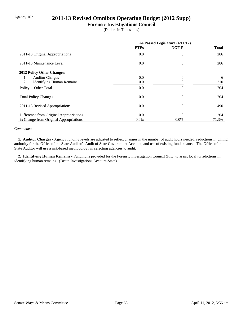# Agency 167 **2011-13 Revised Omnibus Operating Budget (2012 Supp)**

# **Forensic Investigations Council**

(Dollars in Thousands)

|                                         | As Passed Legislature (4/11/12) |                |              |
|-----------------------------------------|---------------------------------|----------------|--------------|
|                                         | <b>FTEs</b>                     | NGF-P          | <b>Total</b> |
| 2011-13 Original Appropriations         | 0.0                             | $\overline{0}$ | 286          |
| 2011-13 Maintenance Level               | 0.0                             | $\theta$       | 286          |
| 2012 Policy Other Changes:              |                                 |                |              |
| <b>Auditor Charges</b><br>1.            | 0.0                             | $\Omega$       | -6           |
| 2.<br><b>Identifying Human Remains</b>  | 0.0                             |                | 210          |
| Policy -- Other Total                   | 0.0                             | $\Omega$       | 204          |
| <b>Total Policy Changes</b>             | 0.0                             | $\overline{0}$ | 204          |
| 2011-13 Revised Appropriations          | 0.0                             | $\Omega$       | 490          |
| Difference from Original Appropriations | 0.0                             | $\Omega$       | 204          |
| % Change from Original Appropriations   | 0.0%                            | $0.0\%$        | 71.3%        |

#### *Comments:*

 **1. Auditor Charges -** Agency funding levels are adjusted to reflect changes in the number of audit hours needed, reductions in billing authority for the Office of the State Auditor's Audit of State Government Account, and use of existing fund balance. The Office of the State Auditor will use a risk-based methodology in selecting agencies to audit.

 **2. Identifying Human Remains -** Funding is provided for the Forensic Investigation Council (FIC) to assist local jurisdictions in identifying human remains. (Death Investigations Account-State)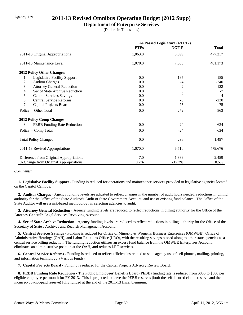# Agency 179 **2011-13 Revised Omnibus Operating Budget (2012 Supp)**

### **Department of Enterprise Services**

(Dollars in Thousands)

|                                         | As Passed Legislature (4/11/12) |          |              |
|-----------------------------------------|---------------------------------|----------|--------------|
|                                         | <b>FTEs</b>                     | NGF-P    | <b>Total</b> |
| 2011-13 Original Appropriations         | 1,063.0                         | 8,099    | 477,217      |
| 2011-13 Maintenance Level               | 1,070.0                         | 7,006    | 481,173      |
| 2012 Policy Other Changes:              |                                 |          |              |
| Legislative Facility Support<br>1.      | 0.0                             | $-185$   | $-185$       |
| 2.<br><b>Auditor Charges</b>            | 0.0                             | -4       | $-240$       |
| 3.<br><b>Attorney General Reduction</b> | 0.0                             | $-2$     | $-122$       |
| Sec of State Archive Reduction<br>4.    | 0.0                             | $\Omega$ | $-7$         |
| 5.<br><b>Central Services Savings</b>   | 0.0                             | $\Omega$ | $-4$         |
| <b>Central Service Reforms</b><br>6.    | 0.0                             | -6       | $-230$       |
| 7.<br>Capital Projects Board            | $0.0\,$                         | $-75$    | $-75$        |
| Policy -- Other Total                   | 0.0                             | $-272$   | $-863$       |
| <b>2012 Policy Comp Changes:</b>        |                                 |          |              |
| 8.<br>PEBB Funding Rate Reduction       | $0.0\,$                         | $-24$    | $-634$       |
| Policy -- Comp Total                    | 0.0                             | $-24$    | $-634$       |
| <b>Total Policy Changes</b>             | 0.0                             | $-296$   | $-1,497$     |
| 2011-13 Revised Appropriations          | 1,070.0                         | 6,710    | 479,676      |
| Difference from Original Appropriations | 7.0                             | $-1,389$ | 2,459        |
| % Change from Original Appropriations   | 0.7%                            | $-17.2%$ | 0.5%         |

*Comments:*

 **1. Legislative Facility Support -** Funding is reduced for operations and maintenance services provided to legislative agencies located on the Capitol Campus.

 **2. Auditor Charges -** Agency funding levels are adjusted to reflect changes in the number of audit hours needed, reductions in billing authority for the Office of the State Auditor's Audit of State Government Account, and use of existing fund balance. The Office of the State Auditor will use a risk-based methodology in selecting agencies to audit.

 **3. Attorney General Reduction -** Agency funding levels are reduced to reflect reductions in billing authority for the Office of the Attorney General's Legal Services Revolving Account.

 **4. Sec of State Archive Reduction -** Agency funding levels are reduced to reflect reductions in billing authority for the Office of the Secretary of State's Archives and Records Management Account.

 **5. Central Services Savings -** Funding is reduced for Office of Minority & Women's Business Enterprises (OMWBE), Office of Administrative Hearings (OAH), and Labor Relations Office (LRO), with the resulting savings passed along to other state agencies as a central service billing reduction. The funding reduction utilizes an excess fund balance from the OMWBE Enterprises Account, eliminates an administrative position at the OAH, and reduces LRO services.

 **6. Central Service Reforms -** Funding is reduced to reflect efficiencies related to state agency use of cell phones, mailing, printing, and information technology. (Various Funds)

 **7. Capital Projects Board -** Funding is reduced for the Capital Projects Advisory Review Board.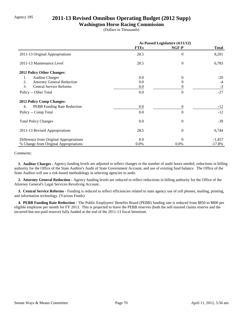# Agency 185 **2011-13 Revised Omnibus Operating Budget (2012 Supp)**

## **Washington Horse Racing Commission**

(Dollars in Thousands)

|                                         | As Passed Legislature (4/11/12) |                |              |
|-----------------------------------------|---------------------------------|----------------|--------------|
|                                         | <b>FTEs</b>                     | NGF-P          | <b>Total</b> |
| 2011-13 Original Appropriations         | 28.5                            | $\overline{0}$ | 8,201        |
| 2011-13 Maintenance Level               | 28.5                            | $\theta$       | 6,783        |
| <b>2012 Policy Other Changes:</b>       |                                 |                |              |
| <b>Auditor Charges</b><br>1.            | 0.0                             | $\Omega$       | $-20$        |
| 2.<br><b>Attorney General Reduction</b> | 0.0                             | $\theta$       | $-4$         |
| 3.<br><b>Central Service Reforms</b>    | 0.0                             | 0              | $-3$         |
| Policy -- Other Total                   | 0.0                             | $\theta$       | $-27$        |
| <b>2012 Policy Comp Changes:</b>        |                                 |                |              |
| PEBB Funding Rate Reduction<br>4.       | 0.0                             | $\overline{0}$ | $-12$        |
| Policy -- Comp Total                    | 0.0                             | $\Omega$       | $-12$        |
| <b>Total Policy Changes</b>             | 0.0                             | $\theta$       | $-39$        |
| 2011-13 Revised Appropriations          | 28.5                            | $\theta$       | 6,744        |
| Difference from Original Appropriations | 0.0                             | $\theta$       | $-1,457$     |
| % Change from Original Appropriations   | $0.0\%$                         | 0.0%           | $-17.8%$     |

#### *Comments:*

 **1. Auditor Charges -** Agency funding levels are adjusted to reflect changes in the number of audit hours needed, reductions in billing authority for the Office of the State Auditor's Audit of State Government Account, and use of existing fund balance. The Office of the State Auditor will use a risk-based methodology in selecting agencies to audit.

 **2. Attorney General Reduction -** Agency funding levels are reduced to reflect reductions in billing authority for the Office of the Attorney General's Legal Services Revolving Account.

 **3. Central Service Reforms -** Funding is reduced to reflect efficiencies related to state agency use of cell phones, mailing, printing, and information technology. (Various Funds)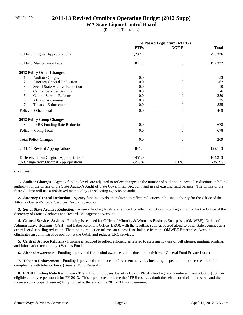# Agency 195 **2011-13 Revised Omnibus Operating Budget (2012 Supp)**

## **WA State Liquor Control Board**

(Dollars in Thousands)

|                                         | As Passed Legislature (4/11/12) |                  |              |
|-----------------------------------------|---------------------------------|------------------|--------------|
|                                         | <b>FTEs</b>                     | NGF-P            | <b>Total</b> |
| 2011-13 Original Appropriations         | 1,292.4                         | $\Omega$         | 296,326      |
| 2011-13 Maintenance Level               | 841.4                           | $\overline{0}$   | 192,322      |
| 2012 Policy Other Changes:              |                                 |                  |              |
| 1.<br><b>Auditor Charges</b>            | $0.0\,$                         | $\Omega$         | $-53$        |
| 2.<br><b>Attorney General Reduction</b> | 0.0                             | 0                | $-62$        |
| 3.<br>Sec of State Archive Reduction    | 0.0                             |                  | $-10$        |
| <b>Central Services Savings</b><br>4.   | 0.0                             |                  | $-6$         |
| 5.<br><b>Central Service Reforms</b>    | 0.0                             |                  | $-250$       |
| <b>Alcohol Awareness</b><br>6.          | 0.0                             | 0                | 25           |
| 7.<br><b>Tobacco Enforcement</b>        | 0.0                             | 0                | 825          |
| Policy -- Other Total                   | 0.0                             | $\overline{0}$   | 469          |
| 2012 Policy Comp Changes:               |                                 |                  |              |
| 8.<br>PEBB Funding Rate Reduction       | 0.0                             | $\boldsymbol{0}$ | $-678$       |
| Policy -- Comp Total                    | 0.0                             | $\overline{0}$   | $-678$       |
| <b>Total Policy Changes</b>             | 0.0                             | $\theta$         | $-209$       |
| 2011-13 Revised Appropriations          | 841.4                           | $\overline{0}$   | 192,113      |
| Difference from Original Appropriations | $-451.0$                        | $\Omega$         | $-104,213$   |
| % Change from Original Appropriations   | $-34.9%$                        | $0.0\%$          | $-35.2%$     |

#### *Comments:*

 **1. Auditor Charges -** Agency funding levels are adjusted to reflect changes in the number of audit hours needed, reductions in billing authority for the Office of the State Auditor's Audit of State Government Account, and use of existing fund balance. The Office of the State Auditor will use a risk-based methodology in selecting agencies to audit.

 **2. Attorney General Reduction -** Agency funding levels are reduced to reflect reductions in billing authority for the Office of the Attorney General's Legal Services Revolving Account.

 **3. Sec of State Archive Reduction -** Agency funding levels are reduced to reflect reductions in billing authority for the Office of the Secretary of State's Archives and Records Management Account.

 **4. Central Services Savings -** Funding is reduced for Office of Minority & Women's Business Enterprises (OMWBE), Office of Administrative Hearings (OAH), and Labor Relations Office (LRO), with the resulting savings passed along to other state agencies as a central service billing reduction. The funding reduction utilizes an excess fund balance from the OMWBE Enterprises Account, eliminates an administrative position at the OAH, and reduces LRO services.

 **5. Central Service Reforms -** Funding is reduced to reflect efficiencies related to state agency use of cell phones, mailing, printing, and information technology. (Various Funds)

 **6. Alcohol Awareness -** Funding is provided for alcohol awareness and education activities. (General Fund Private Local)

 **7. Tobacco Enforcement -** Funding is provided for tobacco enforcement activities including inspection of tobacco retailers for compliance with tobacco laws. (General Fund Federal)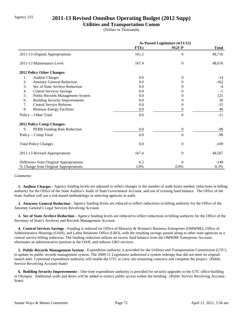# Agency 215 **2011-13 Revised Omnibus Operating Budget (2012 Supp)**

## **Utilities and Transportation Comm**

(Dollars in Thousands)

|                                             | As Passed Legislature (4/11/12) |                |              |
|---------------------------------------------|---------------------------------|----------------|--------------|
|                                             | <b>FTEs</b>                     | NGF-P          | <b>Total</b> |
| 2011-13 Original Appropriations             | 161.2                           | $\overline{0}$ | 48,716       |
| 2011-13 Maintenance Level                   | 167.4                           | $\mathbf{0}$   | 48,676       |
| 2012 Policy Other Changes:                  |                                 |                |              |
| <b>Auditor Charges</b><br>1.                | 0.0                             | $\overline{0}$ | $-14$        |
| 2.<br><b>Attorney General Reduction</b>     | 0.0                             | $\theta$       | $-162$       |
| 3.<br>Sec of State Archive Reduction        | 0.0                             | $\Omega$       | $-4$         |
| 4.<br><b>Central Services Savings</b>       | 0.0                             | $\theta$       | $-1$         |
| 5.<br>Public Records Management System      | 0.0                             | 0              | 125          |
| <b>Building Security Improvements</b><br>6. | 0.0                             | $\Omega$       | 30           |
| <b>Central Service Reforms</b><br>7.        | 0.0                             | $\theta$       | $-31$        |
| 8.<br><b>Biomass Energy Facilities</b>      | 0.0                             | $\theta$       | 46           |
| Policy -- Other Total                       | 0.0                             | $\theta$       | $-11$        |
| <b>2012 Policy Comp Changes:</b>            |                                 |                |              |
| 9.<br>PEBB Funding Rate Reduction           | 0.0                             | $\overline{0}$ | -98          |
| Policy -- Comp Total                        | 0.0                             | $\Omega$       | $-98$        |
| <b>Total Policy Changes</b>                 | 0.0                             | $\theta$       | $-109$       |
| 2011-13 Revised Appropriations              | 167.4                           | $\theta$       | 48,567       |
| Difference from Original Appropriations     | 6.2                             | $\Omega$       | $-149$       |
| % Change from Original Appropriations       | 3.9%                            | 0.0%           | $-0.3%$      |

#### *Comments:*

 **1. Auditor Charges -** Agency funding levels are adjusted to reflect changes in the number of audit hours needed, reductions in billing authority for the Office of the State Auditor's Audit of State Government Account, and use of existing fund balance. The Office of the State Auditor will use a risk-based methodology in selecting agencies to audit.

 **2. Attorney General Reduction -** Agency funding levels are reduced to reflect reductions in billing authority for the Office of the Attorney General's Legal Services Revolving Account.

 **3. Sec of State Archive Reduction -** Agency funding levels are reduced to reflect reductions in billing authority for the Office of the Secretary of State's Archives and Records Management Account.

 **4. Central Services Savings -** Funding is reduced for Office of Minority & Women's Business Enterprises (OMWBE), Office of Administrative Hearings (OAH), and Labor Relations Office (LRO), with the resulting savings passed along to other state agencies as a central service billing reduction. The funding reduction utilizes an excess fund balance from the OMWBE Enterprises Account, eliminates an administrative position at the OAH, and reduces LRO services.

 **5. Public Records Management System -** Expenditure authority is provided for the Utilities and Transportation Commission (UTC) to update its public records management system. The 2009-11 Legislature authorized a system redesign that did not meet its original launch date. Continued expenditure authority will enable the UTC to carry out remaining contracts and complete the project. (Public Service Revolving Account-State)

 **6. Building Security Improvements -** One-time expenditure authority is provided for security upgrades to the UTC office building in Olympia. Additional walls and doors will be added to restrict public access within the building. (Public Service Revolving Account-State)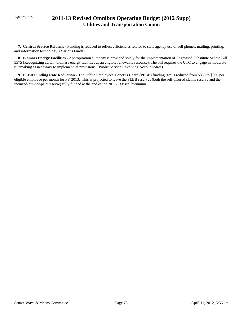# Agency 215 **2011-13 Revised Omnibus Operating Budget (2012 Supp) Utilities and Transportation Comm**

 **7. Central Service Reforms -** Funding is reduced to reflect efficiencies related to state agency use of cell phones, mailing, printing, and information technology. (Various Funds)

 **8. Biomass Energy Facilities -** Appropriation authority is provided solely for the implementation of Engrossed Substitute Senate Bill 5575 (Recognizing certain biomass energy facilities as an eligible renewable resource). The bill requires the UTC to engage in moderate rulemaking as necessary to implement its provisions. (Public Service Revolving Account-State)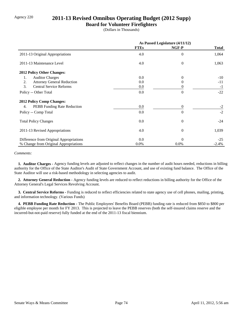# Agency 220 **2011-13 Revised Omnibus Operating Budget (2012 Supp)**

## **Board for Volunteer Firefighters**

(Dollars in Thousands)

|                                         | As Passed Legislature (4/11/12) |                |              |
|-----------------------------------------|---------------------------------|----------------|--------------|
|                                         | <b>FTEs</b>                     | NGF-P          | <b>Total</b> |
| 2011-13 Original Appropriations         | 4.0                             | $\overline{0}$ | 1,064        |
| 2011-13 Maintenance Level               | 4.0                             | $\overline{0}$ | 1,063        |
| 2012 Policy Other Changes:              |                                 |                |              |
| <b>Auditor Charges</b><br>1.            | 0.0                             | $\Omega$       | $-10^{-}$    |
| 2.<br><b>Attorney General Reduction</b> | 0.0                             | 0              | $-11$        |
| 3.<br><b>Central Service Reforms</b>    | $0.0\,$                         | 0              | $-1$         |
| Policy -- Other Total                   | 0.0                             | $\theta$       | $-22$        |
| 2012 Policy Comp Changes:               |                                 |                |              |
| PEBB Funding Rate Reduction<br>4.       | 0.0                             | $\theta$       | $-2$         |
| Policy -- Comp Total                    | 0.0                             | $\Omega$       | $-2$         |
| <b>Total Policy Changes</b>             | 0.0                             | $\theta$       | $-24$        |
| 2011-13 Revised Appropriations          | 4.0                             | $\overline{0}$ | 1,039        |
| Difference from Original Appropriations | 0.0                             | $\Omega$       | $-25$        |
| % Change from Original Appropriations   | $0.0\%$                         | 0.0%           | $-2.4%$      |

#### *Comments:*

 **1. Auditor Charges -** Agency funding levels are adjusted to reflect changes in the number of audit hours needed, reductions in billing authority for the Office of the State Auditor's Audit of State Government Account, and use of existing fund balance. The Office of the State Auditor will use a risk-based methodology in selecting agencies to audit.

 **2. Attorney General Reduction -** Agency funding levels are reduced to reflect reductions in billing authority for the Office of the Attorney General's Legal Services Revolving Account.

 **3. Central Service Reforms -** Funding is reduced to reflect efficiencies related to state agency use of cell phones, mailing, printing, and information technology. (Various Funds)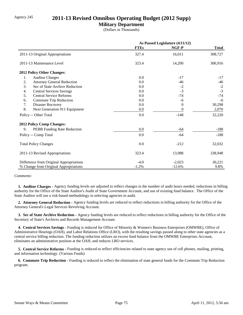# Agency 245 **2011-13 Revised Omnibus Operating Budget (2012 Supp)**

## **Military Department**

(Dollars in Thousands)

|                                         | As Passed Legislature (4/11/12) |          |              |
|-----------------------------------------|---------------------------------|----------|--------------|
|                                         | <b>FTEs</b>                     | NGF-P    | <b>Total</b> |
| 2011-13 Original Appropriations         | 327.4                           | 16,011   | 308,727      |
| 2011-13 Maintenance Level               | 323.4                           | 14,200   | 306,916      |
| 2012 Policy Other Changes:              |                                 |          |              |
| 1.<br><b>Auditor Charges</b>            | 0.0                             | $-17$    | $-17$        |
| 2.<br><b>Attorney General Reduction</b> | 0.0                             | $-46$    | $-46$        |
| 3.<br>Sec of State Archive Reduction    | 0.0                             | $-2$     | $-2$         |
| <b>Central Services Savings</b><br>4.   | 0.0                             | $-3$     | $-3$         |
| 5.<br><b>Central Service Reforms</b>    | 0.0                             | $-74$    | $-74$        |
| Commute Trip Reduction<br>6.            | 0.0                             | -6       | $-6$         |
| 7.<br><b>Disaster Recovery</b>          | 0.0                             | $\Omega$ | 30,298       |
| 8.<br>Next Generation 911 Equipment     | 0.0                             | $\theta$ | 2,070        |
| Policy -- Other Total                   | 0.0                             | $-148$   | 32,220       |
| <b>2012 Policy Comp Changes:</b>        |                                 |          |              |
| 9.<br>PEBB Funding Rate Reduction       | 0.0                             | -64      | $-188$       |
| Policy -- Comp Total                    | 0.0                             | $-64$    | $-188$       |
| <b>Total Policy Changes</b>             | 0.0                             | $-212$   | 32,032       |
| 2011-13 Revised Appropriations          | 323.4                           | 13,988   | 338,948      |
| Difference from Original Appropriations | $-4.0$                          | $-2,023$ | 30,221       |
| % Change from Original Appropriations   | $-1.2%$                         | $-12.6%$ | 9.8%         |

#### *Comments:*

 **1. Auditor Charges -** Agency funding levels are adjusted to reflect changes in the number of audit hours needed, reductions in billing authority for the Office of the State Auditor's Audit of State Government Account, and use of existing fund balance. The Office of the State Auditor will use a risk-based methodology in selecting agencies to audit.

 **2. Attorney General Reduction -** Agency funding levels are reduced to reflect reductions in billing authority for the Office of the Attorney General's Legal Services Revolving Account.

 **3. Sec of State Archive Reduction -** Agency funding levels are reduced to reflect reductions in billing authority for the Office of the Secretary of State's Archives and Records Management Account.

 **4. Central Services Savings -** Funding is reduced for Office of Minority & Women's Business Enterprises (OMWBE), Office of Administrative Hearings (OAH), and Labor Relations Office (LRO), with the resulting savings passed along to other state agencies as a central service billing reduction. The funding reduction utilizes an excess fund balance from the OMWBE Enterprises Account, eliminates an administrative position at the OAH, and reduces LRO services.

 **5. Central Service Reforms -** Funding is reduced to reflect efficiencies related to state agency use of cell phones, mailing, printing, and information technology. (Various Funds)

**6. Commute Trip Reduction - Funding is reduced to reflect the elimination of state general funds for the Commute Trip Reduction** program.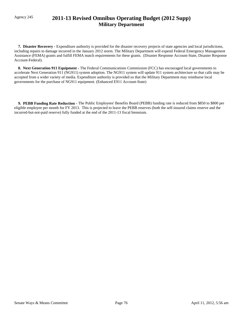# Agency 245 **2011-13 Revised Omnibus Operating Budget (2012 Supp) Military Department**

**7. Disaster Recovery -** Expenditure authority is provided for the disaster recovery projects of state agencies and local jurisdictions, including repairs to damage incurred in the January 2012 storm. The Military Department will expend Federal Emergency Management Assistance (FEMA) grants and fulfill FEMA match requirements for these grants. (Disaster Response Account-State, Disaster Response Account-Federal).

 **8. Next Generation 911 Equipment -** The Federal Communications Commission (FCC) has encouraged local governments to accelerate Next Generation 911 (NG911) system adoption. The NG911 system will update 911 system architecture so that calls may be accepted from a wider variety of media. Expenditure authority is provided so that the Military Department may reimburse local governments for the purchase of NG911 equipment. (Enhanced E911 Account-State)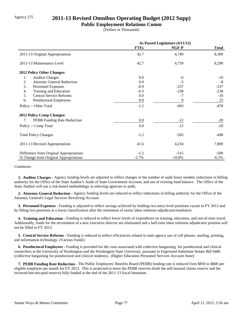# Agency 275 **2011-13 Revised Omnibus Operating Budget (2012 Supp)**

### **Public Employment Relations Comm**

(Dollars in Thousands)

|                                         | As Passed Legislature (4/11/12) |          |              |
|-----------------------------------------|---------------------------------|----------|--------------|
|                                         | <b>FTEs</b>                     | NGF-P    | <b>Total</b> |
| 2011-13 Original Appropriations         | 42.7                            | 4,749    | 8,309        |
| 2011-13 Maintenance Level               | 42.7                            | 4,739    | 8,298        |
| 2012 Policy Other Changes:              |                                 |          |              |
| 1.<br><b>Auditor Charges</b>            | 0.0                             | -6       | $-10$        |
| 2.<br><b>Attorney General Reduction</b> | 0.0                             | $-5$     | $-8$         |
| 3.<br>Personnel Expenses                | $-0.9$                          | $-237$   | $-237$       |
| Training and Education<br>4.            | $-0.3$                          | $-238$   | $-238$       |
| 5.<br><b>Central Service Reforms</b>    | 0.0                             | $-7$     | $-10$        |
| 6.<br>Postdoctoral Employees            | $0.0\,$                         | $\theta$ | 25           |
| Policy -- Other Total                   | $-1.2$                          | $-493$   | $-478$       |
| 2012 Policy Comp Changes:               |                                 |          |              |
| PEBB Funding Rate Reduction<br>7.       | $0.0\,$                         | $-12$    | $-20$        |
| Policy -- Comp Total                    | 0.0                             | $-12$    | $-20$        |
| <b>Total Policy Changes</b>             | $-1.2$                          | $-505$   | -498         |
| 2011-13 Revised Appropriations          | 41.6                            | 4,234    | 7,800        |
| Difference from Original Appropriations | $-1.2$                          | $-515$   | $-509$       |
| % Change from Original Appropriations   | $-2.7%$                         | $-10.8%$ | $-6.1%$      |

*Comments:*

 **1. Auditor Charges -** Agency funding levels are adjusted to reflect changes in the number of audit hours needed, reductions in billing authority for the Office of the State Auditor's Audit of State Government Account, and use of existing fund balance. The Office of the State Auditor will use a risk-based methodology in selecting agencies to audit.

 **2. Attorney General Reduction -** Agency funding levels are reduced to reflect reductions in billing authority for the Office of the Attorney General's Legal Services Revolving Account.

 **3. Personnel Expenses -** Funding is adjusted to reflect savings achieved by holding two entry-level positions vacant in FY 2013 and by filling two positions at a lower classification after the retirement of senior labor relations adjudicator/mediators.

 **4. Training and Education -** Funding is reduced to reflect lower levels of expenditure on training, education, and out-of-state travel. Additionally, funds for the recruitment of a new executive director are eliminated and a half-time labor relations adjudicator position will not be filled in FY 2013.

 **5. Central Service Reforms -** Funding is reduced to reflect efficiencies related to state agency use of cell phones, mailing, printing, and information technology. (Various Funds)

 **6. Postdoctoral Employees -** Funding is provided for the costs associated with collective bargaining for postdoctoral and clinical researchers at the University of Washington and the Washington State University, pursuant to Engrossed Substitute Senate Bill 6486 (collective bargaining for postdoctoral and clinical students). (Higher Education Personnel Services Account-State)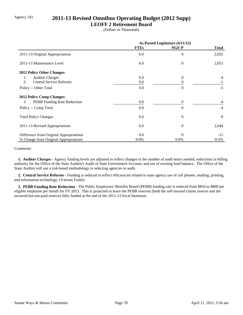# Agency 341 **2011-13 Revised Omnibus Operating Budget (2012 Supp)**

## **LEOFF 2 Retirement Board**

(Dollars in Thousands)

|                                         | As Passed Legislature (4/11/12) |          |              |
|-----------------------------------------|---------------------------------|----------|--------------|
|                                         | <b>FTEs</b>                     | NGF-P    | <b>Total</b> |
| 2011-13 Original Appropriations         | 6.0                             | $\theta$ | 2,055        |
| 2011-13 Maintenance Level               | 6.0                             | $\theta$ | 2,053        |
| <b>2012 Policy Other Changes:</b>       |                                 |          |              |
| <b>Auditor Charges</b><br>1.            | 0.0                             | $\Omega$ | -4           |
| <b>Central Service Reforms</b><br>2.    | 0.0                             |          | $-1$         |
| Policy -- Other Total                   | 0.0                             | $\Omega$ | $-5$         |
| <b>2012 Policy Comp Changes:</b>        |                                 |          |              |
| 3.<br>PEBB Funding Rate Reduction       | 0.0                             | $\Omega$ | -4           |
| Policy -- Comp Total                    | 0.0                             | $\Omega$ | $-4$         |
| <b>Total Policy Changes</b>             | 0.0                             | $\theta$ | $-9$         |
| 2011-13 Revised Appropriations          | 6.0                             | $\Omega$ | 2,044        |
| Difference from Original Appropriations | 0.0                             | $\Omega$ | $-11$        |
| % Change from Original Appropriations   | 0.0%                            | $0.0\%$  | $-0.5\%$     |

#### *Comments:*

 **1. Auditor Charges -** Agency funding levels are adjusted to reflect changes in the number of audit hours needed, reductions in billing authority for the Office of the State Auditor's Audit of State Government Account, and use of existing fund balance. The Office of the State Auditor will use a risk-based methodology in selecting agencies to audit.

 **2. Central Service Reforms -** Funding is reduced to reflect efficiencies related to state agency use of cell phones, mailing, printing, and information technology. (Various Funds)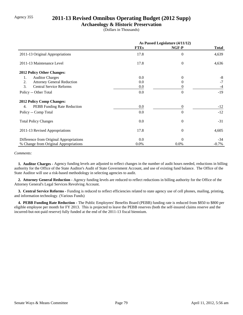## Agency 355 **2011-13 Revised Omnibus Operating Budget (2012 Supp)**

## **Archaeology & Historic Preservation**

(Dollars in Thousands)

|                                         | As Passed Legislature (4/11/12) |                |              |
|-----------------------------------------|---------------------------------|----------------|--------------|
|                                         | <b>FTEs</b>                     | NGF-P          | <b>Total</b> |
| 2011-13 Original Appropriations         | 17.8                            | $\theta$       | 4,639        |
| 2011-13 Maintenance Level               | 17.8                            | $\overline{0}$ | 4,636        |
| 2012 Policy Other Changes:              |                                 |                |              |
| <b>Auditor Charges</b><br>1.            | 0.0                             | $\Omega$       | -8           |
| <b>Attorney General Reduction</b><br>2. | 0.0                             |                | $-7$         |
| 3.<br><b>Central Service Reforms</b>    | 0.0                             |                | $-4$         |
| Policy -- Other Total                   | 0.0                             | $\Omega$       | $-19$        |
| <b>2012 Policy Comp Changes:</b>        |                                 |                |              |
| PEBB Funding Rate Reduction<br>4.       | 0.0                             | $\theta$       | $-12$        |
| Policy -- Comp Total                    | 0.0                             | $\Omega$       | $-12$        |
| <b>Total Policy Changes</b>             | 0.0                             | $\theta$       | $-31$        |
| 2011-13 Revised Appropriations          | 17.8                            | $\theta$       | 4,605        |
| Difference from Original Appropriations | 0.0                             | $\Omega$       | $-34$        |
| % Change from Original Appropriations   | 0.0%                            | 0.0%           | $-0.7\%$     |

#### *Comments:*

 **1. Auditor Charges -** Agency funding levels are adjusted to reflect changes in the number of audit hours needed, reductions in billing authority for the Office of the State Auditor's Audit of State Government Account, and use of existing fund balance. The Office of the State Auditor will use a risk-based methodology in selecting agencies to audit.

 **2. Attorney General Reduction -** Agency funding levels are reduced to reflect reductions in billing authority for the Office of the Attorney General's Legal Services Revolving Account.

 **3. Central Service Reforms -** Funding is reduced to reflect efficiencies related to state agency use of cell phones, mailing, printing, and information technology. (Various Funds)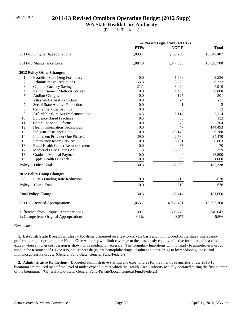# Agency 107 **2011-13 Revised Omnibus Operating Budget (2012 Supp)**

## **WA State Health Care Authority**

(Dollars in Thousands)

|     |                                         |             | As Passed Legislature (4/11/12) |              |
|-----|-----------------------------------------|-------------|---------------------------------|--------------|
|     |                                         | <b>FTEs</b> | NGF-P                           | <b>Total</b> |
|     | 2011-13 Original Appropriations         | 1,093.4     | 4,459,259                       | 10,847,407   |
|     | 2011-13 Maintenance Level               | 1,084.0     | 4,077,895                       | 10,025,700   |
|     | 2012 Policy Other Changes:              |             |                                 |              |
| 1.  | <b>Establish State Drug Formulary</b>   | 0.0         | $-1,768$                        | $-3,536$     |
| 2.  | <b>Administrative Reductions</b>        | $-55.3$     | $-3,623$                        | $-6,733$     |
| 3.  | <b>Capture Vacancy Savings</b>          | $-21.1$     | $-3,090$                        | $-4,910$     |
| 4.  | Reimbursement Methods Waiver            | 0.0         | 4,400                           | 8,800        |
| 5.  | <b>Auditor Charges</b>                  | 0.0         | 127                             | 301          |
| 6.  | <b>Attorney General Reduction</b>       | 0.0         | $-4$                            | $-11$        |
| 7.  | Sec of State Archive Reduction          | 0.0         | $-1$                            | $-2$         |
| 8.  | <b>Central Services Savings</b>         | 0.0         | 5                               | 12           |
| 9.  | Affordable Care Act Implementation      | 4.5         | 2,114                           | 2,114        |
| 10. | <b>Evidence Based Practices</b>         | 0.5         | 66                              | 132          |
| 11. | <b>Central Service Reforms</b>          | 0.0         | $-573$                          | $-704$       |
| 12. | <b>Health Information Technology</b>    | 0.8         | 47                              | 144,493      |
| 13. | <b>Indigent Assistance DSH</b>          | 0.0         | $-13,140$                       | $-26,280$    |
| 14. | Implement Provider One Phase 2          | 39.0        | 2,580                           | 24,470       |
| 15. | <b>Emergency Room Services</b>          | 0.0         | 3,731                           | 8,863        |
| 16. | Rural Health Center Reimbursement       | 0.0         | 35                              | 70           |
| 17. | Medicaid False Claims Act               | 1.3         | $-3,608$                        | 5,759        |
| 18. | <b>Graduate Medical Payments</b>        | 0.0         | $\overline{0}$                  | 28,500       |
| 19. | Apple Health Outreach                   | 0.0         | 500                             | 1,000        |
|     | Policy -- Other Total                   | $-30.3$     | $-12,202$                       | 182,338      |
|     | 2012 Policy Comp Changes:               |             |                                 |              |
| 20. | PEBB Funding Rate Reduction             | 0.0         | $-212$                          | $-678$       |
|     | Policy -- Comp Total                    | 0.0         | $-212$                          | $-678$       |
|     | <b>Total Policy Changes</b>             | $-30.3$     | $-12,414$                       | 181,660      |
|     | 2011-13 Revised Appropriations          | 1,053.7     | 4,065,481                       | 10,207,360   |
|     | Difference from Original Appropriations | $-39.7$     | $-393,778$                      | $-640,047$   |
|     | % Change from Original Appropriations   | $-3.6%$     | $-8.8%$                         | $-5.9\%$     |

#### *Comments:*

 **1. Establish State Drug Formulary -** For drugs dispensed on a fee-for-service basis and not included on the state's interagency preferred drug list program, the Health Care Authority will limit coverage to the least costly equally effective formulation in a class, except when a higher cost version is shown to be medically necessary. The formulary limitations will not apply to antiretroviral drugs used in the treatment of HIV/AIDS, anti-cancer drugs, antihemophilic drugs, insulin and other drugs to lower blood glucose, and immunosupressive drugs. (General Fund-State, General Fund-Federal)

 **2. Administrative Reductions -** Budgeted administrative staffing and expenditures for the final three quarters of the 2011-13 biennium are reduced by half the level of under-expenditure at which the Health Care Authority actually operated during the first quarter of the biennium. (General Fund-State, General Fund-Private/Local, General Fund-Federal)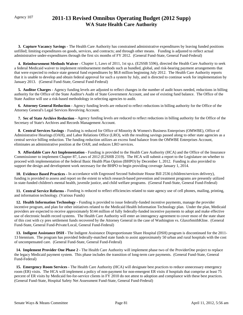# Agency 107 **2011-13 Revised Omnibus Operating Budget (2012 Supp) WA State Health Care Authority**

 **3. Capture Vacancy Savings -** The Health Care Authority has constrained administrative expenditures by leaving funded positions unfilled; limiting expenditures on goods, services, and contracts; and through other means. Funding is adjusted to reflect actual administrative under-expenditures through the first six months of FY 2012. (General Fund-State, General Fund-Federal)

 **4. Reimbursement Methods Waiver -** Chapter 1, Laws of 2011, 1st sp.s. (E2SSB 5596), directed the Health Care Authority to seek a federal Medicaid waiver to implement reimbursement methods such as bundled, global, and risk-bearing payment arrangements that that were expected to reduce state general fund expenditures by \$8.8 million beginning July 2012. The Health Care Authority reports that it is unable to develop and obtain federal approval for such a system by July, and is directed to continue work for implementation by January 2013. (General Fund-State, General Fund-Federal)

 **5. Auditor Charges -** Agency funding levels are adjusted to reflect changes in the number of audit hours needed, reductions in billing authority for the Office of the State Auditor's Audit of State Government Account, and use of existing fund balance. The Office of the State Auditor will use a risk-based methodology in selecting agencies to audit.

 **6. Attorney General Reduction -** Agency funding levels are reduced to reflect reductions in billing authority for the Office of the Attorney General's Legal Services Revolving Account.

 **7. Sec of State Archive Reduction -** Agency funding levels are reduced to reflect reductions in billing authority for the Office of the Secretary of State's Archives and Records Management Account.

 **8. Central Services Savings -** Funding is reduced for Office of Minority & Women's Business Enterprises (OMWBE), Office of Administrative Hearings (OAH), and Labor Relations Office (LRO), with the resulting savings passed along to other state agencies as a central service billing reduction. The funding reduction utilizes an excess fund balance from the OMWBE Enterprises Account, eliminates an administrative position at the OAH, and reduces LRO services.

 **9. Affordable Care Act Implementation -** Funding is provided to the Health Care Authority (HCA) and the Office of the Insurance Commissioner to implement Chapter 87, Laws of 2012 (E2SHB 2319). The HCA will submit a report to the Legislature on whether to proceed with implementation of the federal Basic Health Plan Option (BHPO) by December 1, 2012. Funding is also provided to support the design and development work necessary for the BHPO to begin providing coverage January 1, 2014.

 **10. Evidence Based Practices -** In accordance with Engrossed Second Substitute House Bill 2536 (children/services delivery), funding is provided to assess and report on the extent to which research-based prevention and treatment programs are presently utilized in state-funded children's mental health, juvenile justice, and child welfare programs. (General Fund-State, General Fund-Federal)

 **11. Central Service Reforms -** Funding is reduced to reflect efficiencies related to state agency use of cell phones, mailing, printing, and information technology. (Various Funds)

12. Health Information Technology - Funding is provided to issue federally-funded incentive payments, manage the provider incentive program, and plan for other initiatives related to the Medicaid Health Information Technology plan. Under the plan, Medicaid providers are expected to receive approximately \$144 million of fully federally-funded incentive payments to adopt and make effective use of electronic health record systems. The Health Care Authority will enter an interagency agreement to cover most of the state share of this cost with cy pres settlement funds recovered by the Attorney General in the case of Washington vs. GlaxoSmithKline. (General Fund-State, General Fund-Private/Local, General Fund-Federal)

 **13. Indigent Assistance DSH -** The Indigent Assistance Disproportionate Share Hospital (DSH) program is discontinued for the 2011- 13 biennium. The program has provided federally-matched state funds to assist approximately 50 urban and rural hospitals with the cost of uncompensated care. (General Fund-State, General Fund-Federal)

 **14. Implement Provider One Phase 2 -** The Health Care Authority will implement phase two of the ProviderOne project to replace the legacy Medicaid payment system. This phase includes the transition of long-term care payments. (General Fund-State, General Fund-Federal)

 **15. Emergency Room Services -** The Health Care Authority (HCA) will designate best practices to reduce unnecessary emergency room (ER) visits. The HCA will implement a policy of non-payment for non-emergent ER visits if hospitals that comprise at least 75 percent of ER visits by Medicaid fee-for-service clients in FY 2010 do not attest to adoption and compliance with these best practices. (General Fund-State, Hospital Safety Net Assessment Fund-State, General Fund-Federal)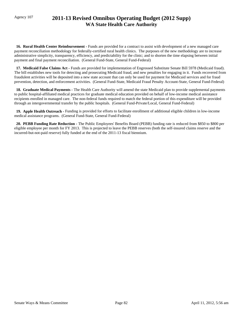# Agency 107 **2011-13 Revised Omnibus Operating Budget (2012 Supp) WA State Health Care Authority**

 **16. Rural Health Center Reimbursement -** Funds are provided for a contract to assist with development of a new managed care payment reconciliation methodology for federally-certified rural health clinics. The purposes of the new methodology are to increase administrative simplicity, transparency, efficiency, and predictability for the clinic; and to shorten the time elapsing between initial payment and final payment reconciliation. (General Fund-State, General Fund-Federal)

 **17. Medicaid False Claims Act -** Funds are provided for implementation of Engrossed Substitute Senate Bill 5978 (Medicaid fraud). The bill establishes new tools for detecting and prosecuting Medicaid fraud, and new penalties for engaging in it. Funds recovered from fraudulent activities will be deposited into a new state account that can only be used for payment for Medicaid services and for fraud prevention, detection, and enforcement activities. (General Fund-State, Medicaid Fraud Penalty Account-State, General Fund-Federal)

 **18. Graduate Medical Payments -** The Health Care Authority will amend the state Medicaid plan to provide supplemental payments to public hospital-affiliated medical practices for graduate medical education provided on behalf of low-income medical assistance recipients enrolled in managed care. The non-federal funds required to match the federal portion of this expenditure will be provided through an intergovernmental transfer by the public hospitals. (General Fund-Private/Local, General Fund-Federal)

 **19. Apple Health Outreach -** Funding is provided for efforts to facilitate enrollment of additional eligible children in low-income medical assistance programs. (General Fund-State, General Fund-Federal)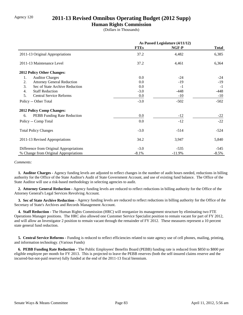# Agency 120 **2011-13 Revised Omnibus Operating Budget (2012 Supp)**

## **Human Rights Commission**

(Dollars in Thousands)

|                                         | As Passed Legislature (4/11/12) |          |              |
|-----------------------------------------|---------------------------------|----------|--------------|
|                                         | <b>FTEs</b>                     | NGF-P    | <b>Total</b> |
| 2011-13 Original Appropriations         | 37.2                            | 4,482    | 6,385        |
| 2011-13 Maintenance Level               | 37.2                            | 4,461    | 6,364        |
| <b>2012 Policy Other Changes:</b>       |                                 |          |              |
| <b>Auditor Charges</b><br>1.            | 0.0                             | $-24$    | $-24$        |
| 2.<br><b>Attorney General Reduction</b> | 0.0                             | $-19$    | $-19$        |
| 3.<br>Sec of State Archive Reduction    | 0.0                             | $-1$     | $-1$         |
| <b>Staff Reduction</b><br>4.            | $-3.0$                          | $-448$   | -448         |
| 5.<br><b>Central Service Reforms</b>    | 0.0                             | $-10$    | $-10$        |
| Policy -- Other Total                   | $-3.0$                          | $-502$   | $-502$       |
| <b>2012 Policy Comp Changes:</b>        |                                 |          |              |
| PEBB Funding Rate Reduction<br>6.       | 0.0                             | $-12$    | $-22$        |
| Policy -- Comp Total                    | 0.0                             | $-12$    | $-22$        |
| <b>Total Policy Changes</b>             | $-3.0$                          | $-514$   | $-524$       |
| 2011-13 Revised Appropriations          | 34.2                            | 3,947    | 5,840        |
| Difference from Original Appropriations | $-3.0$                          | $-535$   | -545         |
| % Change from Original Appropriations   | $-8.1%$                         | $-11.9%$ | $-8.5\%$     |

#### *Comments:*

 **1. Auditor Charges -** Agency funding levels are adjusted to reflect changes in the number of audit hours needed, reductions in billing authority for the Office of the State Auditor's Audit of State Government Account, and use of existing fund balance. The Office of the State Auditor will use a risk-based methodology in selecting agencies to audit.

 **2. Attorney General Reduction -** Agency funding levels are reduced to reflect reductions in billing authority for the Office of the Attorney General's Legal Services Revolving Account.

 **3. Sec of State Archive Reduction -** Agency funding levels are reduced to reflect reductions in billing authority for the Office of the Secretary of State's Archives and Records Management Account.

 **4. Staff Reduction -** The Human Rights Commission (HRC) will reorganize its management structure by eliminating two FTE Operations Manager positions. The HRC also allowed one Customer Service Specialist position to remain vacant for part of FY 2012, and will allow an Investigator 2 position to remain vacant through the remainder of FY 2012. These measures represent a 10 percent state general fund reduction.

 **5. Central Service Reforms -** Funding is reduced to reflect efficiencies related to state agency use of cell phones, mailing, printing, and information technology. (Various Funds)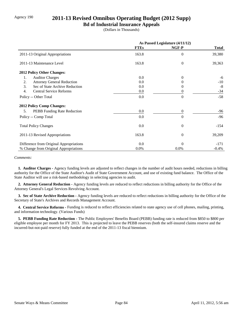# Agency 190 **2011-13 Revised Omnibus Operating Budget (2012 Supp)**

## **Bd of Industrial Insurance Appeals**

(Dollars in Thousands)

|                                         | As Passed Legislature (4/11/12) |                  |              |
|-----------------------------------------|---------------------------------|------------------|--------------|
|                                         | <b>FTEs</b>                     | NGF-P            | <b>Total</b> |
| 2011-13 Original Appropriations         | 163.8                           | $\theta$         | 39,380       |
| 2011-13 Maintenance Level               | 163.8                           | $\overline{0}$   | 39,363       |
| <b>2012 Policy Other Changes:</b>       |                                 |                  |              |
| <b>Auditor Charges</b><br>1.            | 0.0                             | $\Omega$         | -6           |
| <b>Attorney General Reduction</b><br>2. | 0.0                             | 0                | $-10$        |
| 3.<br>Sec of State Archive Reduction    | 0.0                             | 0                | $-8$         |
| 4.<br><b>Central Service Reforms</b>    | $0.0\,$                         | $\theta$         | $-34$        |
| Policy -- Other Total                   | 0.0                             | $\theta$         | $-58$        |
| <b>2012 Policy Comp Changes:</b>        |                                 |                  |              |
| PEBB Funding Rate Reduction<br>5.       | 0.0                             | $\boldsymbol{0}$ | -96          |
| Policy -- Comp Total                    | 0.0                             | $\theta$         | $-96$        |
| <b>Total Policy Changes</b>             | 0.0                             | $\boldsymbol{0}$ | $-154$       |
| 2011-13 Revised Appropriations          | 163.8                           | $\theta$         | 39,209       |
| Difference from Original Appropriations | 0.0                             | $\theta$         | $-171$       |
| % Change from Original Appropriations   | $0.0\%$                         | 0.0%             | $-0.4%$      |

#### *Comments:*

 **1. Auditor Charges -** Agency funding levels are adjusted to reflect changes in the number of audit hours needed, reductions in billing authority for the Office of the State Auditor's Audit of State Government Account, and use of existing fund balance. The Office of the State Auditor will use a risk-based methodology in selecting agencies to audit.

 **2. Attorney General Reduction -** Agency funding levels are reduced to reflect reductions in billing authority for the Office of the Attorney General's Legal Services Revolving Account.

 **3. Sec of State Archive Reduction -** Agency funding levels are reduced to reflect reductions in billing authority for the Office of the Secretary of State's Archives and Records Management Account.

 **4. Central Service Reforms -** Funding is reduced to reflect efficiencies related to state agency use of cell phones, mailing, printing, and information technology. (Various Funds)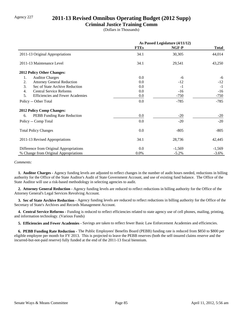# Agency 227 **2011-13 Revised Omnibus Operating Budget (2012 Supp)**

## **Criminal Justice Training Comm**

(Dollars in Thousands)

|                                               | As Passed Legislature (4/11/12) |          |              |
|-----------------------------------------------|---------------------------------|----------|--------------|
|                                               | <b>FTEs</b>                     | NGF-P    | <b>Total</b> |
| 2011-13 Original Appropriations               | 34.1                            | 30,305   | 44,014       |
| 2011-13 Maintenance Level                     | 34.1                            | 29,541   | 43,250       |
| 2012 Policy Other Changes:                    |                                 |          |              |
| 1.<br><b>Auditor Charges</b>                  | 0.0                             | -6       | -6           |
| 2.<br><b>Attorney General Reduction</b>       | 0.0                             | $-12$    | $-12$        |
| 3.<br>Sec of State Archive Reduction          | 0.0                             | $-1$     | $-1$         |
| <b>Central Service Reforms</b><br>4.          | 0.0                             | $-16$    | $-16$        |
| 5.<br><b>Efficiencies and Fewer Academies</b> | 0.0                             | $-750$   | $-750$       |
| Policy -- Other Total                         | 0.0                             | $-785$   | $-785$       |
| <b>2012 Policy Comp Changes:</b>              |                                 |          |              |
| PEBB Funding Rate Reduction<br>6.             | 0.0                             | $-20$    | $-20$        |
| Policy -- Comp Total                          | 0.0                             | $-20$    | $-20$        |
| <b>Total Policy Changes</b>                   | 0.0                             | $-805$   | $-805$       |
| 2011-13 Revised Appropriations                | 34.1                            | 28,736   | 42,445       |
| Difference from Original Appropriations       | 0.0                             | $-1,569$ | $-1,569$     |
| % Change from Original Appropriations         | 0.0%                            | $-5.2\%$ | $-3.6\%$     |

#### *Comments:*

 **1. Auditor Charges -** Agency funding levels are adjusted to reflect changes in the number of audit hours needed, reductions in billing authority for the Office of the State Auditor's Audit of State Government Account, and use of existing fund balance. The Office of the State Auditor will use a risk-based methodology in selecting agencies to audit.

 **2. Attorney General Reduction -** Agency funding levels are reduced to reflect reductions in billing authority for the Office of the Attorney General's Legal Services Revolving Account.

 **3. Sec of State Archive Reduction -** Agency funding levels are reduced to reflect reductions in billing authority for the Office of the Secretary of State's Archives and Records Management Account.

 **4. Central Service Reforms -** Funding is reduced to reflect efficiencies related to state agency use of cell phones, mailing, printing, and information technology. (Various Funds)

 **5. Efficiencies and Fewer Academies -** Savings are taken to reflect fewer Basic Law Enforcement Academies and efficiencies.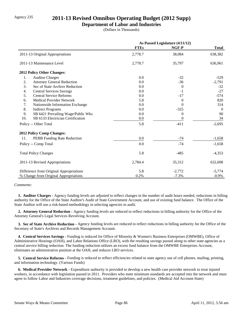# Agency 235 **2011-13 Revised Omnibus Operating Budget (2012 Supp)**

## **Department of Labor and Industries**

(Dollars in Thousands)

|                                          | As Passed Legislature (4/11/12) |                |              |
|------------------------------------------|---------------------------------|----------------|--------------|
|                                          | <b>FTEs</b>                     | NGF-P          | <b>Total</b> |
| 2011-13 Original Appropriations          | 2,778.7                         | 38,084         | 638,382      |
| 2011-13 Maintenance Level                | 2,778.7                         | 35,797         | 636,961      |
| 2012 Policy Other Changes:               |                                 |                |              |
| 1.<br><b>Auditor Charges</b>             | 0.0                             | $-32$          | $-529$       |
| 2.<br><b>Attorney General Reduction</b>  | 0.0                             | $-36$          | $-2,791$     |
| 3.<br>Sec of State Archive Reduction     | 0.0                             | $\theta$       | $-32$        |
| 4.<br><b>Central Services Savings</b>    | 0.0                             | $-1$           | $-27$        |
| 5.<br><b>Central Service Reforms</b>     | 0.0                             | $-17$          | $-574$       |
| <b>Medical Provider Network</b><br>6.    | 5.8                             | $\Omega$       | 820          |
| 7.<br>Nationwide Information Exchange    | 0.0                             | $\Omega$       | 314          |
| 8.<br><b>Indirect Programs</b>           | 0.0                             | $-325$         | $\Omega$     |
| 9.<br>SB 6421 Prevailing Wage/Public Wks | 0.0                             | $\theta$       | 90           |
| 10.<br>SB 6133 Electrician Certification | 0.0                             | $\overline{0}$ | 34           |
| Policy -- Other Total                    | 5.8                             | $-411$         | $-2,695$     |
| <b>2012 Policy Comp Changes:</b>         |                                 |                |              |
| 11.<br>PEBB Funding Rate Reduction       | 0.0                             | $-74$          | $-1,658$     |
| Policy -- Comp Total                     | 0.0                             | $-74$          | $-1,658$     |
| <b>Total Policy Changes</b>              | 5.8                             | $-485$         | $-4,353$     |
| 2011-13 Revised Appropriations           | 2,784.4                         | 35,312         | 632,608      |
| Difference from Original Appropriations  | 5.8                             | $-2,772$       | $-5,774$     |
| % Change from Original Appropriations    | 0.2%                            | $-7.3%$        | $-0.9\%$     |

#### *Comments:*

 **1. Auditor Charges -** Agency funding levels are adjusted to reflect changes in the number of audit hours needed, reductions in billing authority for the Office of the State Auditor's Audit of State Government Account, and use of existing fund balance. The Office of the State Auditor will use a risk-based methodology in selecting agencies to audit.

 **2. Attorney General Reduction -** Agency funding levels are reduced to reflect reductions in billing authority for the Office of the Attorney General's Legal Services Revolving Account.

 **3. Sec of State Archive Reduction -** Agency funding levels are reduced to reflect reductions in billing authority for the Office of the Secretary of State's Archives and Records Management Account.

 **4. Central Services Savings -** Funding is reduced for Office of Minority & Women's Business Enterprises (OMWBE), Office of Administrative Hearings (OAH), and Labor Relations Office (LRO), with the resulting savings passed along to other state agencies as a central service billing reduction. The funding reduction utilizes an excess fund balance from the OMWBE Enterprises Account, eliminates an administrative position at the OAH, and reduces LRO services.

 **5. Central Service Reforms -** Funding is reduced to reflect efficiencies related to state agency use of cell phones, mailing, printing, and information technology. (Various Funds)

 **6. Medical Provider Network -** Expenditure authority is provided to develop a new health care provider network to treat injured workers, in accordance with legislation passed in 2011. Providers who meet minimum standards are accepted into the network and must agree to follow Labor and Industries coverage decisions, treatment guidelines, and policies. (Medical Aid Account-State)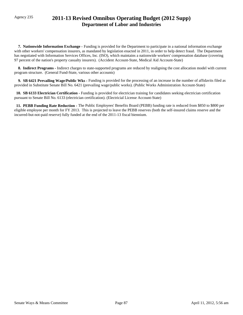# Agency 235 **2011-13 Revised Omnibus Operating Budget (2012 Supp) Department of Labor and Industries**

 **7. Nationwide Information Exchange -** Funding is provided for the Department to participate in a national information exchange with other workers' compensation insurers, as mandated by legislation enacted in 2011, in order to help detect fraud. The Department has negotiated with Information Services Offices, Inc. (ISO), which maintains a nationwide workers' compensation database (covering 97 percent of the nation's property casualty insurers). (Accident Account-State, Medical Aid Account-State)

 **8. Indirect Programs -** Indirect charges to state-supported programs are reduced by realigning the cost allocation model with current program structure. (General Fund-State, various other accounts)

 **9. SB 6421 Prevailing Wage/Public Wks -** Funding is provided for the processing of an increase in the number of affidavits filed as provided in Substitute Senate Bill No. 6421 (prevailing wage/public works). (Public Works Administration Account-State)

 **10. SB 6133 Electrician Certification -** Funding is provided for electrician training for candidates seeking electrician certification pursuant to Senate Bill No. 6133 (electrician certification). (Electricial License Account-State)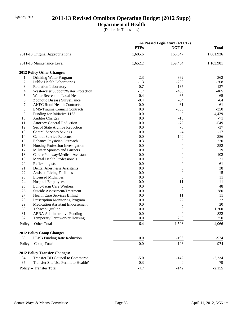# Agency 303 **2011-13 Revised Omnibus Operating Budget (2012 Supp)**

# **Department of Health**

(Dollars in Thousands)

|     |                                        | As Passed Legislature (4/11/12) |                  |              |
|-----|----------------------------------------|---------------------------------|------------------|--------------|
|     |                                        | <b>FTEs</b>                     | NGF-P            | <b>Total</b> |
|     | 2011-13 Original Appropriations        | 1,605.6                         | 160,547          | 1,081,936    |
|     | 2011-13 Maintenance Level              | 1,652.2                         | 159,454          | 1,103,981    |
|     | 2012 Policy Other Changes:             |                                 |                  |              |
| 1.  | Drinking Water Program                 | $-2.3$                          | $-362$           | $-362$       |
| 2.  | <b>Public Health Laboratories</b>      | $-1.3$                          | $-208$           | $-208$       |
| 3.  | Radiation Laboratory                   | $-0.7$                          | $-137$           | $-137$       |
| 4.  | Wastewater Support/Water Protection    | $-1.7$                          | $-405$           | $-405$       |
| 5.  | Water Recreation Local Health          | $-0.4$                          | $-65$            | $-65$        |
| 6.  | Zoonotic Disease Surveillance          | $-0.4$                          | $-64$            | $-64$        |
| 7.  | <b>AHEC Rural Health Contracts</b>     | 0.0                             | $-61$            | $-61$        |
| 8.  | <b>EMS-Trauma Council Contracts</b>    | 0.0                             | $-350$           | $-350$       |
| 9.  | Funding for Initiative 1163            | 0.0                             | $\overline{0}$   | 4,429        |
| 10. | <b>Auditor Charges</b>                 | 0.0                             | $-16$            | $-71$        |
| 11. | <b>Attorney General Reduction</b>      | 0.0                             | $-72$            | $-549$       |
| 12. | Sec of State Archive Reduction         | 0.0                             | $-8$             | $-37$        |
| 13. | <b>Central Services Savings</b>        | 0.0                             | $-4$             | $-17$        |
| 14. | <b>Central Service Reforms</b>         | 0.0                             | $-140$           | $-386$       |
| 15. | Enhance Physician Outreach             | 0.3                             | $\boldsymbol{0}$ | 220          |
| 16. | Nursing Profession Investigation       | 0.0                             | $\boldsymbol{0}$ | 352          |
| 17. | Military Spouses and Partners          | 0.0                             | $\overline{0}$   | 19           |
| 18. | Career Pathway/Medical Assistants      | 0.0                             | $\theta$         | 102          |
| 19. | <b>Mental Health Professionals</b>     | 0.0                             | $\theta$         | 21           |
| 20. | Reflexologists                         | 0.0                             | $\boldsymbol{0}$ | 61           |
| 21. | Dental Anesthesia Assistants           | 0.0                             | $\boldsymbol{0}$ | $28\,$       |
| 22. | <b>Assisted Living Facilities</b>      | 0.0                             | $\boldsymbol{0}$ | 15           |
| 23. | <b>Licensed Midwives</b>               | 0.0                             | $\boldsymbol{0}$ | 11           |
| 24. | <b>Hospital Employees</b>              | 0.0                             | 11               | 11           |
| 25. | Long-Term Care Workers                 | 0.0                             | $\boldsymbol{0}$ | 48           |
| 26. | Suicide Assessment/Treatment           | 0.0                             | $\overline{0}$   | 280          |
| 27. | <b>Health Care Services Billing</b>    | 0.0                             | 11               | 11           |
| 28. | <b>Prescription Monitoring Program</b> | 0.0                             | $22\,$           | 22           |
| 29. | Medication Assistant Endorsement       | 0.0                             | $\boldsymbol{0}$ | 30           |
| 30. | Tobacco Quitline                       | 0.0                             | $\boldsymbol{0}$ | 1,700        |
| 31. | <b>ARRA Administrative Funding</b>     | 0.0                             | $\boldsymbol{0}$ | $-832$       |
| 32. | Temporary Farmworker Housing           | 0.0                             | 250              | 250          |
|     | Policy -- Other Total                  | $-6.4$                          | $-1,598$         | 4,066        |
|     | <b>2012 Policy Comp Changes:</b>       |                                 |                  |              |
| 33. | PEBB Funding Rate Reduction            | 0.0                             | $-196$           | $-974$       |
|     | Policy -- Comp Total                   | $0.0\,$                         | $-196$           | $-974$       |
|     | <b>2012 Policy Transfer Changes:</b>   |                                 |                  |              |
| 34. | <b>Transfer DD Council to Commerce</b> | $-5.0$                          | $-142$           | $-2,234$     |
| 35. | Transfer Site Use Permit to Health#    | 0.3                             | $\boldsymbol{0}$ | 79           |
|     | Policy -- Transfer Total               | $-4.7$                          | $-142$           | $-2,155$     |
|     |                                        |                                 |                  |              |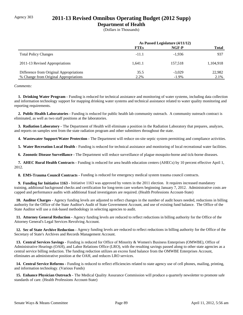# Agency 303 **2011-13 Revised Omnibus Operating Budget (2012 Supp)**

## **Department of Health**

(Dollars in Thousands)

|                                                                                  | As Passed Legislature (4/11/12) |                      |                |
|----------------------------------------------------------------------------------|---------------------------------|----------------------|----------------|
|                                                                                  | <b>FTEs</b>                     | NGF-P                | <b>Total</b>   |
| <b>Total Policy Changes</b>                                                      | $-11.1$                         | $-1.936$             | 937            |
| 2011-13 Revised Appropriations                                                   | 1.641.1                         | 157.518              | 1,104,918      |
| Difference from Original Appropriations<br>% Change from Original Appropriations | 35.5<br>2.2%                    | $-3.029$<br>$-1.9\%$ | 22,982<br>2.1% |

#### *Comments:*

 **1. Drinking Water Program -** Funding is reduced for technical assistance and monitoring of water systems, including data collection and information technology support for mapping drinking water systems and technical assistance related to water quality monitoring and reporting requirements.

 **2. Public Health Laboratories -** Funding is reduced for public health lab community outreach. A community outreach contract is eliminated, as well as two staff positions at the laboratories.

 **3. Radiation Laboratory -** The Department of Health will eliminate a position in the Radiation Laboratory that prepares, analyzes, and reports on samples sent from the state radiation program and other submitters throughout the state.

 **4. Wastewater Support/Water Protection -** The Department will reduce on-site septic system permitting and compliance activities.

 **5. Water Recreation Local Health -** Funding is reduced for technical assistance and monitoring of local recreational water facilities.

 **6. Zoonotic Disease Surveillance -** The Department will reduce surveillance of plague mosquito-borne and tick-borne diseases.

 **7. AHEC Rural Health Contracts -** Funding is reduced for area health education centers (AHECs) by 10 percent effective April 1, 2012.

**8. EMS-Trauma Council Contracts - Funding is reduced for emergency medical system trauma council contracts.** 

 **9. Funding for Initiative 1163 -** Initiative 1163 was approved by voters in the 2011 election. It requires increased mandatory training, additional background checks and certification for long-term care workers beginning January 7, 2012. Administrative costs are capped and performance audits with additional fraud investigators are required. (Health Professions Account-State)

 **10. Auditor Charges -** Agency funding levels are adjusted to reflect changes in the number of audit hours needed, reductions in billing authority for the Office of the State Auditor's Audit of State Government Account, and use of existing fund balance. The Office of the State Auditor will use a risk-based methodology in selecting agencies to audit.

 **11. Attorney General Reduction -** Agency funding levels are reduced to reflect reductions in billing authority for the Office of the Attorney General's Legal Services Revolving Account.

 **12. Sec of State Archive Reduction -** Agency funding levels are reduced to reflect reductions in billing authority for the Office of the Secretary of State's Archives and Records Management Account.

 **13. Central Services Savings -** Funding is reduced for Office of Minority & Women's Business Enterprises (OMWBE), Office of Administrative Hearings (OAH), and Labor Relations Office (LRO), with the resulting savings passed along to other state agencies as a central service billing reduction. The funding reduction utilizes an excess fund balance from the OMWBE Enterprises Account, eliminates an administrative position at the OAH, and reduces LRO services.

 **14. Central Service Reforms -** Funding is reduced to reflect efficiencies related to state agency use of cell phones, mailing, printing, and information technology. (Various Funds)

15. Enhance Physician Outreach - The Medical Quality Assurance Commission will produce a quarterly newsletter to promote safe standards of care. (Health Professions Account-State)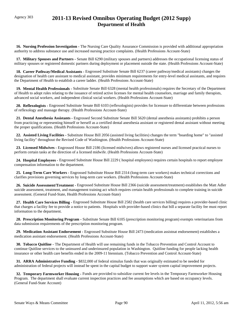# Agency 303 **2011-13 Revised Omnibus Operating Budget (2012 Supp) Department of Health**

 **16. Nursing Profession Investigation -** The Nursing Care Quality Assurance Commission is provided with additional appropriation authority to address substance use and increased nursing practice complaints. (Health Professions Account-State)

 **17. Military Spouses and Partners -** Senate Bill 6290 (military spouses and partners) addresses the occupational licensing status of military spouses or registered domestic partners during deployment or placement outside the state. (Health Professions Account-State)

 **18. Career Pathway/Medical Assistants -** Engrossed Substitute Senate Bill 6237 (career pathway/medical assistants) changes the designation of health care assistant to medical assistant, provides minimum requirements for entry-level medical assistants, and requires the Department of Health to establish a career ladder. (Health Professions Account-State)

 **19. Mental Health Professionals -** Substitute Senate Bill 6328 (mental health professionals) requires the Secretary of the Department of Health to adopt rules relating to the issuance of retired active licenses for mental health counselors, marriage and family therapists, advanced social workers, and independent clinical social workers. (Health Professions Account-State)

 **20. Reflexologists -** Engrossed Substitute Senate Bill 6103 (reflexologists) provides for licensure to differentiate between professions of reflexology and massage therapy. (Health Professions Account-State)

 **21. Dental Anesthesia Assistants -** Engrossed Second Substitute Senate Bill 5620 (dental anesthesia assistants) prohibits a person from practicing or representing himself or herself as a certified dental anesthesia assistant or registered dental assistant without meeting the proper qualifications. (Health Professions Account-State)

 **22. Assisted Living Facilities -** Substitute House Bill 2056 (assisted living facilities) changes the term "boarding home" to "assisted living facility" throughout the Revised Code of Washington. (Health Professions Account-State)

 **23. Licensed Midwives -** Engrossed House Bill 2186 (licensed midwives) allows registered nurses and licensed practical nurses to perform certain tasks at the direction of a licensed midwife. (Health Professions Account-State)

 **24. Hospital Employees -** Engrossed Substitute House Bill 2229 ( hospital employees) requires certain hospitals to report employee compensation information to the department.

 **25. Long-Term Care Workers -** Engrossed Substitute House Bill 2314 (long-term care workers) makes technical corrections and clarifies provisions governing services by long-term care workers. (Health Professions Account-State)

 **26. Suicide Assessment/Treatment -** Engrossed Substitute House Bill 2366 (suicide assessment/treatment) establishes the Matt Adler suicide assessment, treatment, and management training act which requires certain health professionals to complete training in suicide assessment. (General Fund-State, Health Professions Account-State)

 **27. Health Care Services Billing -** Engrossed Substitute House Bill 2582 (health care services billing) requires a provider-based clinic that charges a facility fee to provide a notice to patients. Hospitals with provider-based clinics that bill a separate facility fee must report information to the department.

 **28. Prescription Monitoring Program -** Substitute Senate Bill 6105 (prescription monitoring program) exempts veterinarians from data submission requirements of the prescription monitoring program.

 **29. Medication Assistant Endorsement -** Engrossed Substitute House Bill 2473 (medication assistnat endorsement) establishes a medication assistant endorsement. (Health Professions Account-State)

 **30. Tobacco Quitline -** The Department of Health will use remaining funds in the Tobacco Prevention and Control Account to continue Quitline services to the uninsured and underinsured population in Washington. Quitline funding for people lacking health insurance or other health care benefits ended in the 2009-11 biennium. (Tobacco Prevention and Control Account-State)

 **31. ARRA Administrative Funding -** \$832,000 of federal stimulus funds that was originally estimated to be needed for administration of federal projects will instead be spent in the capital budget to support water system capital improvement projects.

 **32. Temporary Farmworker Housing -** Funds are provided to subsidize current fee levels in the Temporary Farmworker Housing Program. The department shall evaluate current inspection practices and fee assumptions which are based on occupancy levels. (General Fund-State Account)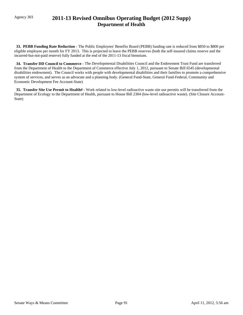# Agency 303 **2011-13 Revised Omnibus Operating Budget (2012 Supp) Department of Health**

 **33. PEBB Funding Rate Reduction -** The Public Employees' Benefits Board (PEBB) funding rate is reduced from \$850 to \$800 per eligible employee per month for FY 2013. This is projected to leave the PEBB reserves (both the self-insured claims reserve and the incurred-but-not-paid reserve) fully funded at the end of the 2011-13 fiscal biennium.

 **34. Transfer DD Council to Commerce -** The Developmental Disabilities Council and the Endowment Trust Fund are transferred from the Department of Health to the Department of Commerce effective July 1, 2012, pursuant to Senate Bill 6545 (developmental disabilities endowment). The Council works with people with developmental disabilities and their families to promote a comprehensive system of services, and serves as an advocate and a planning body. (General Fund-State, General Fund-Federal, Community and Economic Development Fee Account-State)

 **35. Transfer Site Use Permit to Health# -** Work related to low-level radioactive waste site use permits will be transferred from the Department of Ecology to the Department of Health, pursuant to House Bill 2304 (low-level radioactive waste). (Site Closure Account-State)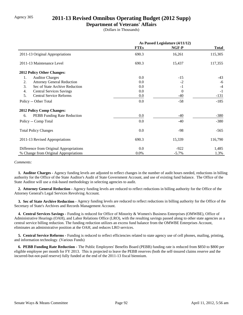# Agency 305 **2011-13 Revised Omnibus Operating Budget (2012 Supp)**

## **Department of Veterans' Affairs**

(Dollars in Thousands)

|                                         | As Passed Legislature (4/11/12) |          |              |
|-----------------------------------------|---------------------------------|----------|--------------|
|                                         | <b>FTEs</b>                     | NGF-P    | <b>Total</b> |
| 2011-13 Original Appropriations         | 690.3                           | 16,261   | 115,305      |
| 2011-13 Maintenance Level               | 690.3                           | 15,437   | 117,355      |
| 2012 Policy Other Changes:              |                                 |          |              |
| 1.<br><b>Auditor Charges</b>            | 0.0                             | $-15$    | $-43$        |
| 2.<br><b>Attorney General Reduction</b> | 0.0                             | $-2$     | -6           |
| 3.<br>Sec of State Archive Reduction    | 0.0                             | $-1$     | $-4$         |
| 4.<br><b>Central Services Savings</b>   | 0.0                             | $\theta$ | $-1$         |
| <b>Central Service Reforms</b><br>5.    | 0.0                             | $-40$    | $-131$       |
| Policy -- Other Total                   | 0.0                             | $-58$    | $-185$       |
| <b>2012 Policy Comp Changes:</b>        |                                 |          |              |
| PEBB Funding Rate Reduction<br>6.       | 0.0                             | $-40$    | $-380$       |
| Policy -- Comp Total                    | 0.0                             | $-40$    | $-380$       |
| <b>Total Policy Changes</b>             | 0.0                             | -98      | $-565$       |
| 2011-13 Revised Appropriations          | 690.3                           | 15,339   | 116,790      |
| Difference from Original Appropriations | 0.0                             | $-922$   | 1,485        |
| % Change from Original Appropriations   | $0.0\%$                         | $-5.7\%$ | 1.3%         |

#### *Comments:*

 **1. Auditor Charges -** Agency funding levels are adjusted to reflect changes in the number of audit hours needed, reductions in billing authority for the Office of the State Auditor's Audit of State Government Account, and use of existing fund balance. The Office of the State Auditor will use a risk-based methodology in selecting agencies to audit.

 **2. Attorney General Reduction -** Agency funding levels are reduced to reflect reductions in billing authority for the Office of the Attorney General's Legal Services Revolving Account.

 **3. Sec of State Archive Reduction -** Agency funding levels are reduced to reflect reductions in billing authority for the Office of the Secretary of State's Archives and Records Management Account.

 **4. Central Services Savings -** Funding is reduced for Office of Minority & Women's Business Enterprises (OMWBE), Office of Administrative Hearings (OAH), and Labor Relations Office (LRO), with the resulting savings passed along to other state agencies as a central service billing reduction. The funding reduction utilizes an excess fund balance from the OMWBE Enterprises Account, eliminates an administrative position at the OAH, and reduces LRO services.

 **5. Central Service Reforms -** Funding is reduced to reflect efficiencies related to state agency use of cell phones, mailing, printing, and information technology. (Various Funds)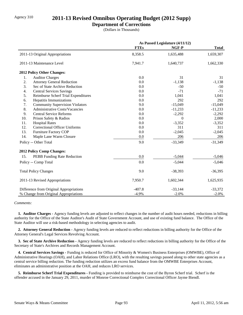# Agency 310 **2011-13 Revised Omnibus Operating Budget (2012 Supp)**

## **Department of Corrections**

(Dollars in Thousands)

|                                              | As Passed Legislature (4/11/12) |           |              |
|----------------------------------------------|---------------------------------|-----------|--------------|
|                                              | <b>FTEs</b>                     | NGF-P     | <b>Total</b> |
| 2011-13 Original Appropriations              | 8,358.5                         | 1,635,488 | 1,659,307    |
| 2011-13 Maintenance Level                    | 7,941.7                         | 1,640,737 | 1,662,330    |
| 2012 Policy Other Changes:                   |                                 |           |              |
| <b>Auditor Charges</b><br>1.                 | 0.0                             | 31        | 31           |
| 2.<br><b>Attorney General Reduction</b>      | 0.0                             | $-1,138$  | $-1,138$     |
| 3.<br>Sec of State Archive Reduction         | 0.0                             | $-50$     | $-50$        |
| 4.<br><b>Central Services Savings</b>        | 0.0                             | $-71$     | $-71$        |
| 5.<br>Reimburse Scherf Trial Expenditures    | 0.0                             | 1,041     | 1,041        |
| 6.<br>Hepatitis Immunizations                | 0.0                             | 292       | 292          |
| 7.<br><b>Community Supervision Violators</b> | 9.0                             | $-15,049$ | $-15,049$    |
| 8.<br>Administrative Costs/Vacancies         | 0.0                             | $-11,233$ | $-11,233$    |
| 9.<br><b>Central Service Reforms</b>         | 0.0                             | $-2,292$  | $-2,292$     |
| 10.<br>Prison Safety & Radios                | 0.0                             | $\Omega$  | 2,000        |
| 11.<br><b>Hospital Rates</b>                 | 0.0                             | $-3,352$  | $-3,352$     |
| 12.<br><b>Correctional Officer Uniforms</b>  | 0.0                             | 311       | 311          |
| 13.<br>Furniture Factory COP                 | 0.0                             | $-2,045$  | $-2,045$     |
| 14.<br>Maple Lane Warm Closure               | 0.0                             | 206       | 206          |
| Policy -- Other Total                        | 9.0                             | $-33,349$ | $-31,349$    |
| 2012 Policy Comp Changes:                    |                                 |           |              |
| 15.<br>PEBB Funding Rate Reduction           | 0.0                             | $-5,044$  | $-5,046$     |
| Policy -- Comp Total                         | 0.0                             | $-5,044$  | $-5,046$     |
| <b>Total Policy Changes</b>                  | 9.0                             | $-38,393$ | $-36,395$    |
| 2011-13 Revised Appropriations               | 7,950.7                         | 1,602,344 | 1,625,935    |
| Difference from Original Appropriations      | $-407.8$                        | $-33,144$ | $-33,372$    |
| % Change from Original Appropriations        | $-4.9%$                         | $-2.0%$   | $-2.0%$      |

### *Comments:*

 **1. Auditor Charges -** Agency funding levels are adjusted to reflect changes in the number of audit hours needed, reductions in billing authority for the Office of the State Auditor's Audit of State Government Account, and use of existing fund balance. The Office of the State Auditor will use a risk-based methodology in selecting agencies to audit.

 **2. Attorney General Reduction -** Agency funding levels are reduced to reflect reductions in billing authority for the Office of the Attorney General's Legal Services Revolving Account.

 **3. Sec of State Archive Reduction -** Agency funding levels are reduced to reflect reductions in billing authority for the Office of the Secretary of State's Archives and Records Management Account.

 **4. Central Services Savings -** Funding is reduced for Office of Minority & Women's Business Enterprises (OMWBE), Office of Administrative Hearings (OAH), and Labor Relations Office (LRO), with the resulting savings passed along to other state agencies as a central service billing reduction. The funding reduction utilizes an excess fund balance from the OMWBE Enterprises Account, eliminates an administrative position at the OAH, and reduces LRO services.

 **5. Reimburse Scherf Trial Expenditures -** Funding is provided to reimburse the cost of the Byron Scherf trial. Scherf is the offender accused in the January 29, 2011, murder of Monroe Correctional Complex Correctional Officer Jayme Biendl.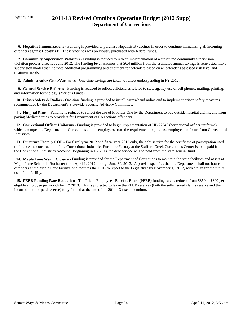# Agency 310 **2011-13 Revised Omnibus Operating Budget (2012 Supp) Department of Corrections**

 **6. Hepatitis Immunizations -** Funding is provided to purchase Hepatitis B vaccines in order to continue immunizing all incoming offenders against Hepatitis B. These vaccines was previously purchased with federal funds.

 **7. Community Supervision Violators -** Funding is reduced to reflect implementation of a structured community supervision violation process effective June 2012. The funding level assumes that \$6.4 million from the estimated annual savings is reinvested into a supervision model that includes additional programming and treatment for offenders based on an offender's assessed risk level and treatment needs.

 **8. Administrative Costs/Vacancies -** One-time savings are taken to reflect underspending in FY 2012.

 **9. Central Service Reforms -** Funding is reduced to reflect efficiencies related to state agency use of cell phones, mailing, printing, and information technology. (Various Funds)

 **10. Prison Safety & Radios -** One-time funding is provided to install narrowband radios and to implement prison safety measures recommended by the Department's Statewide Security Advisory Committee.

 **11. Hospital Rates -** Funding is reduced to reflect the use of Provider One by the Department to pay outside hospital claims, and from paying Medicaid rates to providers for Department of Corrections offenders.

 **12. Correctional Officer Uniforms -** Funding is provided to begin implementation of HB 22346 (correctional officer uniforms), which exempts the Department of Corrections and its employees from the requirement to purchase employee uniforms from Correctional Industries.

 **13. Furniture Factory COP -** For fiscal year 2012 and fiscal year 2013 only, the debt service for the certificate of participation used to finance the construction of the Correctional Industries Furniture Factory at the Stafford Creek Corrections Center is to be paid from the Correctional Industries Account. Beginning in FY 2014 the debt service will be paid from the state general fund.

 **14. Maple Lane Warm Closure -** Funding is provided for the Department of Corrections to maintain the state facilities and assets at Maple Lane School in Rochester from April 1, 2012 through June 30, 2013. A proviso specifies that the Department shall not house offenders at the Maple Lane facility. and requires the DOC to report to the Legislature by November 1, 2012, with a plan for the future use of the facility.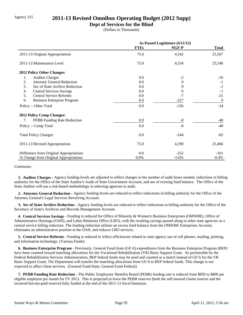# Agency 315 **2011-13 Revised Omnibus Operating Budget (2012 Supp)**

## **Dept of Services for the Blind**

(Dollars in Thousands)

|                                          | As Passed Legislature (4/11/12) |                |                |
|------------------------------------------|---------------------------------|----------------|----------------|
|                                          | <b>FTEs</b>                     | NGF-P          | <b>Total</b>   |
| 2011-13 Original Appropriations          | 75.0                            | 4,542          | 25,567         |
| 2011-13 Maintenance Level                | 75.0                            | 4,534          | 25,548         |
| <b>2012 Policy Other Changes:</b>        |                                 |                |                |
| 1.<br><b>Auditor Charges</b>             | 0.0                             | $-2$           | $-10$          |
| <b>Attorney General Reduction</b><br>2.  | 0.0                             | $\overline{0}$ | $-1$           |
| 3.<br>Sec of State Archive Reduction     | 0.0                             | 0              | $-1$           |
| <b>Central Services Savings</b><br>4.    | 0.0                             | $\theta$       | $-1$           |
| 5.<br><b>Central Service Reforms</b>     | 0.0                             | $-7$           | $-21$          |
| 6.<br><b>Business Enterprise Program</b> | $0.0\,$                         | $-227$         | $\overline{0}$ |
| Policy -- Other Total                    | 0.0                             | $-236$         | $-34$          |
| <b>2012 Policy Comp Changes:</b>         |                                 |                |                |
| PEBB Funding Rate Reduction<br>7.        | 0.0                             | -8             | $-48$          |
| Policy -- Comp Total                     | 0.0                             | $-8$           | $-48$          |
| <b>Total Policy Changes</b>              | 0.0                             | $-244$         | $-82$          |
| 2011-13 Revised Appropriations           | 75.0                            | 4,290          | 25,466         |
| Difference from Original Appropriations  | 0.0                             | $-252$         | $-101$         |
| % Change from Original Appropriations    | 0.0%                            | $-5.6%$        | $-0.4%$        |

*Comments:*

 **1. Auditor Charges -** Agency funding levels are adjusted to reflect changes in the number of audit hours needed, reductions in billing authority for the Office of the State Auditor's Audit of State Government Account, and use of existing fund balance. The Office of the State Auditor will use a risk-based methodology in selecting agencies to audit.

 **2. Attorney General Reduction -** Agency funding levels are reduced to reflect reductions in billing authority for the Office of the Attorney General's Legal Services Revolving Account.

 **3. Sec of State Archive Reduction -** Agency funding levels are reduced to reflect reductions in billing authority for the Office of the Secretary of State's Archives and Records Management Account.

 **4. Central Services Savings -** Funding is reduced for Office of Minority & Women's Business Enterprises (OMWBE), Office of Administrative Hearings (OAH), and Labor Relations Office (LRO), with the resulting savings passed along to other state agencies as a central service billing reduction. The funding reduction utilizes an excess fund balance from the OMWBE Enterprises Account, eliminates an administrative position at the OAH, and reduces LRO services.

 **5. Central Service Reforms -** Funding is reduced to reflect efficiencies related to state agency use of cell phones, mailing, printing, and information technology. (Various Funds)

 **6. Business Enterprise Program -** Previously, General Fund-State (GF-S) expenditures from the Business Enterprise Program (BEP) have been counted toward matching allocations for the Vocational Rehabilitation (VR) Basic Support Grant. As permissible by the Federal Rehabilitation Services Administration, BEP federal funds may be used and counted as a match instead of GF-S for the VR Basic Support Grant. The Department will transfer the matching allocations from GF-S to BEP federal funds. This change is not expected to affect client services. (General Fund-State, General Fund-Federal)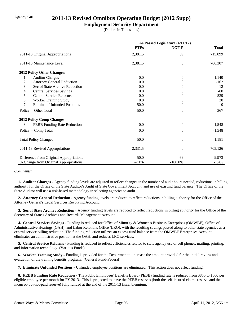# Agency 540 **2011-13 Revised Omnibus Operating Budget (2012 Supp)**

## **Employment Security Department**

(Dollars in Thousands)

|                                           | As Passed Legislature (4/11/12) |                  |                  |
|-------------------------------------------|---------------------------------|------------------|------------------|
|                                           | <b>FTEs</b>                     | NGF-P            | <b>Total</b>     |
| 2011-13 Original Appropriations           | 2,381.5                         | 69               | 715,099          |
| 2011-13 Maintenance Level                 | 2,381.5                         | $\overline{0}$   | 706,307          |
| 2012 Policy Other Changes:                |                                 |                  |                  |
| 1.<br><b>Auditor Charges</b>              | 0.0                             | $\theta$         | 1,140            |
| 2.<br><b>Attorney General Reduction</b>   | 0.0                             | $\Omega$         | $-162$           |
| 3.<br>Sec of State Archive Reduction      | 0.0                             | $\Omega$         | $-12$            |
| <b>Central Services Savings</b><br>4.     | 0.0                             | $\theta$         | $-80$            |
| 5.<br><b>Central Service Reforms</b>      | 0.0                             | 0                | $-539$           |
| Worker Training Study<br>6.               | 0.0                             | $\boldsymbol{0}$ | 20               |
| 7.<br><b>Eliminate Unfunded Positions</b> | $-50.0$                         | 0                | $\boldsymbol{0}$ |
| Policy -- Other Total                     | $-50.0$                         | $\boldsymbol{0}$ | 367              |
| 2012 Policy Comp Changes:                 |                                 |                  |                  |
| 8.<br>PEBB Funding Rate Reduction         | 0.0                             | $\boldsymbol{0}$ | $-1,548$         |
| Policy -- Comp Total                      | 0.0                             | $\boldsymbol{0}$ | $-1,548$         |
| <b>Total Policy Changes</b>               | $-50.0$                         | $\overline{0}$   | $-1,181$         |
| 2011-13 Revised Appropriations            | 2,331.5                         | $\theta$         | 705,126          |
| Difference from Original Appropriations   | $-50.0$                         | -69              | $-9,973$         |
| % Change from Original Appropriations     | $-2.1%$                         | $-100.0\%$       | $-1.4%$          |

#### *Comments:*

 **1. Auditor Charges -** Agency funding levels are adjusted to reflect changes in the number of audit hours needed, reductions in billing authority for the Office of the State Auditor's Audit of State Government Account, and use of existing fund balance. The Office of the State Auditor will use a risk-based methodology in selecting agencies to audit.

 **2. Attorney General Reduction -** Agency funding levels are reduced to reflect reductions in billing authority for the Office of the Attorney General's Legal Services Revolving Account.

 **3. Sec of State Archive Reduction -** Agency funding levels are reduced to reflect reductions in billing authority for the Office of the Secretary of State's Archives and Records Management Account.

 **4. Central Services Savings -** Funding is reduced for Office of Minority & Women's Business Enterprises (OMWBE), Office of Administrative Hearings (OAH), and Labor Relations Office (LRO), with the resulting savings passed along to other state agencies as a central service billing reduction. The funding reduction utilizes an excess fund balance from the OMWBE Enterprises Account, eliminates an administrative position at the OAH, and reduces LRO services.

 **5. Central Service Reforms -** Funding is reduced to reflect efficiencies related to state agency use of cell phones, mailing, printing, and information technology. (Various Funds)

 **6. Worker Training Study -** Funding is provided for the Department to increase the amount provided for the initial review and evaluation of the training benefits program. (General Fund-Federal)

 **7. Eliminate Unfunded Positions -** Unfunded employee positions are eliminated. This action does not affect funding.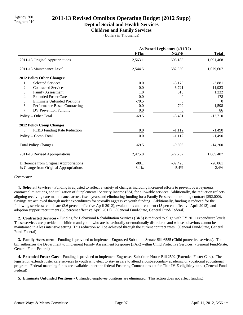# Agency 300 **2011-13 Revised Omnibus Operating Budget (2012 Supp)**<br>Program 010

## **Dept of Social and Health Services**

**Children and Family Services**

(Dollars in Thousands)

|                                           | As Passed Legislature (4/11/12) |           |              |
|-------------------------------------------|---------------------------------|-----------|--------------|
|                                           | <b>FTEs</b>                     | NGF-P     | <b>Total</b> |
| 2011-13 Original Appropriations           | 2,563.1                         | 605,185   | 1,091,468    |
| 2011-13 Maintenance Level                 | 2,544.5                         | 582,350   | 1,079,607    |
| 2012 Policy Other Changes:                |                                 |           |              |
| <b>Selected Services</b><br>1.            | 0.0                             | $-3,175$  | $-3,881$     |
| 2.<br><b>Contracted Services</b>          | 0.0                             | $-6,721$  | $-11,923$    |
| 3.<br>Family Assessment                   | 1.0                             | 616       | 1,232        |
| <b>Extended Foster Care</b><br>4.         | 0.0                             | $\theta$  | 178          |
| <b>Eliminate Unfunded Positions</b><br>5. | $-70.5$                         | $\Omega$  | $\Omega$     |
| 6.<br>Performance Based Contracting       | 0.0                             | 799       | 1,598        |
| 7.<br>DV Prevention Funding               | 0.0                             | 0         | 86           |
| Policy -- Other Total                     | $-69.5$                         | $-8,481$  | $-12,710$    |
| 2012 Policy Comp Changes:                 |                                 |           |              |
| 8.<br>PEBB Funding Rate Reduction         | 0.0                             | $-1,112$  | $-1,490$     |
| Policy -- Comp Total                      | 0.0                             | $-1,112$  | $-1,490$     |
| <b>Total Policy Changes</b>               | $-69.5$                         | $-9,593$  | $-14,200$    |
| 2011-13 Revised Appropriations            | 2,475.0                         | 572,757   | 1,065,407    |
| Difference from Original Appropriations   | $-88.1$                         | $-32,428$ | $-26,061$    |
| % Change from Original Appropriations     | $-3.4%$                         | $-5.4%$   | $-2.4%$      |

#### *Comments:*

 **1. Selected Services -** Funding is adjusted to reflect a variety of changes including increased efforts to prevent overpayments, contract eliminations, and utilization of Supplemental Security Income (SSI) for allowable services. Additionally, the reduction reflects aligning receiving care maintenance across fiscal years and eliminating funding for a Family Preservation training contract (\$52,000). Savings are achieved through under expenditures for sexually aggressive youth funding. Additionally, funding is reduced for the following services: child care (3.6 percent effective April 2012); evaluations and treatment (15 percent effective April 2012); and adoption support recruitment (50 percent effective April 2012). (General Fund-State, General Fund-Federal)

 **2. Contracted Services -** Funding for Behavioral Rehabilitation Services (BRS) is reduced to align with FY 2011 expenditure levels. These services are provided to children and youth who are behaviorally or emotionally disordered and whose behaviors cannot be maintained in a less intensive setting. This reduction will be achieved through the current contract rates. (General Fund-State, General Fund-Federal)

 **3. Family Assessment -** Funding is provided to implement Engrossed Substitute Senate Bill 6555 (Child protective services). The bill authorizes the Department to implement Family Assessment Response (FAR) within Child Protective Services. (General Fund-State, General Fund-Federal)

 **4. Extended Foster Care -** Funding is provided to implement Engrossed Substitute House Bill 2592 (Extended Foster Care). The legislation extends foster care services to youth who elect to stay in care to attend a post-secondary academic or vocational educational program. Federal matching funds are available under the federal Fostering Connections act for Title IV-E eligible youth. (General Fund-Federal)

 **5. Eliminate Unfunded Positions -** Unfunded employee positions are eliminated. This action does not affect funding.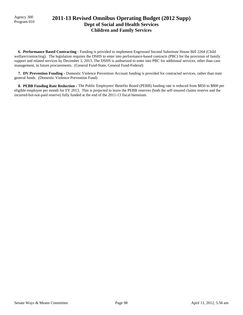# Agency 300 **2011-13 Revised Omnibus Operating Budget (2012 Supp)**<br>Program 010 **Dept of Social and Health Services Children and Family Services**

 **6. Performance Based Contracting -** Funding is provided to implement Engrossed Second Substitute House Bill 2264 (Child welfare/contracting). The legislation requires the DSHS to enter into performance-based contracts (PBC) for the provision of family support and related services by December 1, 2013. The DSHS is authorized to enter into PBC for additional services, other than case management, in future procurements. (General Fund-State, General Fund-Federal)

 **7. DV Prevention Funding -** Domestic Violence Prevention Account funding is provided for contracted services, rather than state general funds. (Domestic Violence Prevention Fund)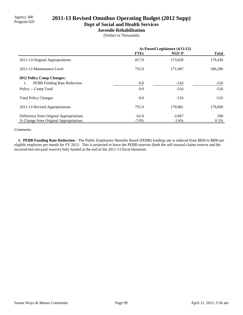# Agency 300<br>Program 020 **2011-13 Revised Omnibus Operating Budget (2012 Supp)**

**Dept of Social and Health Services**

## **Juvenile Rehabilitation**

(Dollars in Thousands)

|                                          | As Passed Legislature (4/11/12) |          |              |
|------------------------------------------|---------------------------------|----------|--------------|
|                                          | <b>FTEs</b>                     | NGF-P    | <b>Total</b> |
| 2011-13 Original Appropriations          | 817.9                           | 173,828  | 179,430      |
| 2011-13 Maintenance Level                | 755.9                           | 171,497  | 180,206      |
| <b>2012 Policy Comp Changes:</b>         |                                 |          |              |
| <b>PEBB</b> Funding Rate Reduction<br>1. | 0.0                             | $-516$   | $-516$       |
| Policy -- Comp Total                     | 0.0                             | $-516$   | $-516$       |
| <b>Total Policy Changes</b>              | 0.0                             | $-516$   | $-516$       |
| 2011-13 Revised Appropriations           | 755.9                           | 170.981  | 179,690      |
| Difference from Original Appropriations  | $-62.0$                         | $-2,847$ | 260          |
| % Change from Original Appropriations    | $-7.6\%$                        | $-1.6%$  | 0.1%         |

#### *Comments:*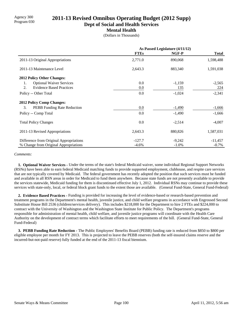# Agency 300 **2011-13 Revised Omnibus Operating Budget (2012 Supp)**<br>Program 030

**Dept of Social and Health Services**

### **Mental Health**

(Dollars in Thousands)

|                                         | As Passed Legislature (4/11/12) |          |              |
|-----------------------------------------|---------------------------------|----------|--------------|
|                                         | <b>FTEs</b>                     | NGF-P    | <b>Total</b> |
| 2011-13 Original Appropriations         | 2,771.0                         | 890,068  | 1,598,488    |
| 2011-13 Maintenance Level               | 2,643.3                         | 883,340  | 1,591,038    |
| 2012 Policy Other Changes:              |                                 |          |              |
| <b>Optional Waiver Services</b><br>1.   | 0.0                             | $-1,159$ | $-2,565$     |
| 2.<br><b>Evidence Based Practices</b>   | 0.0                             | 135      | 224          |
| Policy -- Other Total                   | 0.0                             | $-1,024$ | $-2,341$     |
| <b>2012 Policy Comp Changes:</b>        |                                 |          |              |
| 3.<br>PEBB Funding Rate Reduction       | 0.0                             | $-1,490$ | $-1,666$     |
| Policy -- Comp Total                    | 0.0                             | $-1,490$ | $-1,666$     |
| <b>Total Policy Changes</b>             | 0.0                             | $-2,514$ | $-4,007$     |
| 2011-13 Revised Appropriations          | 2,643.3                         | 880,826  | 1,587,031    |
| Difference from Original Appropriations | $-127.7$                        | $-9,242$ | $-11,457$    |
| % Change from Original Appropriations   | $-4.6%$                         | $-1.0\%$ | $-0.7\%$     |

#### *Comments:*

 **1. Optional Waiver Services -** Under the terms of the state's federal Medicaid waiver, some individual Regional Support Networks (RSNs) have been able to earn federal Medicaid matching funds to provide supported employment, clubhouse, and respite care services that are not typically covered by Medicaid. The federal government has recently adopted the position that such services must be funded and available in all RSN areas in order for Medicaid to fund them anywhere. Because state funds are not presently available to provide the services statewide, Medicaid funding for them is discontinued effective July 1, 2012. Individual RSNs may continue to provide these services with state-only, local, or federal block grant funds to the extent those are available. (General Fund-State, General Fund-Federal)

 **2. Evidence Based Practices -** Funding is provided for increasing the level of evidence-based or research-based prevention and treatment programs in the Department's mental health, juvenile justice, and child welfare programs in accordance with Engrossed Second Substitute House Bill 2536 (children/services delivery). This includes \$218,000 for the Department to hire 2 FTEs and \$224,000 to contract with the University of Washington and the Washington State Institute for Public Policy. The Department's programs responsible for administration of mental health, child welfare, and juvenile justice programs will coordinate with the Health Care Authority on the development of contract terms which facilitate efforts to meet requirements of the bill. (General Fund-State, General Fund-Federal)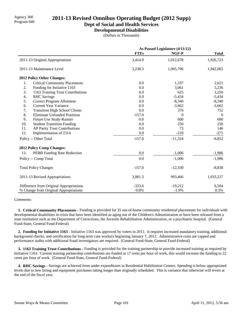# Agency 300 **2011-13 Revised Omnibus Operating Budget (2012 Supp)**<br>Program 040

**Dept of Social and Health Services**

**Developmental Disabilities**

(Dollars in Thousands)

|                                             |             | As Passed Legislature (4/11/12) |              |  |
|---------------------------------------------|-------------|---------------------------------|--------------|--|
|                                             | <b>FTEs</b> | NGF-P                           | <b>Total</b> |  |
| 2011-13 Original Appropriations             | 3,414.9     | 1,012,678                       | 1,926,723    |  |
| 2011-13 Maintenance Level                   | 3,238.3     | 1,005,796                       | 1,942,065    |  |
| 2012 Policy Other Changes:                  |             |                                 |              |  |
| 1.<br><b>Critical Community Placements</b>  | 0.0         | 1,337                           | 2,621        |  |
| 2.<br>Funding for Initiative 1163           | 0.0         | 3,061                           | 5,236        |  |
| 3.<br>1163 Training Trust Contributions     | 0.0         | 625                             | 1,250        |  |
| 4.<br><b>RHC</b> Savings                    | 0.0         | $-5,434$                        | $-5,434$     |  |
| 5.<br>Correct Program Allotment             | 0.0         | $-8,340$                        | $-8,340$     |  |
| <b>Current Year Variance</b><br>6.          | 0.0         | $-3,662$                        | $-3,662$     |  |
| 7.<br><b>Transition High School Clients</b> | 0.0         | 376                             | 752          |  |
| 8.<br><b>Eliminate Unfunded Positions</b>   | $-157.0$    | $\Omega$                        | $\theta$     |  |
| 9.<br>Future Use Study-Rainier              | 0.0         | 600                             | 600          |  |
| 10.<br><b>Student Transition Funding</b>    | 0.0         | 250                             | 250          |  |
| 11.<br>AP Parity Trust Contributions        | 0.0         | 73                              | 146          |  |
| 12.<br>Implementation of 2314               | 0.0         | $-210$                          | $-271$       |  |
| Policy -- Other Total                       | $-157.0$    | $-11,324$                       | $-6,852$     |  |
| <b>2012 Policy Comp Changes:</b>            |             |                                 |              |  |
| PEBB Funding Rate Reduction<br>13.          | 0.0         | $-1,006$                        | $-1,986$     |  |
| Policy -- Comp Total                        | 0.0         | $-1,006$                        | $-1,986$     |  |
| <b>Total Policy Changes</b>                 | $-157.0$    | $-12,330$                       | $-8,838$     |  |
| 2011-13 Revised Appropriations              | 3,081.3     | 993,466                         | 1,933,227    |  |
| Difference from Original Appropriations     | $-333.6$    | $-19,212$                       | 6,504        |  |
| % Change from Original Appropriations       | $-9.8%$     | $-1.9%$                         | 0.3%         |  |

#### *Comments:*

 **1. Critical Community Placements -** Funding is provided for 35 out-of-home community residential placements for individuals with developmental disabilities in crisis that have been identified as aging out of the Children's Administration or have been released from a state institution such as the Department of Corrections, the Juvenile Rehabilitation Administration, or a psychiatric hospital. (General Fund-State, General Fund-Federal)

 **2. Funding for Initiative 1163 -** Initiative 1163 was approved by voters in 2011. It requires increased mandatory training, additional background checks, and certification for long-term care workers beginning January 7, 2012. Administrative costs are capped and performance audits with additional fraud investigators are required. (General Fund-State, General Fund-Federal)

 **3. 1163 Training Trust Contributions -** Funding is provided for the training partnership to provide increased training as required by Initiative 1163. Current training partnership contributions are funded at 17 cents per hour of work, this would increase the funding to 22 cents per hour of work. (General Fund-State, General Fund-Federal)

 **4. RHC Savings -** Savings are achieved from under expenditures in Residential Habilitation Centers. Spending is below appropriated levels due to new hiring and equipment purchases taking longer than originally scheduled. This is variance that otherwise will revert at the end of the fiscal year.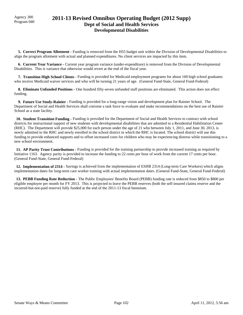# Agency 300 **2011-13 Revised Omnibus Operating Budget (2012 Supp)**<br>Program 040 **Dept of Social and Health Services Developmental Disabilities**

 **5. Correct Program Allotment -** Funding is removed from the H55 budget unit within the Division of Developmental Disabilities to align the program allotment with actual and planned expenditures. No client services are impacted by this item.

 **6. Current Year Variance -** Current year program variance (under-expenditure) is removed from the Division of Developmental Disabilities. This is variance that otherwise would revert at the end of the fiscal year.

 **7. Transition High School Clients -** Funding is provided for Medicaid employment programs for about 160 high school graduates who receive Medicaid waiver services and who will be turning 21 years of age. (General Fund-State, General Fund-Federal)

 **8. Eliminate Unfunded Positions -** One hundred fifty-seven unfunded staff positions are eliminated. This action does not effect funding.

 **9. Future Use Study-Rainier -** Funding is provided for a long-range vision and development plan for Rainier School. The Department of Social and Health Services shall convene a task force to evaluate and make recommendations on the best use of Rainier School as a state facility.

 **10. Student Transition Funding -** Funding is provided for the Department of Social and Health Services to contract with school districts for instructional support of new students with developmental disabilities that are admitted to a Residential Habilitation Center (RHC). The Department will provide \$25,000 for each person under the age of 21 who between July 1, 2011, and June 30, 2013, is newly admitted to the RHC and newly enrolled in the school district in which the RHC is located. The school district will use this funding to provide enhanced supports and to offset increased costs for children who may be experiencing distress while transitioning to a new school environment.

 **11. AP Parity Trust Contributions -** Funding is provided for the training partnership to provide increased training as required by Initiative 1163. Agency parity is provided to increase the funding to 22 cents per hour of work from the current 17 cents per hour. (General Fund-State, General Fund-Federal)

 **12. Implementation of 2314 -** Savings is achieved from the implementation of ESHB 2314 (Long-term Care Workers) which aligns implementation dates for long-term care worker training with actual implementation dates. (General Fund-State, General Fund-Federal)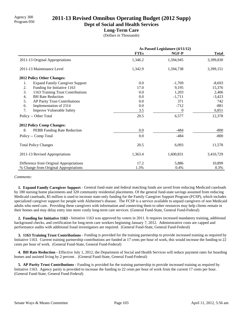# Agency 300 **2011-13 Revised Omnibus Operating Budget (2012 Supp)**<br>Program 050

**Dept of Social and Health Services**

#### **Long-Term Care**

(Dollars in Thousands)

|                                              | As Passed Legislature (4/11/12) |                  |              |
|----------------------------------------------|---------------------------------|------------------|--------------|
|                                              | <b>FTEs</b>                     | NGF-P            | <b>Total</b> |
| 2011-13 Original Appropriations              | 1,346.2                         | 1,594,945        | 3,399,830    |
| 2011-13 Maintenance Level                    | 1,342.9                         | 1,594,738        | 3,399,151    |
| 2012 Policy Other Changes:                   |                                 |                  |              |
| <b>Expand Family Caregiver Support</b><br>1. | 0.0                             | $-1,769$         | $-8,693$     |
| 2.<br>Funding for Initiative 1163            | 17.0                            | 9,195            | 15,376       |
| 3.<br>1163 Training Trust Contributions      | 0.0                             | 1,203            | 2,406        |
| <b>BH Rate Reduction</b><br>4.               | 0.0                             | $-1,711$         | $-3,423$     |
| 5.<br>AP Parity Trust Contributions          | 0.0                             | 371              | 742          |
| Implementation of 2314<br>6.                 | 0.0                             | $-712$           | $-881$       |
| 7.<br><b>Improve Vulnerable Safety</b>       | 3.5                             | $\boldsymbol{0}$ | 6,851        |
| Policy -- Other Total                        | 20.5                            | 6,577            | 12,378       |
| <b>2012 Policy Comp Changes:</b>             |                                 |                  |              |
| 8.<br>PEBB Funding Rate Reduction            | 0.0                             | $-484$           | $-800$       |
| Policy -- Comp Total                         | 0.0                             | $-484$           | $-800$       |
| <b>Total Policy Changes</b>                  | 20.5                            | 6,093            | 11,578       |
| 2011-13 Revised Appropriations               | 1,363.4                         | 1,600,831        | 3,410,729    |
| Difference from Original Appropriations      | 17.2                            | 5,886            | 10,899       |
| % Change from Original Appropriations        | 1.3%                            | 0.4%             | 0.3%         |

#### *Comments:*

1. Expand Family Caregiver Support - General fund-state and federal matching funds are saved from reducing Medicaid caseloads by 180 nursing home placements and 320 community residential placements. Of the general fund-state savings assumed from reducing Medicaid caseloads, \$5 million is used to increase state-only funding for the Family Caregiver Support Program (FCSP), which includes specialized caregiver support for people with Alzheimer's disease. The FCSP is a service available to unpaid caregivers of non Medicaid adults who need care. Providing these caregivers with information and connecting them to other resources may help clients remain in their homes and may delay entry into more costly long-term care services. (General Fund-State, General Fund-Federal)

 **2. Funding for Initiative 1163 -** Initiative 1163 was approved by voters in 2011. It requires increased mandatory training, additional background checks, and certification for long-term care workers beginning January 7, 2012. Administrative costs are capped and performance audits with additional fraud investigators are required. (General Fund-State, General Fund-Federal)

 **3. 1163 Training Trust Contributions -** Funding is provided for the training partnership to provide increased training as required by Initiative 1163. Current training partnership contributions are funded at 17 cents per hour of work, this would increase the funding to 22 cents per hour of work. (General Fund-State, General Fund-Federal)

 **4. BH Rate Reduction -** Effective July 1, 2012, the Department of Social and Health Services will reduce payment rates for boarding homes and assisted living by 2 percent . (General Fund-State, General Fund-Federal)

 **5. AP Parity Trust Contributions -** Funding is provided for the training partnership to provide increased training as required by Initiative 1163. Agency parity is provided to increase the funding to 22 cents per hour of work from the current 17 cents per hour. (General Fund-State, General Fund-Federal)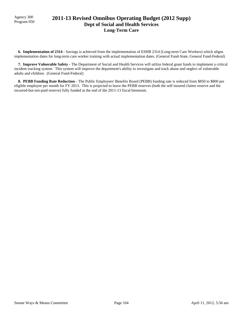# Program 050 **2011-13 Revised Omnibus Operating Budget (2012 Supp) Dept of Social and Health Services Long-Term Care**

 **6. Implementation of 2314 -** Savings is achieved from the implementation of ESHB 2314 (Long-term Care Workers) which aligns implementation dates for long-term care worker training with actual implementation dates. (General Fund-State, General Fund-Federal)

 **7. Improve Vulnerable Safety -** The Department of Social and Health Services will utilize federal grant funds to implement a critical incident tracking system. This system will improve the department's ability to investigate and track abuse and neglect of vulnerable adults and children. (General Fund-Federal)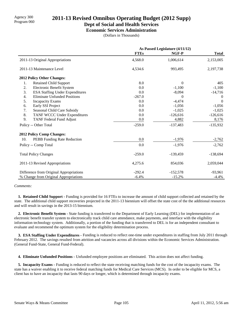# Agency 300 **2011-13 Revised Omnibus Operating Budget (2012 Supp)**<br>Program 060

### **Dept of Social and Health Services**

**Economic Services Administration**

(Dollars in Thousands)

|                                                         | As Passed Legislature (4/11/12) |            |                |
|---------------------------------------------------------|---------------------------------|------------|----------------|
|                                                         | <b>FTEs</b>                     | NGF-P      | <b>Total</b>   |
| 2011-13 Original Appropriations                         | 4,568.0                         | 1,006,614  | 2,153,005      |
| 2011-13 Maintenance Level                               | 4,534.6                         | 993,495    | 2,197,738      |
| 2012 Policy Other Changes:                              |                                 |            |                |
| <b>Retained Child Support</b><br>1.                     | 8.0                             | $\Omega$   | 405            |
| 2.<br>Electronic Benefit System                         | 0.0                             | $-1,100$   | $-1,100$       |
| 3.<br><b>ESA Staffing Under Expenditures</b>            | 0.0                             | $-8,094$   | $-14,716$      |
| <b>Eliminate Unfunded Positions</b><br>$\overline{4}$ . | $-267.0$                        | $\Omega$   | $\overline{0}$ |
| 5.<br><b>Incapacity Exams</b>                           | 0.0                             | $-4,474$   | $\theta$       |
| Early SSI Project<br>6.                                 | 0.0                             | $-1,056$   | $-1,056$       |
| 7.<br>Seasonal Child Care Subsidy                       | 0.0                             | $-1,025$   | $-1,025$       |
| 8.<br>TANF WCCC Under Expenditures                      | 0.0                             | $-126,616$ | $-126,616$     |
| 9.<br>TANF Federal Fund Adjust                          | 0.0                             | 4,882      | 8,176          |
| Policy -- Other Total                                   | $-259.0$                        | $-137,483$ | $-135,932$     |
| 2012 Policy Comp Changes:                               |                                 |            |                |
| 10.<br>PEBB Funding Rate Reduction                      | 0.0                             | $-1,976$   | $-2,762$       |
| Policy -- Comp Total                                    | 0.0                             | $-1,976$   | $-2,762$       |
| <b>Total Policy Changes</b>                             | $-259.0$                        | $-139,459$ | $-138,694$     |
| 2011-13 Revised Appropriations                          | 4,275.6                         | 854,036    | 2,059,044      |
| Difference from Original Appropriations                 | $-292.4$                        | $-152,578$ | $-93,961$      |
| % Change from Original Appropriations                   | $-6.4%$                         | $-15.2%$   | $-4.4%$        |

*Comments:*

 **1. Retained Child Support -** Funding is provided for 16 FTEs to increase the amount of child support collected and retained by the state. The additional child support recoveries projected in the 2011-13 biennium will offset the state cost of the the additional resources and will result in savings in the 2013-15 biennium.

 **2. Electronic Benefit System -** State funding is transferred to the Department of Early Learning (DEL) for implementation of an electronic benefit transfer system to electronically track child care attendance, make payments, and interface with the eligibility information technology system. Additionally, a portion of the funding that is transferred to DEL is for an independent consultant to evaluate and recommend the optimum system for the eligibility determination process.

 **3. ESA Staffing Under Expenditures -** Funding is reduced to reflect one-time under expenditures in staffing from July 2011 through February 2012. The savings resulted from attrition and vacancies across all divisions within the Economic Services Administration. (General Fund-State, General Fund-Federal).

 **4. Eliminate Unfunded Positions -** Unfunded employee positions are eliminated. This action does not affect funding.

**5. Incapacity Exams - Funding is reduced to reflect the state receiving matching funds for the cost of the incapacity exams. The** state has a waiver enabling it to receive federal matching funds for Medical Care Services (MCS). In order to be eligible for MCS, a client has to have an incapacity that lasts 90 days or longer, which is determined through incapacity exams.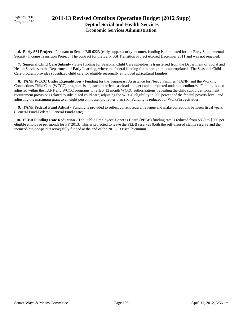Agency 300

## Agency 300 **2011-13 Revised Omnibus Operating Budget (2012 Supp)**<br>Program 060 **Dept of Social and Health Services Economic Services Administration**

 **6. Early SSI Project -** Pursuant to Senate Bill 6223 (early supp. security income), funding is eliminated for the Early Supplemental Security Income Transition Project. The contract for the Early SSI Transition Project expired December 2011 and was not renewed.

 **7. Seasonal Child Care Subsidy -** State funding for Seasonal Child Care subsidies is transferred from the Department of Social and Health Services to the Department of Early Learning, where the federal funding for the program is appropriated. The Seasonal Child Care program provides subsidized child care for eligible seasonally employed agricultural families.

 **8. TANF WCCC Under Expenditures -** Funding for the Temporary Assistance for Needy Families (TANF) and the Working Connections Child Care (WCCC) programs is adjusted to reflect caseload and per capita projected under expenditures. Funding is also adjusted within the TANF and WCCC programs to reflect 12 month WCCC authorizations, repealing the child support enforcement requirement provisions related to subsidized child care, adjusting the WCCC eligibility to 200 percent of the federal poverty level, and adjusting the maximum grant to an eight person household rather than six. Funding is reduced for WorkFirst activities.

**9. TANF Federal Fund Adjust - Funding is provided to reflect current federal revenue and make corrections between fiscal years.** (General Fund-Federal, General Fund-State)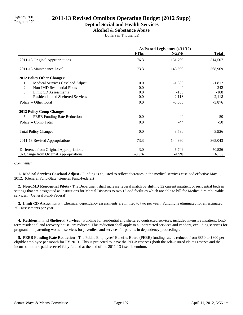# Agency 300 **2011-13 Revised Omnibus Operating Budget (2012 Supp)**<br>Program 070

### **Dept of Social and Health Services**

**Alcohol & Substance Abuse**

(Dollars in Thousands)

|                                                               | As Passed Legislature (4/11/12) |          |              |
|---------------------------------------------------------------|---------------------------------|----------|--------------|
|                                                               | <b>FTEs</b>                     | NGF-P    | <b>Total</b> |
| 2011-13 Original Appropriations                               | 76.3                            | 151,709  | 314,507      |
| 2011-13 Maintenance Level                                     | 73.3                            | 148,690  | 368,969      |
| <b>2012 Policy Other Changes:</b>                             |                                 |          |              |
| 1.<br>Medical Services Caseload Adjust                        | 0.0                             | $-1,380$ | $-1,812$     |
| 2.<br><b>Non-IMD Residential Pilots</b>                       | 0.0                             | 0        | 242          |
| 3.<br>Limit CD Assessments                                    | 0.0                             | $-188$   | $-188$       |
| $\overline{4}$ .<br><b>Residential and Sheltered Services</b> | 0.0                             | $-2,118$ | $-2,118$     |
| Policy -- Other Total                                         | 0.0                             | $-3,686$ | $-3,876$     |
| <b>2012 Policy Comp Changes:</b>                              |                                 |          |              |
| PEBB Funding Rate Reduction<br>5.                             | $0.0\,$                         | -44      | $-50$        |
| Policy -- Comp Total                                          | 0.0                             | $-44$    | $-50$        |
| <b>Total Policy Changes</b>                                   | 0.0                             | $-3,730$ | $-3,926$     |
| 2011-13 Revised Appropriations                                | 73.3                            | 144,960  | 365,043      |
| Difference from Original Appropriations                       | $-3.0$                          | $-6,749$ | 50,536       |
| % Change from Original Appropriations                         | $-3.9\%$                        | $-4.5%$  | 16.1%        |

#### *Comments:*

 **1. Medical Services Caseload Adjust -** Funding is adjusted to reflect decreases in the medical services caseload effective May 1, 2012. (General Fund-State, General Fund-Federal)

 **2. Non-IMD Residential Pilots -** The Department shall increase federal match by shifting 32 current inpatient or residential beds in settings that are designated as Institutions for Mental Diseases to two 16-bed facilities which are able to bill for Medicaid reimbursable services. (General Fund-Federal)

**3. Limit CD Assessments - Chemical dependency assessments are limited to two per year. Funding is eliminated for an estimated** 251 assessments per year.

 **4. Residential and Sheltered Services -** Funding for residential and sheltered contracted services, included intensive inpatient, longterm residential and recovery house, are reduced. This reduction shall apply to all contracted services and vendors, excluding services for pregnant and parenting women, services for juveniles, and services for parents in dependency proceedings.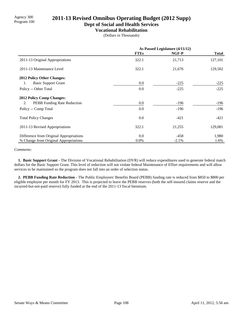# Program 100 **2011-13 Revised Omnibus Operating Budget (2012 Supp)**

**Dept of Social and Health Services**

#### **Vocational Rehabilitation**

(Dollars in Thousands)

|                                          | As Passed Legislature (4/11/12) |         |              |
|------------------------------------------|---------------------------------|---------|--------------|
|                                          | <b>FTEs</b>                     | NGF-P   | <b>Total</b> |
| 2011-13 Original Appropriations          | 322.1                           | 21,713  | 127,101      |
| 2011-13 Maintenance Level                | 322.1                           | 21,676  | 129,502      |
| <b>2012 Policy Other Changes:</b>        |                                 |         |              |
| <b>Basic Support Grant</b><br>1.         | $0.0\,$                         | $-225$  | $-225$       |
| Policy -- Other Total                    | 0.0                             | $-225$  | $-225$       |
| <b>2012 Policy Comp Changes:</b>         |                                 |         |              |
| <b>PEBB</b> Funding Rate Reduction<br>2. | 0.0                             | $-196$  | $-196$       |
| Policy -- Comp Total                     | 0.0                             | $-196$  | $-196$       |
| <b>Total Policy Changes</b>              | 0.0                             | $-421$  | $-421$       |
| 2011-13 Revised Appropriations           | 322.1                           | 21,255  | 129,081      |
| Difference from Original Appropriations  | 0.0                             | $-458$  | 1,980        |
| % Change from Original Appropriations    | $0.0\%$                         | $-2.1%$ | 1.6%         |

#### *Comments:*

 **1. Basic Support Grant -** The Division of Vocational Rehabilitation (DVR) will reduce expenditures used to generate federal match dollars for the Basic Support Grant. This level of reduction will not violate federal Maintenance of Effort requirements and will allow services to be maintained so the program does not fall into an order of selection status.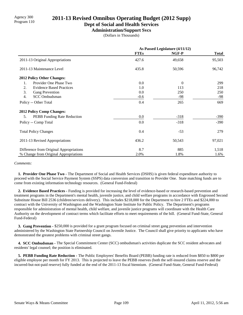# Agency 300 **2011-13 Revised Omnibus Operating Budget (2012 Supp)**<br>Program 110

### **Dept of Social and Health Services**

**Administration/Support Svcs**

(Dollars in Thousands)

|                                         | As Passed Legislature (4/11/12) |          |              |
|-----------------------------------------|---------------------------------|----------|--------------|
|                                         | <b>FTEs</b>                     | NGF-P    | <b>Total</b> |
| 2011-13 Original Appropriations         | 427.6                           | 49,658   | 95,503       |
| 2011-13 Maintenance Level               | 435.8                           | 50,596   | 96,742       |
| <b>2012 Policy Other Changes:</b>       |                                 |          |              |
| Provider One Phase Two<br>1.            | 0.0                             | $\Omega$ | 299          |
| 2.<br><b>Evidence Based Practices</b>   | 1.0                             | 113      | 218          |
| 3.<br>Gang Prevention                   | 0.0                             | 250      | 250          |
| 4.<br><b>SCC</b> Ombudsman              | $-0.6$                          | -98      | $-98$        |
| Policy -- Other Total                   | 0.4                             | 265      | 669          |
| 2012 Policy Comp Changes:               |                                 |          |              |
| PEBB Funding Rate Reduction<br>5.       | 0.0                             | $-318$   | $-390$       |
| Policy -- Comp Total                    | 0.0                             | $-318$   | $-390$       |
| <b>Total Policy Changes</b>             | 0.4                             | $-53$    | 279          |
| 2011-13 Revised Appropriations          | 436.2                           | 50,543   | 97,021       |
| Difference from Original Appropriations | 8.7                             | 885      | 1,518        |
| % Change from Original Appropriations   | 2.0%                            | 1.8%     | 1.6%         |

#### *Comments:*

 **1. Provider One Phase Two -** The Department of Social and Health Services (DSHS) is given federal expenditure authority to proceed with the Social Service Payment System (SSPS) data conversion and transition to Provider One. State matching funds are to come from existing information technology resources. (General Fund-Federal)

 **2. Evidence Based Practices -** Funding is provided for increasing the level of evidence-based or research-based prevention and treatment programs in the Department's mental health, juvenile justice, and child welfare programs in accordance with Engrossed Second Substitute House Bill 2536 (children/services delivery). This includes \$218,000 for the Department to hire 2 FTEs and \$224,000 to contract with the University of Washington and the Washington State Institute for Public Policy. The Department's programs responsible for administration of mental health, child welfare, and juvenile justice programs will coordinate with the Health Care Authority on the development of contract terms which facilitate efforts to meet requirements of the bill. (General Fund-State, General Fund-Federal)

 **3. Gang Prevention -** \$250,000 is provided for a grant program focused on criminal street gang prevention and intervention administered by the Washington State Partnership Council on Juvenile Justice. The Council shall give priority to applicants who have demonstrated the greatest problems with criminal street gangs.

 **4. SCC Ombudsman -** The Special Commitment Center (SCC) ombudsman's activities duplicate the SCC resident advocates and residents' legal counsel; the position is eliminated.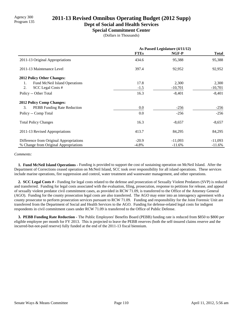# Program 135 **2011-13 Revised Omnibus Operating Budget (2012 Supp)**

### **Dept of Social and Health Services**

**Special Commitment Center**

(Dollars in Thousands)

|                                          | As Passed Legislature (4/11/12) |           |              |
|------------------------------------------|---------------------------------|-----------|--------------|
|                                          | <b>FTEs</b>                     | NGF-P     | <b>Total</b> |
| 2011-13 Original Appropriations          | 434.6                           | 95,388    | 95,388       |
| 2011-13 Maintenance Level                | 397.4                           | 92,952    | 92,952       |
| <b>2012 Policy Other Changes:</b>        |                                 |           |              |
| Fund McNeil Island Operations<br>1.      | 17.8                            | 2,300     | 2,300        |
| 2.<br>SCC Legal Costs #                  | $-1.5$                          | $-10,701$ | $-10,701$    |
| Policy -- Other Total                    | 16.3                            | $-8,401$  | $-8,401$     |
| <b>2012 Policy Comp Changes:</b>         |                                 |           |              |
| 3.<br><b>PEBB</b> Funding Rate Reduction | 0.0                             | $-256$    | $-256$       |
| Policy -- Comp Total                     | 0.0                             | $-256$    | $-256$       |
| <b>Total Policy Changes</b>              | 16.3                            | $-8,657$  | $-8,657$     |
| 2011-13 Revised Appropriations           | 413.7                           | 84,295    | 84,295       |
| Difference from Original Appropriations  | $-20.9$                         | $-11,093$ | $-11,093$    |
| % Change from Original Appropriations    | $-4.8%$                         | $-11.6%$  | $-11.6%$     |

#### *Comments:*

 **1. Fund McNeil Island Operations -** Funding is provided to support the cost of sustaining operation on McNeil Island. After the Department of Corrections ceased operation on McNeil Island, SCC took over responsibility for all island operations. These services include marine operations, fire suppression and control, water treatment and wastewater management, and other operations.

 **2. SCC Legal Costs # -** Funding for legal costs related to the defense and prosecution of Sexually Violent Predators (SVP) is reduced and transferred. Funding for legal costs associated with the evaluation, filing, prosecution, response to petitions for release, and appeal of sexually violent predator civil commitment cases, as provided in RCW 71.09, is transferred to the Office of the Attorney General (AGO). Funding for the county prosecution legal costs are also transferred. The AGO may enter into an interagency agreement with a county prosecutor to perform prosecution services pursuant to RCW 71.09. Funding and responsibility for the Joint Forensic Unit are transferred from the Department of Social and Health Services to the AGO. Funding for defense-related legal costs for indigent respondents in civil commitment cases under RCW 71.09 is transferred to the Office of Public Defense.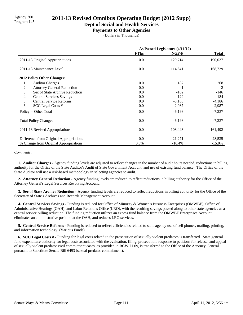# Agency 300<br>Program 145 **2011-13 Revised Omnibus Operating Budget (2012 Supp)**

**Dept of Social and Health Services**

#### **Payments to Other Agencies**

(Dollars in Thousands)

|                                         | As Passed Legislature (4/11/12) |           |              |
|-----------------------------------------|---------------------------------|-----------|--------------|
|                                         | <b>FTEs</b>                     | NGF-P     | <b>Total</b> |
| 2011-13 Original Appropriations         | 0.0                             | 129,714   | 190,027      |
| 2011-13 Maintenance Level               | $0.0\,$                         | 114,641   | 168,729      |
| 2012 Policy Other Changes:              |                                 |           |              |
| <b>Auditor Charges</b><br>1.            | 0.0                             | 187       | 268          |
| 2.<br><b>Attorney General Reduction</b> | 0.0                             | $-1$      | $-2$         |
| 3.<br>Sec of State Archive Reduction    | 0.0                             | $-102$    | $-146$       |
| 4.<br><b>Central Services Savings</b>   | 0.0                             | $-129$    | -184         |
| <b>Central Service Reforms</b><br>5.    | 0.0                             | $-3,166$  | $-4,186$     |
| 6.<br>SCC Legal Costs #                 | 0.0                             | $-2,987$  | $-2,987$     |
| Policy -- Other Total                   | 0.0                             | $-6,198$  | $-7,237$     |
| <b>Total Policy Changes</b>             | 0.0                             | $-6,198$  | $-7,237$     |
| 2011-13 Revised Appropriations          | 0.0                             | 108,443   | 161,492      |
| Difference from Original Appropriations | 0.0                             | $-21,271$ | $-28,535$    |
| % Change from Original Appropriations   | 0.0%                            | $-16.4%$  | $-15.0\%$    |

#### *Comments:*

 **1. Auditor Charges -** Agency funding levels are adjusted to reflect changes in the number of audit hours needed, reductions in billing authority for the Office of the State Auditor's Audit of State Government Account, and use of existing fund balance. The Office of the State Auditor will use a risk-based methodology in selecting agencies to audit.

 **2. Attorney General Reduction -** Agency funding levels are reduced to reflect reductions in billing authority for the Office of the Attorney General's Legal Services Revolving Account.

 **3. Sec of State Archive Reduction -** Agency funding levels are reduced to reflect reductions in billing authority for the Office of the Secretary of State's Archives and Records Management Account.

 **4. Central Services Savings -** Funding is reduced for Office of Minority & Women's Business Enterprises (OMWBE), Office of Administrative Hearings (OAH), and Labor Relations Office (LRO), with the resulting savings passed along to other state agencies as a central service billing reduction. The funding reduction utilizes an excess fund balance from the OMWBE Enterprises Account, eliminates an administrative position at the OAH, and reduces LRO services.

 **5. Central Service Reforms -** Funding is reduced to reflect efficiencies related to state agency use of cell phones, mailing, printing, and information technology. (Various Funds)

 **6. SCC Legal Costs # -** Funding for legal costs related to the prosecution of sexually violent predators is transferred. State general fund expenditure authority for legal costs associated with the evaluation, filing, prosecution, response to petitions for release, and appeal of sexually violent predator civil commitment cases, as provided in RCW 71.09, is transferred to the Office of the Attorney General pursuant to Substitute Senate Bill 6493 (sexual predator commitment).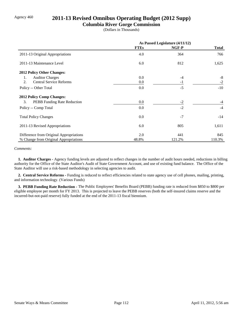## Agency 460 **2011-13 Revised Omnibus Operating Budget (2012 Supp)**

### **Columbia River Gorge Commission**

(Dollars in Thousands)

|                                         | As Passed Legislature (4/11/12) |        |              |
|-----------------------------------------|---------------------------------|--------|--------------|
|                                         | <b>FTEs</b>                     | NGF-P  | <b>Total</b> |
| 2011-13 Original Appropriations         | 4.0                             | 364    | 766          |
| 2011-13 Maintenance Level               | 6.0                             | 812    | 1,625        |
| 2012 Policy Other Changes:              |                                 |        |              |
| <b>Auditor Charges</b><br>1.            | 0.0                             | $-4$   | $-8$         |
| <b>Central Service Reforms</b><br>2.    | 0.0                             | $-1$   | $-2$         |
| Policy -- Other Total                   | 0.0                             | $-5$   | $-10$        |
| <b>2012 Policy Comp Changes:</b>        |                                 |        |              |
| 3.<br>PEBB Funding Rate Reduction       | 0.0                             | $-2$   | $-4$         |
| Policy -- Comp Total                    | 0.0                             | $-2$   | $-4$         |
| <b>Total Policy Changes</b>             | 0.0                             | $-7$   | $-14$        |
| 2011-13 Revised Appropriations          | 6.0                             | 805    | 1,611        |
| Difference from Original Appropriations | 2.0                             | 441    | 845          |
| % Change from Original Appropriations   | 48.8%                           | 121.2% | 110.3%       |

#### *Comments:*

 **1. Auditor Charges -** Agency funding levels are adjusted to reflect changes in the number of audit hours needed, reductions in billing authority for the Office of the State Auditor's Audit of State Government Account, and use of existing fund balance. The Office of the State Auditor will use a risk-based methodology in selecting agencies to audit.

 **2. Central Service Reforms -** Funding is reduced to reflect efficiencies related to state agency use of cell phones, mailing, printing, and information technology. (Various Funds)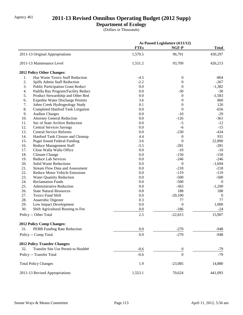# Agency 461 **2011-13 Revised Omnibus Operating Budget (2012 Supp)**

## **Department of Ecology**

(Dollars in Thousands)

|            |                                                             |             | As Passed Legislature (4/11/12) |                    |
|------------|-------------------------------------------------------------|-------------|---------------------------------|--------------------|
|            |                                                             | <b>FTEs</b> | NGF-P                           | <b>Total</b>       |
|            | 2011-13 Original Appropriations                             | 1,570.5     | 96,791                          | 430,297            |
|            | 2011-13 Maintenance Level                                   | 1,551.2     | 93,709                          | 426,213            |
|            | 2012 Policy Other Changes:                                  |             |                                 |                    |
| 1.         | Haz Waste Toxics Staff Reduction                            | $-4.5$      | $\boldsymbol{0}$                | $-864$             |
| 2.         | Spills Admin Staff Reduction                                | $-2.2$      | $\boldsymbol{0}$                | $-267$             |
| 3.         | <b>Public Participation Grant Reduct</b>                    | 0.0         | $\mathbf{0}$                    | $-1,382$           |
| 4.         | Padilla Bay Program/Facility Reduct                         | 0.0         | $-30$                           | $-30$              |
| 5.         | Product Stewardship and Other Red                           | 0.0         | $\boldsymbol{0}$                | $-1,583$           |
| 6.         | <b>Expedite Water Discharge Permits</b>                     | 3.6         | $\theta$                        | 860                |
| 7.         | Johns Creek Hydrogeology Study                              | 0.1         | $\boldsymbol{0}$                | 126                |
| 8.         | Completed Hanford Tank Litigation                           | 0.0         | $\boldsymbol{0}$                | $-656$             |
| 9.         | <b>Auditor Charges</b>                                      | 0.0         | $-10$                           | $-29$              |
| 10.        | <b>Attorney General Reduction</b>                           | 0.0         | $-126$                          | $-361$             |
| 11.        | Sec of State Archive Reduction                              | 0.0         | $-5$                            | $-12$              |
| 12.        | <b>Central Services Savings</b>                             | 0.0         | $-6$                            | $-15$              |
| 13.        | <b>Central Service Reforms</b>                              | 0.0         | $-230$                          | $-434$             |
| 14.        | Hanford Tank Closure and Cleanup                            | 4.4         | $\boldsymbol{0}$                | 931                |
| 15.        | <b>Puget Sound Federal Funding</b>                          | 3.6         | $\boldsymbol{0}$                | 22,890             |
| 16.        | Reduce Management Staff                                     | $-3.5$      | $-281$                          | $-281$             |
| 17.        | Close Walla Walla Office                                    | 0.0         | $-10$                           | $-10$              |
| 18.        | <b>Climate Change</b>                                       | 0.0         | $-150$                          | $-150$             |
| 19.        | Reduce Lab Services                                         | 0.0         | $-246$                          | $-246$             |
| 20.        | <b>Solid Waste Reductions</b>                               | 0.0         | $\boldsymbol{0}$                | $-1,694$           |
| 21.        | <b>Stream Flow Data and Assessment</b>                      | 0.0         | $-218$                          | $-218$             |
| 22.<br>23. | <b>Reduce Motor Vehicle Emissions</b>                       | 0.0         | $-119$<br>$-500$                | $-119$             |
| 24.        | <b>Water Quantity Reduction</b><br><b>Reclamation Funds</b> | 0.0         | $-500$                          | $-500$<br>$\Omega$ |
| 25.        | Administrative Reduction                                    | 0.0<br>0.0  | $-363$                          | $-1,290$           |
| 26.        | <b>State Natural Resources</b>                              | 0.8         | 188                             | 188                |
| 27.        | <b>Toxics Fund Shift</b>                                    | 0.0         | $-20,100$                       | $\boldsymbol{0}$   |
| 28.        | Anaerobic Digester                                          | 0.3         | 77                              | 77                 |
| 29.        | Low Impact Development                                      | 0.0         | $\boldsymbol{0}$                | 1,000              |
| 30.        | Shift Agricultural Burning to Fee                           | 0.0         | $-186$                          | $-24$              |
|            | Policy -- Other Total                                       | 2.5         | $-22,815$                       | 15,907             |
|            | 2012 Policy Comp Changes:                                   |             |                                 |                    |
| 31.        | <b>PEBB Funding Rate Reduction</b>                          | 0.0         | $-270$                          | $-948$             |
|            | Policy -- Comp Total                                        | 0.0         | $-270$                          | $-948$             |
|            | <b>2012 Policy Transfer Changes:</b>                        |             |                                 |                    |
|            | Transfer Site Use Permit to Health#                         |             |                                 |                    |
| 32.        |                                                             | $-0.6$      | $\boldsymbol{0}$                | $-79$              |
|            | Policy -- Transfer Total                                    | $-0.6$      | $\overline{0}$                  | $-79$              |
|            | <b>Total Policy Changes</b>                                 | 1.9         | $-23,085$                       | 14,880             |
|            | 2011-13 Revised Appropriations                              | 1,553.1     | 70,624                          | 441,093            |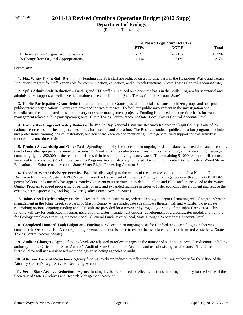## Agency 461 **2011-13 Revised Omnibus Operating Budget (2012 Supp)**

### **Department of Ecology**

(Dollars in Thousands)

|                                         | As Passed Legislature (4/11/12) |           |        |
|-----------------------------------------|---------------------------------|-----------|--------|
|                                         | <b>FTEs</b>                     | NGF-P     | Total  |
| Difference from Original Appropriations | $-17.4$                         | $-26.167$ | 10,796 |
| % Change from Original Appropriations   | $-1.1\%$                        | $-27.0%$  | 2.5%   |

*Comments:*

 **1. Haz Waste Toxics Staff Reduction -** Funding and FTE staff are reduced on a one-time basis in the Hazardous Waste and Toxics Reduction Program for staff responsible for communication, education, and outreach functions. (State Toxics Control Account-State)

 **2. Spills Admin Staff Reduction -** Funding and FTE staff are reduced on a one-time basis in the Spills Program for secretarial and administrative support, as well as vehicle maintenance coordination. (State Toxics Control Account-State)

 **3. Public Participation Grant Reduct -** Public Participation Grants provide financial assistance to citizen groups and non-profit, public-interest organizations. Grants are provided for two purposes: To facilitate public involvement in the investigation and remediation of contaminated sites; and to carry out waste management projects. Funding is reduced on a one-time basis for waste management related public participation grants. (State Toxics Control Account-State, Local Toxics Control Account-State)

 **4. Padilla Bay Program/Facility Reduct -** The Padilla Bay National Estuarine Research Reserve in Skagit County is one of 25 national reserves established to protect estuaries for research and education. The Reserve conducts public education programs, technical and professional training, coastal restoration, and scientific research and monitoring. State general fund support for this activity is reduced on a one-time basis.

 **5. Product Stewardship and Other Red -** Spending authority is reduced on an ongoing basis to balance selected dedicated accounts, due to lower-than-projected revenue collections. \$1.5 million of the reduction will result in a smaller program for recycling mercurycontaining lights. \$92,000 of the reduction will result in less air quality regulatory work. The remaining \$1,000 reduction will reduce water rights processing. (Product Stewardship Programs Account-Nonappropriated, Air Pollution Control Account-State, Wood Stove Education and Enforcement Account-State, Water Rights Processing Account-State)

 **6. Expedite Water Discharge Permits -** Facilities discharging to the waters of the state are required to obtain a National Pollution Discharge Elimination System (NPDES) permit from the Department of Ecology (Ecology). Ecology works with about 2,000 NPDES permit holders, and currently has approximately 75 percent of its permits up-to-date. Funding and FTE staff are provided to the Water Quality Program to speed processing of permits for new and expanded facilities in order to foster economic development and reduce the existing permit-processing backlog. (Water Quality Permit Account-State)

 **7. Johns Creek Hydrogeology Study -** A recent Superior Court ruling ordered Ecology to begin rulemaking related to groundwater management in the Johns Creek sub-basin of Mason County where inadequate streamflows threaten fish and wildlife. To evaluate rulemaking options, ongoing funding and FTE staff are provided for a two-year hydrogeologic study of the Johns Creek area. This funding will pay for contracted mapping, generation of water-management options, development of a groundwater model, and training for Ecology employees in using the new model. (General Fund-Private/Local, State Drought Preparedness Account-State)

 **8. Completed Hanford Tank Litigation -** Funding is reduced on an ongoing basis for Hanford tank waste litigation that was concluded in October 2010. A corresponding revenue reduction is taken to reflect the associated reduction in mixed waste fees. (State Toxics Control Account-State)

 **9. Auditor Charges -** Agency funding levels are adjusted to reflect changes in the number of audit hours needed, reductions in billing authority for the Office of the State Auditor's Audit of State Government Account, and use of existing fund balance. The Office of the State Auditor will use a risk-based methodology in selecting agencies to audit.

 **10. Attorney General Reduction -** Agency funding levels are reduced to reflect reductions in billing authority for the Office of the Attorney General's Legal Services Revolving Account.

 **11. Sec of State Archive Reduction -** Agency funding levels are reduced to reflect reductions in billing authority for the Office of the Secretary of State's Archives and Records Management Account.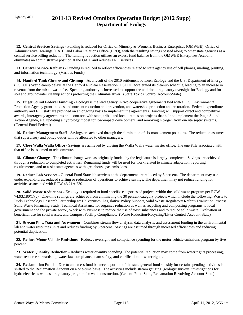# Agency 461 **2011-13 Revised Omnibus Operating Budget (2012 Supp) Department of Ecology**

 **12. Central Services Savings -** Funding is reduced for Office of Minority & Women's Business Enterprises (OMWBE), Office of Administrative Hearings (OAH), and Labor Relations Office (LRO), with the resulting savings passed along to other state agencies as a central service billing reduction. The funding reduction utilizes an excess fund balance from the OMWBE Enterprises Account, eliminates an administrative position at the OAH, and reduces LRO services.

 **13. Central Service Reforms -** Funding is reduced to reflect efficiencies related to state agency use of cell phones, mailing, printing, and information technology. (Various Funds)

 **14. Hanford Tank Closure and Cleanup -** As a result of the 2010 settlement between Ecology and the U.S. Department of Energy (USDOE) over cleanup delays at the Hanford Nuclear Reservation, USDOE accelerated its cleanup schedule, leading to an increase in revenue from the mixed waste fee. Spending authority is increased to support the additional regulatory oversight for Ecology and for soil and groundwater cleanup actions protecting the Columbia River. (State Toxics Control Account-State)

 **15. Puget Sound Federal Funding -** Ecology is the lead agency in two cooperative agreements tied with a U.S. Environmental Protection Agency grant - toxics and nutrient reduction and prevention, and watershed protection and restoration. Federal expenditure authority and FTE staff are provided on an ongoing basis to implement the agreements. Funding will support direct and competitive awards, interagency agreements and contracts with state, tribal and local entities on projects that help to implement the Puget Sound Action Agenda, e.g. updating a hydrology model for low-impact development, and removing nitrogen from on-site septic systems. (General Fund-Federal)

 **16. Reduce Management Staff -** Savings are achieved through the elimination of six management positions. The reduction assumes that supervisory and policy duties will be allocated to other managers.

 **17. Close Walla Walla Office -** Savings are achieved by closing the Walla Walla water master office. The one FTE associated with that office is assumed to telecommute.

 **18. Climate Change -** The climate change work as originally funded by the legislature is largely completed. Savings are achieved through a reduction to completed activities. Remaining funds will be used for work related to climate adaptation, reporting requirements, and to assist state agencies with greenhouse gas emissions.

 **19. Reduce Lab Services -** General Fund State lab services at the department are reduced by 5 percent. The department may use under expenditures, reduced staffing or reductions of operations to achieve savings. The department may not reduce funding for activities associated with RCW 43.21A.230.

 **20. Solid Waste Reductions -** Ecology is required to fund specific categories of projects within the solid waste program per RCW 74.93.180(1)(c). One-time savings are achieved from eliminating the 30 percent category projects which include the following: Waste to Fuels Technology Research Partnership w/ Universities, Legislative Policy Support, Solid Waste Regulatory Reform Evaluation Process, Solid Waste Financing Study, Technical Assistance for organics reduction as well as recycling and composting programs to local government and the private sector, Work with Business to reduce the use of toxic substances and to reduce solid waste, Evaluation of beneficial use for solid wastes, and Compost Facility Compliance. (Waste Reduction/Recycling/Litter Control Account-State)

 **21. Stream Flow Data and Assessment -** Combines stream flow analysis, data analysis, and assessment funding in the environmental lab and water resources units and reduces funding by 5 percent. Savings are assumed through increased efficiencies and reducing potential duplication.

 **22. Reduce Motor Vehicle Emissions -** Reduces oversight and compliance spending for the motor vehicle emissions program by five percent.

 **23. Water Quantity Reduction -** Reduces water quantity spending. The potential reduction may come from water rights processing, water resource stewardship, water law compliance, dam safety, and clarification of water rights.

 **24. Reclamation Funds -** Due to an excess fund balance, a portion of the state general fund subsidy for certain spending activities is shifted to the Reclamation Account on a one-time basis. The activities include stream gauging, geologic surveys, investigations for hydroelectric as well as a regulatory program for well construction. (General Fund-State, Reclamation Revolving Account-State)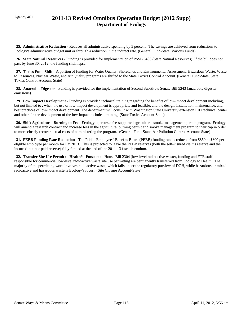# Agency 461 **2011-13 Revised Omnibus Operating Budget (2012 Supp) Department of Ecology**

 **25. Administrative Reduction -** Reduces all administrative spending by 5 percent. The savings are achieved from reductions to Ecology's administrative budget unit or through a reduction in the indirect rate. (General Fund-State, Various Funds)

 **26. State Natural Resources -** Funding is provided for implementation of PSSB 6406 (State Natural Resources). If the bill does not pass by June 30, 2012, the funding shall lapse.

 **27. Toxics Fund Shift -** A portion of funding for Water Quality, Shorelands and Environmental Assessment, Hazardous Waste, Waste to Resources, Nuclear Waste, and Air Quality programs are shifted to the State Toxics Control Account. (General Fund-State, State Toxics Control Account-State)

28. Anaerobic Digester - Funding is provided for the implementation of Second Substitute Senate Bill 5343 (anaerobic digester emissions).

 **29. Low Impact Development -** Funding is provided technical training regarding the benefits of low-impact development including, but not limited to , when the use of low-impact development is appropriate and feasible, and the design, installation, maintenance, and best practices of low-impact development. The department will consult with Washington State University extension LID technical center and others in the development of the low-impact technical training. (State Toxics Account-State)

 **30. Shift Agricultural Burning to Fee -** Ecology operates a fee-supported agricultural smoke-management permit program. Ecology will amend a research contract and increase fees in the agricultural burning permit and smoke management program to their cap in order to more closely recover actual costs of administering the program. (General Fund-State, Air Pollution Control Account-State)

 **31. PEBB Funding Rate Reduction -** The Public Employees' Benefits Board (PEBB) funding rate is reduced from \$850 to \$800 per eligible employee per month for FY 2013. This is projected to leave the PEBB reserves (both the self-insured claims reserve and the incurred-but-not-paid reserve) fully funded at the end of the 2011-13 fiscal biennium.

 **32. Transfer Site Use Permit to Health# -** Pursuant to House Bill 2304 (low-level radioactive waste), funding and FTE staff responsible for commercial low-level radioactive waste site use permitting are permanently transferred from Ecology to Health. The majority of the permitting work involves radioactive waste, which falls under the regulatory purview of DOH, while hazardous or mixed radioactive and hazardous waste is Ecology's focus. (Site Closure Account-State)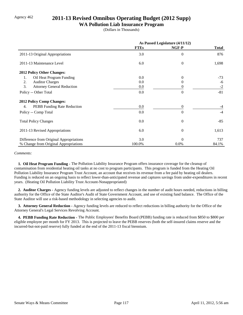## Agency 462 **2011-13 Revised Omnibus Operating Budget (2012 Supp)**

#### **WA Pollution Liab Insurance Program**

(Dollars in Thousands)

|                                         | As Passed Legislature (4/11/12) |                  |              |
|-----------------------------------------|---------------------------------|------------------|--------------|
|                                         | <b>FTEs</b>                     | NGF-P            | <b>Total</b> |
| 2011-13 Original Appropriations         | 3.0                             | $\overline{0}$   | 876          |
| 2011-13 Maintenance Level               | 6.0                             | $\overline{0}$   | 1,698        |
| 2012 Policy Other Changes:              |                                 |                  |              |
| Oil Heat Program Funding<br>1.          | 0.0                             | $\Omega$         | $-73$        |
| 2.<br><b>Auditor Charges</b>            | 0.0                             | $\Omega$         | -6           |
| 3.<br><b>Attorney General Reduction</b> | $0.0\,$                         | $\theta$         | $-2$         |
| Policy -- Other Total                   | 0.0                             | $\Omega$         | $-81$        |
| 2012 Policy Comp Changes:               |                                 |                  |              |
| PEBB Funding Rate Reduction<br>4.       | 0.0                             | $\boldsymbol{0}$ | $-4$         |
| Policy -- Comp Total                    | 0.0                             | $\Omega$         | $-4$         |
| <b>Total Policy Changes</b>             | 0.0                             | $\theta$         | $-85$        |
| 2011-13 Revised Appropriations          | 6.0                             | $\theta$         | 1,613        |
| Difference from Original Appropriations | 3.0                             | $\Omega$         | 737          |
| % Change from Original Appropriations   | 100.0%                          | 0.0%             | 84.1%        |

*Comments:*

 **1. Oil Heat Program Funding -** The Pollution Liability Insurance Program offers insurance coverage for the cleanup of contamination from residential heating oil tanks at no cost to program participants. This program is funded from the Heating Oil Pollution Liability Insurance Program Trust Account, an account that receives its revenue from a fee paid by heating oil dealers. Funding is reduced on an ongoing basis to reflect lower-than-anticipated revenue and captures savings from under-expenditures in recent years. (Heating Oil Pollution Liability Trust Account-Nonappropriated)

 **2. Auditor Charges -** Agency funding levels are adjusted to reflect changes in the number of audit hours needed, reductions in billing authority for the Office of the State Auditor's Audit of State Government Account, and use of existing fund balance. The Office of the State Auditor will use a risk-based methodology in selecting agencies to audit.

 **3. Attorney General Reduction -** Agency funding levels are reduced to reflect reductions in billing authority for the Office of the Attorney General's Legal Services Revolving Account.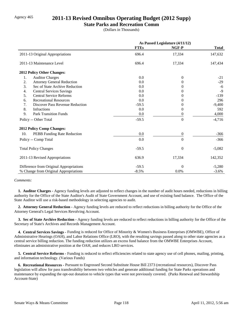## Agency 465 **2011-13 Revised Omnibus Operating Budget (2012 Supp)**

#### **State Parks and Recreation Comm**

(Dollars in Thousands)

|                                              | As Passed Legislature (4/11/12) |                  |              |
|----------------------------------------------|---------------------------------|------------------|--------------|
|                                              | <b>FTEs</b>                     | NGF-P            | <b>Total</b> |
| 2011-13 Original Appropriations              | 696.4                           | 17,334           | 147,632      |
| 2011-13 Maintenance Level                    | 696.4                           | 17,334           | 147,434      |
| 2012 Policy Other Changes:                   |                                 |                  |              |
| 1.<br><b>Auditor Charges</b>                 | 0.0                             | $\overline{0}$   | $-21$        |
| 2.<br><b>Attorney General Reduction</b>      | 0.0                             | $\theta$         | $-29$        |
| 3.<br>Sec of State Archive Reduction         | 0.0                             | $\theta$         | $-6$         |
| <b>Central Services Savings</b><br>4.        | 0.0                             | $\Omega$         | $-9$         |
| 5.<br><b>Central Service Reforms</b>         | 0.0                             | $\Omega$         | $-139$       |
| <b>Recreational Resources</b><br>6.          | 0.0                             | $\Omega$         | 296          |
| 7.<br><b>Discover Pass Revenue Reduction</b> | $-59.5$                         | $\theta$         | $-9,400$     |
| 8.<br>Infractions                            | 0.0                             | $\theta$         | 592          |
| 9.<br><b>Park Transition Funds</b>           | 0.0                             | $\theta$         | 4,000        |
| Policy -- Other Total                        | $-59.5$                         | $\boldsymbol{0}$ | $-4,716$     |
| 2012 Policy Comp Changes:                    |                                 |                  |              |
| 10.<br>PEBB Funding Rate Reduction           | 0.0                             | $\boldsymbol{0}$ | $-366$       |
| Policy -- Comp Total                         | 0.0                             | $\overline{0}$   | $-366$       |
| <b>Total Policy Changes</b>                  | $-59.5$                         | $\Omega$         | $-5,082$     |
| 2011-13 Revised Appropriations               | 636.9                           | 17,334           | 142,352      |
| Difference from Original Appropriations      | $-59.5$                         | $\Omega$         | $-5,280$     |
| % Change from Original Appropriations        | $-8.5%$                         | 0.0%             | $-3.6%$      |

*Comments:*

 **1. Auditor Charges -** Agency funding levels are adjusted to reflect changes in the number of audit hours needed, reductions in billing authority for the Office of the State Auditor's Audit of State Government Account, and use of existing fund balance. The Office of the State Auditor will use a risk-based methodology in selecting agencies to audit.

 **2. Attorney General Reduction -** Agency funding levels are reduced to reflect reductions in billing authority for the Office of the Attorney General's Legal Services Revolving Account.

 **3. Sec of State Archive Reduction -** Agency funding levels are reduced to reflect reductions in billing authority for the Office of the Secretary of State's Archives and Records Management Account.

 **4. Central Services Savings -** Funding is reduced for Office of Minority & Women's Business Enterprises (OMWBE), Office of Administrative Hearings (OAH), and Labor Relations Office (LRO), with the resulting savings passed along to other state agencies as a central service billing reduction. The funding reduction utilizes an excess fund balance from the OMWBE Enterprises Account, eliminates an administrative position at the OAH, and reduces LRO services.

 **5. Central Service Reforms -** Funding is reduced to reflect efficiencies related to state agency use of cell phones, mailing, printing, and information technology. (Various Funds)

 **6. Recreational Resources -** Pursuant to Engrossed Second Substitute House Bill 2373 (recreational resources), Discover Pass legislation will allow for pass transferability between two vehicles and generate additional funding for State Parks operations and maintenance by expanding the opt-out donation to vehicle types that were not previously covered. (Parks Renewal and Stewardship Account-State)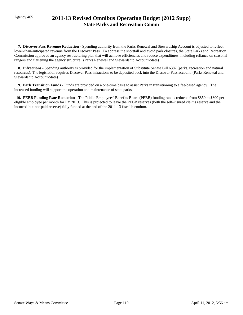# Agency 465 **2011-13 Revised Omnibus Operating Budget (2012 Supp) State Parks and Recreation Comm**

 **7. Discover Pass Revenue Reduction -** Spending authority from the Parks Renewal and Stewardship Account is adjusted to reflect lower-than-anticipated revenue from the Discover Pass. To address the shortfall and avoid park closures, the State Parks and Recreation Commission approved an agency restructuring plan that will achieve efficiencies and reduce expenditures, including reliance on seasonal rangers and flattening the agency structure. (Parks Renewal and Stewardship Account-State)

 **8. Infractions -** Spending authority is provided for the implementation of Substitute Senate Bill 6387 (parks, recreation and natural resources). The legislation requires Discover Pass infractions to be deposited back into the Discover Pass account. (Parks Renewal and Stewardship Account-State)

 **9. Park Transition Funds -** Funds are provided on a one-time basis to assist Parks in transitioning to a fee-based agency. The increased funding will support the operation and maintenance of state parks.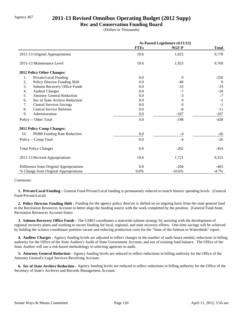## Agency 467 **2011-13 Revised Omnibus Operating Budget (2012 Supp)**

#### **Rec and Conservation Funding Board**

(Dollars in Thousands)

|                                         | As Passed Legislature (4/11/12) |          |              |
|-----------------------------------------|---------------------------------|----------|--------------|
|                                         | <b>FTEs</b>                     | NGF-P    | <b>Total</b> |
| 2011-13 Original Appropriations         | 19.6                            | 1,925    | 9,778        |
| 2011-13 Maintenance Level               | 19.6                            | 1,923    | 9,769        |
| 2012 Policy Other Changes:              |                                 |          |              |
| Private/Local Funding<br>1.             | 0.0                             | $\Omega$ | $-250$       |
| 2.<br>Policy Director Funding Shift     | 0.0                             | $-40$    | $\theta$     |
| 3.<br>Salmon Recovery Office Funds      | 0.0                             | $-33$    | $-33$        |
| <b>Auditor Charges</b><br>4.            | 0.0                             | $-7$     | $-18$        |
| 5.<br><b>Attorney General Reduction</b> | 0.0                             | $-3$     | $-7$         |
| Sec of State Archive Reduction<br>6.    | 0.0                             | $\Omega$ | $-1$         |
| 7.<br><b>Central Services Savings</b>   | 0.0                             | $\theta$ | $-1$         |
| 8.<br><b>Central Service Reforms</b>    | 0.0                             | $-8$     | $-11$        |
| 9.<br>Administration                    | 0.0                             | $-107$   | $-107$       |
| Policy -- Other Total                   | 0.0                             | $-198$   | $-428$       |
| <b>2012 Policy Comp Changes:</b>        |                                 |          |              |
| 10.<br>PEBB Funding Rate Reduction      | 0.0                             | $-4$     | $-26$        |
| Policy -- Comp Total                    | 0.0                             | $-4$     | $-26$        |
| <b>Total Policy Changes</b>             | 0.0                             | $-202$   | -454         |
| 2011-13 Revised Appropriations          | 19.6                            | 1,721    | 9,315        |
| Difference from Original Appropriations | 0.0                             | $-204$   | $-463$       |
| % Change from Original Appropriations   | 0.0%                            | $-10.6%$ | $-4.7%$      |

#### *Comments:*

**1. Private/Local Funding -** General Fund-Private/Local funding is permanently reduced to match historic spending levels. (General Fund-Private/Local)

 **2. Policy Director Funding Shift -** Funding for the agency policy director is shifted on an ongoing basis from the state general fund to the Recreation Resources Account to better align the funding source with the work completed by the position. (General Fund-State, Recreation Resources Account-State)

 **3. Salmon Recovery Office Funds -** The GSRO coordinates a statewide salmon strategy by assisting with the development of regional recovery plans and working to secure funding for local, regional, and state recovery efforts. One-time savings will be achieved by holding the science coordinator position vacant and reducing production costs for the "State of the Salmon in Watersheds" report.

 **4. Auditor Charges -** Agency funding levels are adjusted to reflect changes in the number of audit hours needed, reductions in billing authority for the Office of the State Auditor's Audit of State Government Account, and use of existing fund balance. The Office of the State Auditor will use a risk-based methodology in selecting agencies to audit.

 **5. Attorney General Reduction -** Agency funding levels are reduced to reflect reductions in billing authority for the Office of the Attorney General's Legal Services Revolving Account.

 **6. Sec of State Archive Reduction -** Agency funding levels are reduced to reflect reductions in billing authority for the Office of the Secretary of State's Archives and Records Management Account.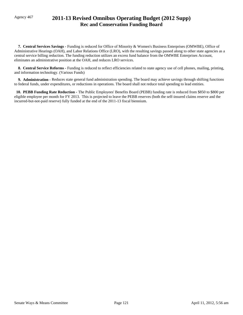# Agency 467 **2011-13 Revised Omnibus Operating Budget (2012 Supp) Rec and Conservation Funding Board**

 **7. Central Services Savings -** Funding is reduced for Office of Minority & Women's Business Enterprises (OMWBE), Office of Administrative Hearings (OAH), and Labor Relations Office (LRO), with the resulting savings passed along to other state agencies as a central service billing reduction. The funding reduction utilizes an excess fund balance from the OMWBE Enterprises Account, eliminates an administrative position at the OAH, and reduces LRO services.

 **8. Central Service Reforms -** Funding is reduced to reflect efficiencies related to state agency use of cell phones, mailing, printing, and information technology. (Various Funds)

**9. Administration - Reduces state general fund administration spending. The board may achieve savings through shifting functions** to federal funds, under expenditures, or reductions in operations. The board shall not reduce total spending to lead entities.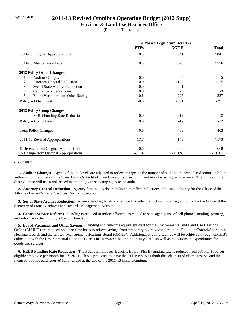## Agency 468 **2011-13 Revised Omnibus Operating Budget (2012 Supp)**

#### **Environ & Land Use Hearings Office**

(Dollars in Thousands)

|                                         | As Passed Legislature (4/11/12) |          |              |
|-----------------------------------------|---------------------------------|----------|--------------|
|                                         | <b>FTEs</b>                     | NGF-P    | <b>Total</b> |
| 2011-13 Original Appropriations         | 18.3                            | 4,841    | 4,841        |
| 2011-13 Maintenance Level               | 18.3                            | 4,576    | 4,576        |
| <b>2012 Policy Other Changes:</b>       |                                 |          |              |
| 1.<br><b>Auditor Charges</b>            | 0.0                             | $-5$     | $-5$         |
| 2.<br><b>Attorney General Reduction</b> | 0.0                             | $-155$   | $-155$       |
| 3.<br>Sec of State Archive Reduction    | 0.0                             | $-1$     | $-1$         |
| <b>Central Service Reforms</b><br>4.    | 0.0                             | $-3$     | $-3$         |
| 5.<br>Board Vacancies and Other Savings | $-0.6$                          | $-227$   | $-227$       |
| Policy -- Other Total                   | $-0.6$                          | $-391$   | $-391$       |
| <b>2012 Policy Comp Changes:</b>        |                                 |          |              |
| PEBB Funding Rate Reduction<br>6.       | 0.0                             | $-12$    | $-12$        |
| Policy -- Comp Total                    | 0.0                             | $-12$    | $-12$        |
| <b>Total Policy Changes</b>             | $-0.6$                          | $-403$   | $-403$       |
| 2011-13 Revised Appropriations          | 17.7                            | 4,173    | 4,173        |
| Difference from Original Appropriations | $-0.6$                          | $-668$   | -668         |
| % Change from Original Appropriations   | $-3.3%$                         | $-13.8%$ | $-13.8%$     |

#### *Comments:*

 **1. Auditor Charges -** Agency funding levels are adjusted to reflect changes in the number of audit hours needed, reductions in billing authority for the Office of the State Auditor's Audit of State Government Account, and use of existing fund balance. The Office of the State Auditor will use a risk-based methodology in selecting agencies to audit.

 **2. Attorney General Reduction -** Agency funding levels are reduced to reflect reductions in billing authority for the Office of the Attorney General's Legal Services Revolving Account.

 **3. Sec of State Archive Reduction -** Agency funding levels are reduced to reflect reductions in billing authority for the Office of the Secretary of State's Archives and Records Management Account.

 **4. Central Service Reforms -** Funding is reduced to reflect efficiencies related to state agency use of cell phones, mailing, printing, and information technology. (Various Funds)

 **5. Board Vacancies and Other Savings -** Funding and full-time equivalent staff for the Environmental and Land Use Hearings Office (ELUHO) are reduced on a one-time basis to reflect savings from temporary board vacancies on the Pollution Control/Shorelines Hearings Boards and the Growth Management Hearings Board (GMHB). Additional ongoing savings will be achieved through GMHB's colocation with the Environmental Hearings Boards in Tumwater, beginning in July 2012, as well as reductions in expenditures for goods and services.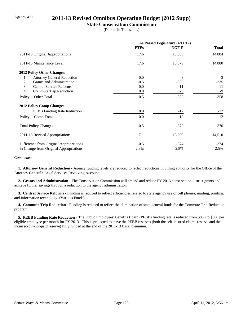## Agency 471 **2011-13 Revised Omnibus Operating Budget (2012 Supp)**

#### **State Conservation Commission**

(Dollars in Thousands)

|                                         | As Passed Legislature (4/11/12) |         |              |
|-----------------------------------------|---------------------------------|---------|--------------|
|                                         | <b>FTEs</b>                     | NGF-P   | <b>Total</b> |
| 2011-13 Original Appropriations         | 17.6                            | 13,583  | 14,884       |
| 2011-13 Maintenance Level               | 17.6                            | 13,579  | 14,880       |
| 2012 Policy Other Changes:              |                                 |         |              |
| <b>Attorney General Reduction</b><br>1. | 0.0                             | $-3$    | $-3$         |
| <b>Grants and Administration</b><br>2.  | $-0.5$                          | $-335$  | $-335$       |
| 3.<br><b>Central Service Reforms</b>    | 0.0                             | $-11$   | $-11$        |
| 4.<br>Commute Trip Reduction            | $0.0\,$                         | -9      | $-9$         |
| Policy -- Other Total                   | $-0.5$                          | $-358$  | $-358$       |
| <b>2012 Policy Comp Changes:</b>        |                                 |         |              |
| 5.<br>PEBB Funding Rate Reduction       | $0.0\,$                         | $-12$   | $-12$        |
| Policy -- Comp Total                    | 0.0                             | $-12$   | $-12$        |
| <b>Total Policy Changes</b>             | $-0.5$                          | $-370$  | $-370$       |
| 2011-13 Revised Appropriations          | 17.1                            | 13,209  | 14,510       |
| Difference from Original Appropriations | $-0.5$                          | $-374$  | -374         |
| % Change from Original Appropriations   | $-2.8%$                         | $-2.8%$ | $-2.5%$      |

#### *Comments:*

 **1. Attorney General Reduction -** Agency funding levels are reduced to reflect reductions in billing authority for the Office of the Attorney General's Legal Services Revolving Account.

 **2. Grants and Administration -** The Conservation Commission will amend and reduce FY 2013 conservation district grants and achieve further savings through a reduction to the agency administration.

 **3. Central Service Reforms -** Funding is reduced to reflect efficiencies related to state agency use of cell phones, mailing, printing, and information technology. (Various Funds)

**4. Commute Trip Reduction - Funding is reduced to reflect the elimination of state general funds for the Commute Trip Reduction** program.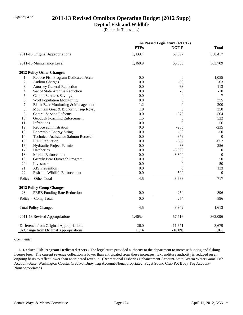## Agency 477 **2011-13 Revised Omnibus Operating Budget (2012 Supp)**

### **Dept of Fish and Wildlife**

(Dollars in Thousands)

|     |                                            | As Passed Legislature (4/11/12) |                  |                  |
|-----|--------------------------------------------|---------------------------------|------------------|------------------|
|     |                                            | <b>FTEs</b>                     | NGF-P            | <b>Total</b>     |
|     | 2011-13 Original Appropriations            | 1,439.4                         | 69,387           | 358,417          |
|     | 2011-13 Maintenance Level                  | 1,460.9                         | 66,658           | 363,709          |
|     | 2012 Policy Other Changes:                 |                                 |                  |                  |
| 1.  | Reduce Fish Program Dedicated Accts        | 0.0                             | $\boldsymbol{0}$ | $-1,055$         |
| 2.  | <b>Auditor Charges</b>                     | 0.0                             | $-38$            | $-63$            |
| 3.  | <b>Attorney General Reduction</b>          | 0.0                             | $-68$            | $-113$           |
| 4.  | Sec of State Archive Reduction             | 0.0                             | $-6$             | $-10$            |
| 5.  | <b>Central Services Savings</b>            | 0.0                             | $-4$             | $-7$             |
| 6.  | <b>Wolf Population Monitoring</b>          | 0.8                             | $\overline{0}$   | 355              |
| 7.  | Black Bear Monitoring & Management         | 1.2                             | $\boldsymbol{0}$ | 200              |
| 8.  | Mountain Goat & Bighorn Sheep Rcvry        | 1.0                             | $\boldsymbol{0}$ | 350              |
| 9.  | <b>Central Service Reforms</b>             | 0.0                             | $-373$           | $-504$           |
| 10. | <b>Geoduck Poaching Enforcement</b>        | 1.5                             | $\boldsymbol{0}$ | 522              |
| 11. | Infractions                                | 0.0                             | $\boldsymbol{0}$ | 56               |
| 12. | Reduce administration                      | 0.0                             | $-235$           | $-235$           |
| 13. | <b>Renewable Energy Siting</b>             | 0.0                             | $-50$            | $-50$            |
| 14. | <b>Technical Assistance Salmon Recover</b> | 0.0                             | $-379$           | $\overline{0}$   |
| 15. | <b>PILT Reduction</b>                      | 0.0                             | $-652$           | $-652$           |
| 16. | Hydraulic Project Permits                  | 0.0                             | $-83$            | 256              |
| 17. | Hatcheries                                 | 0.0                             | $-3,000$         | $\boldsymbol{0}$ |
| 18. | Marine Enforcement                         | 0.0                             | $-3,300$         | $\mathbf{0}$     |
| 19. | Grizzly Bear Outreach Program              | 0.0                             | $\theta$         | 50               |
| 20. | Livestock                                  | 0.0                             | $\overline{0}$   | 50               |
| 21. | <b>AIS</b> Prevention                      | 0.0                             | $\Omega$         | 133              |
| 22. | Fish and Wildlife Enforcement              | 0.0                             | $-500$           | $\overline{0}$   |
|     | Policy -- Other Total                      | 4.5                             | $-8,688$         | $-717$           |
|     | <b>2012 Policy Comp Changes:</b>           |                                 |                  |                  |
| 23. | PEBB Funding Rate Reduction                | 0.0                             | $-254$           | $-896$           |
|     | Policy -- Comp Total                       | 0.0                             | $-254$           | $-896$           |
|     | <b>Total Policy Changes</b>                | 4.5                             | $-8,942$         | $-1,613$         |
|     | 2011-13 Revised Appropriations             | 1,465.4                         | 57,716           | 362,096          |
|     | Difference from Original Appropriations    | 26.0                            | $-11,671$        | 3,679            |
|     | % Change from Original Appropriations      | 1.8%                            | $-16.8%$         | 1.0%             |

*Comments:*

 **1. Reduce Fish Program Dedicated Accts -** The legislature provided authority to the department to increase hunting and fishing license fees. The current revenue collection is lower than anticipated from these increases. Expenditure authority is reduced on an ongoing basis to reflect lower than anticipated revenue. (Recreational Fisheries Enhancement Account-State, Warm Water Game Fish Account-State, Washington Coastal Crab Pot Buoy Tag Account-Nonappropriated, Puget Sound Crab Pot Buoy Tag Account-Nonappropriated)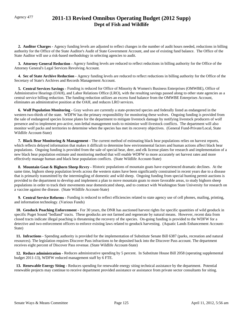# Agency 477 **2011-13 Revised Omnibus Operating Budget (2012 Supp) Dept of Fish and Wildlife**

 **2. Auditor Charges -** Agency funding levels are adjusted to reflect changes in the number of audit hours needed, reductions in billing authority for the Office of the State Auditor's Audit of State Government Account, and use of existing fund balance. The Office of the State Auditor will use a risk-based methodology in selecting agencies to audit.

 **3. Attorney General Reduction -** Agency funding levels are reduced to reflect reductions in billing authority for the Office of the Attorney General's Legal Services Revolving Account.

 **4. Sec of State Archive Reduction -** Agency funding levels are reduced to reflect reductions in billing authority for the Office of the Secretary of State's Archives and Records Management Account.

 **5. Central Services Savings -** Funding is reduced for Office of Minority & Women's Business Enterprises (OMWBE), Office of Administrative Hearings (OAH), and Labor Relations Office (LRO), with the resulting savings passed along to other state agencies as a central service billing reduction. The funding reduction utilizes an excess fund balance from the OMWBE Enterprises Account, eliminates an administrative position at the OAH, and reduces LRO services.

 **6. Wolf Population Monitoring -** Gray wolves are currently a state-protected species and federally listed as endangered in the western two-thirds of the state. WDFW has the primary responsibility for monitoring these wolves. Ongoing funding is provided from the sale of endangered species license plates for the department to mitigate livestock damage by notifying livestock producers of wolf presence and to implement pro-active, non-lethal management tools to minimize wolf-livestock conflicts. The department will also monitor wolf packs and territories to determine when the species has met its recovery objectives. (General Fund-Private/Local, State Wildlife Account-State)

 **7. Black Bear Monitoring & Management -** The current method of estimating black bear populations relies on harvest reports, which reflects delayed information that makes it difficult to determine how environmental factors and human actions affect black bear populations. Ongoing funding is provided from the sale of special bear, deer, and elk license plates for research and implementation of a new black bear population estimate and monitoring method that will enable WDFW to more accurately set harvest rates and more effectively manage human and black bear population conflicts. (State Wildlife Account-State)

**8. Mountain Goat & Bighorn Sheep Rcvry -** Historic populations of mountain goats have experienced dramatic declines. At the same time, bighorn sheep population levels across the western states have been significantly constrained in recent years due to a disease that is primarily transmitted by the intermingling of domestic and wild sheep. Ongoing funding from special hunting permit auctions is provided to the department to develop and implement a plan to move mountain goats to more favorable areas, to study bighorn sheep populations in order to track their movements near domesticated sheep, and to contract with Washington State University for research on a vaccine against the disease. (State Wildlife Account-State)

 **9. Central Service Reforms -** Funding is reduced to reflect efficiencies related to state agency use of cell phones, mailing, printing, and information technology. (Various Funds)

 **10. Geoduck Poaching Enforcement -** For 30 years, the DNR has auctioned harvest rights for specific quantities of wild geoduck in specific Puget Sound "bedland" tracts. These geoducks are not farmed and regenerate by natural means. However, recent data from closed tracts indicate illegal poaching is threatening the recovery of the species. On-going funding is provided to the WDFW for a detective and two enforcement officers to enforce existing laws related to geoduck harvesting. (Aquatic Lands Enhancement Account-State)

 **11. Infractions -** Spending authority is provided for the implementation of Substitute Senate Bill 6387 (parks, recreation and natural resources). The legislation requires Discover Pass infractions to be deposited back into the Discover Pass account. The department receives eight percent of Discover Pass revenue. (State Wildlife Account-State)

 **12. Reduce administration -** Reduces administrative spending by 5 percent. In Substitute House Bill 2058 (operating supplemental budget 2011-13), WDFW reduced management staff by 6 FTE.

 **13. Renewable Energy Siting -** Reduces spending for renewable energy siting technical assistance by the department. Potential renewable projects may continue to receive department provided assistance or assistance from private sector consultants for siting.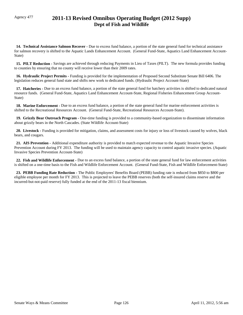# Agency 477 **2011-13 Revised Omnibus Operating Budget (2012 Supp) Dept of Fish and Wildlife**

 **14. Technical Assistance Salmon Recover -** Due to excess fund balance, a portion of the state general fund for technical assistance for salmon recovery is shifted to the Aquatic Lands Enhancement Account. (General Fund-State, Aquatics Land Enhancement Account-State)

**15. PILT Reduction -** Savings are achieved through reducing Payments in Lieu of Taxes (PILT). The new formula provides funding to counties by ensuring that no county will receive lower than their 2009 rates.

 **16. Hydraulic Project Permits -** Funding is provided for the implementation of Proposed Second Substitute Senate Bill 6406. The legislation reduces general fund state and shifts new work to dedicated funds. (Hydraulic Project Account-State)

 **17. Hatcheries -** Due to an excess fund balance, a portion of the state general fund for hatchery activities is shifted to dedicated natural resource funds. (General Fund-State, Aquatics Land Enhancement Account-State, Regional Fisheries Enhancement Group Account-State)

 **18. Marine Enforcement -** Due to an excess fund balance, a portion of the state general fund for marine enforcement activities is shifted to the Recreational Resources Account. (General Fund-State, Recreational Resources Account-State).

 **19. Grizzly Bear Outreach Program -** One-time funding is provided to a community-based organization to disseminate information about grizzly bears in the North Cascades. (State Wildlife Account-State)

 **20. Livestock -** Funding is provided for mitigation, claims, and assessment costs for injury or loss of livestock caused by wolves, black bears, and cougars.

 **21. AIS Prevention -** Additional expenditure authority is provided to match expected revenue to the Aquatic Invasive Species Prevention Account during FY 2013. The funding will be used to maintain agency capacity to control aquatic invasive species. (Aquatic Invasive Species Prevention Account-State)

 **22. Fish and Wildlife Enforcement -** Due to an excess fund balance, a portion of the state general fund for law enforcement activities is shifted on a one-time basis to the Fish and Wildlife Enforcement Account. (General Fund-State, Fish and Wildlife Enforcement-State)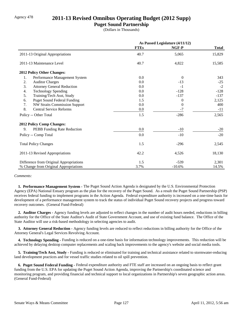## Agency 478 **2011-13 Revised Omnibus Operating Budget (2012 Supp)**

### **Puget Sound Partnership**

(Dollars in Thousands)

|                                            | As Passed Legislature (4/11/12) |                |              |
|--------------------------------------------|---------------------------------|----------------|--------------|
|                                            | <b>FTEs</b>                     | NGF-P          | <b>Total</b> |
| 2011-13 Original Appropriations            | 40.7                            | 5,065          | 15,829       |
| 2011-13 Maintenance Level                  | 40.7                            | 4,822          | 15,585       |
| 2012 Policy Other Changes:                 |                                 |                |              |
| Performance Management System<br>1.        | 0.0                             | $\Omega$       | 343          |
| 2.<br><b>Auditor Charges</b>               | 0.0                             | $-13$          | $-25$        |
| 3.<br><b>Attorney General Reduction</b>    | 0.0                             | $-1$           | $-2$         |
| <b>Technology Spending</b><br>4.           | 0.0                             | $-128$         | $-128$       |
| 5.<br>Training/Tech Asst, Study            | 0.0                             | $-137$         | $-137$       |
| <b>Puget Sound Federal Funding</b><br>6.   | 1.5                             | $\Omega$       | 2,125        |
| <b>NW Straits Commission Support</b><br>7. | 0.0                             | $\overline{0}$ | 400          |
| 8.<br><b>Central Service Reforms</b>       | 0.0                             | $-7$           | $-11$        |
| Policy -- Other Total                      | 1.5                             | $-286$         | 2,565        |
| <b>2012 Policy Comp Changes:</b>           |                                 |                |              |
| 9.<br>PEBB Funding Rate Reduction          | 0.0                             | $-10$          | $-20$        |
| Policy -- Comp Total                       | 0.0                             | $-10$          | $-20$        |
| <b>Total Policy Changes</b>                | 1.5                             | $-296$         | 2,545        |
| 2011-13 Revised Appropriations             | 42.2                            | 4,526          | 18,130       |
| Difference from Original Appropriations    | 1.5                             | $-539$         | 2,301        |
| % Change from Original Appropriations      | 3.7%                            | $-10.6%$       | 14.5%        |

#### *Comments:*

 **1. Performance Management System -** The Puget Sound Action Agenda is designated by the U.S. Environmental Protection Agency (EPA) National Estuary program as the plan for the recovery of the Puget Sound. As a result the Puget Sound Partnership (PSP) receives federal funding to implement programs in the Action Agenda. Federal expenditure authority is increased on a one-time basis for development of a performance management system to track the status of individual Puget Sound recovery projects and progress toward recovery outcomes. (General Fund-Federal)

 **2. Auditor Charges -** Agency funding levels are adjusted to reflect changes in the number of audit hours needed, reductions in billing authority for the Office of the State Auditor's Audit of State Government Account, and use of existing fund balance. The Office of the State Auditor will use a risk-based methodology in selecting agencies to audit.

 **3. Attorney General Reduction -** Agency funding levels are reduced to reflect reductions in billing authority for the Office of the Attorney General's Legal Services Revolving Account.

 **4. Technology Spending -** Funding is reduced on a one-time basis for information technology improvements. This reduction will be achieved by delaying desktop computer replacements and scaling back improvements to the agency's website and social media tools.

 **5. Training/Tech Asst, Study -** Funding is reduced or eliminated for training and technical assistance related to stormwater-reducing land development practices and for vessel traffic studies related to oil spill prevention.

 **6. Puget Sound Federal Funding -** Federal expenditure authority and FTE staff are increased on an ongoing basis to reflect grant funding from the U.S. EPA for updating the Puget Sound Action Agenda, improving the Partnership's coordinated science and monitoring program, and providing financial and technical support to local organizations in Partnership's seven geographic action areas. (General Fund-Federal)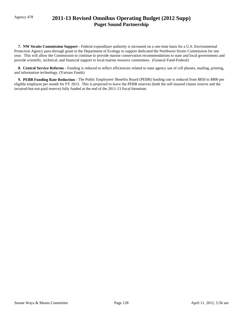# Agency 478 **2011-13 Revised Omnibus Operating Budget (2012 Supp) Puget Sound Partnership**

 **7. NW Straits Commission Support -** Federal expenditure authority is increased on a one-time basis for a U.S. Environmental Protection Agency pass-through grant to the Department of Ecology to support dedicated the Northwest Straits Commission for one year. This will allow the Commission to continue to provide marine conservation recommendations to state and local governments and provide scientific, technical, and financial support to local marine resource committees. (General Fund-Federal)

 **8. Central Service Reforms -** Funding is reduced to reflect efficiencies related to state agency use of cell phones, mailing, printing, and information technology. (Various Funds)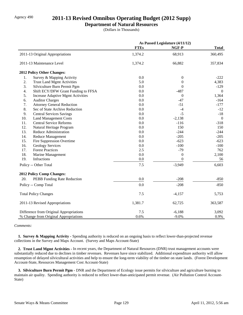## Agency 490 **2011-13 Revised Omnibus Operating Budget (2012 Supp)**

#### **Department of Natural Resources**

(Dollars in Thousands)

|     |                                         | As Passed Legislature (4/11/12) |                  |                |
|-----|-----------------------------------------|---------------------------------|------------------|----------------|
|     |                                         | <b>FTEs</b>                     | NGF-P            | <b>Total</b>   |
|     | 2011-13 Original Appropriations         | 1,374.2                         | 68,913           | 360,495        |
|     | 2011-13 Maintenance Level               | 1,374.2                         | 66,882           | 357,834        |
|     | 2012 Policy Other Changes:              |                                 |                  |                |
| 1.  | Survey & Mapping Activity               | 0.0                             | $\boldsymbol{0}$ | $-222$         |
| 2.  | <b>Trust Land Mgmt Activities</b>       | 5.0                             | 0                | 4,383          |
| 3.  | Silviculture Burn Permit Pgm            | 0.0                             | $\theta$         | $-129$         |
| 4.  | Shift ECY/DFW Grant Funding to FFSA     | 0.0                             | $-487$           | $\overline{0}$ |
| 5.  | Increase Adaptive Mgmt Activities       | 0.0                             | $\boldsymbol{0}$ | 1,364          |
| 6.  | <b>Auditor Charges</b>                  | 0.0                             | $-47$            | $-164$         |
| 7.  | <b>Attorney General Reduction</b>       | 0.0                             | $-51$            | $-177$         |
| 8.  | Sec of State Archive Reduction          | 0.0                             | $-4$             | $-12$          |
| 9.  | <b>Central Services Savings</b>         | 0.0                             | $-5$             | $-18$          |
| 10. | <b>Land Management Costs</b>            | 0.0                             | $-2,138$         | $\mathbf{0}$   |
| 11. | <b>Central Service Reforms</b>          | 0.0                             | $-116$           | $-318$         |
| 12. | Natural Heritage Program                | 0.0                             | 150              | 150            |
| 13. | Reduce Administration                   | 0.0                             | $-244$           | $-244$         |
| 14. | Reduce Management                       | 0.0                             | $-205$           | $-205$         |
| 15. | Fire Suppression Overtime               | 0.0                             | $-623$           | $-623$         |
| 16. | <b>Geology Services</b>                 | 0.0                             | $-100$           | $-100$         |
| 17. | <b>Forest Practices</b>                 | 2.5                             | $-79$            | 762            |
| 18. | Marine Management                       | 0.0                             | $\boldsymbol{0}$ | 2,100          |
| 19. | <b>Infractions</b>                      | 0.0                             | $\Omega$         | 56             |
|     | Policy -- Other Total                   | 7.5                             | $-3,949$         | 6,603          |
|     | 2012 Policy Comp Changes:               |                                 |                  |                |
| 20. | PEBB Funding Rate Reduction             | 0.0                             | $-208$           | $-850$         |
|     | Policy -- Comp Total                    | 0.0                             | $-208$           | $-850$         |
|     | <b>Total Policy Changes</b>             | 7.5                             | $-4,157$         | 5,753          |
|     | 2011-13 Revised Appropriations          | 1,381.7                         | 62,725           | 363,587        |
|     | Difference from Original Appropriations | 7.5                             | $-6,188$         | 3,092          |
|     | % Change from Original Appropriations   | 0.6%                            | $-9.0%$          | 0.9%           |

#### *Comments:*

**1. Survey & Mapping Activity -** Spending authority is reduced on an ongoing basis to reflect lower-than-projected revenue collections in the Survey and Maps Account. (Survey and Maps Account-State)

 **2. Trust Land Mgmt Activities -** In recent years, the Department of Natural Resources (DNR) trust management accounts were substantially reduced due to declines in timber revenues. Revenues have since stabilized. Additional expenditure authority will allow resumption of delayed silvicultural activities and help to ensure the long-term viability of the timber on state lands. (Forest Development Account-State, Resources Management Cost Account-State)

 **3. Silviculture Burn Permit Pgm -** DNR and the Department of Ecology issue permits for silviculture and agriculture burning to maintain air quality. Spending authority is reduced to reflect lower-than-anticipated permit revenue. (Air Pollution Control Account-State)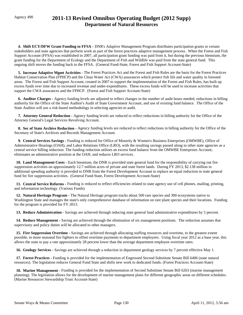# Agency 490 **2011-13 Revised Omnibus Operating Budget (2012 Supp) Department of Natural Resources**

 **4. Shift ECY/DFW Grant Funding to FFSA -** DNR's Adaptive Management Program distributes participation grants to certain stakeholders and state agencies that perform work as part of the forest practices adaptive management process. When the Forest and Fish Support Account (FFSA) was established in 2007, all participation grant funding was paid from it, but during the previous biennium, the grant funding for the Department of Ecology and the Department of Fish and Wildlife was paid from the state general fund. This ongoing shift moves the funding back to the FFSA. (General Fund-State, Forest and Fish Support Account-State)

 **5. Increase Adaptive Mgmt Activities -** The Forest Practices Act and the Forest and Fish Rules are the basis for the Forest Practices Habitat Conservation Plan (FPHCP) and the Clean Water Act (CWA) assurances which protect fish life and water quality in forested areas. The Forest and Fish Support Account, created in 2007 to support the implementation of the Forest and Fish Rules, has built up excess funds over time due to increased revenue and under-expenditures. These excess funds will be used to increase activities that support the CWA assurances and the FPHCP. (Forest and Fish Support Account-State)

 **6. Auditor Charges -** Agency funding levels are adjusted to reflect changes in the number of audit hours needed, reductions in billing authority for the Office of the State Auditor's Audit of State Government Account, and use of existing fund balance. The Office of the State Auditor will use a risk-based methodology in selecting agencies to audit.

 **7. Attorney General Reduction -** Agency funding levels are reduced to reflect reductions in billing authority for the Office of the Attorney General's Legal Services Revolving Account.

 **8. Sec of State Archive Reduction -** Agency funding levels are reduced to reflect reductions in billing authority for the Office of the Secretary of State's Archives and Records Management Account.

 **9. Central Services Savings -** Funding is reduced for Office of Minority & Women's Business Enterprises (OMWBE), Office of Administrative Hearings (OAH), and Labor Relations Office (LRO), with the resulting savings passed along to other state agencies as a central service billing reduction. The funding reduction utilizes an excess fund balance from the OMWBE Enterprises Account, eliminates an administrative position at the OAH, and reduces LRO services.

 **10. Land Management Costs -** Each biennium, the DNR is provided state general fund for the responsibility of carrying out fire suppression activities on approximately 12.7 million acres of private and state forest lands. During FY 2013, \$2.138 million in additional spending authority is provided to DNR from the Forest Development Account to replace an equal reduction in state general fund for fire suppression activities. (General Fund-State, Forest Development Account-State)

 **11. Central Service Reforms -** Funding is reduced to reflect efficiencies related to state agency use of cell phones, mailing, printing, and information technology. (Various Funds)

 **12. Natural Heritage Program -** The Natural Heritage program tracks about 500 rare species and 300 ecosystems native to Washington State and manages the state's only comprehensive database of information on rare plant species and their locations. Funding for the program is provided for FY 2013.

 **13. Reduce Administration -** Savings are achieved through reducing state general fund administrative expenditures by 5 percent.

14. Reduce Management - Saving are achieved through the elimination of six management positions. The reduction assumes that supervisory and policy duties will be allocated to other managers.

 **15. Fire Suppression Overtime -** Savings are achieved through allocating staffing resources and overtime, to the greatest extent possible, to more seasonal fire fighters to offset overtime payments to department employees. Using fiscal year 2012 as a base year, this allows the state to pay a rate approximately 28 percent lower than the average department employee overtime rates.

 **16. Geology Services -** Savings are achieved through a reduction in department geology services by 7 percent effective May 1.

 **17. Forest Practices -** Funding is provided for the implementation of Engrossed Second Substitute Senate Bill 6406 (state natural resources). The legislation reduces General Fund State and shifts new work to dedicated funds. (Forest Practices Account-State)

 **18. Marine Management -** Funding is provided for the implementation of Second Substitute Senate Bill 6263 (marine management planning). The legislation allows for the development of marine management plans for different geographic areas on different schedules. (Marine Resources Stewardship Trust Account-State)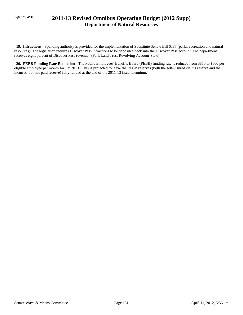# Agency 490 **2011-13 Revised Omnibus Operating Budget (2012 Supp) Department of Natural Resources**

 **19. Infractions -** Spending authority is provided for the implementation of Substitute Senate Bill 6387 (parks, recreation and natural resources). The legislation requires Discover Pass infractions to be deposited back into the Discover Pass account. The department receives eight percent of Discover Pass revenue. (Park Land Trust Revolving Account-State)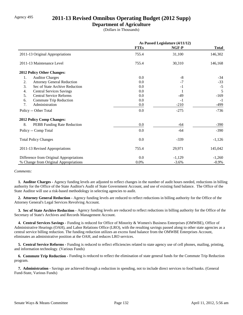## Agency 495 **2011-13 Revised Omnibus Operating Budget (2012 Supp)**

### **Department of Agriculture**

(Dollars in Thousands)

|                                         | As Passed Legislature (4/11/12) |          |              |
|-----------------------------------------|---------------------------------|----------|--------------|
|                                         | <b>FTEs</b>                     | NGF-P    | <b>Total</b> |
| 2011-13 Original Appropriations         | 755.4                           | 31,100   | 146,302      |
| 2011-13 Maintenance Level               | 755.4                           | 30,310   | 146,168      |
| 2012 Policy Other Changes:              |                                 |          |              |
| 1.<br><b>Auditor Charges</b>            | $0.0\,$                         | $-8$     | $-34$        |
| 2.<br><b>Attorney General Reduction</b> | 0.0                             | $-7$     | $-33$        |
| 3.<br>Sec of State Archive Reduction    | 0.0                             | $-1$     | $-5$         |
| <b>Central Services Savings</b><br>4.   | 0.0                             | 1        | 5            |
| 5.<br><b>Central Service Reforms</b>    | 0.0                             | -49      | $-169$       |
| Commute Trip Reduction<br>6.            | 0.0                             | $-1$     | $-1$         |
| Administration<br>7.                    | $0.0\,$                         | $-210$   | $-499$       |
| Policy -- Other Total                   | 0.0                             | $-275$   | $-736$       |
| 2012 Policy Comp Changes:               |                                 |          |              |
| 8.<br>PEBB Funding Rate Reduction       | $0.0\,$                         | -64      | $-390$       |
| Policy -- Comp Total                    | 0.0                             | -64      | $-390$       |
| <b>Total Policy Changes</b>             | 0.0                             | $-339$   | $-1,126$     |
| 2011-13 Revised Appropriations          | 755.4                           | 29,971   | 145,042      |
| Difference from Original Appropriations | $0.0\,$                         | $-1,129$ | $-1,260$     |
| % Change from Original Appropriations   | 0.0%                            | $-3.6%$  | $-0.9\%$     |

#### *Comments:*

 **1. Auditor Charges -** Agency funding levels are adjusted to reflect changes in the number of audit hours needed, reductions in billing authority for the Office of the State Auditor's Audit of State Government Account, and use of existing fund balance. The Office of the State Auditor will use a risk-based methodology in selecting agencies to audit.

 **2. Attorney General Reduction -** Agency funding levels are reduced to reflect reductions in billing authority for the Office of the Attorney General's Legal Services Revolving Account.

 **3. Sec of State Archive Reduction -** Agency funding levels are reduced to reflect reductions in billing authority for the Office of the Secretary of State's Archives and Records Management Account.

 **4. Central Services Savings -** Funding is reduced for Office of Minority & Women's Business Enterprises (OMWBE), Office of Administrative Hearings (OAH), and Labor Relations Office (LRO), with the resulting savings passed along to other state agencies as a central service billing reduction. The funding reduction utilizes an excess fund balance from the OMWBE Enterprises Account, eliminates an administrative position at the OAH, and reduces LRO services.

 **5. Central Service Reforms -** Funding is reduced to reflect efficiencies related to state agency use of cell phones, mailing, printing, and information technology. (Various Funds)

**6. Commute Trip Reduction -** Funding is reduced to reflect the elimination of state general funds for the Commute Trip Reduction program.

 **7. Administration -** Savings are achieved through a reduction in spending, not to include direct services to food banks. (General Fund-State, Various Funds)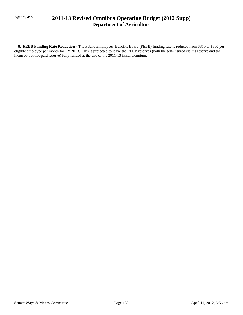# Agency 495 **2011-13 Revised Omnibus Operating Budget (2012 Supp) Department of Agriculture**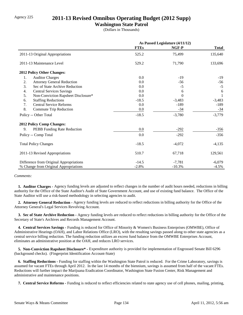## Agency 225 **2011-13 Revised Omnibus Operating Budget (2012 Supp)**

### **Washington State Patrol**

(Dollars in Thousands)

|                                           | As Passed Legislature (4/11/12) |          |              |
|-------------------------------------------|---------------------------------|----------|--------------|
|                                           | <b>FTEs</b>                     | NGF-P    | <b>Total</b> |
| 2011-13 Original Appropriations           | 525.2                           | 75,499   | 135,640      |
| 2011-13 Maintenance Level                 | 529.2                           | 71,790   | 133,696      |
| 2012 Policy Other Changes:                |                                 |          |              |
| 1.<br><b>Auditor Charges</b>              | 0.0                             | $-19$    | $-19$        |
| 2.<br><b>Attorney General Reduction</b>   | 0.0                             | $-56$    | $-56$        |
| 3.<br>Sec of State Archive Reduction      | 0.0                             | $-5$     | $-5$         |
| 4.<br><b>Central Services Savings</b>     | 0.0                             | 6        | 6            |
| 5.<br>Non-Conviction Rapsheet Disclosure* | 0.0                             | $\Omega$ |              |
| 6.<br><b>Staffing Reductions</b>          | $-18.5$                         | $-3,483$ | $-3,483$     |
| <b>Central Service Reforms</b><br>7.      | 0.0                             | $-189$   | $-189$       |
| 8.<br><b>Commute Trip Reduction</b>       | 0.0                             | $-34$    | $-34$        |
| Policy -- Other Total                     | $-18.5$                         | $-3,780$ | $-3,779$     |
| <b>2012 Policy Comp Changes:</b>          |                                 |          |              |
| PEBB Funding Rate Reduction<br>9.         | 0.0                             | $-292$   | $-356$       |
| Policy -- Comp Total                      | 0.0                             | $-292$   | $-356$       |
| <b>Total Policy Changes</b>               | $-18.5$                         | $-4,072$ | $-4,135$     |
| 2011-13 Revised Appropriations            | 510.7                           | 67,718   | 129,561      |
| Difference from Original Appropriations   | $-14.5$                         | $-7,781$ | $-6,079$     |
| % Change from Original Appropriations     | $-2.8%$                         | $-10.3%$ | $-4.5%$      |

#### *Comments:*

 **1. Auditor Charges -** Agency funding levels are adjusted to reflect changes in the number of audit hours needed, reductions in billing authority for the Office of the State Auditor's Audit of State Government Account, and use of existing fund balance. The Office of the State Auditor will use a risk-based methodology in selecting agencies to audit.

 **2. Attorney General Reduction -** Agency funding levels are reduced to reflect reductions in billing authority for the Office of the Attorney General's Legal Services Revolving Account.

 **3. Sec of State Archive Reduction -** Agency funding levels are reduced to reflect reductions in billing authority for the Office of the Secretary of State's Archives and Records Management Account.

 **4. Central Services Savings -** Funding is reduced for Office of Minority & Women's Business Enterprises (OMWBE), Office of Administrative Hearings (OAH), and Labor Relations Office (LRO), with the resulting savings passed along to other state agencies as a central service billing reduction. The funding reduction utilizes an excess fund balance from the OMWBE Enterprises Account, eliminates an administrative position at the OAH, and reduces LRO services.

 **5. Non-Conviction Rapsheet Disclosure\* -** Expenditure authority is provided for implementation of Engrossed Senate Bill 6296 (background checks). (Fingerprint Identification Account-State)

 **6. Staffing Reductions -** Funding for staffing within the Washington State Patrol is reduced. For the Crime Laboratory, savings is assumed for vacant FTEs through April 2012. In the last 14 months of the biennium, savings is assumed from half of the vacant FTEs. Reductions will further impact the Marijuana Eradication Coordinator, Washington State Fusion Center, Risk Management and administrative and maintenance positions.

 **7. Central Service Reforms -** Funding is reduced to reflect efficiencies related to state agency use of cell phones, mailing, printing,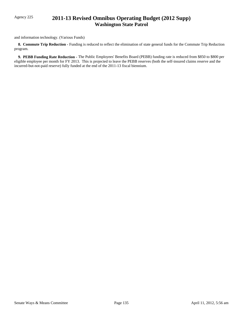# Agency 225 **2011-13 Revised Omnibus Operating Budget (2012 Supp) Washington State Patrol**

and information technology. (Various Funds)

**8. Commute Trip Reduction -** Funding is reduced to reflect the elimination of state general funds for the Commute Trip Reduction program.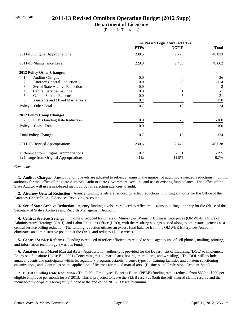## Agency 240 **2011-13 Revised Omnibus Operating Budget (2012 Supp)**

### **Department of Licensing**

(Dollars in Thousands)

|                                              | As Passed Legislature (4/11/12) |                |              |
|----------------------------------------------|---------------------------------|----------------|--------------|
|                                              | <b>FTEs</b>                     | NGF-P          | <b>Total</b> |
| 2011-13 Original Appropriations              | 230.5                           | 2,773          | 40,833       |
| 2011-13 Maintenance Level                    | 229.9                           | 2,460          | 40,662       |
| 2012 Policy Other Changes:                   |                                 |                |              |
| 1.<br><b>Auditor Charges</b>                 | 0.0                             | $\theta$       | $-26$        |
| <b>Attorney General Reduction</b><br>2.      | 0.0                             | -6             | $-114$       |
| 3.<br>Sec of State Archive Reduction         | 0.0                             | $\Omega$       | $-2$         |
| <b>Central Services Savings</b><br>4.        | 0.0                             |                | $-1$         |
| 5.<br><b>Central Service Reforms</b>         | 0.0                             | $-5$           | $-31$        |
| 6.<br><b>Amateurs and Mixed Martial Arts</b> | 0.7                             | $\overline{0}$ | 150          |
| Policy -- Other Total                        | 0.7                             | $-10$          | $-24$        |
| <b>2012 Policy Comp Changes:</b>             |                                 |                |              |
| PEBB Funding Rate Reduction<br>7.            | 0.0                             | $-8$           | $-100$       |
| Policy -- Comp Total                         | 0.0                             | $-8$           | $-100$       |
| <b>Total Policy Changes</b>                  | 0.7                             | $-18$          | $-124$       |
| 2011-13 Revised Appropriations               | 230.6                           | 2,442          | 40,538       |
| Difference from Original Appropriations      | 0.2                             | $-331$         | $-295$       |
| % Change from Original Appropriations        | 0.1%                            | $-11.9%$       | $-0.7%$      |

*Comments:*

 **1. Auditor Charges -** Agency funding levels are adjusted to reflect changes in the number of audit hours needed, reductions in billing authority for the Office of the State Auditor's Audit of State Government Account, and use of existing fund balance. The Office of the State Auditor will use a risk-based methodology in selecting agencies to audit.

 **2. Attorney General Reduction -** Agency funding levels are reduced to reflect reductions in billing authority for the Office of the Attorney General's Legal Services Revolving Account.

 **3. Sec of State Archive Reduction -** Agency funding levels are reduced to reflect reductions in billing authority for the Office of the Secretary of State's Archives and Records Management Account.

 **4. Central Services Savings -** Funding is reduced for Office of Minority & Women's Business Enterprises (OMWBE), Office of Administrative Hearings (OAH), and Labor Relations Office (LRO), with the resulting savings passed along to other state agencies as a central service billing reduction. The funding reduction utilizes an excess fund balance from the OMWBE Enterprises Account, eliminates an administrative position at the OAH, and reduces LRO services.

 **5. Central Service Reforms -** Funding is reduced to reflect efficiencies related to state agency use of cell phones, mailing, printing, and information technology. (Various Funds)

 **6. Amateurs and Mixed Martial Arts -** Appropriation authority is provided for the Department of Licensing (DOL) to implement Engrossed Substitute House Bill 2301 (Concerning mixed martial arts, boxing, martial arts, and wrestling). The DOL will include amateur events and participants within its regulatory program, establish license types for training facilities and amateur sanctioning organizations, and adopt rules on the application of licenses for mixed martial arts. (Business and Professions Account-State)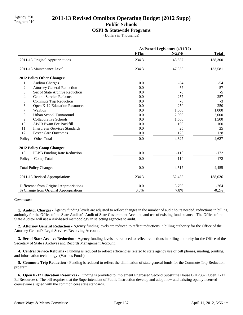# Agency 350 **2011-13 Revised Omnibus Operating Budget (2012 Supp)** Program 010

**Public Schools**

#### **OSPI & Statewide Programs**

(Dollars in Thousands)

|                                              | As Passed Legislature (4/11/12) |        |              |
|----------------------------------------------|---------------------------------|--------|--------------|
|                                              | <b>FTEs</b>                     | NGF-P  | <b>Total</b> |
| 2011-13 Original Appropriations              | 234.3                           | 48,657 | 138,300      |
| 2011-13 Maintenance Level                    | 234.3                           | 47,938 | 133,581      |
| 2012 Policy Other Changes:                   |                                 |        |              |
| 1.<br><b>Auditor Charges</b>                 | 0.0                             | $-54$  | -54          |
| 2.<br><b>Attorney General Reduction</b>      | 0.0                             | $-57$  | $-57$        |
| 3.<br>Sec of State Archive Reduction         | 0.0                             | $-5$   | $-5$         |
| 4.<br><b>Central Service Reforms</b>         | 0.0                             | $-257$ | $-257$       |
| 5.<br>Commute Trip Reduction                 | 0.0                             | $-3$   | $-3$         |
| 6.<br>Open K-12 Education Resources          | 0.0                             | 250    | 250          |
| 7.<br>WaKids                                 | 0.0                             | 1,000  | 1,000        |
| 8.<br>Urban School Turnaround                | 0.0                             | 2,000  | 2,000        |
| 9.<br><b>Collaborative Schools</b>           | 0.0                             | 1,500  | 1,500        |
| 10.<br>AP/IB Exam Fee Backfill               | 0.0                             | 100    | 100          |
| 11.<br><b>Interpreter-Services Standards</b> | 0.0                             | 25     | 25           |
| 12.<br><b>Foster Care Outcomes</b>           | 0.0                             | 128    | 128          |
| Policy -- Other Total                        | 0.0                             | 4,627  | 4,627        |
| 2012 Policy Comp Changes:                    |                                 |        |              |
| 13.<br>PEBB Funding Rate Reduction           | 0.0                             | $-110$ | $-172$       |
| Policy -- Comp Total                         | 0.0                             | $-110$ | $-172$       |
| <b>Total Policy Changes</b>                  | 0.0                             | 4,517  | 4,455        |
| 2011-13 Revised Appropriations               | 234.3                           | 52,455 | 138,036      |
| Difference from Original Appropriations      | 0.0                             | 3,798  | $-264$       |
| % Change from Original Appropriations        | 0.0%                            | 7.8%   | $-0.2%$      |

#### *Comments:*

 **1. Auditor Charges -** Agency funding levels are adjusted to reflect changes in the number of audit hours needed, reductions in billing authority for the Office of the State Auditor's Audit of State Government Account, and use of existing fund balance. The Office of the State Auditor will use a risk-based methodology in selecting agencies to audit.

 **2. Attorney General Reduction -** Agency funding levels are reduced to reflect reductions in billing authority for the Office of the Attorney General's Legal Services Revolving Account.

 **3. Sec of State Archive Reduction -** Agency funding levels are reduced to reflect reductions in billing authority for the Office of the Secretary of State's Archives and Records Management Account.

 **4. Central Service Reforms -** Funding is reduced to reflect efficiencies related to state agency use of cell phones, mailing, printing, and information technology. (Various Funds)

**5. Commute Trip Reduction - Funding is reduced to reflect the elimination of state general funds for the Commute Trip Reduction** program.

 **6. Open K-12 Education Resources -** Funding is provided to implement Engrossed Second Substitute House Bill 2337 (Open K-12 Ed Resources). The bill requires that the Superintendent of Public Instruction develop and adopt new and existing openly licensed courseware aligned with the common core state standards.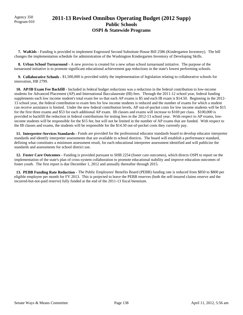Agency 350

## Agency 350 **2011-13 Revised Omnibus Operating Budget (2012 Supp)** Program 010 **Public Schools OSPI & Statewide Programs**

 **7. WaKids -** Funding is provided to implement Engrossed Second Substitute House Bill 2586 (Kindergarten Inventory). The bill changes the implementation schedule for administration of the Washington Kindergarten Inventory of Developing Skills.

 **8. Urban School Turnaround -** A new proviso is created for a new urban school turnaround initiative. The purpose of the turnaround initiative is to promote significant educational achievement gap reductions in the state's lowest performing schools.

 **9. Collaborative Schools -** \$1,500,000 is provided solely the implementation of legislation relating to collaborative schools for innovation, HB 2799.

 **10. AP/IB Exam Fee Backfill -** Included in federal budget reductions was a reduction in the federal contribution to low-income students for Advanced Placement (AP) and International Baccalaureate (IB) fees. Through the 2011-12 school year, federal funding supplements each low income student's total exam fee so that each AP exams is \$5 and each IB exam is \$14.50. Beginning in the 2012- 13 school year, the federal contribution to exam fees for low income students is reduced and the number of exams for which a student can receive assistance is limited. Under the new federal contribution levels, AP out-of-pocket costs for low income students will be \$15 for the first three exams and \$53 for each additional AP exam. IB classes and exams will increase to \$169 per class. \$100,000 is provided to backfill the reduction in federal contributions for testing fees in the 2012-13 school year. With respect to AP exams, lowincome students will be responsible for the \$15 fee, but will not be limited in the number of AP exams that are funded. With respect to the IB classes and exams, the students will be responsible for the \$14.50 out-of-pocket costs they currently pay.

 **11. Interpreter-Services Standards -** Funds are provided for the professional educator standards board to develop educator interpreter standards and identify interpreter assessments that are available to school districts. The board will establish a performance standard, defining what constitutes a minimum assessment result, for each educational interpreter assessment identified and will publicize the standards and assessments for school district use.

 **12. Foster Care Outcomes -** Funding is provided pursuant to SHB 2254 (foster care outcomes), which directs OSPI to report on the implementation of the state's plan of cross-system collaboration to promote educational stability and improve education outcomes of foster youth. The first report is due December 1, 2012 and annually thereafter through 2015.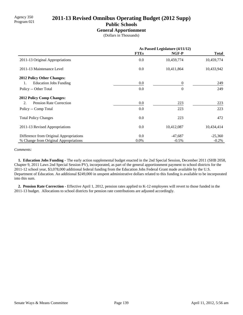# Agency 350 **2011-13 Revised Omnibus Operating Budget (2012 Supp)** Program 021

**Public Schools**

#### **General Apportionment**

(Dollars in Thousands)

|                                         | As Passed Legislature (4/11/12) |                |              |
|-----------------------------------------|---------------------------------|----------------|--------------|
|                                         | <b>FTEs</b>                     | NGF-P          | <b>Total</b> |
| 2011-13 Original Appropriations         | 0.0                             | 10,459,774     | 10,459,774   |
| 2011-13 Maintenance Level               | $0.0\,$                         | 10,411,864     | 10,433,942   |
| <b>2012 Policy Other Changes:</b>       |                                 |                |              |
| <b>Education Jobs Funding</b><br>1.     | $0.0\,$                         | $\overline{0}$ | 249          |
| Policy -- Other Total                   | 0.0                             | $\theta$       | 249          |
| <b>2012 Policy Comp Changes:</b>        |                                 |                |              |
| <b>Pension Rate Correction</b><br>2.    | 0.0                             | 223            | 223          |
| Policy -- Comp Total                    | 0.0                             | 223            | 223          |
| <b>Total Policy Changes</b>             | 0.0                             | 223            | 472          |
| 2011-13 Revised Appropriations          | $0.0\,$                         | 10,412,087     | 10,434,414   |
| Difference from Original Appropriations | 0.0                             | $-47,687$      | $-25,360$    |
| % Change from Original Appropriations   | $0.0\%$                         | $-0.5%$        | $-0.2\%$     |

#### *Comments:*

 **1. Education Jobs Funding -** The early action supplemental budget enacted in the 2nd Special Session, December 2011 (SHB 2058, Chapter 9, 2011 Laws 2nd Special Session PV), incorporated, as part of the general apportionment payment to school districts for the 2011-12 school year, \$3,078,000 additional federal funding from the Education Jobs Federal Grant made available by the U.S. Department of Education. An additional \$249,000 in unspent administrative dollars related to this funding is available to be incorporated into this sum.

 **2. Pension Rate Correction -** Effective April 1, 2012, pension rates applied to K-12 employees will revert to those funded in the 2011-13 budget. Allocations to school districts for pension rate contributions are adjusted accordingly.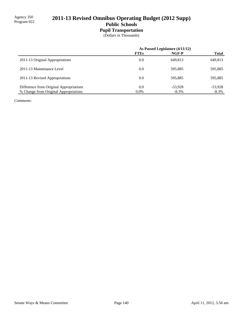# 2011-13 Revised Omnibus Operating Budget (2012 Supp)

## **Public Schools Pupil Transportation**

(Dollars in Thousands)

|                                         | As Passed Legislature (4/11/12) |           |              |
|-----------------------------------------|---------------------------------|-----------|--------------|
|                                         | <b>FTEs</b>                     | NGF-P     | <b>Total</b> |
| 2011-13 Original Appropriations         | 0.0                             | 649.813   | 649,813      |
| 2011-13 Maintenance Level               | 0.0                             | 595,885   | 595,885      |
| 2011-13 Revised Appropriations          | 0.0                             | 595,885   | 595,885      |
| Difference from Original Appropriations | 0.0                             | $-53.928$ | $-53,928$    |
| % Change from Original Appropriations   | $0.0\%$                         | $-8.3\%$  | $-8.3\%$     |

*Comments:*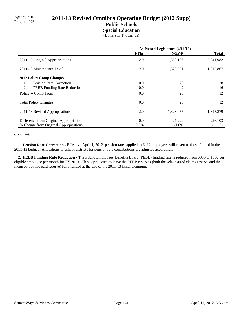# Agency 350<br>Program 026 **2011-13 Revised Omnibus Operating Budget (2012 Supp)**

### **Public Schools Special Education**

(Dollars in Thousands)

|                                         | As Passed Legislature (4/11/12) |           |              |
|-----------------------------------------|---------------------------------|-----------|--------------|
|                                         | <b>FTEs</b>                     | NGF-P     | <b>Total</b> |
| 2011-13 Original Appropriations         | 2.0                             | 1,350,186 | 2,041,982    |
| 2011-13 Maintenance Level               | 2.0                             | 1,328,931 | 1,815,867    |
| <b>2012 Policy Comp Changes:</b>        |                                 |           |              |
| Pension Rate Correction<br>1.           | 0.0                             | 28        | 28           |
| 2.<br>PEBB Funding Rate Reduction       | 0.0                             | $-2$      | $-16$        |
| Policy -- Comp Total                    | 0.0                             | 26        | 12           |
| <b>Total Policy Changes</b>             | 0.0                             | 26        | 12           |
| 2011-13 Revised Appropriations          | 2.0                             | 1,328,957 | 1,815,879    |
| Difference from Original Appropriations | 0.0                             | $-21,229$ | $-226,103$   |
| % Change from Original Appropriations   | $0.0\%$                         | $-1.6\%$  | $-11.1%$     |

*Comments:*

 **1. Pension Rate Correction -** Effective April 1, 2012, pension rates applied to K-12 employees will revert to those funded in the 2011-13 budget. Allocations to school districts for pension rate contributions are adjusted accordingly.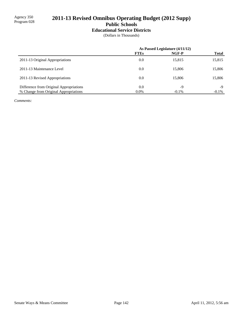# 2011-13 Revised Omnibus Operating Budget (2012 Supp)

**Public Schools**

### **Educational Service Districts**

(Dollars in Thousands)

|                                         | As Passed Legislature (4/11/12) |          |              |
|-----------------------------------------|---------------------------------|----------|--------------|
|                                         | <b>FTEs</b>                     | NGF-P    | <b>Total</b> |
| 2011-13 Original Appropriations         | 0.0                             | 15,815   | 15,815       |
| 2011-13 Maintenance Level               | 0.0                             | 15,806   | 15,806       |
| 2011-13 Revised Appropriations          | 0.0                             | 15.806   | 15,806       |
| Difference from Original Appropriations | 0.0                             | $-9$     | -9           |
| % Change from Original Appropriations   | $0.0\%$                         | $-0.1\%$ | $-0.1\%$     |

*Comments:*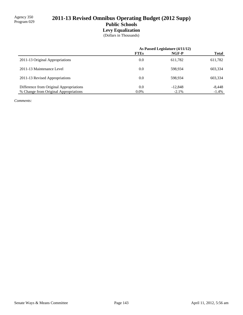## 2011-13 Revised Omnibus Operating Budget (2012 Supp) **Public Schools Levy Equalization**

(Dollars in Thousands)

|                                         | As Passed Legislature (4/11/12) |           |              |
|-----------------------------------------|---------------------------------|-----------|--------------|
|                                         | <b>FTEs</b>                     | NGF-P     | <b>Total</b> |
| 2011-13 Original Appropriations         | 0.0                             | 611,782   | 611,782      |
| 2011-13 Maintenance Level               | 0.0                             | 598,934   | 603,334      |
| 2011-13 Revised Appropriations          | 0.0                             | 598.934   | 603,334      |
| Difference from Original Appropriations | 0.0                             | $-12,848$ | $-8,448$     |
| % Change from Original Appropriations   | $0.0\%$                         | $-2.1%$   | $-1.4\%$     |

*Comments:*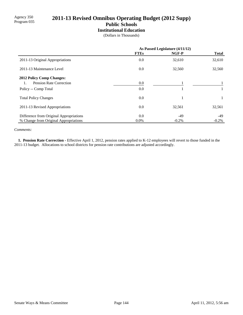# 2011-13 Revised Omnibus Operating Budget (2012 Supp)

# **Public Schools**

**Institutional Education**

(Dollars in Thousands)

|                                         | As Passed Legislature (4/11/12) |          |              |
|-----------------------------------------|---------------------------------|----------|--------------|
|                                         | <b>FTEs</b>                     | NGF-P    | <b>Total</b> |
| 2011-13 Original Appropriations         | 0.0                             | 32,610   | 32,610       |
| 2011-13 Maintenance Level               | 0.0                             | 32,560   | 32,560       |
| <b>2012 Policy Comp Changes:</b>        |                                 |          |              |
| Pension Rate Correction                 | 0.0                             |          |              |
| Policy -- Comp Total                    | 0.0                             |          | 1            |
| <b>Total Policy Changes</b>             | 0.0                             |          | 1            |
| 2011-13 Revised Appropriations          | 0.0                             | 32,561   | 32,561       |
| Difference from Original Appropriations | 0.0                             | $-49$    | -49          |
| % Change from Original Appropriations   | $0.0\%$                         | $-0.2\%$ | $-0.2\%$     |

*Comments:*

 **1. Pension Rate Correction -** Effective April 1, 2012, pension rates applied to K-12 employees will revert to those funded in the 2011-13 budget. Allocations to school districts for pension rate contributions are adjusted accordingly.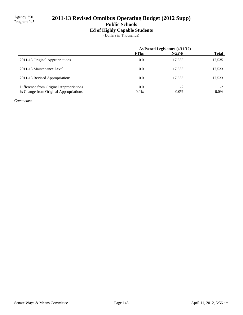# 2011-13 Revised Omnibus Operating Budget (2012 Supp)

**Public Schools**

## **Ed of Highly Capable Students**

(Dollars in Thousands)

|                                         | As Passed Legislature (4/11/12) |         |              |
|-----------------------------------------|---------------------------------|---------|--------------|
|                                         | <b>FTEs</b>                     | NGF-P   | <b>Total</b> |
| 2011-13 Original Appropriations         | 0.0                             | 17,535  | 17,535       |
| 2011-13 Maintenance Level               | 0.0                             | 17,533  | 17,533       |
| 2011-13 Revised Appropriations          | 0.0                             | 17,533  | 17,533       |
| Difference from Original Appropriations | 0.0                             | $-2$    | $-2$         |
| % Change from Original Appropriations   | $0.0\%$                         | $0.0\%$ | $0.0\%$      |

*Comments:*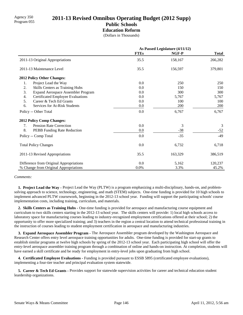## Agency 350<br>Program 055 **2011-13 Revised Omnibus Operating Budget (2012 Supp) Public Schools**

## **Education Reform**

(Dollars in Thousands)

|                                                 | As Passed Legislature (4/11/12) |         |              |
|-------------------------------------------------|---------------------------------|---------|--------------|
|                                                 | <b>FTEs</b>                     | NGF-P   | <b>Total</b> |
| 2011-13 Original Appropriations                 | 35.5                            | 158,167 | 266,282      |
| 2011-13 Maintenance Level                       | 35.5                            | 156,597 | 379,801      |
| 2012 Policy Other Changes:                      |                                 |         |              |
| Project Lead the Way<br>1.                      | 0.0                             | 250     | 250          |
| 2.<br>Skills Centers as Training Hubs           | 0.0                             | 150     | 150          |
| 3.<br><b>Expand Aerospace Assembler Program</b> | 0.0                             | 300     | 300          |
| <b>Certificated Employee Evaluations</b><br>4.  | 0.0                             | 5,767   | 5,767        |
| 5.<br>Career & Tech Ed Grants                   | 0.0                             | 100     | 100          |
| 6.<br>Services for At-Risk Students             | 0.0                             | 200     | 200          |
| Policy -- Other Total                           | 0.0                             | 6,767   | 6,767        |
| 2012 Policy Comp Changes:                       |                                 |         |              |
| <b>Pension Rate Correction</b><br>7.            | 0.0                             | 3       | 3            |
| 8.<br>PEBB Funding Rate Reduction               | 0.0                             | $-38$   | $-52$        |
| Policy -- Comp Total                            | 0.0                             | $-35$   | $-49$        |
| <b>Total Policy Changes</b>                     | 0.0                             | 6,732   | 6,718        |
| 2011-13 Revised Appropriations                  | 35.5                            | 163,329 | 386,519      |
| Difference from Original Appropriations         | 0.0                             | 5,162   | 120,237      |
| % Change from Original Appropriations           | 0.0%                            | 3.3%    | 45.2%        |

#### *Comments:*

 **1. Project Lead the Way -** Project Lead the Way (PLTW) is a program emphasizing a multi-disciplinary, hands-on, and problemsolving approach to science, technology, engineering, and math (STEM) subjects. One-time funding is provided for 10 high schools to implement advanced PLTW coursework, beginning in the 2012-13 school year. Funding will support the participating schools' course implementation costs, including training, curriculum, and materials.

 **2. Skills Centers as Training Hubs -** One-time funding is provided for aerospace and manufacturing course equipment and curriculum to two skills centers starting in the 2012-13 school year. The skills centers will provide: 1) local high schools access to laboratory space for manufacturing courses leading to industry-recognized employment certifications offered at their school; 2) the opportunity to offer more specialized training; and 3) teachers in the region a central location to attend technical professional training in the instruction of courses leading to student employment certification in aerospace and manufacturing industries.

 **3. Expand Aerospace Assembler Program -** The Aerospace Assembler program developed by the Washington Aerospace and Research Center offers entry level aerospace training opportunities for adults. One-time funding is provided for start-up grants to establish similar programs at twelve high schools by spring of the 2012-13 school year. Each participating high school will offer the entry-level aerospace assembler training program through a combination of online and hands-on instruction. At completion, students will have earned a skill certificate and be ready for employment in entry-level jobs upon graduating from high school.

 **4. Certificated Employee Evaluations -** Funding is provided pursuant to ESSB 5895 (certificated employee evaluations), implementing a four-tier teacher and principal evaluation system statewide.

 **5. Career & Tech Ed Grants -** Provides support for statewide supervision activities for career and technical education student leardership organizations.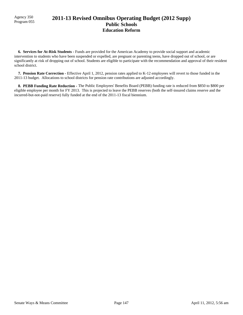## Agency 350<br>Program 055 **2011-13 Revised Omnibus Operating Budget (2012 Supp) Public Schools Education Reform**

 **6. Services for At-Risk Students -** Funds are provided for the American Academy to provide social support and academic intervention to students who have been suspended or expelled, are pregnant or parenting teens, have dropped out of school, or are significantly at risk of dropping out of school. Students are eligible to participate with the recommendation and approval of their resident school district.

 **7. Pension Rate Correction -** Effective April 1, 2012, pension rates applied to K-12 employees will revert to those funded in the 2011-13 budget. Allocations to school districts for pension rate contributions are adjusted accordingly.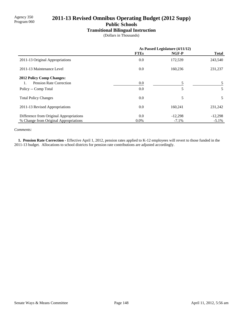## 2011-13 Revised Omnibus Operating Budget (2012 Supp)

**Public Schools**

### **Transitional Bilingual Instruction**

(Dollars in Thousands)

|                                         | As Passed Legislature (4/11/12) |           |              |
|-----------------------------------------|---------------------------------|-----------|--------------|
|                                         | <b>FTEs</b>                     | NGF-P     | <b>Total</b> |
| 2011-13 Original Appropriations         | 0.0                             | 172,539   | 243,540      |
| 2011-13 Maintenance Level               | 0.0                             | 160,236   | 231,237      |
| <b>2012 Policy Comp Changes:</b>        |                                 |           |              |
| Pension Rate Correction                 | $0.0\,$                         | 5         |              |
| Policy -- Comp Total                    | 0.0                             | 5         | 5            |
| <b>Total Policy Changes</b>             | 0.0                             | 5         | 5            |
| 2011-13 Revised Appropriations          | 0.0                             | 160,241   | 231,242      |
| Difference from Original Appropriations | 0.0                             | $-12,298$ | $-12,298$    |
| % Change from Original Appropriations   | $0.0\%$                         | $-7.1%$   | $-5.1\%$     |

*Comments:*

 **1. Pension Rate Correction -** Effective April 1, 2012, pension rates applied to K-12 employees will revert to those funded in the 2011-13 budget. Allocations to school districts for pension rate contributions are adjusted accordingly.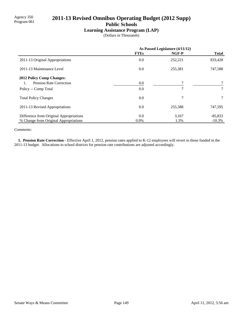## 2011-13 Revised Omnibus Operating Budget (2012 Supp)

**Public Schools**

### **Learning Assistance Program (LAP)**

(Dollars in Thousands)

|                                         | As Passed Legislature (4/11/12) |         |                 |
|-----------------------------------------|---------------------------------|---------|-----------------|
|                                         | <b>FTEs</b>                     | NGF-P   | <b>Total</b>    |
| 2011-13 Original Appropriations         | 0.0                             | 252,221 | 833,428         |
| 2011-13 Maintenance Level               | 0.0                             | 255,381 | 747,588         |
| <b>2012 Policy Comp Changes:</b>        |                                 |         |                 |
| Pension Rate Correction<br>1.           | 0.0                             |         |                 |
| Policy -- Comp Total                    | 0.0                             | 7       |                 |
| <b>Total Policy Changes</b>             | 0.0                             | 7       | $7\overline{ }$ |
| 2011-13 Revised Appropriations          | 0.0                             | 255,388 | 747,595         |
| Difference from Original Appropriations | 0.0                             | 3,167   | $-85,833$       |
| % Change from Original Appropriations   | $0.0\%$                         | 1.3%    | $-10.3\%$       |

*Comments:*

 **1. Pension Rate Correction -** Effective April 1, 2012, pension rates applied to K-12 employees will revert to those funded in the 2011-13 budget. Allocations to school districts for pension rate contributions are adjusted accordingly.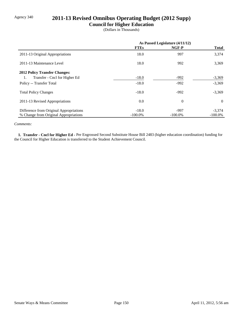## Agency 340 **2011-13 Revised Omnibus Operating Budget (2012 Supp)**

### **Council for Higher Education**

(Dollars in Thousands)

|                                         | As Passed Legislature (4/11/12) |            |              |
|-----------------------------------------|---------------------------------|------------|--------------|
|                                         | <b>FTEs</b>                     | NGF-P      | <b>Total</b> |
| 2011-13 Original Appropriations         | 18.0                            | 997        | 3,374        |
| 2011-13 Maintenance Level               | 18.0                            | 992        | 3,369        |
| <b>2012 Policy Transfer Changes:</b>    |                                 |            |              |
| Transfer - Cncl for Higher Ed<br>1.     | $-18.0$                         | $-992$     | $-3,369$     |
| Policy -- Transfer Total                | $-18.0$                         | $-992$     | $-3,369$     |
| <b>Total Policy Changes</b>             | $-18.0$                         | $-992$     | $-3,369$     |
| 2011-13 Revised Appropriations          | 0.0                             | $\theta$   | $\theta$     |
| Difference from Original Appropriations | $-18.0$                         | $-997$     | $-3,374$     |
| % Change from Original Appropriations   | $-100.0\%$                      | $-100.0\%$ | $-100.0\%$   |

#### *Comments:*

 **1. Transfer - Cncl for Higher Ed -** Per Engrossed Second Substitute House Bill 2483 (higher education coordination) funding for the Council for Higher Education is transferred to the Student Achievement Council.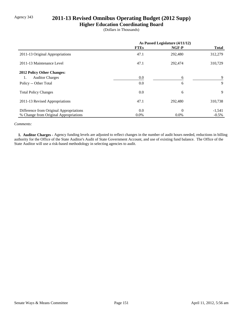## Agency 343 **2011-13 Revised Omnibus Operating Budget (2012 Supp)**

**Higher Education Coordinating Board**

(Dollars in Thousands)

|                                         | As Passed Legislature (4/11/12) |          |              |
|-----------------------------------------|---------------------------------|----------|--------------|
|                                         | <b>FTEs</b>                     | NGF-P    | <b>Total</b> |
| 2011-13 Original Appropriations         | 47.1                            | 292,480  | 312,279      |
| 2011-13 Maintenance Level               | 47.1                            | 292,474  | 310,729      |
| <b>2012 Policy Other Changes:</b>       |                                 |          |              |
| <b>Auditor Charges</b><br>1.            | $0.0\,$                         | 6        | 9            |
| Policy -- Other Total                   | 0.0                             | 6        | 9            |
| <b>Total Policy Changes</b>             | 0.0                             | 6        | 9            |
| 2011-13 Revised Appropriations          | 47.1                            | 292,480  | 310,738      |
| Difference from Original Appropriations | 0.0                             | $\theta$ | $-1,541$     |
| % Change from Original Appropriations   | $0.0\%$                         | $0.0\%$  | $-0.5\%$     |

#### *Comments:*

 **1. Auditor Charges -** Agency funding levels are adjusted to reflect changes in the number of audit hours needed, reductions in billing authority for the Office of the State Auditor's Audit of State Government Account, and use of existing fund balance. The Office of the State Auditor will use a risk-based methodology in selecting agencies to audit.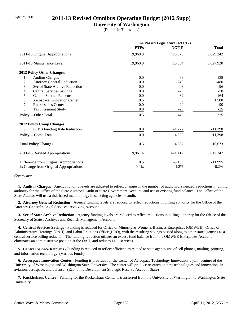## Agency 360 **2011-13 Revised Omnibus Operating Budget (2012 Supp)**

### **University of Washington**

(Dollars in Thousands)

|                                         | As Passed Legislature (4/11/12) |          |              |
|-----------------------------------------|---------------------------------|----------|--------------|
|                                         | <b>FTEs</b>                     | NGF-P    | <b>Total</b> |
| 2011-13 Original Appropriations         | 19,960.9                        | 426,573  | 5,829,242    |
| 2011-13 Maintenance Level               | 19,960.9                        | 426,084  | 5,827,920    |
| <b>2012 Policy Other Changes:</b>       |                                 |          |              |
| 1.<br><b>Auditor Charges</b>            | 0.0                             | 69       | 138          |
| 2.<br><b>Attorney General Reduction</b> | 0.0                             | $-240$   | $-480$       |
| 3.<br>Sec of State Archive Reduction    | 0.0                             | $-48$    | $-96$        |
| <b>Central Services Savings</b><br>4.   | 0.0                             | $-29$    | $-58$        |
| <b>Central Service Reforms</b><br>5.    | 0.0                             | $-82$    | $-164$       |
| 6.<br>Aerospace Innovation Center       | 0.5                             | $\theta$ | 1,500        |
| Ruckleshaus Center<br>7.                | 0.0                             | $-90$    | $-90$        |
| 8.<br>Tax Increment Study               | 0.0                             | $-25$    | $-25$        |
| Policy -- Other Total                   | 0.5                             | $-445$   | 725          |
| <b>2012 Policy Comp Changes:</b>        |                                 |          |              |
| 9.<br>PEBB Funding Rate Reduction       | 0.0                             | $-4,222$ | $-11,398$    |
| Policy -- Comp Total                    | 0.0                             | $-4,222$ | $-11,398$    |
| <b>Total Policy Changes</b>             | 0.5                             | $-4,667$ | $-10,673$    |
| 2011-13 Revised Appropriations          | 19,961.4                        | 421,417  | 5,817,247    |
| Difference from Original Appropriations | 0.5                             | $-5,156$ | $-11,995$    |
| % Change from Original Appropriations   | 0.0%                            | $-1.2%$  | $-0.2%$      |

#### *Comments:*

 **1. Auditor Charges -** Agency funding levels are adjusted to reflect changes in the number of audit hours needed, reductions in billing authority for the Office of the State Auditor's Audit of State Government Account, and use of existing fund balance. The Office of the State Auditor will use a risk-based methodology in selecting agencies to audit.

 **2. Attorney General Reduction -** Agency funding levels are reduced to reflect reductions in billing authority for the Office of the Attorney General's Legal Services Revolving Account.

 **3. Sec of State Archive Reduction -** Agency funding levels are reduced to reflect reductions in billing authority for the Office of the Secretary of State's Archives and Records Management Account.

 **4. Central Services Savings -** Funding is reduced for Office of Minority & Women's Business Enterprises (OMWBE), Office of Administrative Hearings (OAH), and Labor Relations Office (LRO), with the resulting savings passed along to other state agencies as a central service billing reduction. The funding reduction utilizes an excess fund balance from the OMWBE Enterprises Account, eliminates an administrative position at the OAH, and reduces LRO services.

 **5. Central Service Reforms -** Funding is reduced to reflect efficiencies related to state agency use of cell phones, mailing, printing, and information technology. (Various Funds)

 **6. Aerospace Innovation Center -** Funding is provided for the Center of Aerospace Technology Innovation, a joint venture of the University of Washington and Washington State University. The center will produce research on new technologies and innovations in aviation, aerospace, and defense. (Economic Development Strategic Reserve Account-State)

 **7. Ruckleshaus Center -** Funding for the Ruckelshaus Center is transferred from the University of Washington to Washington State University.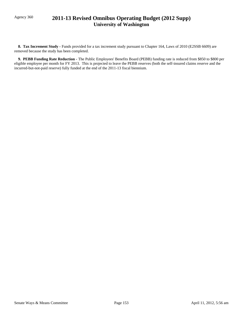## Agency 360 **2011-13 Revised Omnibus Operating Budget (2012 Supp) University of Washington**

 **8. Tax Increment Study -** Funds provided for a tax increment study pursuant to Chapter 164, Laws of 2010 (E2SSB 6609) are removed because the study has been completed.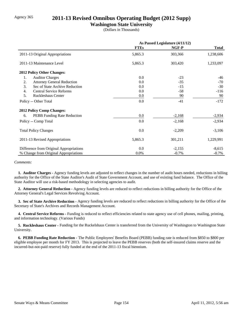## Agency 365 **2011-13 Revised Omnibus Operating Budget (2012 Supp)**

### **Washington State University**

(Dollars in Thousands)

|                                         | As Passed Legislature (4/11/12) |          |              |
|-----------------------------------------|---------------------------------|----------|--------------|
|                                         | <b>FTEs</b>                     | NGF-P    | <b>Total</b> |
| 2011-13 Original Appropriations         | 5,865.3                         | 303,366  | 1,238,606    |
| 2011-13 Maintenance Level               | 5,865.3                         | 303,420  | 1,233,097    |
| 2012 Policy Other Changes:              |                                 |          |              |
| <b>Auditor Charges</b><br>1.            | 0.0                             | $-23$    | -46          |
| 2.<br><b>Attorney General Reduction</b> | 0.0                             | $-35$    | $-70$        |
| 3.<br>Sec of State Archive Reduction    | 0.0                             | $-15$    | $-30$        |
| <b>Central Service Reforms</b><br>4.    | 0.0                             | $-58$    | $-116$       |
| 5.<br><b>Ruckleshaus Center</b>         | 0.0                             | 90       | 90           |
| Policy -- Other Total                   | 0.0                             | $-41$    | $-172$       |
| <b>2012 Policy Comp Changes:</b>        |                                 |          |              |
| PEBB Funding Rate Reduction<br>6.       | 0.0                             | $-2,168$ | $-2,934$     |
| Policy -- Comp Total                    | 0.0                             | $-2,168$ | $-2,934$     |
| <b>Total Policy Changes</b>             | 0.0                             | $-2,209$ | $-3,106$     |
| 2011-13 Revised Appropriations          | 5,865.3                         | 301,211  | 1,229,991    |
| Difference from Original Appropriations | 0.0                             | $-2,155$ | $-8,615$     |
| % Change from Original Appropriations   | 0.0%                            | $-0.7\%$ | $-0.7\%$     |

#### *Comments:*

 **1. Auditor Charges -** Agency funding levels are adjusted to reflect changes in the number of audit hours needed, reductions in billing authority for the Office of the State Auditor's Audit of State Government Account, and use of existing fund balance. The Office of the State Auditor will use a risk-based methodology in selecting agencies to audit.

 **2. Attorney General Reduction -** Agency funding levels are reduced to reflect reductions in billing authority for the Office of the Attorney General's Legal Services Revolving Account.

 **3. Sec of State Archive Reduction -** Agency funding levels are reduced to reflect reductions in billing authority for the Office of the Secretary of State's Archives and Records Management Account.

 **4. Central Service Reforms -** Funding is reduced to reflect efficiencies related to state agency use of cell phones, mailing, printing, and information technology. (Various Funds)

 **5. Ruckleshaus Center -** Funding for the Ruckelshaus Center is transferred from the University of Washington to Washington State University.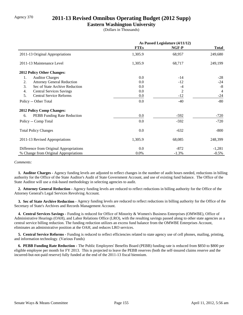## Agency 370 **2011-13 Revised Omnibus Operating Budget (2012 Supp)**

### **Eastern Washington University**

(Dollars in Thousands)

|                                         | As Passed Legislature (4/11/12) |         |                |
|-----------------------------------------|---------------------------------|---------|----------------|
|                                         | <b>FTEs</b>                     | NGF-P   | <b>Total</b>   |
| 2011-13 Original Appropriations         | 1,305.9                         | 68,957  | 249,680        |
| 2011-13 Maintenance Level               | 1,305.9                         | 68,717  | 249,199        |
| <b>2012 Policy Other Changes:</b>       |                                 |         |                |
| 1.<br><b>Auditor Charges</b>            | 0.0                             | $-14$   | $-28$          |
| 2.<br><b>Attorney General Reduction</b> | 0.0                             | $-12$   | $-24$          |
| 3.<br>Sec of State Archive Reduction    | 0.0                             | $-4$    | $-8$           |
| <b>Central Services Savings</b><br>4.   | 0.0                             | 2       | $\overline{4}$ |
| <b>Central Service Reforms</b><br>5.    | 0.0                             | $-12$   | $-24$          |
| Policy -- Other Total                   | 0.0                             | $-40$   | $-80$          |
| <b>2012 Policy Comp Changes:</b>        |                                 |         |                |
| PEBB Funding Rate Reduction<br>6.       | 0.0                             | $-592$  | $-720$         |
| Policy -- Comp Total                    | 0.0                             | $-592$  | $-720$         |
| <b>Total Policy Changes</b>             | 0.0                             | $-632$  | $-800$         |
| 2011-13 Revised Appropriations          | 1,305.9                         | 68,085  | 248,399        |
| Difference from Original Appropriations | 0.0                             | $-872$  | $-1,281$       |
| % Change from Original Appropriations   | $0.0\%$                         | $-1.3%$ | $-0.5\%$       |

#### *Comments:*

 **1. Auditor Charges -** Agency funding levels are adjusted to reflect changes in the number of audit hours needed, reductions in billing authority for the Office of the State Auditor's Audit of State Government Account, and use of existing fund balance. The Office of the State Auditor will use a risk-based methodology in selecting agencies to audit.

 **2. Attorney General Reduction -** Agency funding levels are reduced to reflect reductions in billing authority for the Office of the Attorney General's Legal Services Revolving Account.

 **3. Sec of State Archive Reduction -** Agency funding levels are reduced to reflect reductions in billing authority for the Office of the Secretary of State's Archives and Records Management Account.

 **4. Central Services Savings -** Funding is reduced for Office of Minority & Women's Business Enterprises (OMWBE), Office of Administrative Hearings (OAH), and Labor Relations Office (LRO), with the resulting savings passed along to other state agencies as a central service billing reduction. The funding reduction utilizes an excess fund balance from the OMWBE Enterprises Account, eliminates an administrative position at the OAH, and reduces LRO services.

 **5. Central Service Reforms -** Funding is reduced to reflect efficiencies related to state agency use of cell phones, mailing, printing, and information technology. (Various Funds)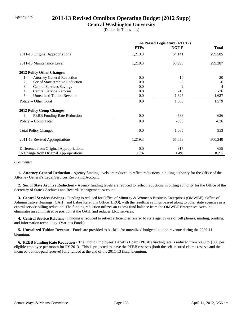## Agency 375 **2011-13 Revised Omnibus Operating Budget (2012 Supp)**

### **Central Washington University**

(Dollars in Thousands)

|                                         | As Passed Legislature (4/11/12) |                |                |
|-----------------------------------------|---------------------------------|----------------|----------------|
|                                         | <b>FTEs</b>                     | NGF-P          | <b>Total</b>   |
| 2011-13 Original Appropriations         | 1,219.3                         | 64,141         | 299,585        |
| 2011-13 Maintenance Level               | 1,219.3                         | 63,993         | 299,287        |
| 2012 Policy Other Changes:              |                                 |                |                |
| <b>Attorney General Reduction</b><br>1. | 0.0                             | $-10$          | $-20$          |
| Sec of State Archive Reduction<br>2.    | 0.0                             | $-3$           | -6             |
| 3.<br><b>Central Services Savings</b>   | 0.0                             | $\overline{2}$ | $\overline{4}$ |
| <b>Central Service Reforms</b><br>4.    | 0.0                             | $-13$          | $-26$          |
| 5.<br><b>Unrealized Tuition Revenue</b> | 0.0                             | 1,627          | 1,627          |
| Policy -- Other Total                   | 0.0                             | 1,603          | 1,579          |
| <b>2012 Policy Comp Changes:</b>        |                                 |                |                |
| PEBB Funding Rate Reduction<br>6.       | 0.0                             | $-538$         | $-626$         |
| Policy -- Comp Total                    | 0.0                             | $-538$         | $-626$         |
| <b>Total Policy Changes</b>             | 0.0                             | 1,065          | 953            |
| 2011-13 Revised Appropriations          | 1,219.3                         | 65,058         | 300,240        |
| Difference from Original Appropriations | 0.0                             | 917            | 655            |
| % Change from Original Appropriations   | 0.0%                            | 1.4%           | 0.2%           |

#### *Comments:*

 **1. Attorney General Reduction -** Agency funding levels are reduced to reflect reductions in billing authority for the Office of the Attorney General's Legal Services Revolving Account.

 **2. Sec of State Archive Reduction -** Agency funding levels are reduced to reflect reductions in billing authority for the Office of the Secretary of State's Archives and Records Management Account.

 **3. Central Services Savings -** Funding is reduced for Office of Minority & Women's Business Enterprises (OMWBE), Office of Administrative Hearings (OAH), and Labor Relations Office (LRO), with the resulting savings passed along to other state agencies as a central service billing reduction. The funding reduction utilizes an excess fund balance from the OMWBE Enterprises Account, eliminates an administrative position at the OAH, and reduces LRO services.

 **4. Central Service Reforms -** Funding is reduced to reflect efficiencies related to state agency use of cell phones, mailing, printing, and information technology. (Various Funds)

 **5. Unrealized Tuition Revenue -** Funds are provided to backfill for unrealized budgeted tuition revenue during the 2009-11 biennium.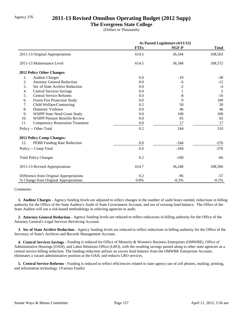## Agency 376 **2011-13 Revised Omnibus Operating Budget (2012 Supp)**

### **The Evergreen State College**

(Dollars in Thousands)

|                                  |                                         | As Passed Legislature (4/11/12) |             |                |
|----------------------------------|-----------------------------------------|---------------------------------|-------------|----------------|
|                                  |                                         | <b>FTEs</b>                     | NGF-P       | <b>Total</b>   |
|                                  | 2011-13 Original Appropriations         | 614.5                           | 36,344      | 108,563        |
| 2011-13 Maintenance Level        |                                         | 614.5                           | 36,348      | 108,572        |
| 2012 Policy Other Changes:       |                                         |                                 |             |                |
| 1.                               | <b>Auditor Charges</b>                  | 0.0                             | $-19$       | $-38$          |
| 2.                               | <b>Attorney General Reduction</b>       | 0.0                             | -6          | $-12$          |
| 3.                               | Sec of State Archive Reduction          | 0.0                             | $-2$        | $-4$           |
| 4.                               | <b>Central Services Savings</b>         | 0.0                             | 1           | $\overline{2}$ |
| 5.                               | <b>Central Service Reforms</b>          | 0.0                             | $\mbox{-}8$ | $-16$          |
| 6.                               | Forest Fire Protection Study            | 0.0                             | $\Omega$    | 100            |
| 7.                               | Child Welfare/Contracting               | 0.2                             | 50          | 50             |
| 8.                               | Domestic Violence                       | 0.0                             | 46          | 46             |
| 9.                               | <b>WSIPP State Need Grant Study</b>     | 0.0                             | 100         | 100            |
| 10.                              | <b>WSIPP Pension Benefits Review</b>    | 0.0                             | 65          | 65             |
| 11.                              | <b>Competency Restoration Treatment</b> | 0.0                             | 17          | 17             |
| Policy -- Other Total            |                                         | 0.2                             | 244         | 310            |
| <b>2012 Policy Comp Changes:</b> |                                         |                                 |             |                |
| 12.                              | PEBB Funding Rate Reduction             | 0.0                             | $-344$      | $-376$         |
| Policy -- Comp Total             |                                         | 0.0                             | $-344$      | $-376$         |
| <b>Total Policy Changes</b>      |                                         | 0.2                             | $-100$      | -66            |
|                                  | 2011-13 Revised Appropriations          | 614.7                           | 36,248      | 108,506        |
|                                  | Difference from Original Appropriations | 0.2                             | $-96$       | -57            |
|                                  | % Change from Original Appropriations   | 0.0%                            | $-0.3%$     | $-0.1%$        |

#### *Comments:*

 **1. Auditor Charges -** Agency funding levels are adjusted to reflect changes in the number of audit hours needed, reductions in billing authority for the Office of the State Auditor's Audit of State Government Account, and use of existing fund balance. The Office of the State Auditor will use a risk-based methodology in selecting agencies to audit.

 **2. Attorney General Reduction -** Agency funding levels are reduced to reflect reductions in billing authority for the Office of the Attorney General's Legal Services Revolving Account.

 **3. Sec of State Archive Reduction -** Agency funding levels are reduced to reflect reductions in billing authority for the Office of the Secretary of State's Archives and Records Management Account.

 **4. Central Services Savings -** Funding is reduced for Office of Minority & Women's Business Enterprises (OMWBE), Office of Administrative Hearings (OAH), and Labor Relations Office (LRO), with the resulting savings passed along to other state agencies as a central service billing reduction. The funding reduction utilizes an excess fund balance from the OMWBE Enterprises Account, eliminates a vacant administrative position at the OAH, and reduces LRO services.

 **5. Central Service Reforms -** Funding is reduced to reflect efficiencies related to state agency use of cell phones, mailing, printing, and information technology. (Various Funds)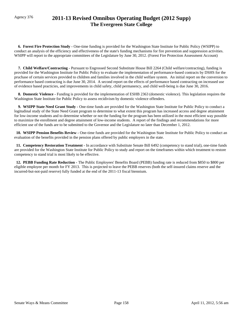## Agency 376 **2011-13 Revised Omnibus Operating Budget (2012 Supp) The Evergreen State College**

 **6. Forest Fire Protection Study -** One-time funding is provided for the Washington State Institute for Public Policy (WSIPP) to conduct an analysis of the efficiency and effectiveness of the state's funding mechanisms for fire prevention and suppression activities. WSIPP will report to the appropriate committees of the Legislature by June 30, 2012. (Forest Fire Protection Assessment Account)

 **7. Child Welfare/Contracting -** Pursuant to Engrossed Second Substitute House Bill 2264 (Child welfare/contracting), funding is provided for the Washington Institute for Public Policy to evaluate the implementation of performance-based contracts by DSHS for the pruchase of certain services provided to children and families involved in the child welfare system. An initial report on the conversion to performance based contracting is due June 30, 2014. A second report on the effects of performance based contracting on increased use of evidence based practicies, and improvements in child safety, child permanency, and child well-being is due June 30, 2016.

 **8. Domestic Violence -** Funding is provided for the implementation of ESHB 2363 (domestic violence). This legislation requires the Washington State Institute for Public Policy to assess recidivism by domestic violence offenders.

 **9. WSIPP State Need Grant Study -** One-time funds are provided for the Washington State Institute for Public Policy to conduct a logitudinal study of the State Need Grant program to determine to what extent this program has increased access and degree attainment for low-income students and to determine whether or not the funding for the program has been utilized in the most efficient way possible to maximize the enrollment and degree attainment of low-income students. A report of the findings and recommendations for more efficient use of the funds are to be submitted to the Governor and the Legislature no later than December 1, 2012.

 **10. WSIPP Pension Benefits Review -** One-time funds are provided for the Washington State Institute for Public Policy to conduct an evaluation of the benefits provided in the pension plans offered by public employers in the state.

 **11. Competency Restoration Treatment -** In accordance with Substitute Senate Bill 6492 (competency to stand trial), one-time funds are provided for the Washington State Institute for Public Policy to study and report on the timeframes within which treatment to restore competency to stand trial is most likely to be effective.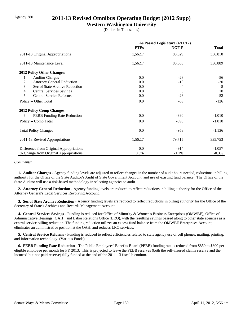## Agency 380 **2011-13 Revised Omnibus Operating Budget (2012 Supp)**

### **Western Washington University**

(Dollars in Thousands)

|                                         | As Passed Legislature (4/11/12) |         |              |
|-----------------------------------------|---------------------------------|---------|--------------|
|                                         | <b>FTEs</b>                     | NGF-P   | <b>Total</b> |
| 2011-13 Original Appropriations         | 1,562.7                         | 80,629  | 336,810      |
| 2011-13 Maintenance Level               | 1,562.7                         | 80,668  | 336,889      |
| 2012 Policy Other Changes:              |                                 |         |              |
| <b>Auditor Charges</b><br>1.            | 0.0                             | $-28$   | -56          |
| 2.<br><b>Attorney General Reduction</b> | 0.0                             | $-10$   | $-20$        |
| 3.<br>Sec of State Archive Reduction    | 0.0                             | $-4$    | $-8$         |
| <b>Central Services Savings</b><br>4.   | 0.0                             | 5       | 10           |
| 5.<br><b>Central Service Reforms</b>    | 0.0                             | $-26$   | $-52$        |
| Policy -- Other Total                   | 0.0                             | $-63$   | $-126$       |
| <b>2012 Policy Comp Changes:</b>        |                                 |         |              |
| PEBB Funding Rate Reduction<br>6.       | 0.0                             | $-890$  | $-1,010$     |
| Policy -- Comp Total                    | 0.0                             | $-890$  | $-1,010$     |
| <b>Total Policy Changes</b>             | 0.0                             | $-953$  | $-1,136$     |
| 2011-13 Revised Appropriations          | 1,562.7                         | 79,715  | 335,753      |
| Difference from Original Appropriations | 0.0                             | $-914$  | $-1,057$     |
| % Change from Original Appropriations   | 0.0%                            | $-1.1%$ | $-0.3%$      |

#### *Comments:*

 **1. Auditor Charges -** Agency funding levels are adjusted to reflect changes in the number of audit hours needed, reductions in billing authority for the Office of the State Auditor's Audit of State Government Account, and use of existing fund balance. The Office of the State Auditor will use a risk-based methodology in selecting agencies to audit.

 **2. Attorney General Reduction -** Agency funding levels are reduced to reflect reductions in billing authority for the Office of the Attorney General's Legal Services Revolving Account.

 **3. Sec of State Archive Reduction -** Agency funding levels are reduced to reflect reductions in billing authority for the Office of the Secretary of State's Archives and Records Management Account.

 **4. Central Services Savings -** Funding is reduced for Office of Minority & Women's Business Enterprises (OMWBE), Office of Administrative Hearings (OAH), and Labor Relations Office (LRO), with the resulting savings passed along to other state agencies as a central service billing reduction. The funding reduction utilizes an excess fund balance from the OMWBE Enterprises Account, eliminates an administrative position at the OAH, and reduces LRO services.

 **5. Central Service Reforms -** Funding is reduced to reflect efficiencies related to state agency use of cell phones, mailing, printing, and information technology. (Various Funds)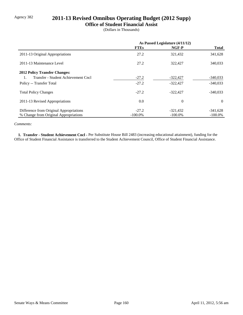## Agency 382 **2011-13 Revised Omnibus Operating Budget (2012 Supp)**

### **Office of Student Financial Assist**

(Dollars in Thousands)

|                                         | As Passed Legislature (4/11/12) |            |              |
|-----------------------------------------|---------------------------------|------------|--------------|
|                                         | <b>FTEs</b>                     | NGF-P      | <b>Total</b> |
| 2011-13 Original Appropriations         | 27.2                            | 321,432    | 341,628      |
| 2011-13 Maintenance Level               | 27.2                            | 322,427    | 340,033      |
| <b>2012 Policy Transfer Changes:</b>    |                                 |            |              |
| Transfer - Student Achievement Cncl     | $-27.2$                         | $-322,427$ | $-340,033$   |
| Policy -- Transfer Total                | $-27.2$                         | $-322,427$ | $-340,033$   |
| <b>Total Policy Changes</b>             | $-27.2$                         | $-322.427$ | $-340.033$   |
| 2011-13 Revised Appropriations          | 0.0                             | $\theta$   | $\Omega$     |
| Difference from Original Appropriations | $-27.2$                         | $-321,432$ | $-341,628$   |
| % Change from Original Appropriations   | $-100.0\%$                      | $-100.0\%$ | $-100.0\%$   |

#### *Comments:*

 **1. Transfer - Student Achievement Cncl -** Per Substitute House Bill 2483 (increasing educational attainment), funding for the Office of Student Financial Assistance is transferred to the Student Achievement Council, Office of Student Financial Assistance.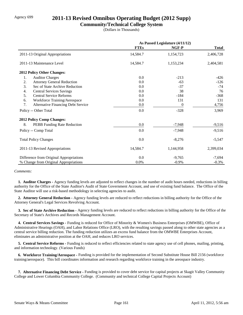## Agency 699 **2011-13 Revised Omnibus Operating Budget (2012 Supp)**

### **Community/Technical College System**

(Dollars in Thousands)

|                                                 | As Passed Legislature (4/11/12) |           |              |
|-------------------------------------------------|---------------------------------|-----------|--------------|
|                                                 | <b>FTEs</b>                     | NGF-P     | <b>Total</b> |
| 2011-13 Original Appropriations                 | 14,584.7                        | 1,154,723 | 2,406,728    |
| 2011-13 Maintenance Level                       | 14,584.7                        | 1,153,234 | 2,404,581    |
| 2012 Policy Other Changes:                      |                                 |           |              |
| <b>Auditor Charges</b><br>1.                    | 0.0                             | $-213$    | $-426$       |
| 2.<br><b>Attorney General Reduction</b>         | 0.0                             | $-63$     | $-126$       |
| 3.<br>Sec of State Archive Reduction            | 0.0                             | $-37$     | $-74$        |
| <b>Central Services Savings</b><br>4.           | 0.0                             | 38        | 76           |
| <b>Central Service Reforms</b><br>5.            | 0.0                             | $-184$    | $-368$       |
| Workforce Training/Aerospace<br>6.              | 0.0                             | 131       | 131          |
| 7.<br><b>Alternative Financing Debt Service</b> | 0.0                             | $\theta$  | 4,756        |
| Policy -- Other Total                           | 0.0                             | $-328$    | 3,969        |
| 2012 Policy Comp Changes:                       |                                 |           |              |
| 8.<br>PEBB Funding Rate Reduction               | 0.0                             | $-7,948$  | $-9,516$     |
| Policy -- Comp Total                            | 0.0                             | $-7,948$  | $-9,516$     |
| <b>Total Policy Changes</b>                     | 0.0                             | $-8,276$  | $-5,547$     |
| 2011-13 Revised Appropriations                  | 14,584.7                        | 1,144,958 | 2,399,034    |
| Difference from Original Appropriations         | 0.0                             | $-9,765$  | $-7,694$     |
| % Change from Original Appropriations           | 0.0%                            | $-0.9%$   | $-0.3%$      |

#### *Comments:*

 **1. Auditor Charges -** Agency funding levels are adjusted to reflect changes in the number of audit hours needed, reductions in billing authority for the Office of the State Auditor's Audit of State Government Account, and use of existing fund balance. The Office of the State Auditor will use a risk-based methodology in selecting agencies to audit.

 **2. Attorney General Reduction -** Agency funding levels are reduced to reflect reductions in billing authority for the Office of the Attorney General's Legal Services Revolving Account.

 **3. Sec of State Archive Reduction -** Agency funding levels are reduced to reflect reductions in billing authority for the Office of the Secretary of State's Archives and Records Management Account.

 **4. Central Services Savings -** Funding is reduced for Office of Minority & Women's Business Enterprises (OMWBE), Office of Administrative Hearings (OAH), and Labor Relations Office (LRO), with the resulting savings passed along to other state agencies as a central service billing reduction. The funding reduction utilizes an excess fund balance from the OMWBE Enterprises Account, eliminates an administrative position at the OAH, and reduces LRO services.

 **5. Central Service Reforms -** Funding is reduced to reflect efficiencies related to state agency use of cell phones, mailing, printing, and information technology. (Various Funds)

 **6. Workforce Training/Aerospace -** Funding is provided for the implementation of Second Substitute House Bill 2156 (workforce training/aerospace). This bill coordinates information and research regarding workforce training in the areospace industry.

 **7. Alternative Financing Debt Service -** Funding is provided to cover debt service for capital projects at Skagit Valley Community College and Lower Columbia Community College. (Community and technical College Capital Projects Account)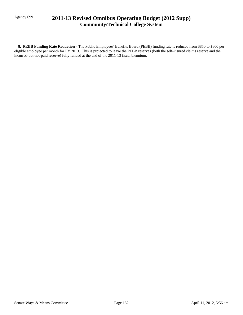## Agency 699 **2011-13 Revised Omnibus Operating Budget (2012 Supp) Community/Technical College System**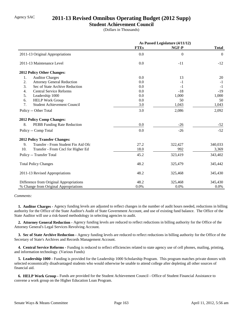## Agency SAC **2011-13 Revised Omnibus Operating Budget (2012 Supp)**

### **Student Achievement Council**

(Dollars in Thousands)

|                                           | As Passed Legislature (4/11/12) |          |                |
|-------------------------------------------|---------------------------------|----------|----------------|
|                                           | <b>FTEs</b>                     | NGF-P    | <b>Total</b>   |
| 2011-13 Original Appropriations           | 0.0                             | $\Omega$ | $\overline{0}$ |
| 2011-13 Maintenance Level                 | 0.0                             | $-11$    | $-12$          |
| 2012 Policy Other Changes:                |                                 |          |                |
| <b>Auditor Charges</b><br>1.              | 0.0                             | 13       | 20             |
| 2.<br><b>Attorney General Reduction</b>   | 0.0                             | $-1$     | $-1$           |
| 3.<br>Sec of State Archive Reduction      | 0.0                             | $-1$     | $-1$           |
| 4.<br><b>Central Service Reforms</b>      | 0.0                             | $-18$    | $-19$          |
| 5.<br>Leadership 1000                     | 0.0                             | 1,000    | 1,000          |
| 6.<br><b>HELP Work Group</b>              | 0.0                             | 50       | 50             |
| 7.<br><b>Student Achievement Council</b>  | 3.0                             | 1,043    | 1,043          |
| Policy -- Other Total                     | 3.0                             | 2,086    | 2,092          |
| 2012 Policy Comp Changes:                 |                                 |          |                |
| 8.<br>PEBB Funding Rate Reduction         | 0.0                             | $-26$    | $-52$          |
| Policy -- Comp Total                      | 0.0                             | $-26$    | $-52$          |
| <b>2012 Policy Transfer Changes:</b>      |                                 |          |                |
| Transfer - From Student Fin Aid Ofc<br>9. | 27.2                            | 322,427  | 340,033        |
| 10.<br>Transfer - From Cncl for Higher Ed | 18.0                            | 992      | 3,369          |
| Policy -- Transfer Total                  | 45.2                            | 323,419  | 343,402        |
| <b>Total Policy Changes</b>               | 48.2                            | 325,479  | 345,442        |
| 2011-13 Revised Appropriations            | 48.2                            | 325,468  | 345,430        |
| Difference from Original Appropriations   | 48.2                            | 325,468  | 345,430        |
| % Change from Original Appropriations     | 0.0%                            | 0.0%     | 0.0%           |

#### *Comments:*

 **1. Auditor Charges -** Agency funding levels are adjusted to reflect changes in the number of audit hours needed, reductions in billing authority for the Office of the State Auditor's Audit of State Government Account, and use of existing fund balance. The Office of the State Auditor will use a risk-based methodology in selecting agencies to audit.

 **2. Attorney General Reduction -** Agency funding levels are reduced to reflect reductions in billing authority for the Office of the Attorney General's Legal Services Revolving Account.

 **3. Sec of State Archive Reduction -** Agency funding levels are reduced to reflect reductions in billing authority for the Office of the Secretary of State's Archives and Records Management Account.

 **4. Central Service Reforms -** Funding is reduced to reflect efficiencies related to state agency use of cell phones, mailing, printing, and information technology. (Various Funds)

 **5. Leadership 1000 -** Funding is provided for the Leadership 1000 Scholarship Program. This program matches private donors with selected economically disadvantaged students who would otherwise be unable to attend college after depleting all other sources of financial aid.

 **6. HELP Work Group -** Funds are provided for the Student Achievement Council - Office of Student Financial Assistance to convene a work group on the Higher Education Loan Program.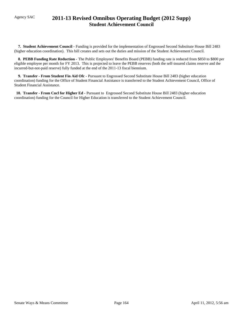## Agency SAC **2011-13 Revised Omnibus Operating Budget (2012 Supp) Student Achievement Council**

 **7. Student Achievement Council -** Funding is provided for the implementation of Engrossed Second Substitute House Bill 2483 (higher education coordination). This bill creates and sets out the duties and mission of the Student Achievement Council.

 **8. PEBB Funding Rate Reduction -** The Public Employees' Benefits Board (PEBB) funding rate is reduced from \$850 to \$800 per eligible employee per month for FY 2013. This is projected to leave the PEBB reserves (both the self-insured claims reserve and the incurred-but-not-paid reserve) fully funded at the end of the 2011-13 fiscal biennium.

 **9. Transfer - From Student Fin Aid Ofc -** Pursuant to Engrossed Second Substitute House Bill 2483 (higher education coordination) funding for the Office of Student Financial Assistance is transferred to the Student Achievement Council, Office of Student Financial Assistance.

 **10. Transfer - From Cncl for Higher Ed -** Pursuant to Engrossed Second Substitute House Bill 2483 (higher education coordination) funding for the Council for Higher Education is transferred to the Student Achievement Council.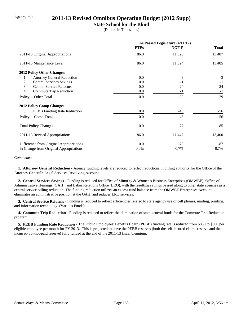## Agency 351 **2011-13 Revised Omnibus Operating Budget (2012 Supp)**

### **State School for the Blind**

(Dollars in Thousands)

|                                          | As Passed Legislature (4/11/12) |         |              |
|------------------------------------------|---------------------------------|---------|--------------|
|                                          | <b>FTEs</b>                     | NGF-P   | <b>Total</b> |
| 2011-13 Original Appropriations          | 86.0                            | 11,526  | 13,487       |
| 2011-13 Maintenance Level                | 86.0                            | 11,524  | 13,485       |
| 2012 Policy Other Changes:               |                                 |         |              |
| <b>Attorney General Reduction</b><br>1.  | 0.0                             | $-3$    | $-3$         |
| <b>Central Services Savings</b><br>2.    | 0.0                             | $-1$    | $-1$         |
| 3.<br><b>Central Service Reforms</b>     | 0.0                             | $-24$   | $-24$        |
| 4.<br>Commute Trip Reduction             | 0.0                             | $-1$    | $-1$         |
| Policy -- Other Total                    | 0.0                             | $-29$   | $-29$        |
| <b>2012 Policy Comp Changes:</b>         |                                 |         |              |
| 5.<br><b>PEBB</b> Funding Rate Reduction | 0.0                             | -48     | $-56$        |
| Policy -- Comp Total                     | 0.0                             | $-48$   | $-56$        |
| <b>Total Policy Changes</b>              | 0.0                             | $-77$   | $-85$        |
| 2011-13 Revised Appropriations           | 86.0                            | 11,447  | 13,400       |
| Difference from Original Appropriations  | 0.0                             | $-79$   | $-87$        |
| % Change from Original Appropriations    | 0.0%                            | $-0.7%$ | $-0.7\%$     |

#### *Comments:*

 **1. Attorney General Reduction -** Agency funding levels are reduced to reflect reductions in billing authority for the Office of the Attorney General's Legal Services Revolving Account.

 **2. Central Services Savings -** Funding is reduced for Office of Minority & Women's Business Enterprises (OMWBE), Office of Administrative Hearings (OAH), and Labor Relations Office (LRO), with the resulting savings passed along to other state agencies as a central service billing reduction. The funding reduction utilizes an excess fund balance from the OMWBE Enterprises Account, eliminates an administrative position at the OAH, and reduces LRO services.

 **3. Central Service Reforms -** Funding is reduced to reflect efficiencies related to state agency use of cell phones, mailing, printing, and information technology. (Various Funds)

**4. Commute Trip Reduction - Funding is reduced to reflect the elimination of state general funds for the Commute Trip Reduction** program.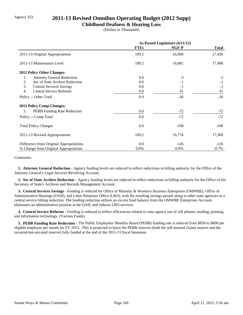## Agency 353 **2011-13 Revised Omnibus Operating Budget (2012 Supp)**

### **Childhood Deafness & Hearing Loss**

(Dollars in Thousands)

|                                          | As Passed Legislature (4/11/12) |         |              |
|------------------------------------------|---------------------------------|---------|--------------|
|                                          | <b>FTEs</b>                     | NGF-P   | <b>Total</b> |
| 2011-13 Original Appropriations          | 109.2                           | 16,900  | 17,426       |
| 2011-13 Maintenance Level                | 109.2                           | 16,882  | 17,408       |
| <b>2012 Policy Other Changes:</b>        |                                 |         |              |
| <b>Attorney General Reduction</b><br>1.  | 0.0                             | $-3$    | $-3$         |
| Sec of State Archive Reduction<br>2.     | 0.0                             | $-1$    | $-1$         |
| 3.<br><b>Central Services Savings</b>    | 0.0                             | $-1$    | $-1$         |
| <b>Central Service Reforms</b><br>4.     | 0.0                             | $-31$   | $-31$        |
| Policy -- Other Total                    | 0.0                             | $-36$   | $-36$        |
| <b>2012 Policy Comp Changes:</b>         |                                 |         |              |
| 5.<br><b>PEBB</b> Funding Rate Reduction | 0.0                             | $-72$   | $-72$        |
| Policy -- Comp Total                     | 0.0                             | $-72$   | $-72$        |
| <b>Total Policy Changes</b>              | 0.0                             | $-108$  | $-108$       |
| 2011-13 Revised Appropriations           | 109.2                           | 16,774  | 17,300       |
| Difference from Original Appropriations  | 0.0                             | $-126$  | $-126$       |
| % Change from Original Appropriations    | 0.0%                            | $-0.8%$ | $-0.7\%$     |

#### *Comments:*

 **1. Attorney General Reduction -** Agency funding levels are reduced to reflect reductions in billing authority for the Office of the Attorney General's Legal Services Revolving Account.

 **2. Sec of State Archive Reduction -** Agency funding levels are reduced to reflect reductions in billing authority for the Office of the Secretary of State's Archives and Records Management Account.

 **3. Central Services Savings -** Funding is reduced for Office of Minority & Women's Business Enterprises (OMWBE), Office of Administrative Hearings (OAH), and Labor Relations Office (LRO), with the resulting savings passed along to other state agencies as a central service billing reduction. The funding reduction utilizes an excess fund balance from the OMWBE Enterprises Account, eliminates an administrative position at the OAH, and reduces LRO services.

 **4. Central Service Reforms -** Funding is reduced to reflect efficiencies related to state agency use of cell phones, mailing, printing, and information technology. (Various Funds)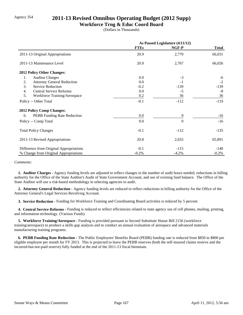## Agency 354 **2011-13 Revised Omnibus Operating Budget (2012 Supp)**

### **Workforce Trng & Educ Coord Board**

(Dollars in Thousands)

|                                         | As Passed Legislature (4/11/12) |          |              |
|-----------------------------------------|---------------------------------|----------|--------------|
|                                         | <b>FTEs</b>                     | NGF-P    | <b>Total</b> |
| 2011-13 Original Appropriations         | 20.9                            | 2,770    | 66,031       |
| 2011-13 Maintenance Level               | 20.9                            | 2,767    | 66,026       |
| <b>2012 Policy Other Changes:</b>       |                                 |          |              |
| <b>Auditor Charges</b><br>1.            | 0.0                             | $-3$     | -6           |
| 2.<br><b>Attorney General Reduction</b> | 0.0                             | $-1$     | $-2$         |
| 3.<br><b>Service Reduction</b>          | $-0.2$                          | $-139$   | $-139$       |
| <b>Central Service Reforms</b><br>4.    | 0.0                             | $-5$     | $-8$         |
| 5.<br>Workforce Training/Aerospace      | 0.2                             | 36       | 36           |
| Policy -- Other Total                   | $-0.1$                          | $-112$   | $-119$       |
| <b>2012 Policy Comp Changes:</b>        |                                 |          |              |
| PEBB Funding Rate Reduction<br>6.       | 0.0                             | $\theta$ | $-16$        |
| Policy -- Comp Total                    | 0.0                             | $\theta$ | $-16$        |
| <b>Total Policy Changes</b>             | $-0.1$                          | $-112$   | $-135$       |
| 2011-13 Revised Appropriations          | 20.8                            | 2,655    | 65,891       |
| Difference from Original Appropriations | $-0.1$                          | $-115$   | $-140$       |
| % Change from Original Appropriations   | $-0.2%$                         | $-4.2%$  | $-0.2%$      |

#### *Comments:*

 **1. Auditor Charges -** Agency funding levels are adjusted to reflect changes in the number of audit hours needed, reductions in billing authority for the Office of the State Auditor's Audit of State Government Account, and use of existing fund balance. The Office of the State Auditor will use a risk-based methodology in selecting agencies to audit.

 **2. Attorney General Reduction -** Agency funding levels are reduced to reflect reductions in billing authority for the Office of the Attorney General's Legal Services Revolving Account.

 **3. Service Reduction -** Funding for Workforce Training and Coordinating Board activities is reduced by 5 percent.

 **4. Central Service Reforms -** Funding is reduced to reflect efficiencies related to state agency use of cell phones, mailing, printing, and information technology. (Various Funds)

 **5. Workforce Training/Aerospace -** Funding is provided pursuant to Second Substitute House Bill 2156 (workforce training/aerospace) to produce a skills gap analysis and to conduct an annual evaluation of aerospace and advanced materials manufacturing training programs.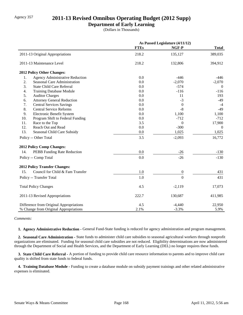## Agency 357 **2011-13 Revised Omnibus Operating Budget (2012 Supp)**

### **Department of Early Learning**

(Dollars in Thousands)

|     |                                         | As Passed Legislature (4/11/12) |                  |                  |
|-----|-----------------------------------------|---------------------------------|------------------|------------------|
|     |                                         | <b>FTEs</b>                     | NGF-P            | <b>Total</b>     |
|     | 2011-13 Original Appropriations         | 218.2                           | 135,127          | 389,035          |
|     | 2011-13 Maintenance Level               | 218.2                           | 132,806          | 394,912          |
|     | 2012 Policy Other Changes:              |                                 |                  |                  |
| 1.  | Agency Administrative Reduction         | 0.0                             | $-446$           | $-446$           |
| 2.  | <b>Seasonal Care Administration</b>     | 0.0                             | $-2,070$         | $-2,070$         |
| 3.  | <b>State Child Care Referral</b>        | 0.0                             | $-574$           | $\overline{0}$   |
| 4.  | <b>Training Database Module</b>         | 0.0                             | $-116$           | $-116$           |
| 5.  | <b>Auditor Charges</b>                  | 0.0                             | 11               | 193              |
| 6.  | <b>Attorney General Reduction</b>       | 0.0                             | $-3$             | $-49$            |
| 7.  | <b>Central Services Savings</b>         | 0.0                             | $\boldsymbol{0}$ | $-4$             |
| 8.  | <b>Central Service Reforms</b>          | 0.0                             | $-8$             | $-49$            |
| 9.  | Electronic Benefit System               | 0.0                             | 1,100            | 1,100            |
| 10. | Program Shift to Federal Funding        | 0.0                             | $-712$           | $-712$           |
| 11. | Race to the Top                         | 3.5                             | $\overline{0}$   | 17,900           |
| 12. | Reach Out and Read                      | 0.0                             | $-300$           | $\boldsymbol{0}$ |
| 13. | Seasonal Child Care Subsidy             | 0.0                             | 1,025            | 1,025            |
|     | Policy -- Other Total                   | 3.5                             | $-2,093$         | 16,772           |
|     | 2012 Policy Comp Changes:               |                                 |                  |                  |
| 14. | PEBB Funding Rate Reduction             | 0.0                             | $-26$            | $-130$           |
|     | Policy -- Comp Total                    | 0.0                             | $-26$            | $-130$           |
|     | <b>2012 Policy Transfer Changes:</b>    |                                 |                  |                  |
| 15. | Council for Child & Fam Transfer        | 1.0                             | $\boldsymbol{0}$ | 431              |
|     | Policy -- Transfer Total                | 1.0                             | $\overline{0}$   | 431              |
|     | <b>Total Policy Changes</b>             | 4.5                             | $-2,119$         | 17,073           |
|     | 2011-13 Revised Appropriations          | 222.7                           | 130,687          | 411,985          |
|     | Difference from Original Appropriations | 4.5                             | $-4,440$         | 22,950           |
|     | % Change from Original Appropriations   | 2.1%                            | $-3.3%$          | 5.9%             |

*Comments:*

 **1. Agency Administrative Reduction -** General Fund-State funding is reduced for agency administration and program management.

 **2. Seasonal Care Administration -** State funds to administer child care subsidies to seasonal agricultural workers through nonprofit organizations are eliminated. Funding for seasonal child care subsidies are not reduced. Eligibility determinations are now administered through the Department of Social and Health Services, and the Department of Early Learning (DEL) no longer requires these funds.

 **3. State Child Care Referral -** A portion of funding to provide child care resource information to parents and to improve child care quality is shifted from state funds to federal funds.

 **4. Training Database Module -** Funding to create a database module on subsidy payment trainings and other related administrative expenses is eliminated.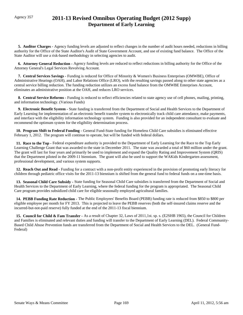## Agency 357 **2011-13 Revised Omnibus Operating Budget (2012 Supp) Department of Early Learning**

 **5. Auditor Charges -** Agency funding levels are adjusted to reflect changes in the number of audit hours needed, reductions in billing authority for the Office of the State Auditor's Audit of State Government Account, and use of existing fund balance. The Office of the State Auditor will use a risk-based methodology in selecting agencies to audit.

 **6. Attorney General Reduction -** Agency funding levels are reduced to reflect reductions in billing authority for the Office of the Attorney General's Legal Services Revolving Account.

 **7. Central Services Savings -** Funding is reduced for Office of Minority & Women's Business Enterprises (OMWBE), Office of Administrative Hearings (OAH), and Labor Relations Office (LRO), with the resulting savings passed along to other state agencies as a central service billing reduction. The funding reduction utilizes an excess fund balance from the OMWBE Enterprises Account, eliminates an administrative position at the OAH, and reduces LRO services.

 **8. Central Service Reforms -** Funding is reduced to reflect efficiencies related to state agency use of cell phones, mailing, printing, and information technology. (Various Funds)

 **9. Electronic Benefit System -** State funding is transferred from the Department of Social and Health Services to the Department of Early Learning for implementation of an electronic benefit transfer system to electronically track child care attendance, make payments, and interface with the eligibility information technology system. Funding is also provided for an independent consultant to evaluate and recommend the optimum system for the eligibility determination process.

 **10. Program Shift to Federal Funding -** General Fund-State funding for Homeless Child Care subsidies is eliminated effective February 1, 2012. The program will continue to operate, but will be funded with federal dollars.

 **11. Race to the Top -** Federal expenditure authority is provided to the Department of Early Learning for the Race to the Top Early Learning Challenge Grant that was awarded to the state in December 2011. The state was awarded a total of \$60 million under the grant. The grant will last for four years and primarily be used to implement and expand the Quality Rating and Improvement System (QRIS) that the Department piloted in the 2009-11 biennium. The grant will also be used to support the WAKids Kindergarten assessment, professional development, and various system supports.

 **12. Reach Out and Read -** Funding for a contract with a non-profit entity experienced in the provision of promoting early literacy for children through pediatric office visits for the 2011-13 biennium is shifted from the general fund to federal funds on a one-time basis.

 **13. Seasonal Child Care Subsidy -** State funding for Seasonal Child Care subsidies is transferred from the Department of Social and Health Services to the Department of Early Learning, where the federal funding for the program is appropriated. The Seasonal Child Care program provides subsidized child care for eligible seasonally employed agricultural families.

 **14. PEBB Funding Rate Reduction -** The Public Employees' Benefits Board (PEBB) funding rate is reduced from \$850 to \$800 per eligible employee per month for FY 2013. This is projected to leave the PEBB reserves (both the self-insured claims reserve and the incurred-but-not-paid reserve) fully funded at the end of the 2011-13 fiscal biennium.

 **15. Council for Child & Fam Transfer -** As a result of Chapter 32, Laws of 2011,1st. sp. s. (E2SHB 1965), the Council for Children and Families is eliminated and relevant duties and funding will transfer to the Department of Early Learning (DEL). Federal Community-Based Child Abuse Prevention funds are transferred from the Department of Social and Health Services to the DEL. (General Fund-Federal)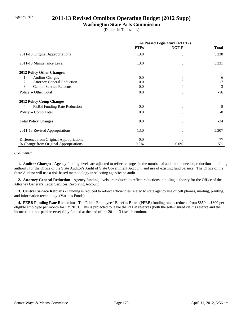## Agency 387 **2011-13 Revised Omnibus Operating Budget (2012 Supp)**

### **Washington State Arts Commission**

(Dollars in Thousands)

|                                          | As Passed Legislature (4/11/12) |                |              |
|------------------------------------------|---------------------------------|----------------|--------------|
|                                          | <b>FTEs</b>                     | NGF-P          | <b>Total</b> |
| 2011-13 Original Appropriations          | 13.0                            | $\overline{0}$ | 5,230        |
| 2011-13 Maintenance Level                | 13.0                            | $\overline{0}$ | 5,331        |
| 2012 Policy Other Changes:               |                                 |                |              |
| <b>Auditor Charges</b><br>1.             | 0.0                             | $\Omega$       | -6           |
| 2.<br><b>Attorney General Reduction</b>  | 0.0                             | 0              | $-7$         |
| 3.<br><b>Central Service Reforms</b>     | $0.0\,$                         | 0              | $-3$         |
| Policy -- Other Total                    | 0.0                             | $\theta$       | $-16$        |
| 2012 Policy Comp Changes:                |                                 |                |              |
| <b>PEBB</b> Funding Rate Reduction<br>4. | 0.0                             | $\theta$       | -8           |
| Policy -- Comp Total                     | 0.0                             | $\Omega$       | $-8$         |
| <b>Total Policy Changes</b>              | 0.0                             | $\theta$       | $-24$        |
| 2011-13 Revised Appropriations           | 13.0                            | $\overline{0}$ | 5,307        |
| Difference from Original Appropriations  | 0.0                             | $\Omega$       | 77           |
| % Change from Original Appropriations    | $0.0\%$                         | 0.0%           | 1.5%         |

#### *Comments:*

 **1. Auditor Charges -** Agency funding levels are adjusted to reflect changes in the number of audit hours needed, reductions in billing authority for the Office of the State Auditor's Audit of State Government Account, and use of existing fund balance. The Office of the State Auditor will use a risk-based methodology in selecting agencies to audit.

 **2. Attorney General Reduction -** Agency funding levels are reduced to reflect reductions in billing authority for the Office of the Attorney General's Legal Services Revolving Account.

 **3. Central Service Reforms -** Funding is reduced to reflect efficiencies related to state agency use of cell phones, mailing, printing, and information technology. (Various Funds)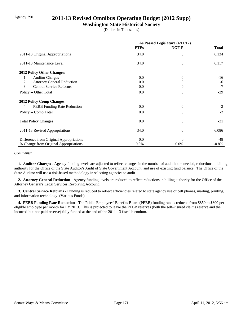## Agency 390 **2011-13 Revised Omnibus Operating Budget (2012 Supp)**

## **Washington State Historical Society**

(Dollars in Thousands)

|                                          | As Passed Legislature (4/11/12) |                |              |
|------------------------------------------|---------------------------------|----------------|--------------|
|                                          | <b>FTEs</b>                     | NGF-P          | <b>Total</b> |
| 2011-13 Original Appropriations          | 34.0                            | $\theta$       | 6,134        |
| 2011-13 Maintenance Level                | 34.0                            | $\overline{0}$ | 6,117        |
| 2012 Policy Other Changes:               |                                 |                |              |
| <b>Auditor Charges</b><br>1.             | 0.0                             | $\Omega$       | $-16$        |
| 2.<br><b>Attorney General Reduction</b>  | 0.0                             | 0              | -6           |
| 3.<br><b>Central Service Reforms</b>     | $0.0\,$                         | 0              | $-7$         |
| Policy -- Other Total                    | 0.0                             | $\theta$       | $-29$        |
| <b>2012 Policy Comp Changes:</b>         |                                 |                |              |
| <b>PEBB</b> Funding Rate Reduction<br>4. | 0.0                             | $\overline{0}$ | $-2$         |
| Policy -- Comp Total                     | 0.0                             | $\Omega$       | $-2$         |
| <b>Total Policy Changes</b>              | 0.0                             | $\overline{0}$ | $-31$        |
| 2011-13 Revised Appropriations           | 34.0                            | $\overline{0}$ | 6,086        |
| Difference from Original Appropriations  | 0.0                             | $\Omega$       | -48          |
| % Change from Original Appropriations    | $0.0\%$                         | 0.0%           | $-0.8\%$     |

#### *Comments:*

 **1. Auditor Charges -** Agency funding levels are adjusted to reflect changes in the number of audit hours needed, reductions in billing authority for the Office of the State Auditor's Audit of State Government Account, and use of existing fund balance. The Office of the State Auditor will use a risk-based methodology in selecting agencies to audit.

 **2. Attorney General Reduction -** Agency funding levels are reduced to reflect reductions in billing authority for the Office of the Attorney General's Legal Services Revolving Account.

 **3. Central Service Reforms -** Funding is reduced to reflect efficiencies related to state agency use of cell phones, mailing, printing, and information technology. (Various Funds)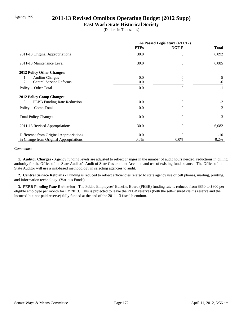## Agency 395 **2011-13 Revised Omnibus Operating Budget (2012 Supp)**

### **East Wash State Historical Society**

(Dollars in Thousands)

|                                         | As Passed Legislature (4/11/12) |                |              |
|-----------------------------------------|---------------------------------|----------------|--------------|
|                                         | <b>FTEs</b>                     | NGF-P          | <b>Total</b> |
| 2011-13 Original Appropriations         | 30.0                            | $\overline{0}$ | 6,092        |
| 2011-13 Maintenance Level               | 30.0                            | $\theta$       | 6,085        |
| 2012 Policy Other Changes:              |                                 |                |              |
| <b>Auditor Charges</b><br>1.            | 0.0                             | $\Omega$       | 5            |
| <b>Central Service Reforms</b><br>2.    | 0.0                             | 0              | -6           |
| Policy -- Other Total                   | 0.0                             | $\Omega$       | $-1$         |
| <b>2012 Policy Comp Changes:</b>        |                                 |                |              |
| 3.<br>PEBB Funding Rate Reduction       | 0.0                             | $\Omega$       | $-2$         |
| Policy -- Comp Total                    | 0.0                             | $\theta$       | $-2$         |
| <b>Total Policy Changes</b>             | 0.0                             | $\theta$       | $-3$         |
| 2011-13 Revised Appropriations          | 30.0                            | $\overline{0}$ | 6,082        |
| Difference from Original Appropriations | 0.0                             | $\Omega$       | $-10$        |
| % Change from Original Appropriations   | $0.0\%$                         | $0.0\%$        | $-0.2\%$     |

#### *Comments:*

 **1. Auditor Charges -** Agency funding levels are adjusted to reflect changes in the number of audit hours needed, reductions in billing authority for the Office of the State Auditor's Audit of State Government Account, and use of existing fund balance. The Office of the State Auditor will use a risk-based methodology in selecting agencies to audit.

 **2. Central Service Reforms -** Funding is reduced to reflect efficiencies related to state agency use of cell phones, mailing, printing, and information technology. (Various Funds)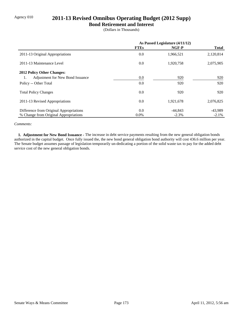## Agency 010 **2011-13 Revised Omnibus Operating Budget (2012 Supp)**

### **Bond Retirement and Interest**

(Dollars in Thousands)

|                                         | As Passed Legislature (4/11/12) |           |              |
|-----------------------------------------|---------------------------------|-----------|--------------|
|                                         | <b>FTEs</b>                     | NGF-P     | <b>Total</b> |
| 2011-13 Original Appropriations         | 0.0                             | 1,966,521 | 2,120,814    |
| 2011-13 Maintenance Level               | 0.0                             | 1,920,758 | 2,075,905    |
| 2012 Policy Other Changes:              |                                 |           |              |
| Adjustment for New Bond Issuance<br>1.  | 0.0                             | 920       | 920          |
| Policy -- Other Total                   | 0.0                             | 920       | 920          |
| <b>Total Policy Changes</b>             | 0.0                             | 920       | 920          |
| 2011-13 Revised Appropriations          | 0.0                             | 1,921,678 | 2,076,825    |
| Difference from Original Appropriations | 0.0                             | $-44.843$ | $-43,989$    |
| % Change from Original Appropriations   | $0.0\%$                         | $-2.3%$   | $-2.1%$      |

#### *Comments:*

 **1. Adjustment for New Bond Issuance -** The increase in debt service payments resulting from the new general obligation bonds authorized in the capital budget. Once fully issued the, the new bond general obligation bond authority will cost 436.6 million per year. The Senate budget assumes passage of legislation temporarily un-dedicating a portion of the solid waste tax to pay for the added debt service cost of the new general obligation bonds.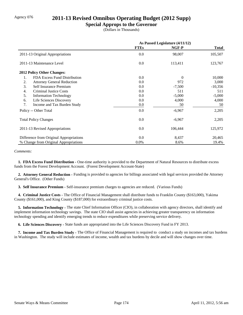## Agency 076 **2011-13 Revised Omnibus Operating Budget (2012 Supp)**

### **Special Approps to the Governor**

(Dollars in Thousands)

|                                         | As Passed Legislature (4/11/12) |          |              |
|-----------------------------------------|---------------------------------|----------|--------------|
|                                         | <b>FTEs</b>                     | NGF-P    | <b>Total</b> |
| 2011-13 Original Appropriations         | 0.0                             | 98,007   | 105,507      |
| 2011-13 Maintenance Level               | 0.0                             | 113,411  | 123,767      |
| <b>2012 Policy Other Changes:</b>       |                                 |          |              |
| FDA Excess Fund Distribution<br>1.      | 0.0                             | $\Omega$ | 10,000       |
| <b>Attorney General Reduction</b><br>2. | 0.0                             | 972      | 3,000        |
| 3.<br>Self Insurance Premium            | 0.0                             | $-7,500$ | $-10,356$    |
| 4.<br><b>Criminal Justice Costs</b>     | 0.0                             | 511      | 511          |
| 5.<br><b>Information Technology</b>     | 0.0                             | $-5,000$ | $-5,000$     |
| Life Sciences Discovery<br>6.           | 0.0                             | 4,000    | 4,000        |
| 7.<br>Income and Tax Burden Study       | 0.0                             | 50       | 50           |
| Policy -- Other Total                   | 0.0                             | $-6,967$ | 2,205        |
| <b>Total Policy Changes</b>             | 0.0                             | $-6,967$ | 2,205        |
| 2011-13 Revised Appropriations          | 0.0                             | 106,444  | 125,972      |
| Difference from Original Appropriations | 0.0                             | 8,437    | 20,465       |
| % Change from Original Appropriations   | 0.0%                            | 8.6%     | 19.4%        |

#### *Comments:*

 **1. FDA Excess Fund Distribution -** One-time authority is provided to the Department of Natural Resources to distribute excess funds from the Forest Development Account. (Forest Development Account-State)

 **2. Attorney General Reduction -** Funding is provided to agencies for billings associated with legal services provided the Attorney General's Office. (Other Funds)

 **3. Self Insurance Premium -** Self-insurance premium charges to agencies are reduced. (Various Funds)

 **4. Criminal Justice Costs -** The Office of Financial Management shall distribute funds to Franklin County (\$163,000), Yakima County (\$161,000), and King County (\$187,000) for extraordinary criminal justice costs.

 **5. Information Technology -** The state Chief Information Officer (CIO), in collaboration with agency directors, shall identify and implement information technology savings. The state CIO shall assist agencies in achieving greater transparency on information technology spending and identify emerging trends to reduce expenditures while preserving service delivery.

 **6. Life Sciences Discovery -** State funds are appropriated into the Life Sciences Discovery Fund in FY 2013.

 **7. Income and Tax Burden Study -** The Office of Financial Management is required to conduct a study on incomes and tax burdens in Washington. The study will include estimates of income, wealth and tax burdens by decile and will show changes over time.